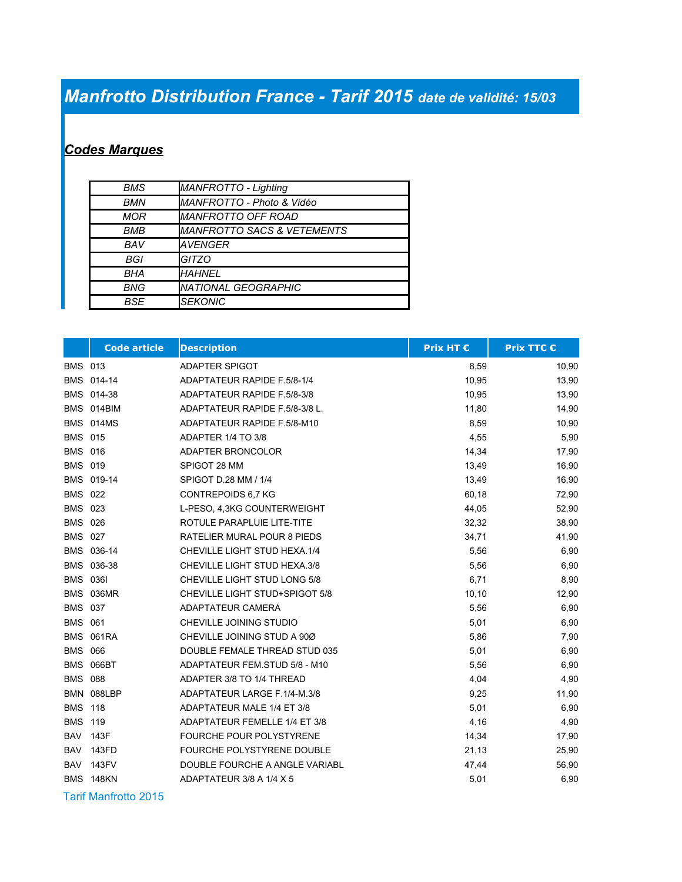## *Manfrotto Distribution France - Tarif 2015 date de validité: 15/03*

## *Codes Marques*

| BMS        | <b>MANFROTTO - Lighting</b>           |
|------------|---------------------------------------|
| <b>BMN</b> | MANFROTTO - Photo & Vidéo             |
| <b>MOR</b> | MANFROTTO OFF ROAD                    |
| <b>BMB</b> | <i>MANFROTTO SACS &amp; VETEMENTS</i> |
| BAV        | AVENGER                               |
| BGI        | GITZO                                 |
| BHA        | <b>HAHNEL</b>                         |
| BNG        | <i>NATIONAL GEOGRAPHIC</i>            |
| <b>BSE</b> | <b>SEKONIC</b>                        |

|                 | <b>Code article</b> | <b>Description</b>              | Prix HT € | <b>Prix TTC €</b> |
|-----------------|---------------------|---------------------------------|-----------|-------------------|
| <b>BMS 013</b>  |                     | ADAPTER SPIGOT                  | 8,59      | 10,90             |
|                 | BMS 014-14          | ADAPTATEUR RAPIDE F.5/8-1/4     | 10,95     | 13,90             |
|                 | BMS 014-38          | ADAPTATEUR RAPIDE F.5/8-3/8     | 10,95     | 13,90             |
|                 | BMS 014BIM          | ADAPTATEUR RAPIDE F.5/8-3/8 L.  | 11,80     | 14,90             |
|                 | BMS 014MS           | ADAPTATEUR RAPIDE F.5/8-M10     | 8,59      | 10,90             |
| <b>BMS 015</b>  |                     | ADAPTER 1/4 TO 3/8              | 4,55      | 5,90              |
| <b>BMS 016</b>  |                     | ADAPTER BRONCOLOR               | 14,34     | 17,90             |
| <b>BMS 019</b>  |                     | SPIGOT 28 MM                    | 13,49     | 16,90             |
|                 | BMS 019-14          | SPIGOT D.28 MM / 1/4            | 13,49     | 16,90             |
| <b>BMS 022</b>  |                     | CONTREPOIDS 6,7 KG              | 60,18     | 72,90             |
| <b>BMS 023</b>  |                     | L-PESO, 4,3KG COUNTERWEIGHT     | 44,05     | 52,90             |
| <b>BMS</b>      | 026                 | ROTULE PARAPLUIE LITE-TITE      | 32,32     | 38,90             |
| <b>BMS 027</b>  |                     | RATELIER MURAL POUR 8 PIEDS     | 34,71     | 41,90             |
|                 | BMS 036-14          | CHEVILLE LIGHT STUD HEXA.1/4    | 5,56      | 6,90              |
|                 | BMS 036-38          | CHEVILLE LIGHT STUD HEXA.3/8    | 5,56      | 6,90              |
| <b>BMS 0361</b> |                     | CHEVILLE LIGHT STUD LONG 5/8    | 6,71      | 8,90              |
| <b>BMS</b>      | 036MR               | CHEVILLE LIGHT STUD+SPIGOT 5/8  | 10, 10    | 12,90             |
| <b>BMS 037</b>  |                     | ADAPTATEUR CAMERA               | 5,56      | 6,90              |
| <b>BMS 061</b>  |                     | CHEVILLE JOINING STUDIO         | 5,01      | 6,90              |
| <b>BMS</b>      | 061RA               | CHEVILLE JOINING STUD A 90Ø     | 5,86      | 7,90              |
| <b>BMS 066</b>  |                     | DOUBLE FEMALE THREAD STUD 035   | 5,01      | 6,90              |
|                 | BMS 066BT           | ADAPTATEUR FEM.STUD 5/8 - M10   | 5,56      | 6,90              |
| <b>BMS</b>      | 088                 | ADAPTER 3/8 TO 1/4 THREAD       | 4,04      | 4,90              |
|                 | BMN 088LBP          | ADAPTATEUR LARGE F.1/4-M.3/8    | 9,25      | 11,90             |
| <b>BMS 118</b>  |                     | ADAPTATEUR MALE 1/4 ET 3/8      | 5,01      | 6,90              |
| <b>BMS</b>      | 119                 | ADAPTATEUR FEMELLE 1/4 ET 3/8   | 4,16      | 4,90              |
| <b>BAV</b>      | 143F                | <b>FOURCHE POUR POLYSTYRENE</b> | 14,34     | 17,90             |
| <b>BAV</b>      | 143FD               | FOURCHE POLYSTYRENE DOUBLE      | 21,13     | 25,90             |
| <b>BAV</b>      | 143FV               | DOUBLE FOURCHE A ANGLE VARIABL  | 47,44     | 56,90             |
|                 | BMS 148KN           | ADAPTATEUR 3/8 A 1/4 X 5        | 5,01      | 6,90              |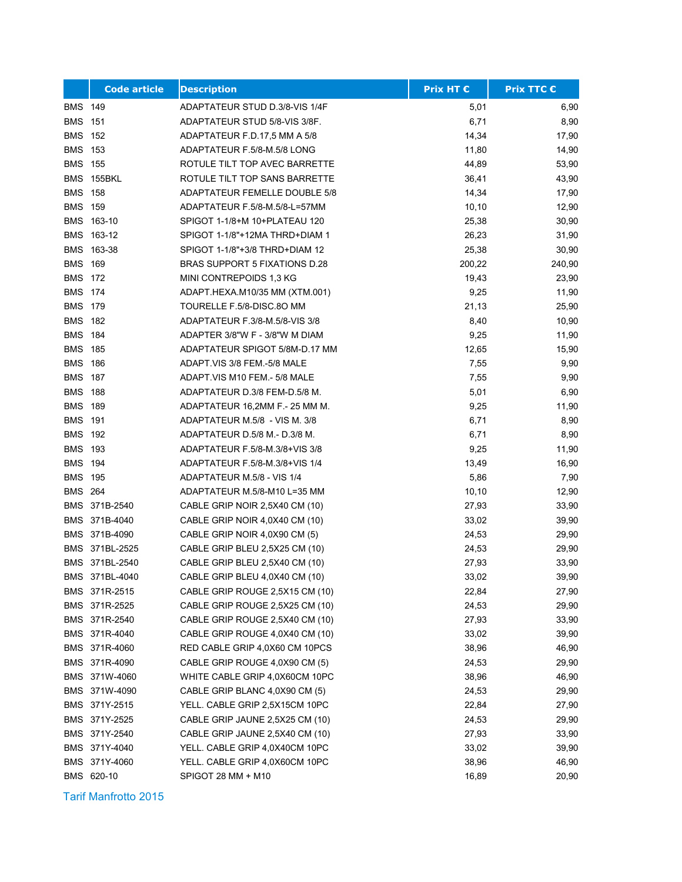|                | <b>Code article</b> | <b>Description</b>                   | <b>Prix HT €</b> | Prix TTC € |
|----------------|---------------------|--------------------------------------|------------------|------------|
| <b>BMS 149</b> |                     | ADAPTATEUR STUD D.3/8-VIS 1/4F       | 5,01             | 6,90       |
| <b>BMS</b>     | 151                 | ADAPTATEUR STUD 5/8-VIS 3/8F.        | 6,71             | 8,90       |
| <b>BMS</b>     | 152                 | ADAPTATEUR F.D.17,5 MM A 5/8         | 14,34            | 17,90      |
| <b>BMS 153</b> |                     | ADAPTATEUR F.5/8-M.5/8 LONG          | 11,80            | 14,90      |
| <b>BMS 155</b> |                     | ROTULE TILT TOP AVEC BARRETTE        | 44,89            | 53,90      |
| <b>BMS</b>     | 155BKL              | ROTULE TILT TOP SANS BARRETTE        | 36,41            | 43,90      |
| <b>BMS</b>     | 158                 | <b>ADAPTATEUR FEMELLE DOUBLE 5/8</b> | 14,34            | 17,90      |
| <b>BMS</b>     | 159                 | ADAPTATEUR F.5/8-M.5/8-L=57MM        | 10, 10           | 12,90      |
| <b>BMS</b>     | 163-10              | SPIGOT 1-1/8+M 10+PLATEAU 120        | 25,38            | 30,90      |
| <b>BMS</b>     | 163-12              | SPIGOT 1-1/8"+12MA THRD+DIAM 1       | 26,23            | 31,90      |
|                | BMS 163-38          | SPIGOT 1-1/8"+3/8 THRD+DIAM 12       | 25,38            | 30,90      |
| <b>BMS 169</b> |                     | BRAS SUPPORT 5 FIXATIONS D.28        | 200,22           | 240,90     |
| <b>BMS</b>     | 172                 | MINI CONTREPOIDS 1,3 KG              | 19,43            | 23,90      |
| <b>BMS</b>     | 174                 | ADAPT.HEXA.M10/35 MM (XTM.001)       | 9,25             | 11,90      |
| <b>BMS</b>     | 179                 | TOURELLE F.5/8-DISC.8O MM            | 21,13            | 25,90      |
| <b>BMS</b>     | 182                 | ADAPTATEUR F.3/8-M.5/8-VIS 3/8       | 8,40             | 10,90      |
| <b>BMS</b>     | 184                 | ADAPTER 3/8"W F - 3/8"W M DIAM       | 9,25             | 11,90      |
| <b>BMS</b>     | 185                 | ADAPTATEUR SPIGOT 5/8M-D.17 MM       | 12,65            | 15,90      |
| <b>BMS</b>     | 186                 | ADAPT VIS 3/8 FEM -5/8 MALE          | 7,55             | 9,90       |
| <b>BMS 187</b> |                     | ADAPT VIS M10 FEM - 5/8 MALE         | 7,55             | 9,90       |
| <b>BMS</b>     | 188                 | ADAPTATEUR D.3/8 FEM-D.5/8 M.        | 5,01             | 6,90       |
| <b>BMS</b>     | 189                 | ADAPTATEUR 16,2MM F.- 25 MM M.       | 9,25             | 11,90      |
| <b>BMS</b>     | 191                 | ADAPTATEUR M.5/8 - VIS M. 3/8        | 6,71             | 8,90       |
| <b>BMS</b>     | 192                 | ADAPTATEUR D.5/8 M.- D.3/8 M.        | 6,71             | 8,90       |
| <b>BMS</b>     | 193                 | ADAPTATEUR F.5/8-M.3/8+VIS 3/8       | 9,25             | 11,90      |
| <b>BMS 194</b> |                     | ADAPTATEUR F.5/8-M.3/8+VIS 1/4       | 13,49            | 16,90      |
| <b>BMS 195</b> |                     | ADAPTATEUR M.5/8 - VIS 1/4           | 5,86             | 7,90       |
| <b>BMS 264</b> |                     | ADAPTATEUR M.5/8-M10 L=35 MM         | 10, 10           | 12,90      |
|                | BMS 371B-2540       | CABLE GRIP NOIR 2,5X40 CM (10)       | 27,93            | 33,90      |
|                | BMS 371B-4040       | CABLE GRIP NOIR 4,0X40 CM (10)       | 33,02            | 39,90      |
|                | BMS 371B-4090       | CABLE GRIP NOIR 4,0X90 CM (5)        | 24,53            | 29,90      |
|                | BMS 371BL-2525      | CABLE GRIP BLEU 2,5X25 CM (10)       | 24,53            | 29,90      |
|                | BMS 371BL-2540      | CABLE GRIP BLEU 2,5X40 CM (10)       | 27,93            | 33,90      |
|                | BMS 371BL-4040      | CABLE GRIP BLEU 4,0X40 CM (10)       | 33,02            | 39,90      |
|                | BMS 371R-2515       | CABLE GRIP ROUGE 2,5X15 CM (10)      | 22,84            | 27,90      |
|                | BMS 371R-2525       | CABLE GRIP ROUGE 2,5X25 CM (10)      | 24,53            | 29,90      |
|                | BMS 371R-2540       | CABLE GRIP ROUGE 2,5X40 CM (10)      | 27,93            | 33,90      |
|                | BMS 371R-4040       | CABLE GRIP ROUGE 4,0X40 CM (10)      | 33,02            | 39,90      |
|                | BMS 371R-4060       | RED CABLE GRIP 4,0X60 CM 10PCS       | 38,96            | 46,90      |
|                | BMS 371R-4090       | CABLE GRIP ROUGE 4,0X90 CM (5)       | 24,53            | 29,90      |
|                | BMS 371W-4060       | WHITE CABLE GRIP 4,0X60CM 10PC       | 38,96            | 46,90      |
|                | BMS 371W-4090       | CABLE GRIP BLANC 4,0X90 CM (5)       | 24,53            | 29,90      |
|                | BMS 371Y-2515       | YELL. CABLE GRIP 2,5X15CM 10PC       | 22,84            | 27,90      |
|                | BMS 371Y-2525       | CABLE GRIP JAUNE 2,5X25 CM (10)      | 24,53            | 29,90      |
|                | BMS 371Y-2540       | CABLE GRIP JAUNE 2,5X40 CM (10)      | 27,93            | 33,90      |
|                | BMS 371Y-4040       | YELL. CABLE GRIP 4,0X40CM 10PC       | 33,02            | 39,90      |
|                | BMS 371Y-4060       | YELL. CABLE GRIP 4,0X60CM 10PC       | 38,96            | 46,90      |
|                | BMS 620-10          | SPIGOT 28 MM + M10                   | 16,89            | 20,90      |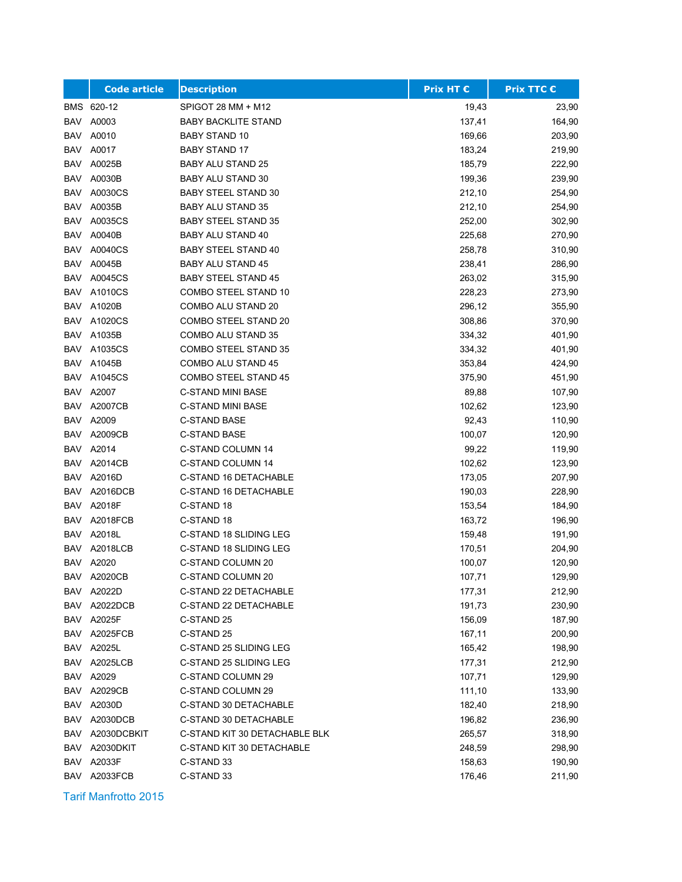|            | <b>Code article</b> | <b>Description</b>            | <b>Prix HT €</b> | Prix TTC € |
|------------|---------------------|-------------------------------|------------------|------------|
|            | BMS 620-12          | SPIGOT 28 MM + M12            | 19,43            | 23,90      |
| BAV        | A0003               | <b>BABY BACKLITE STAND</b>    | 137,41           | 164,90     |
| BAV        | A0010               | <b>BABY STAND 10</b>          | 169,66           | 203,90     |
| BAV        | A0017               | <b>BABY STAND 17</b>          | 183,24           | 219,90     |
| <b>BAV</b> | A0025B              | <b>BABY ALU STAND 25</b>      | 185,79           | 222,90     |
| BAV        | A0030B              | <b>BABY ALU STAND 30</b>      | 199,36           | 239,90     |
| <b>BAV</b> | A0030CS             | <b>BABY STEEL STAND 30</b>    | 212,10           | 254,90     |
| <b>BAV</b> | A0035B              | <b>BABY ALU STAND 35</b>      | 212,10           | 254,90     |
| <b>BAV</b> | A0035CS             | BABY STEEL STAND 35           | 252,00           | 302,90     |
| BAV        | A0040B              | BABY ALU STAND 40             | 225,68           | 270,90     |
| BAV        | A0040CS             | <b>BABY STEEL STAND 40</b>    | 258,78           | 310,90     |
| BAV        | A0045B              | <b>BABY ALU STAND 45</b>      | 238,41           | 286,90     |
| <b>BAV</b> | A0045CS             | <b>BABY STEEL STAND 45</b>    | 263,02           | 315,90     |
| BAV        | A1010CS             | COMBO STEEL STAND 10          | 228,23           | 273,90     |
| <b>BAV</b> | A1020B              | COMBO ALU STAND 20            | 296,12           | 355,90     |
| BAV        | A1020CS             | COMBO STEEL STAND 20          | 308,86           | 370,90     |
| <b>BAV</b> | A1035B              | <b>COMBO ALU STAND 35</b>     | 334,32           | 401,90     |
| BAV        | A1035CS             | COMBO STEEL STAND 35          | 334,32           | 401,90     |
| BAV        | A1045B              | COMBO ALU STAND 45            | 353,84           | 424,90     |
| BAV        | A1045CS             | COMBO STEEL STAND 45          | 375,90           | 451,90     |
| BAV        | A2007               | <b>C-STAND MINI BASE</b>      | 89,88            | 107,90     |
| BAV        | A2007CB             | C-STAND MINI BASE             | 102,62           | 123,90     |
| <b>BAV</b> | A2009               | <b>C-STAND BASE</b>           | 92,43            | 110,90     |
| BAV        | A2009CB             | <b>C-STAND BASE</b>           | 100,07           | 120,90     |
| BAV        | A2014               | C-STAND COLUMN 14             | 99,22            | 119,90     |
| BAV        | A2014CB             | C-STAND COLUMN 14             | 102,62           | 123,90     |
| BAV        | A2016D              | C-STAND 16 DETACHABLE         | 173,05           | 207,90     |
| BAV        | A2016DCB            | C-STAND 16 DETACHABLE         | 190,03           | 228,90     |
|            | <b>BAV A2018F</b>   | C-STAND 18                    | 153,54           | 184,90     |
| BAV        | A2018FCB            | C-STAND 18                    | 163,72           | 196,90     |
| BAV        | A2018L              | C-STAND 18 SLIDING LEG        | 159,48           | 191,90     |
| <b>BAV</b> | <b>A2018LCB</b>     | C-STAND 18 SLIDING LEG        | 170,51           | 204,90     |
| BAV        | A2020               | C-STAND COLUMN 20             | 100,07           | 120,90     |
| BAV        | A2020CB             | C-STAND COLUMN 20             | 107,71           | 129,90     |
|            | BAV A2022D          | C-STAND 22 DETACHABLE         | 177,31           | 212,90     |
|            | BAV A2022DCB        | C-STAND 22 DETACHABLE         | 191,73           | 230,90     |
|            | BAV A2025F          | C-STAND 25                    | 156,09           | 187,90     |
| BAV        | A2025FCB            | C-STAND 25                    | 167,11           | 200,90     |
| BAV        | A2025L              | C-STAND 25 SLIDING LEG        | 165,42           | 198,90     |
| BAV        | A2025LCB            | C-STAND 25 SLIDING LEG        | 177,31           | 212,90     |
|            | BAV A2029           | C-STAND COLUMN 29             | 107,71           | 129,90     |
| BAV        | A2029CB             | C-STAND COLUMN 29             | 111,10           | 133,90     |
| BAV        | A2030D              | C-STAND 30 DETACHABLE         | 182,40           | 218,90     |
| BAV        | A2030DCB            | C-STAND 30 DETACHABLE         | 196,82           | 236,90     |
| BAV        | A2030DCBKIT         | C-STAND KIT 30 DETACHABLE BLK | 265,57           | 318,90     |
| BAV        | A2030DKIT           | C-STAND KIT 30 DETACHABLE     | 248,59           | 298,90     |
| BAV        | A2033F              | C-STAND 33                    | 158,63           | 190,90     |
|            | BAV A2033FCB        | C-STAND 33                    | 176,46           | 211,90     |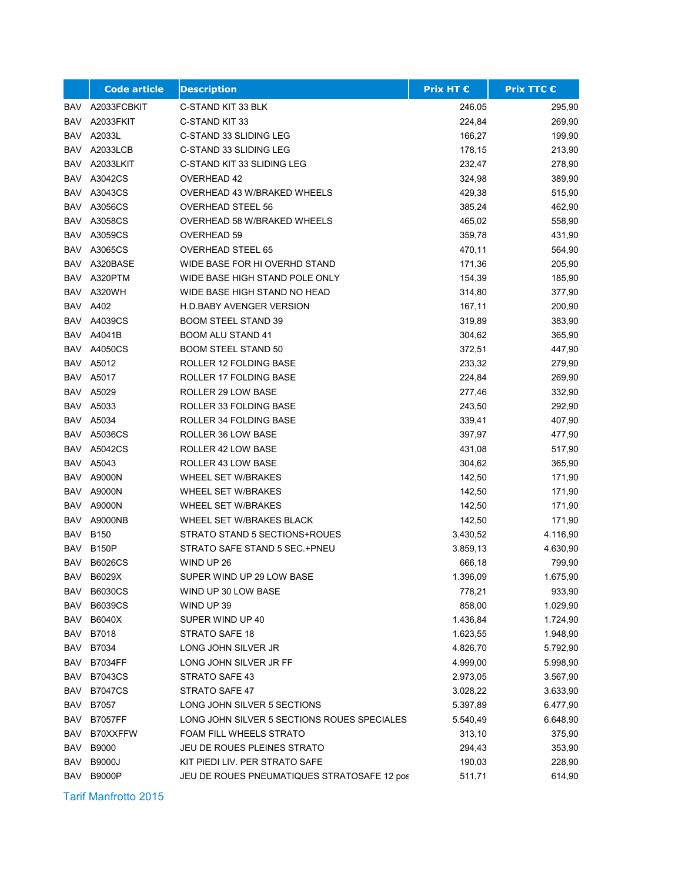|            | <b>Code article</b> | <b>Description</b>                          | <b>Prix HT €</b> | Prix TTC € |
|------------|---------------------|---------------------------------------------|------------------|------------|
| BAV        | A2033FCBKIT         | C-STAND KIT 33 BLK                          | 246,05           | 295,90     |
| BAV        | A2033FKIT           | C-STAND KIT 33                              | 224,84           | 269,90     |
| BAV        | A2033L              | C-STAND 33 SLIDING LEG                      | 166,27           | 199,90     |
| BAV        | A2033LCB            | C-STAND 33 SLIDING LEG                      | 178,15           | 213,90     |
| BAV        | A2033LKIT           | C-STAND KIT 33 SLIDING LEG                  | 232,47           | 278,90     |
| BAV        | A3042CS             | <b>OVERHEAD 42</b>                          | 324,98           | 389,90     |
| BAV        | A3043CS             | OVERHEAD 43 W/BRAKED WHEELS                 | 429,38           | 515,90     |
| <b>BAV</b> | A3056CS             | <b>OVERHEAD STEEL 56</b>                    | 385,24           | 462,90     |
| BAV        | A3058CS             | OVERHEAD 58 W/BRAKED WHEELS                 | 465,02           | 558,90     |
| BAV        | A3059CS             | OVERHEAD 59                                 | 359,78           | 431,90     |
| BAV        | A3065CS             | <b>OVERHEAD STEEL 65</b>                    | 470,11           | 564,90     |
| BAV        | A320BASE            | WIDE BASE FOR HI OVERHD STAND               | 171,36           | 205,90     |
| BAV        | A320PTM             | WIDE BASE HIGH STAND POLE ONLY              | 154,39           | 185,90     |
|            | BAV A320WH          | WIDE BASE HIGH STAND NO HEAD                | 314,80           | 377,90     |
| BAV        | A402                | <b>H.D.BABY AVENGER VERSION</b>             | 167,11           | 200,90     |
| BAV        | A4039CS             | <b>BOOM STEEL STAND 39</b>                  | 319,89           | 383,90     |
| BAV        | A4041B              | <b>BOOM ALU STAND 41</b>                    | 304,62           | 365,90     |
| BAV        | A4050CS             | <b>BOOM STEEL STAND 50</b>                  | 372,51           | 447,90     |
|            | <b>BAV A5012</b>    | <b>ROLLER 12 FOLDING BASE</b>               | 233,32           | 279,90     |
|            | <b>BAV A5017</b>    | ROLLER 17 FOLDING BASE                      | 224,84           | 269,90     |
| BAV        | A5029               | ROLLER 29 LOW BASE                          | 277,46           | 332,90     |
|            | BAV A5033           | ROLLER 33 FOLDING BASE                      | 243,50           | 292,90     |
| BAV        | A5034               | ROLLER 34 FOLDING BASE                      | 339,41           | 407,90     |
| BAV        | A5036CS             | ROLLER 36 LOW BASE                          | 397,97           | 477,90     |
| BAV        | A5042CS             | ROLLER 42 LOW BASE                          | 431,08           | 517,90     |
|            | BAV A5043           | ROLLER 43 LOW BASE                          | 304,62           | 365,90     |
| BAV        | A9000N              | WHEEL SET W/BRAKES                          | 142,50           | 171,90     |
| BAV        | A9000N              | <b>WHEEL SET W/BRAKES</b>                   | 142,50           | 171,90     |
|            | BAV A9000N          | <b>WHEEL SET W/BRAKES</b>                   | 142,50           | 171,90     |
| BAV        | A9000NB             | WHEEL SET W/BRAKES BLACK                    | 142,50           | 171,90     |
| BAV        | <b>B150</b>         | STRATO STAND 5 SECTIONS+ROUES               | 3.430,52         | 4.116,90   |
| <b>BAV</b> | <b>B150P</b>        | STRATO SAFE STAND 5 SEC.+PNEU               | 3.859,13         | 4.630,90   |
| <b>BAV</b> | <b>B6026CS</b>      | WIND UP 26                                  | 666,18           | 799,90     |
| BAV        | B6029X              | SUPER WIND UP 29 LOW BASE                   | 1.396,09         | 1.675,90   |
| BAV        | <b>B6030CS</b>      | WIND UP 30 LOW BASE                         | 778,21           | 933,90     |
| <b>BAV</b> | B6039CS             | WIND UP 39                                  | 858,00           | 1.029,90   |
| BAV        | B6040X              | SUPER WIND UP 40                            | 1.436,84         | 1.724,90   |
| BAV        | B7018               | STRATO SAFE 18                              | 1.623,55         | 1.948,90   |
| BAV        | B7034               | LONG JOHN SILVER JR                         | 4.826,70         | 5.792,90   |
| <b>BAV</b> | <b>B7034FF</b>      | LONG JOHN SILVER JR FF                      | 4.999,00         | 5.998,90   |
| BAV        | <b>B7043CS</b>      | STRATO SAFE 43                              | 2.973,05         | 3.567,90   |
| BAV        | <b>B7047CS</b>      | STRATO SAFE 47                              | 3.028,22         | 3.633,90   |
| BAV        | B7057               | LONG JOHN SILVER 5 SECTIONS                 | 5.397,89         | 6.477,90   |
| BAV        | <b>B7057FF</b>      | LONG JOHN SILVER 5 SECTIONS ROUES SPECIALES | 5.540,49         | 6.648,90   |
| BAV        | B70XXFFW            | FOAM FILL WHEELS STRATO                     | 313,10           | 375,90     |
| BAV        | B9000               | JEU DE ROUES PLEINES STRATO                 | 294,43           | 353,90     |
| BAV        | B9000J              | KIT PIEDI LIV. PER STRATO SAFE              | 190,03           | 228,90     |
|            | BAV B9000P          | JEU DE ROUES PNEUMATIQUES STRATOSAFE 12 pos | 511,71           | 614,90     |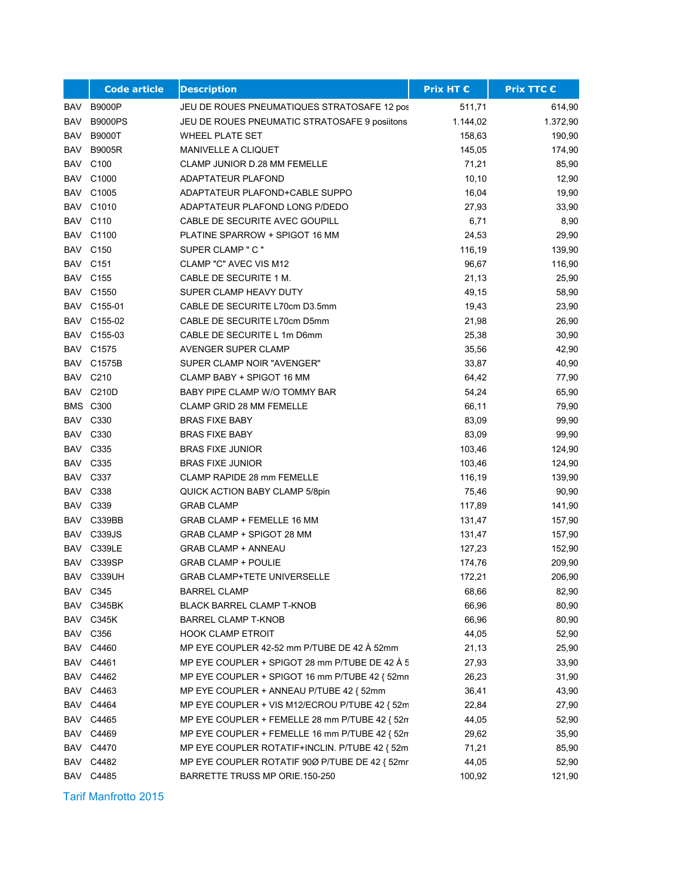|            | <b>Code article</b> | <b>Description</b>                             | <b>Prix HT €</b> | <b>Prix TTC €</b> |
|------------|---------------------|------------------------------------------------|------------------|-------------------|
| <b>BAV</b> | <b>B9000P</b>       | JEU DE ROUES PNEUMATIQUES STRATOSAFE 12 pos    | 511,71           | 614,90            |
| <b>BAV</b> | <b>B9000PS</b>      | JEU DE ROUES PNEUMATIC STRATOSAFE 9 posiitons  | 1.144,02         | 1.372,90          |
| BAV        | <b>B9000T</b>       | <b>WHEEL PLATE SET</b>                         | 158,63           | 190,90            |
| <b>BAV</b> | <b>B9005R</b>       | <b>MANIVELLE A CLIQUET</b>                     | 145,05           | 174,90            |
|            | <b>BAV C100</b>     | <b>CLAMP JUNIOR D.28 MM FEMELLE</b>            | 71,21            | 85,90             |
| BAV        | C1000               | ADAPTATEUR PLAFOND                             | 10,10            | 12,90             |
|            | <b>BAV C1005</b>    | ADAPTATEUR PLAFOND+CABLE SUPPO                 | 16,04            | 19,90             |
| BAV        | C1010               | ADAPTATEUR PLAFOND LONG P/DEDO                 | 27,93            | 33,90             |
| BAV        | C110                | CABLE DE SECURITE AVEC GOUPILL                 | 6,71             | 8,90              |
| BAV        | C1100               | PLATINE SPARROW + SPIGOT 16 MM                 | 24,53            | 29,90             |
|            | <b>BAV C150</b>     | SUPER CLAMP " C "                              | 116,19           | 139,90            |
|            | <b>BAV C151</b>     | CLAMP "C" AVEC VIS M12                         | 96,67            | 116,90            |
|            | <b>BAV C155</b>     | CABLE DE SECURITE 1 M.                         | 21,13            | 25,90             |
|            | <b>BAV C1550</b>    | SUPER CLAMP HEAVY DUTY                         | 49,15            | 58,90             |
|            | BAV C155-01         | CABLE DE SECURITE L70cm D3.5mm                 | 19,43            | 23,90             |
| BAV        | C155-02             | CABLE DE SECURITE L70cm D5mm                   | 21,98            | 26,90             |
| BAV        | C155-03             | CABLE DE SECURITE L 1m D6mm                    | 25,38            | 30,90             |
| BAV        | C <sub>1575</sub>   | AVENGER SUPER CLAMP                            | 35,56            | 42,90             |
| BAV        | C1575B              | SUPER CLAMP NOIR "AVENGER"                     | 33,87            | 40,90             |
|            | <b>BAV C210</b>     | CLAMP BABY + SPIGOT 16 MM                      | 64,42            | 77,90             |
|            | BAV C210D           | BABY PIPE CLAMP W/O TOMMY BAR                  | 54,24            | 65,90             |
|            | <b>BMS C300</b>     | <b>CLAMP GRID 28 MM FEMELLE</b>                | 66,11            | 79,90             |
| BAV        | C330                | <b>BRAS FIXE BABY</b>                          | 83,09            | 99,90             |
| BAV        | C330                | <b>BRAS FIXE BABY</b>                          | 83,09            | 99,90             |
| BAV        | C335                | <b>BRAS FIXE JUNIOR</b>                        | 103,46           | 124,90            |
|            | <b>BAV C335</b>     | <b>BRAS FIXE JUNIOR</b>                        | 103,46           | 124,90            |
|            | BAV C337            | <b>CLAMP RAPIDE 28 mm FEMELLE</b>              | 116,19           | 139,90            |
|            | <b>BAV C338</b>     | QUICK ACTION BABY CLAMP 5/8pin                 | 75,46            | 90,90             |
|            | <b>BAV C339</b>     | <b>GRAB CLAMP</b>                              | 117,89           | 141,90            |
|            | BAV C339BB          | GRAB CLAMP + FEMELLE 16 MM                     | 131,47           | 157,90            |
| BAV        | C339JS              | GRAB CLAMP + SPIGOT 28 MM                      | 131,47           | 157,90            |
| <b>BAV</b> | C339LE              | <b>GRAB CLAMP + ANNEAU</b>                     | 127,23           | 152,90            |
| <b>BAV</b> | C339SP              | <b>GRAB CLAMP + POULIE</b>                     | 174,76           | 209,90            |
| BAV        | C339UH              | GRAB CLAMP+TETE UNIVERSELLE                    | 172,21           | 206,90            |
|            | <b>BAV C345</b>     | <b>BARREL CLAMP</b>                            | 68,66            | 82,90             |
|            | BAV C345BK          | <b>BLACK BARREL CLAMP T-KNOB</b>               | 66,96            | 80,90             |
|            | BAV C345K           | <b>BARREL CLAMP T-KNOB</b>                     | 66,96            | 80,90             |
|            | <b>BAV C356</b>     | <b>HOOK CLAMP ETROIT</b>                       | 44,05            | 52,90             |
|            | <b>BAV C4460</b>    | MP EYE COUPLER 42-52 mm P/TUBE DE 42 À 52mm    | 21,13            | 25,90             |
|            | <b>BAV C4461</b>    | MP EYE COUPLER + SPIGOT 28 mm P/TUBE DE 42 A 5 | 27,93            | 33,90             |
|            | <b>BAV C4462</b>    | MP EYE COUPLER + SPIGOT 16 mm P/TUBE 42 { 52mm | 26,23            | 31,90             |
|            | BAV C4463           | MP EYE COUPLER + ANNEAU P/TUBE 42 { 52mm       | 36,41            | 43,90             |
|            | BAV C4464           | MP EYE COUPLER + VIS M12/ECROU P/TUBE 42 { 52m | 22,84            | 27,90             |
|            | <b>BAV C4465</b>    | MP EYE COUPLER + FEMELLE 28 mm P/TUBE 42 { 52m | 44,05            | 52,90             |
|            | BAV C4469           | MP EYE COUPLER + FEMELLE 16 mm P/TUBE 42 { 52m | 29,62            | 35,90             |
|            | BAV C4470           | MP EYE COUPLER ROTATIF+INCLIN. P/TUBE 42 { 52m | 71,21            | 85,90             |
|            | <b>BAV C4482</b>    | MP EYE COUPLER ROTATIF 90Ø P/TUBE DE 42 { 52mr | 44,05            | 52,90             |
|            | <b>BAV C4485</b>    | BARRETTE TRUSS MP ORIE.150-250                 | 100,92           | 121,90            |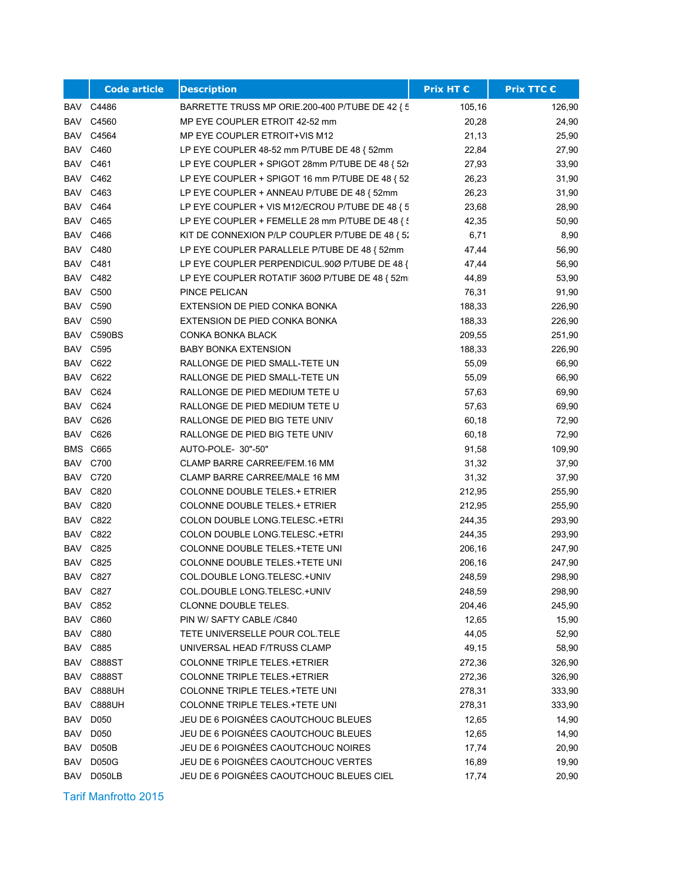|            | <b>Code article</b> | <b>Description</b>                              | Prix HT € | <b>Prix TTC €</b> |
|------------|---------------------|-------------------------------------------------|-----------|-------------------|
|            | BAV C4486           | BARRETTE TRUSS MP ORIE.200-400 P/TUBE DE 42 {5  | 105,16    | 126,90            |
| BAV        | C4560               | MP EYE COUPLER ETROIT 42-52 mm                  | 20,28     | 24,90             |
|            | BAV C4564           | MP EYE COUPLER ETROIT+VIS M12                   | 21,13     | 25,90             |
|            | <b>BAV C460</b>     | LP EYE COUPLER 48-52 mm P/TUBE DE 48 { 52mm     | 22,84     | 27,90             |
|            | <b>BAV C461</b>     | LP EYE COUPLER + SPIGOT 28mm P/TUBE DE 48 { 52r | 27,93     | 33,90             |
|            | <b>BAV C462</b>     | LP EYE COUPLER + SPIGOT 16 mm P/TUBE DE 48 { 52 | 26,23     | 31,90             |
|            | <b>BAV C463</b>     | LP EYE COUPLER + ANNEAU P/TUBE DE 48 { 52mm     | 26,23     | 31,90             |
|            | <b>BAV C464</b>     | LP EYE COUPLER + VIS M12/ECROU P/TUBE DE 48 { 5 | 23,68     | 28,90             |
|            | <b>BAV C465</b>     | LP EYE COUPLER + FEMELLE 28 mm P/TUBE DE 48 { } | 42,35     | 50,90             |
|            | <b>BAV C466</b>     | KIT DE CONNEXION P/LP COUPLER P/TUBE DE 48 { 52 | 6,71      | 8,90              |
|            | <b>BAV C480</b>     | LP EYE COUPLER PARALLELE P/TUBE DE 48 { 52mm    | 47,44     | 56,90             |
|            | <b>BAV C481</b>     | LP EYE COUPLER PERPENDICUL.90Ø P/TUBE DE 48 {   | 47,44     | 56,90             |
|            | <b>BAV C482</b>     | LP EYE COUPLER ROTATIF 3600 P/TUBE DE 48 { 52m  | 44,89     | 53,90             |
|            | <b>BAV C500</b>     | PINCE PELICAN                                   | 76,31     | 91,90             |
|            | BAV C590            | EXTENSION DE PIED CONKA BONKA                   | 188,33    | 226,90            |
|            | BAV C590            | EXTENSION DE PIED CONKA BONKA                   | 188,33    | 226,90            |
| BAV        | C590BS              | CONKA BONKA BLACK                               | 209,55    | 251,90            |
|            | <b>BAV C595</b>     | <b>BABY BONKA EXTENSION</b>                     | 188,33    | 226,90            |
|            | <b>BAV C622</b>     | RALLONGE DE PIED SMALL-TETE UN                  | 55,09     | 66,90             |
|            | BAV C622            | RALLONGE DE PIED SMALL-TETE UN                  | 55,09     | 66,90             |
|            | BAV C624            | RALLONGE DE PIED MEDIUM TETE U                  | 57,63     | 69,90             |
|            | BAV C624            | RALLONGE DE PIED MEDIUM TETE U                  | 57,63     | 69,90             |
| BAV        | C626                | RALLONGE DE PIED BIG TETE UNIV                  | 60,18     | 72,90             |
| BAV        | C626                | RALLONGE DE PIED BIG TETE UNIV                  | 60,18     | 72,90             |
|            | <b>BMS C665</b>     | AUTO-POLE- 30"-50"                              | 91,58     | 109,90            |
|            | BAV C700            | CLAMP BARRE CARREE/FEM.16 MM                    | 31,32     | 37,90             |
|            | <b>BAV C720</b>     | CLAMP BARRE CARREE/MALE 16 MM                   | 31,32     | 37,90             |
|            | <b>BAV C820</b>     | <b>COLONNE DOUBLE TELES + ETRIER</b>            | 212,95    | 255,90            |
|            | <b>BAV C820</b>     | <b>COLONNE DOUBLE TELES + ETRIER</b>            | 212,95    | 255,90            |
|            | <b>BAV C822</b>     | COLON DOUBLE LONG TELESC . + ETRI               | 244,35    | 293,90            |
|            | <b>BAV C822</b>     | COLON DOUBLE LONG TELESC.+ETRI                  | 244,35    | 293,90            |
| BAV        | C825                | COLONNE DOUBLE TELES. +TETE UNI                 | 206,16    | 247,90            |
| BAV        | C825                | COLONNE DOUBLE TELES.+TETE UNI                  | 206,16    | 247,90            |
|            | BAV C827            | COL.DOUBLE LONG.TELESC.+UNIV                    | 248,59    | 298,90            |
|            | <b>BAV C827</b>     | COL.DOUBLE LONG TELESC.+UNIV                    | 248,59    | 298,90            |
|            | <b>BAV C852</b>     | CLONNE DOUBLE TELES.                            | 204,46    | 245,90            |
|            | <b>BAV C860</b>     | PIN W/ SAFTY CABLE /C840                        | 12,65     | 15,90             |
|            | BAV C880            | TETE UNIVERSELLE POUR COL.TELE                  | 44,05     | 52,90             |
| BAV        | C885                | UNIVERSAL HEAD F/TRUSS CLAMP                    | 49,15     | 58,90             |
| BAV        | C888ST              | <b>COLONNE TRIPLE TELES.+ETRIER</b>             | 272,36    | 326,90            |
| BAV        | C888ST              | COLONNE TRIPLE TELES.+ETRIER                    | 272,36    | 326,90            |
| BAV        | <b>C888UH</b>       | <b>COLONNE TRIPLE TELES. +TETE UNI</b>          | 278,31    | 333,90            |
| BAV        | <b>C888UH</b>       | COLONNE TRIPLE TELES.+TETE UNI                  | 278,31    | 333,90            |
| BAV        | D050                | JEU DE 6 POIGNÉES CAOUTCHOUC BLEUES             | 12,65     | 14,90             |
| BAV        | D050                | JEU DE 6 POIGNÉES CAOUTCHOUC BLEUES             | 12,65     | 14,90             |
| <b>BAV</b> | D050B               | JEU DE 6 POIGNÉES CAOUTCHOUC NOIRES             | 17,74     | 20,90             |
| <b>BAV</b> | D050G               | JEU DE 6 POIGNÉES CAOUTCHOUC VERTES             | 16,89     | 19,90             |
| BAV        | D050LB              | JEU DE 6 POIGNÉES CAOUTCHOUC BLEUES CIEL        | 17,74     | 20,90             |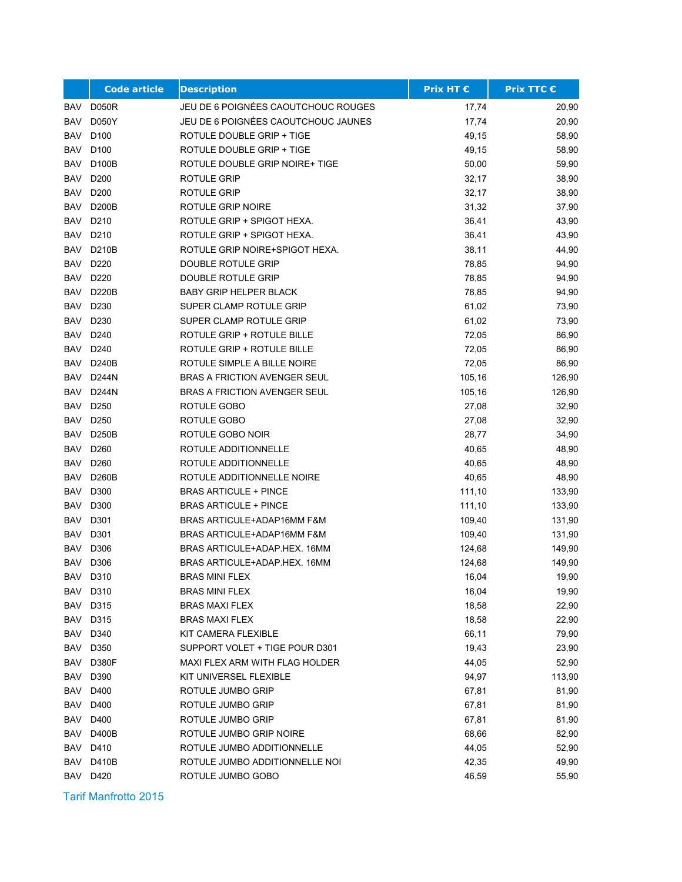|            | <b>Code article</b> | <b>Description</b>                  | <b>Prix HT €</b> | <b>Prix TTC €</b> |
|------------|---------------------|-------------------------------------|------------------|-------------------|
| BAV        | <b>D050R</b>        | JEU DE 6 POIGNÉES CAOUTCHOUC ROUGES | 17,74            | 20,90             |
| BAV        | D050Y               | JEU DE 6 POIGNÉES CAOUTCHOUC JAUNES | 17,74            | 20,90             |
| BAV        | D <sub>100</sub>    | ROTULE DOUBLE GRIP + TIGE           | 49,15            | 58,90             |
| BAV        | D <sub>100</sub>    | ROTULE DOUBLE GRIP + TIGE           | 49,15            | 58,90             |
| BAV        | D100B               | ROTULE DOUBLE GRIP NOIRE+ TIGE      | 50,00            | 59,90             |
| <b>BAV</b> | D <sub>200</sub>    | <b>ROTULE GRIP</b>                  | 32,17            | 38,90             |
| BAV        | D <sub>200</sub>    | ROTULE GRIP                         | 32,17            | 38,90             |
| <b>BAV</b> | D200B               | ROTULE GRIP NOIRE                   | 31,32            | 37,90             |
| <b>BAV</b> | D <sub>210</sub>    | ROTULE GRIP + SPIGOT HEXA.          | 36,41            | 43,90             |
| <b>BAV</b> | D <sub>210</sub>    | ROTULE GRIP + SPIGOT HEXA.          | 36,41            | 43,90             |
| <b>BAV</b> | D210B               | ROTULE GRIP NOIRE+SPIGOT HEXA.      | 38,11            | 44,90             |
| <b>BAV</b> | D <sub>220</sub>    | DOUBLE ROTULE GRIP                  | 78,85            | 94,90             |
| <b>BAV</b> | D220                | <b>DOUBLE ROTULE GRIP</b>           | 78,85            | 94,90             |
| BAV        | D220B               | <b>BABY GRIP HELPER BLACK</b>       | 78,85            | 94,90             |
| BAV        | D <sub>230</sub>    | SUPER CLAMP ROTULE GRIP             | 61,02            | 73,90             |
| BAV        | D <sub>230</sub>    | SUPER CLAMP ROTULE GRIP             | 61,02            | 73,90             |
| <b>BAV</b> | D <sub>240</sub>    | ROTULE GRIP + ROTULE BILLE          | 72,05            | 86,90             |
| BAV        | D <sub>240</sub>    | ROTULE GRIP + ROTULE BILLE          | 72,05            | 86,90             |
| BAV        | D240B               | ROTULE SIMPLE A BILLE NOIRE         | 72,05            | 86,90             |
| BAV        | D244N               | <b>BRAS A FRICTION AVENGER SEUL</b> | 105,16           | 126,90            |
| BAV        | D244N               | <b>BRAS A FRICTION AVENGER SEUL</b> | 105,16           | 126,90            |
| <b>BAV</b> | D <sub>250</sub>    | ROTULE GOBO                         | 27,08            | 32,90             |
| <b>BAV</b> | D <sub>250</sub>    | ROTULE GOBO                         | 27,08            | 32,90             |
| BAV        | <b>D250B</b>        | ROTULE GOBO NOIR                    | 28,77            | 34,90             |
| <b>BAV</b> | D <sub>260</sub>    | ROTULE ADDITIONNELLE                | 40,65            | 48,90             |
| BAV        | D <sub>260</sub>    | ROTULE ADDITIONNELLE                | 40,65            | 48,90             |
| <b>BAV</b> | D260B               | ROTULE ADDITIONNELLE NOIRE          | 40,65            | 48,90             |
| BAV        | D300                | <b>BRAS ARTICULE + PINCE</b>        | 111,10           | 133,90            |
| <b>BAV</b> | D300                | <b>BRAS ARTICULE + PINCE</b>        | 111,10           | 133,90            |
| BAV        | D301                | BRAS ARTICULE+ADAP16MM F&M          | 109,40           | 131,90            |
| <b>BAV</b> | D301                | BRAS ARTICULE+ADAP16MM F&M          | 109,40           | 131,90            |
| <b>BAV</b> | D306                | BRAS ARTICULE+ADAP.HEX. 16MM        | 124,68           | 149,90            |
| BAV        | D306                | BRAS ARTICULE+ADAP.HEX. 16MM        | 124,68           | 149,90            |
| BAV        | D310                | BRAS MINI FLEX                      | 16,04            | 19,90             |
|            | BAV D310            | <b>BRAS MINI FLEX</b>               | 16,04            | 19,90             |
| BAV        | D315                | <b>BRAS MAXI FLEX</b>               | 18,58            | 22,90             |
|            | BAV D315            | <b>BRAS MAXI FLEX</b>               | 18,58            | 22,90             |
|            | BAV D340            | KIT CAMERA FLEXIBLE                 | 66,11            | 79,90             |
| BAV        | D350                | SUPPORT VOLET + TIGE POUR D301      | 19,43            | 23,90             |
| BAV        | D380F               | MAXI FLEX ARM WITH FLAG HOLDER      | 44,05            | 52,90             |
|            | BAV D390            | KIT UNIVERSEL FLEXIBLE              | 94,97            | 113,90            |
|            | BAV D400            | ROTULE JUMBO GRIP                   | 67,81            | 81,90             |
| BAV        | D400                | ROTULE JUMBO GRIP                   | 67,81            | 81,90             |
| BAV        | D400                | ROTULE JUMBO GRIP                   | 67,81            | 81,90             |
| BAV        | D400B               | ROTULE JUMBO GRIP NOIRE             | 68,66            | 82,90             |
| BAV        | D410                | ROTULE JUMBO ADDITIONNELLE          | 44,05            | 52,90             |
| BAV        | D410B               | ROTULE JUMBO ADDITIONNELLE NOI      | 42,35            | 49,90             |
|            | BAV D420            | ROTULE JUMBO GOBO                   | 46,59            | 55,90             |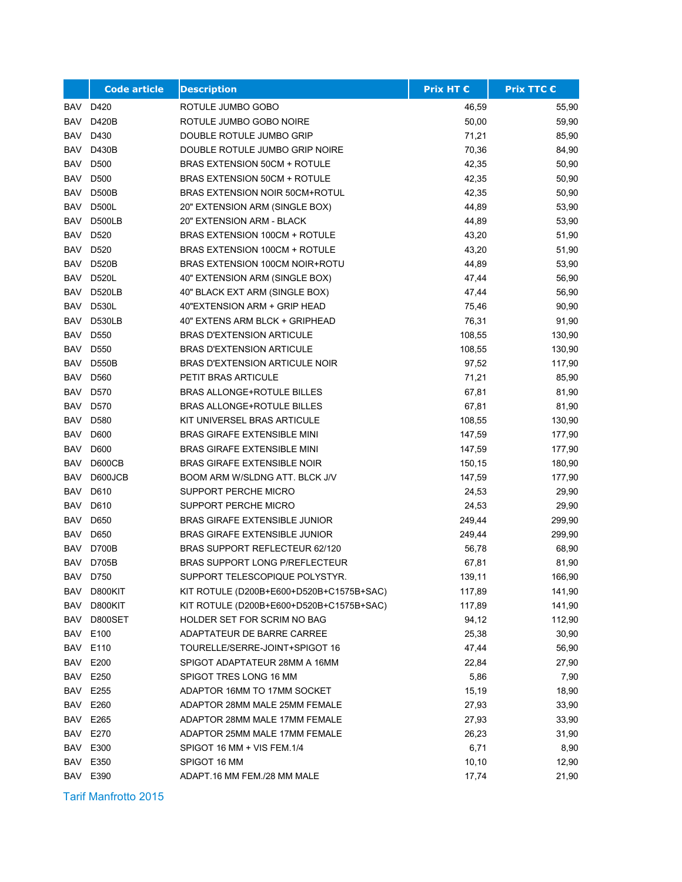|            | <b>Code article</b> | <b>Description</b>                       | <b>Prix HT €</b> | <b>Prix TTC €</b> |
|------------|---------------------|------------------------------------------|------------------|-------------------|
| BAV        | D420                | ROTULE JUMBO GOBO                        | 46,59            | 55,90             |
| BAV        | D420B               | ROTULE JUMBO GOBO NOIRE                  | 50,00            | 59,90             |
| BAV        | D430                | DOUBLE ROTULE JUMBO GRIP                 | 71,21            | 85,90             |
| BAV        | D430B               | DOUBLE ROTULE JUMBO GRIP NOIRE           | 70,36            | 84,90             |
| BAV        | D500                | <b>BRAS EXTENSION 50CM + ROTULE</b>      | 42,35            | 50,90             |
| <b>BAV</b> | D500                | <b>BRAS EXTENSION 50CM + ROTULE</b>      | 42,35            | 50,90             |
| BAV        | <b>D500B</b>        | <b>BRAS EXTENSION NOIR 50CM+ROTUL</b>    | 42,35            | 50,90             |
| BAV        | <b>D500L</b>        | 20" EXTENSION ARM (SINGLE BOX)           | 44,89            | 53,90             |
| <b>BAV</b> | D500LB              | 20" EXTENSION ARM - BLACK                | 44,89            | 53,90             |
| <b>BAV</b> | D <sub>520</sub>    | BRAS EXTENSION 100CM + ROTULE            | 43,20            | 51,90             |
| <b>BAV</b> | D520                | BRAS EXTENSION 100CM + ROTULE            | 43,20            | 51,90             |
| BAV        | <b>D520B</b>        | BRAS EXTENSION 100CM NOIR+ROTU           | 44,89            | 53,90             |
| <b>BAV</b> | <b>D520L</b>        | 40" EXTENSION ARM (SINGLE BOX)           | 47,44            | 56,90             |
| BAV        | <b>D520LB</b>       | 40" BLACK EXT ARM (SINGLE BOX)           | 47,44            | 56,90             |
| BAV        | <b>D530L</b>        | 40"EXTENSION ARM + GRIP HEAD             | 75,46            | 90,90             |
| BAV        | <b>D530LB</b>       | 40" EXTENS ARM BLCK + GRIPHEAD           | 76,31            | 91,90             |
| BAV        | D550                | <b>BRAS D'EXTENSION ARTICULE</b>         | 108,55           | 130,90            |
| BAV        | D550                | <b>BRAS D'EXTENSION ARTICULE</b>         | 108,55           | 130,90            |
| BAV        | <b>D550B</b>        | <b>BRAS D'EXTENSION ARTICULE NOIR</b>    | 97,52            | 117,90            |
| BAV        | D560                | PETIT BRAS ARTICULE                      | 71,21            | 85,90             |
| BAV        | D570                | <b>BRAS ALLONGE+ROTULE BILLES</b>        | 67,81            | 81,90             |
| <b>BAV</b> | D570                | <b>BRAS ALLONGE+ROTULE BILLES</b>        | 67,81            | 81,90             |
| <b>BAV</b> | D580                | KIT UNIVERSEL BRAS ARTICULE              | 108,55           | 130,90            |
| BAV        | D600                | <b>BRAS GIRAFE EXTENSIBLE MINI</b>       | 147,59           | 177,90            |
| <b>BAV</b> | D600                | <b>BRAS GIRAFE EXTENSIBLE MINI</b>       | 147,59           | 177,90            |
| BAV        | D600CB              | <b>BRAS GIRAFE EXTENSIBLE NOIR</b>       | 150,15           | 180,90            |
| <b>BAV</b> | D600JCB             | BOOM ARM W/SLDNG ATT. BLCK J/V           | 147,59           | 177,90            |
| BAV        | D610                | SUPPORT PERCHE MICRO                     | 24,53            | 29,90             |
| <b>BAV</b> | D610                | SUPPORT PERCHE MICRO                     | 24,53            | 29,90             |
| BAV        | D650                | <b>BRAS GIRAFE EXTENSIBLE JUNIOR</b>     | 249,44           | 299,90            |
| <b>BAV</b> | D650                | BRAS GIRAFE EXTENSIBLE JUNIOR            | 249,44           | 299,90            |
| <b>BAV</b> | D700B               | <b>BRAS SUPPORT REFLECTEUR 62/120</b>    | 56,78            | 68,90             |
| <b>BAV</b> | D705B               | BRAS SUPPORT LONG P/REFLECTEUR           | 67,81            | 81,90             |
|            | BAV D750            | SUPPORT TELESCOPIQUE POLYSTYR.           | 139,11           | 166,90            |
|            | BAV D800KIT         | KIT ROTULE (D200B+E600+D520B+C1575B+SAC) | 117,89           | 141,90            |
| BAV        | D800KIT             | KIT ROTULE (D200B+E600+D520B+C1575B+SAC) | 117,89           | 141,90            |
| BAV        | D800SET             | HOLDER SET FOR SCRIM NO BAG              | 94,12            | 112,90            |
| BAV        | E100                | ADAPTATEUR DE BARRE CARREE               | 25,38            | 30,90             |
| BAV        | E110                | TOURELLE/SERRE-JOINT+SPIGOT 16           | 47,44            | 56,90             |
| BAV        | E200                | SPIGOT ADAPTATEUR 28MM A 16MM            | 22,84            | 27,90             |
|            | <b>BAV E250</b>     | SPIGOT TRES LONG 16 MM                   | 5,86             | 7,90              |
|            | <b>BAV E255</b>     | ADAPTOR 16MM TO 17MM SOCKET              | 15,19            | 18,90             |
| BAV        | E260                | ADAPTOR 28MM MALE 25MM FEMALE            | 27,93            | 33,90             |
| BAV        | E265                | ADAPTOR 28MM MALE 17MM FEMALE            | 27,93            | 33,90             |
|            | BAV E270            | ADAPTOR 25MM MALE 17MM FEMALE            | 26,23            | 31,90             |
| BAV        | E300                | SPIGOT 16 MM + VIS FEM.1/4               | 6,71             | 8,90              |
| BAV        | E350                | SPIGOT 16 MM                             | 10, 10           | 12,90             |
|            | BAV E390            | ADAPT.16 MM FEM./28 MM MALE              | 17,74            | 21,90             |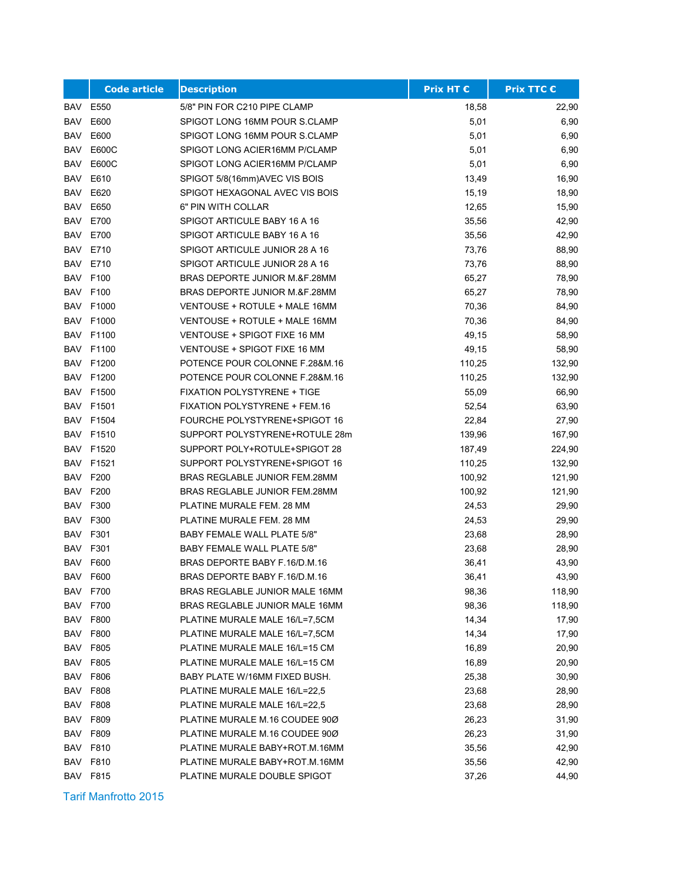|            | <b>Code article</b> | <b>Description</b>                  | <b>Prix HT €</b> | <b>Prix TTC €</b> |
|------------|---------------------|-------------------------------------|------------------|-------------------|
| BAV        | E550                | 5/8" PIN FOR C210 PIPE CLAMP        | 18,58            | 22,90             |
| BAV        | E600                | SPIGOT LONG 16MM POUR S.CLAMP       | 5,01             | 6,90              |
| <b>BAV</b> | E600                | SPIGOT LONG 16MM POUR S.CLAMP       | 5,01             | 6,90              |
| BAV        | E600C               | SPIGOT LONG ACIER16MM P/CLAMP       | 5,01             | 6,90              |
| BAV        | E600C               | SPIGOT LONG ACIER16MM P/CLAMP       | 5,01             | 6,90              |
| BAV        | E610                | SPIGOT 5/8(16mm)AVEC VIS BOIS       | 13,49            | 16,90             |
| BAV        | E620                | SPIGOT HEXAGONAL AVEC VIS BOIS      | 15,19            | 18,90             |
| <b>BAV</b> | E650                | 6" PIN WITH COLLAR                  | 12,65            | 15,90             |
| <b>BAV</b> | E700                | SPIGOT ARTICULE BABY 16 A 16        | 35,56            | 42,90             |
| BAV        | E700                | SPIGOT ARTICULE BABY 16 A 16        | 35,56            | 42,90             |
| BAV        | E710                | SPIGOT ARTICULE JUNIOR 28 A 16      | 73,76            | 88,90             |
| BAV        | E710                | SPIGOT ARTICULE JUNIOR 28 A 16      | 73,76            | 88,90             |
| BAV        | F100                | BRAS DEPORTE JUNIOR M.&F.28MM       | 65,27            | 78,90             |
| BAV        | F100                | BRAS DEPORTE JUNIOR M.&F.28MM       | 65,27            | 78,90             |
| BAV        | F1000               | VENTOUSE + ROTULE + MALE 16MM       | 70,36            | 84,90             |
| BAV        | F1000               | VENTOUSE + ROTULE + MALE 16MM       | 70,36            | 84,90             |
| BAV        | F1100               | VENTOUSE + SPIGOT FIXE 16 MM        | 49,15            | 58,90             |
| BAV        | F1100               | <b>VENTOUSE + SPIGOT FIXE 16 MM</b> | 49,15            | 58,90             |
|            | <b>BAV F1200</b>    | POTENCE POUR COLONNE F.28&M.16      | 110,25           | 132,90            |
| BAV        | F1200               | POTENCE POUR COLONNE F.28&M.16      | 110,25           | 132,90            |
| BAV        | F1500               | <b>FIXATION POLYSTYRENE + TIGE</b>  | 55,09            | 66,90             |
| BAV        | F1501               | FIXATION POLYSTYRENE + FEM.16       | 52,54            | 63,90             |
| BAV        | F1504               | FOURCHE POLYSTYRENE+SPIGOT 16       | 22,84            | 27,90             |
| BAV        | F1510               | SUPPORT POLYSTYRENE+ROTULE 28m      | 139,96           | 167,90            |
| BAV        | F1520               | SUPPORT POLY+ROTULE+SPIGOT 28       | 187,49           | 224,90            |
| BAV        | F1521               | SUPPORT POLYSTYRENE+SPIGOT 16       | 110,25           | 132,90            |
| BAV        | F200                | BRAS REGLABLE JUNIOR FEM.28MM       | 100,92           | 121,90            |
| BAV        | F200                | BRAS REGLABLE JUNIOR FEM.28MM       | 100,92           | 121,90            |
| BAV        | F300                | PLATINE MURALE FEM. 28 MM           | 24,53            | 29,90             |
| BAV        | F300                | PLATINE MURALE FEM. 28 MM           | 24,53            | 29,90             |
| <b>BAV</b> | F301                | BABY FEMALE WALL PLATE 5/8"         | 23,68            | 28,90             |
| <b>BAV</b> | F301                | <b>BABY FEMALE WALL PLATE 5/8"</b>  | 23,68            | 28,90             |
| <b>BAV</b> | F600                | BRAS DEPORTE BABY F.16/D.M.16       | 36,41            | 43,90             |
|            | <b>BAV F600</b>     | BRAS DEPORTE BABY F.16/D.M.16       | 36,41            | 43,90             |
|            | BAV F700            | BRAS REGLABLE JUNIOR MALE 16MM      | 98,36            | 118,90            |
|            | <b>BAV F700</b>     | BRAS REGLABLE JUNIOR MALE 16MM      | 98,36            | 118,90            |
|            | <b>BAV F800</b>     | PLATINE MURALE MALE 16/L=7,5CM      | 14,34            | 17,90             |
| BAV        | F800                | PLATINE MURALE MALE 16/L=7,5CM      | 14,34            | 17,90             |
| BAV        | F805                | PLATINE MURALE MALE 16/L=15 CM      | 16,89            | 20,90             |
| BAV        | F805                | PLATINE MURALE MALE 16/L=15 CM      | 16,89            | 20,90             |
|            | <b>BAV F806</b>     | BABY PLATE W/16MM FIXED BUSH.       | 25,38            | 30,90             |
|            | <b>BAV F808</b>     | PLATINE MURALE MALE 16/L=22,5       | 23,68            | 28,90             |
| BAV        | F808                | PLATINE MURALE MALE 16/L=22,5       | 23,68            | 28,90             |
| BAV        | F809                | PLATINE MURALE M.16 COUDEE 90Ø      | 26,23            | 31,90             |
| BAV        | F809                | PLATINE MURALE M.16 COUDEE 90Ø      | 26,23            | 31,90             |
| BAV        | F810                | PLATINE MURALE BABY+ROT.M.16MM      | 35,56            | 42,90             |
| BAV        | F810                | PLATINE MURALE BABY+ROT.M.16MM      | 35,56            | 42,90             |
|            | <b>BAV F815</b>     | PLATINE MURALE DOUBLE SPIGOT        | 37,26            | 44,90             |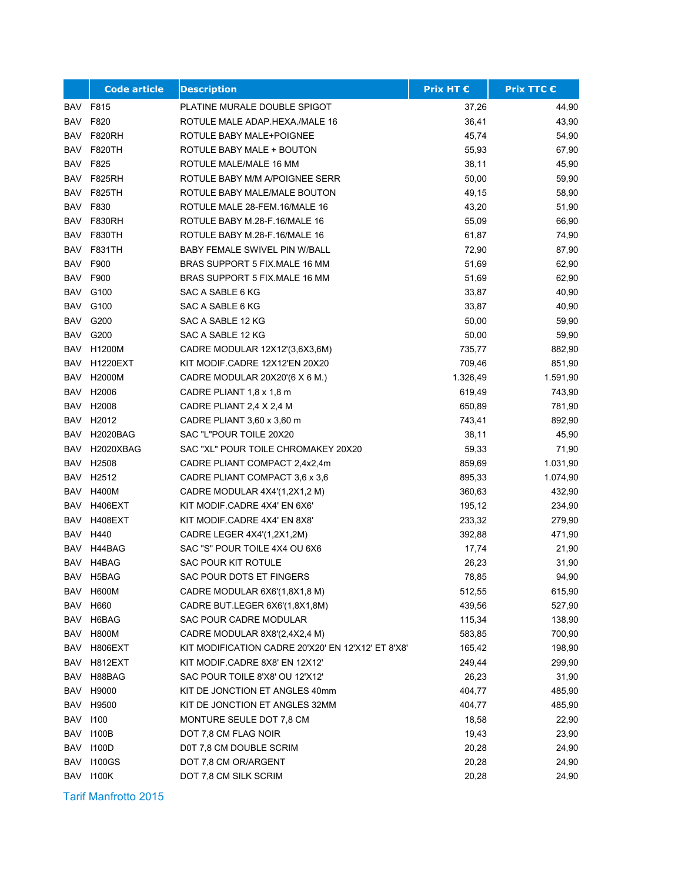|            | <b>Code article</b> | <b>Description</b>                                 | <b>Prix HT €</b> | <b>Prix TTC €</b> |
|------------|---------------------|----------------------------------------------------|------------------|-------------------|
| BAV        | F815                | PLATINE MURALE DOUBLE SPIGOT                       | 37,26            | 44,90             |
| BAV        | F820                | ROTULE MALE ADAP.HEXA./MALE 16                     | 36,41            | 43,90             |
| <b>BAV</b> | <b>F820RH</b>       | ROTULE BABY MALE+POIGNEE                           | 45,74            | 54,90             |
| BAV        | F820TH              | ROTULE BABY MALE + BOUTON                          | 55,93            | 67,90             |
| BAV        | F825                | ROTULE MALE/MALE 16 MM                             | 38,11            | 45,90             |
| BAV        | <b>F825RH</b>       | ROTULE BABY M/M A/POIGNEE SERR                     | 50,00            | 59,90             |
| BAV        | <b>F825TH</b>       | ROTULE BABY MALE/MALE BOUTON                       | 49,15            | 58,90             |
| BAV        | F830                | ROTULE MALE 28-FEM.16/MALE 16                      | 43,20            | 51,90             |
| BAV        | <b>F830RH</b>       | ROTULE BABY M.28-F.16/MALE 16                      | 55,09            | 66,90             |
| BAV        | <b>F830TH</b>       | ROTULE BABY M.28-F.16/MALE 16                      | 61,87            | 74,90             |
| BAV        | <b>F831TH</b>       | <b>BABY FEMALE SWIVEL PIN W/BALL</b>               | 72,90            | 87,90             |
| BAV        | F900                | BRAS SUPPORT 5 FIX MALE 16 MM                      | 51,69            | 62,90             |
| BAV        | F900                | BRAS SUPPORT 5 FIX MALE 16 MM                      | 51,69            | 62,90             |
|            | <b>BAV G100</b>     | SAC A SABLE 6 KG                                   | 33,87            | 40,90             |
| BAV        | G100                | SAC A SABLE 6 KG                                   | 33,87            | 40,90             |
| BAV        | G200                | SAC A SABLE 12 KG                                  | 50,00            | 59,90             |
| BAV        | G200                | SAC A SABLE 12 KG                                  | 50,00            | 59,90             |
| BAV        | H1200M              | CADRE MODULAR 12X12'(3,6X3,6M)                     | 735,77           | 882,90            |
| BAV        | <b>H1220EXT</b>     | KIT MODIF CADRE 12X12'EN 20X20                     | 709,46           | 851,90            |
| BAV        | H2000M              | CADRE MODULAR 20X20'(6 X 6 M.)                     | 1.326,49         | 1.591,90          |
| BAV        | H2006               | CADRE PLIANT 1,8 x 1,8 m                           | 619,49           | 743,90            |
| BAV        | H2008               | CADRE PLIANT 2,4 X 2,4 M                           | 650,89           | 781,90            |
| BAV        | H <sub>2012</sub>   | CADRE PLIANT 3,60 x 3,60 m                         | 743,41           | 892,90            |
| BAV        | <b>H2020BAG</b>     | SAC "L"POUR TOILE 20X20                            | 38,11            | 45,90             |
| BAV        | H2020XBAG           | SAC "XL" POUR TOILE CHROMAKEY 20X20                | 59,33            | 71,90             |
| BAV        | H2508               | CADRE PLIANT COMPACT 2,4x2,4m                      | 859,69           | 1.031,90          |
| BAV        | H <sub>2512</sub>   | CADRE PLIANT COMPACT 3,6 x 3,6                     | 895,33           | 1.074,90          |
| BAV        | <b>H400M</b>        | CADRE MODULAR 4X4'(1,2X1,2 M)                      | 360,63           | 432,90            |
| BAV        | H406EXT             | KIT MODIF CADRE 4X4' EN 6X6'                       | 195,12           | 234,90            |
| <b>BAV</b> | H408EXT             | KIT MODIF CADRE 4X4' EN 8X8'                       | 233,32           | 279,90            |
| BAV        | H440                | CADRE LEGER 4X4'(1,2X1,2M)                         | 392,88           | 471,90            |
| <b>BAV</b> | H44BAG              | SAC "S" POUR TOILE 4X4 OU 6X6                      | 17,74            | 21,90             |
| BAV        | H4BAG               | SAC POUR KIT ROTULE                                | 26,23            | 31,90             |
|            | BAV H5BAG           | SAC POUR DOTS ET FINGERS                           | 78,85            | 94,90             |
|            | BAV H600M           | CADRE MODULAR 6X6'(1,8X1,8 M)                      | 512,55           | 615,90            |
| BAV        | H660                | CADRE BUT.LEGER 6X6'(1,8X1,8M)                     | 439,56           | 527,90            |
| BAV        | H6BAG               | SAC POUR CADRE MODULAR                             | 115,34           | 138,90            |
| BAV        | <b>H800M</b>        | CADRE MODULAR 8X8'(2,4X2,4 M)                      | 583,85           | 700,90            |
| BAV        | H806EXT             | KIT MODIFICATION CADRE 20'X20' EN 12'X12' ET 8'X8' | 165,42           | 198,90            |
| BAV        | H812EXT             | KIT MODIF.CADRE 8X8' EN 12X12'                     | 249,44           | 299,90            |
| BAV        | H88BAG              | SAC POUR TOILE 8'X8' OU 12'X12'                    | 26,23            | 31,90             |
| BAV        | H9000               | KIT DE JONCTION ET ANGLES 40mm                     | 404,77           | 485,90            |
| BAV        | H9500               | KIT DE JONCTION ET ANGLES 32MM                     | 404,77           | 485,90            |
| BAV        | 1100                | MONTURE SEULE DOT 7.8 CM                           | 18,58            | 22,90             |
| BAV        | 1100B               | DOT 7,8 CM FLAG NOIR                               | 19,43            | 23,90             |
| BAV        | 1100D               | D0T 7,8 CM DOUBLE SCRIM                            | 20,28            | 24,90             |
| <b>BAV</b> | <b>I100GS</b>       | DOT 7,8 CM OR/ARGENT                               | 20,28            | 24,90             |
| BAV        | 1100K               | DOT 7,8 CM SILK SCRIM                              | 20,28            | 24,90             |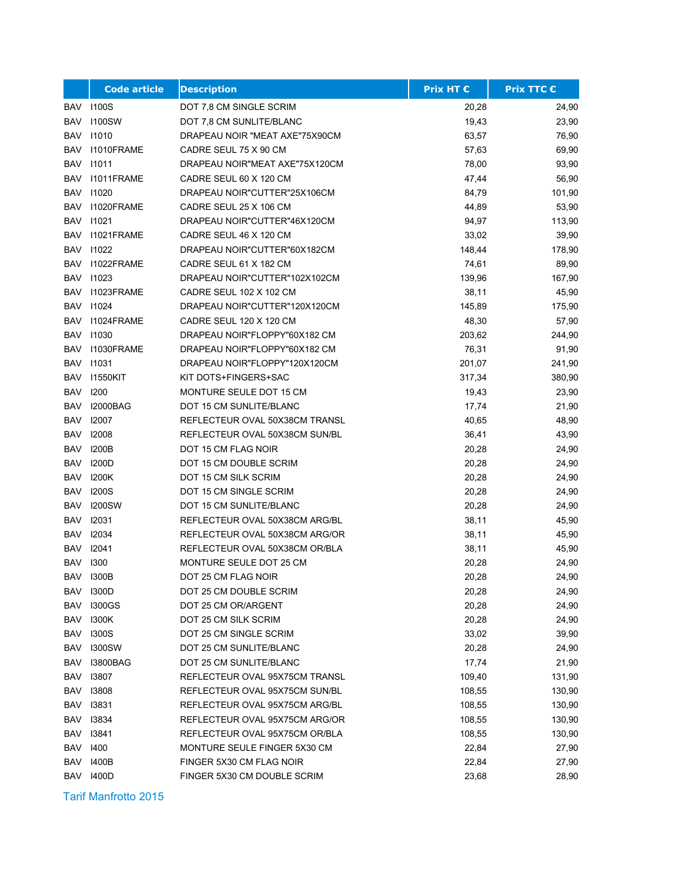|            | <b>Code article</b> | <b>Description</b>             | <b>Prix HT €</b> | <b>Prix TTC €</b> |
|------------|---------------------|--------------------------------|------------------|-------------------|
| BAV        | 1100S               | DOT 7,8 CM SINGLE SCRIM        | 20,28            | 24,90             |
| BAV        | <b>1100SW</b>       | DOT 7,8 CM SUNLITE/BLANC       | 19,43            | 23,90             |
| BAV        | 11010               | DRAPEAU NOIR "MEAT AXE"75X90CM | 63,57            | 76,90             |
| BAV        | 11010FRAME          | CADRE SEUL 75 X 90 CM          | 57,63            | 69,90             |
|            | BAV 11011           | DRAPEAU NOIR"MEAT AXE"75X120CM | 78,00            | 93,90             |
| BAV        | 11011FRAME          | CADRE SEUL 60 X 120 CM         | 47,44            | 56,90             |
| BAV        | 11020               | DRAPEAU NOIR"CUTTER"25X106CM   | 84,79            | 101,90            |
| BAV        | 11020FRAME          | CADRE SEUL 25 X 106 CM         | 44,89            | 53,90             |
| <b>BAV</b> | 11021               | DRAPEAU NOIR"CUTTER"46X120CM   | 94,97            | 113,90            |
| BAV        | 11021FRAME          | CADRE SEUL 46 X 120 CM         | 33,02            | 39,90             |
|            | BAV 11022           | DRAPEAU NOIR"CUTTER"60X182CM   | 148,44           | 178,90            |
|            | BAV 11022FRAME      | CADRE SEUL 61 X 182 CM         | 74,61            | 89,90             |
|            | BAV 11023           | DRAPEAU NOIR"CUTTER"102X102CM  | 139,96           | 167,90            |
| BAV        | 11023FRAME          | CADRE SEUL 102 X 102 CM        | 38,11            | 45,90             |
|            | BAV 11024           | DRAPEAU NOIR"CUTTER"120X120CM  | 145,89           | 175,90            |
| BAV        | 11024FRAME          | CADRE SEUL 120 X 120 CM        | 48,30            | 57,90             |
| BAV        | 11030               | DRAPEAU NOIR"FLOPPY"60X182 CM  | 203,62           | 244,90            |
| BAV        | I1030FRAME          | DRAPEAU NOIR"FLOPPY"60X182 CM  | 76,31            | 91,90             |
|            | BAV 11031           | DRAPEAU NOIR"FLOPPY"120X120CM  | 201,07           | 241,90            |
| BAV        | 11550KIT            | KIT DOTS+FINGERS+SAC           | 317,34           | 380,90            |
| BAV        | 1200                | MONTURE SEULE DOT 15 CM        | 19,43            | 23,90             |
| BAV        | <b>I2000BAG</b>     | DOT 15 CM SUNLITE/BLANC        | 17,74            | 21,90             |
| BAV        | 12007               | REFLECTEUR OVAL 50X38CM TRANSL | 40,65            | 48,90             |
| BAV        | 12008               | REFLECTEUR OVAL 50X38CM SUN/BL | 36,41            | 43,90             |
| <b>BAV</b> | 1200B               | DOT 15 CM FLAG NOIR            | 20,28            | 24,90             |
| BAV        | 1200D               | DOT 15 CM DOUBLE SCRIM         | 20,28            | 24,90             |
| BAV        | 1200K               | DOT 15 CM SILK SCRIM           | 20,28            | 24,90             |
|            | <b>BAV 1200S</b>    | DOT 15 CM SINGLE SCRIM         | 20,28            | 24,90             |
| BAV        | 1200SW              | DOT 15 CM SUNLITE/BLANC        | 20,28            | 24,90             |
|            | BAV 12031           | REFLECTEUR OVAL 50X38CM ARG/BL | 38,11            | 45,90             |
| BAV        | 12034               | REFLECTEUR OVAL 50X38CM ARG/OR | 38,11            | 45,90             |
| BAV        | 12041               | REFLECTEUR OVAL 50X38CM OR/BLA | 38,11            | 45,90             |
| <b>BAV</b> | 1300                | MONTURE SEULE DOT 25 CM        | 20,28            | 24,90             |
|            | BAV 1300B           | DOT 25 CM FLAG NOIR            | 20,28            | 24,90             |
|            | <b>BAV 1300D</b>    | DOT 25 CM DOUBLE SCRIM         | 20,28            | 24,90             |
| <b>BAV</b> | <b>I300GS</b>       | DOT 25 CM OR/ARGENT            | 20,28            | 24,90             |
| BAV        | 1300K               | DOT 25 CM SILK SCRIM           | 20,28            | 24,90             |
| BAV        | <b>1300S</b>        | DOT 25 CM SINGLE SCRIM         | 33,02            | 39,90             |
| BAV        | <b>I300SW</b>       | DOT 25 CM SUNLITE/BLANC        | 20,28            | 24,90             |
| BAV        | <b>I3800BAG</b>     | DOT 25 CM SUNLITE/BLANC        | 17,74            | 21,90             |
| BAV        | 13807               | REFLECTEUR OVAL 95X75CM TRANSL | 109,40           | 131,90            |
| BAV        | 13808               | REFLECTEUR OVAL 95X75CM SUN/BL | 108,55           | 130,90            |
| BAV        | 13831               | REFLECTEUR OVAL 95X75CM ARG/BL | 108,55           | 130,90            |
| <b>BAV</b> | 13834               | REFLECTEUR OVAL 95X75CM ARG/OR | 108,55           | 130,90            |
| BAV        | 13841               | REFLECTEUR OVAL 95X75CM OR/BLA | 108,55           | 130,90            |
| <b>BAV</b> | 1400                | MONTURE SEULE FINGER 5X30 CM   | 22,84            | 27,90             |
| <b>BAV</b> | 1400B               | FINGER 5X30 CM FLAG NOIR       | 22,84            | 27,90             |
|            | <b>BAV 1400D</b>    | FINGER 5X30 CM DOUBLE SCRIM    | 23,68            | 28,90             |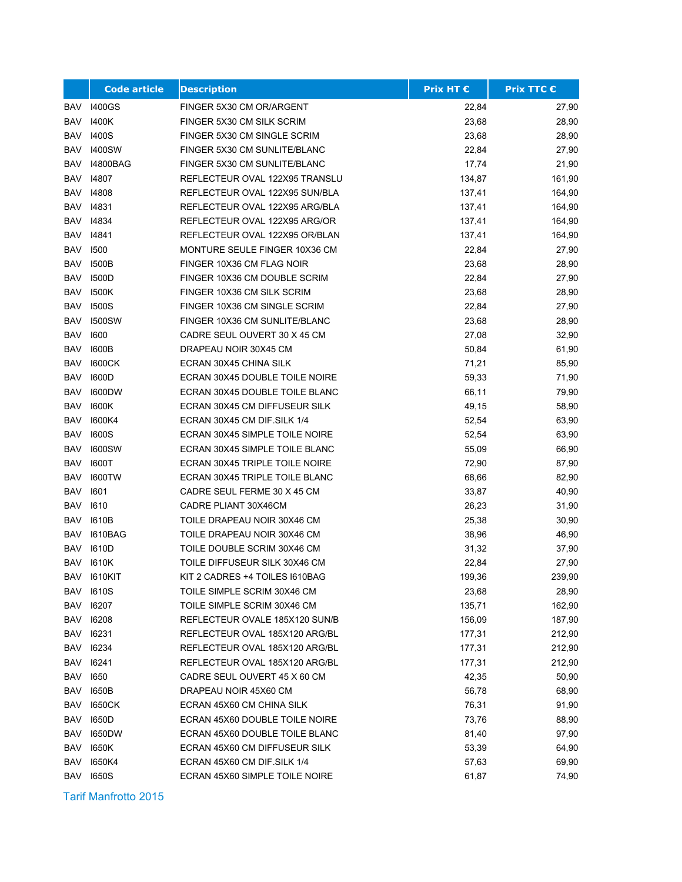|            | <b>Code article</b> | <b>Description</b>             | <b>Prix HT €</b> | <b>Prix TTC €</b> |
|------------|---------------------|--------------------------------|------------------|-------------------|
| BAV        | 1400GS              | FINGER 5X30 CM OR/ARGENT       | 22,84            | 27,90             |
| BAV        | 1400K               | FINGER 5X30 CM SILK SCRIM      | 23,68            | 28,90             |
| <b>BAV</b> | 1400S               | FINGER 5X30 CM SINGLE SCRIM    | 23,68            | 28,90             |
| <b>BAV</b> | <b>I400SW</b>       | FINGER 5X30 CM SUNLITE/BLANC   | 22,84            | 27,90             |
| <b>BAV</b> | 14800BAG            | FINGER 5X30 CM SUNLITE/BLANC   | 17,74            | 21,90             |
| BAV        | 14807               | REFLECTEUR OVAL 122X95 TRANSLU | 134,87           | 161,90            |
| BAV        | 14808               | REFLECTEUR OVAL 122X95 SUN/BLA | 137,41           | 164,90            |
| BAV        | 14831               | REFLECTEUR OVAL 122X95 ARG/BLA | 137,41           | 164,90            |
| <b>BAV</b> | 14834               | REFLECTEUR OVAL 122X95 ARG/OR  | 137,41           | 164,90            |
| BAV        | 14841               | REFLECTEUR OVAL 122X95 OR/BLAN | 137,41           | 164,90            |
| <b>BAV</b> | 1500                | MONTURE SEULE FINGER 10X36 CM  | 22,84            | 27,90             |
| BAV        | 1500B               | FINGER 10X36 CM FLAG NOIR      | 23,68            | 28,90             |
| BAV        | <b>I500D</b>        | FINGER 10X36 CM DOUBLE SCRIM   | 22,84            | 27,90             |
| BAV        | 1500K               | FINGER 10X36 CM SILK SCRIM     | 23,68            | 28,90             |
| <b>BAV</b> | <b>1500S</b>        | FINGER 10X36 CM SINGLE SCRIM   | 22,84            | 27,90             |
| <b>BAV</b> | <b>I500SW</b>       | FINGER 10X36 CM SUNLITE/BLANC  | 23,68            | 28,90             |
| <b>BAV</b> | 1600                | CADRE SEUL OUVERT 30 X 45 CM   | 27,08            | 32,90             |
| BAV        | <b>I600B</b>        | DRAPEAU NOIR 30X45 CM          | 50,84            | 61,90             |
| <b>BAV</b> | 1600CK              | ECRAN 30X45 CHINA SILK         | 71,21            | 85,90             |
| <b>BAV</b> | 1600D               | ECRAN 30X45 DOUBLE TOILE NOIRE | 59,33            | 71,90             |
| BAV        | <b>I600DW</b>       | ECRAN 30X45 DOUBLE TOILE BLANC | 66,11            | 79,90             |
| BAV        | 1600K               | ECRAN 30X45 CM DIFFUSEUR SILK  | 49,15            | 58,90             |
| BAV        | 1600K4              | ECRAN 30X45 CM DIF. SILK 1/4   | 52,54            | 63,90             |
| <b>BAV</b> | <b>I600S</b>        | ECRAN 30X45 SIMPLE TOILE NOIRE | 52,54            | 63,90             |
| BAV        | <b>I600SW</b>       | ECRAN 30X45 SIMPLE TOILE BLANC | 55,09            | 66,90             |
| BAV        | 1600T               | ECRAN 30X45 TRIPLE TOILE NOIRE | 72,90            | 87,90             |
| BAV        | <b>I600TW</b>       | ECRAN 30X45 TRIPLE TOILE BLANC | 68,66            | 82,90             |
| <b>BAV</b> | 1601                | CADRE SEUL FERME 30 X 45 CM    | 33,87            | 40,90             |
| BAV        | 1610                | CADRE PLIANT 30X46CM           | 26,23            | 31,90             |
| <b>BAV</b> | 1610B               | TOILE DRAPEAU NOIR 30X46 CM    | 25,38            | 30,90             |
| <b>BAV</b> | 1610BAG             | TOILE DRAPEAU NOIR 30X46 CM    | 38,96            | 46,90             |
| <b>BAV</b> | <b>I610D</b>        | TOILE DOUBLE SCRIM 30X46 CM    | 31,32            | 37,90             |
| <b>BAV</b> | 1610K               | TOILE DIFFUSEUR SILK 30X46 CM  | 22,84            | 27,90             |
|            | BAV 1610KIT         | KIT 2 CADRES +4 TOILES 1610BAG | 199,36           | 239,90            |
|            | <b>BAV 1610S</b>    | TOILE SIMPLE SCRIM 30X46 CM    | 23,68            | 28,90             |
| BAV        | 16207               | TOILE SIMPLE SCRIM 30X46 CM    | 135,71           | 162,90            |
|            | BAV 16208           | REFLECTEUR OVALE 185X120 SUN/B | 156,09           | 187,90            |
| BAV        | 16231               | REFLECTEUR OVAL 185X120 ARG/BL | 177,31           | 212,90            |
| BAV        | 16234               | REFLECTEUR OVAL 185X120 ARG/BL | 177,31           | 212,90            |
| BAV        | 16241               | REFLECTEUR OVAL 185X120 ARG/BL | 177,31           | 212,90            |
| BAV        | 1650                | CADRE SEUL OUVERT 45 X 60 CM   | 42,35            | 50,90             |
| BAV        | 1650B               | DRAPEAU NOIR 45X60 CM          | 56,78            | 68,90             |
| <b>BAV</b> | 1650CK              | ECRAN 45X60 CM CHINA SILK      | 76,31            | 91,90             |
| BAV        | 1650D               | ECRAN 45X60 DOUBLE TOILE NOIRE | 73,76            | 88,90             |
| BAV        | <b>I650DW</b>       | ECRAN 45X60 DOUBLE TOILE BLANC | 81,40            | 97,90             |
| <b>BAV</b> | 1650K               | ECRAN 45X60 CM DIFFUSEUR SILK  | 53,39            | 64,90             |
| <b>BAV</b> | 1650K4              | ECRAN 45X60 CM DIF.SILK 1/4    | 57,63            | 69,90             |
|            | <b>BAV 1650S</b>    | ECRAN 45X60 SIMPLE TOILE NOIRE | 61,87            | 74,90             |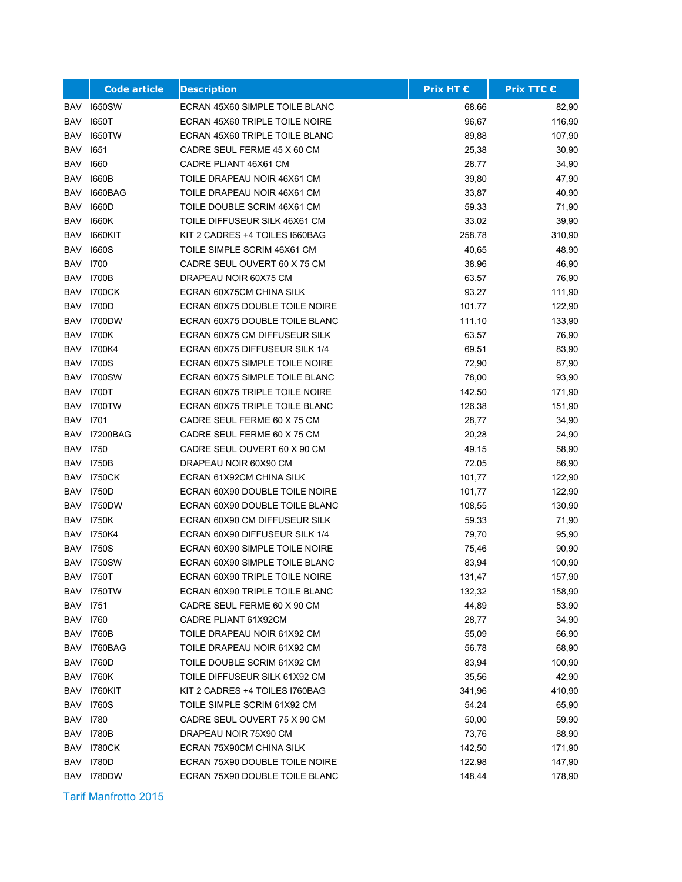|            | <b>Code article</b> | <b>Description</b>             | <b>Prix HT €</b> | Prix TTC € |
|------------|---------------------|--------------------------------|------------------|------------|
| BAV        | <b>1650SW</b>       | ECRAN 45X60 SIMPLE TOILE BLANC | 68,66            | 82,90      |
| <b>BAV</b> | <b>1650T</b>        | ECRAN 45X60 TRIPLE TOILE NOIRE | 96,67            | 116,90     |
| <b>BAV</b> | <b>I650TW</b>       | ECRAN 45X60 TRIPLE TOILE BLANC | 89,88            | 107,90     |
| BAV        | 1651                | CADRE SEUL FERME 45 X 60 CM    | 25,38            | 30,90      |
| BAV        | 1660                | CADRE PLIANT 46X61 CM          | 28,77            | 34,90      |
| BAV        | 1660B               | TOILE DRAPEAU NOIR 46X61 CM    | 39,80            | 47,90      |
| BAV        | 1660BAG             | TOILE DRAPEAU NOIR 46X61 CM    | 33,87            | 40,90      |
| <b>BAV</b> | 1660D               | TOILE DOUBLE SCRIM 46X61 CM    | 59,33            | 71,90      |
| <b>BAV</b> | 1660K               | TOILE DIFFUSEUR SILK 46X61 CM  | 33,02            | 39,90      |
| BAV        | <b>I660KIT</b>      | KIT 2 CADRES +4 TOILES I660BAG | 258,78           | 310,90     |
| <b>BAV</b> | <b>1660S</b>        | TOILE SIMPLE SCRIM 46X61 CM    | 40,65            | 48,90      |
| <b>BAV</b> | 1700                | CADRE SEUL OUVERT 60 X 75 CM   | 38,96            | 46,90      |
| <b>BAV</b> | 1700B               | DRAPEAU NOIR 60X75 CM          | 63,57            | 76,90      |
| BAV        | <b>I700CK</b>       | ECRAN 60X75CM CHINA SILK       | 93,27            | 111,90     |
| BAV        | 1700D               | ECRAN 60X75 DOUBLE TOILE NOIRE | 101,77           | 122,90     |
| <b>BAV</b> | <b>I700DW</b>       | ECRAN 60X75 DOUBLE TOILE BLANC | 111,10           | 133,90     |
| <b>BAV</b> | 1700K               | ECRAN 60X75 CM DIFFUSEUR SILK  | 63,57            | 76,90      |
| BAV        | I700K4              | ECRAN 60X75 DIFFUSEUR SILK 1/4 | 69,51            | 83,90      |
| BAV        | 1700S               | ECRAN 60X75 SIMPLE TOILE NOIRE | 72,90            | 87,90      |
| BAV        | <b>I700SW</b>       | ECRAN 60X75 SIMPLE TOILE BLANC | 78,00            | 93,90      |
| <b>BAV</b> | <b>I700T</b>        | ECRAN 60X75 TRIPLE TOILE NOIRE | 142,50           | 171,90     |
| BAV        | 1700TW              | ECRAN 60X75 TRIPLE TOILE BLANC | 126,38           | 151,90     |
| <b>BAV</b> | 1701                | CADRE SEUL FERME 60 X 75 CM    | 28,77            | 34,90      |
| BAV        | <b>I7200BAG</b>     | CADRE SEUL FERME 60 X 75 CM    | 20,28            | 24,90      |
| <b>BAV</b> | 1750                | CADRE SEUL OUVERT 60 X 90 CM   | 49,15            | 58,90      |
| BAV        | 1750B               | DRAPEAU NOIR 60X90 CM          | 72,05            | 86,90      |
| BAV        | 1750CK              | ECRAN 61X92CM CHINA SILK       | 101,77           | 122,90     |
| BAV        | 1750D               | ECRAN 60X90 DOUBLE TOILE NOIRE | 101,77           | 122,90     |
| BAV        | <b>I750DW</b>       | ECRAN 60X90 DOUBLE TOILE BLANC | 108,55           | 130,90     |
| BAV        | 1750K               | ECRAN 60X90 CM DIFFUSEUR SILK  | 59,33            | 71,90      |
| <b>BAV</b> | I750K4              | ECRAN 60X90 DIFFUSEUR SILK 1/4 | 79,70            | 95,90      |
| <b>BAV</b> | <b>1750S</b>        | ECRAN 60X90 SIMPLE TOILE NOIRE | 75,46            | 90,90      |
| <b>BAV</b> | <b>I750SW</b>       | ECRAN 60X90 SIMPLE TOILE BLANC | 83,94            | 100,90     |
|            | <b>BAV 1750T</b>    | ECRAN 60X90 TRIPLE TOILE NOIRE | 131,47           | 157,90     |
|            | BAV 1750TW          | ECRAN 60X90 TRIPLE TOILE BLANC | 132,32           | 158,90     |
| <b>BAV</b> | 1751                | CADRE SEUL FERME 60 X 90 CM    | 44,89            | 53,90      |
| BAV 1760   |                     | CADRE PLIANT 61X92CM           | 28,77            | 34,90      |
| BAV        | 1760B               | TOILE DRAPEAU NOIR 61X92 CM    | 55,09            | 66,90      |
| BAV        | I760BAG             | TOILE DRAPEAU NOIR 61X92 CM    | 56,78            | 68,90      |
| BAV        | 1760D               | TOILE DOUBLE SCRIM 61X92 CM    | 83,94            | 100,90     |
|            | <b>BAV 1760K</b>    | TOILE DIFFUSEUR SILK 61X92 CM  | 35,56            | 42,90      |
| BAV        | 1760KIT             | KIT 2 CADRES +4 TOILES I760BAG | 341,96           | 410,90     |
| BAV        | <b>1760S</b>        | TOILE SIMPLE SCRIM 61X92 CM    | 54,24            | 65,90      |
| BAV        | 1780                | CADRE SEUL OUVERT 75 X 90 CM   | 50,00            | 59,90      |
| BAV        | 1780B               | DRAPEAU NOIR 75X90 CM          | 73,76            | 88,90      |
| BAV        | <b>I780CK</b>       | ECRAN 75X90CM CHINA SILK       | 142,50           | 171,90     |
| <b>BAV</b> | 1780D               | ECRAN 75X90 DOUBLE TOILE NOIRE | 122,98           | 147,90     |
|            | BAV 1780DW          | ECRAN 75X90 DOUBLE TOILE BLANC | 148,44           | 178,90     |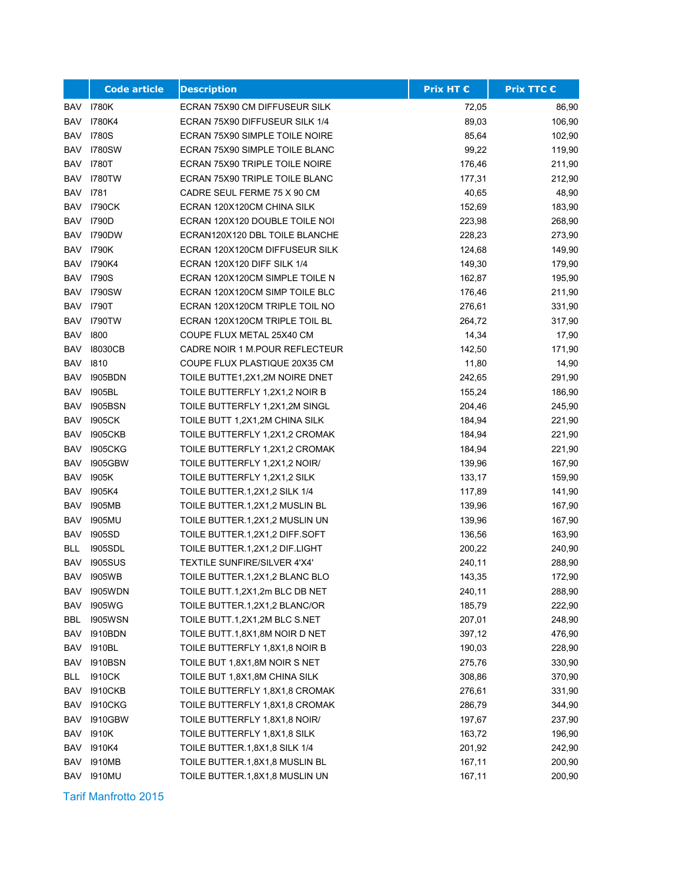|            | <b>Code article</b> | <b>Description</b>             | <b>Prix HT €</b> | <b>Prix TTC €</b> |
|------------|---------------------|--------------------------------|------------------|-------------------|
| BAV        | 1780K               | ECRAN 75X90 CM DIFFUSEUR SILK  | 72,05            | 86,90             |
| <b>BAV</b> | 1780K4              | ECRAN 75X90 DIFFUSEUR SILK 1/4 | 89,03            | 106,90            |
| BAV        | 1780S               | ECRAN 75X90 SIMPLE TOILE NOIRE | 85,64            | 102,90            |
| BAV        | <b>I780SW</b>       | ECRAN 75X90 SIMPLE TOILE BLANC | 99,22            | 119,90            |
| BAV        | 1780T               | ECRAN 75X90 TRIPLE TOILE NOIRE | 176,46           | 211,90            |
| BAV        | <b>I780TW</b>       | ECRAN 75X90 TRIPLE TOILE BLANC | 177,31           | 212,90            |
| BAV        | 1781                | CADRE SEUL FERME 75 X 90 CM    | 40,65            | 48,90             |
| BAV        | 1790CK              | ECRAN 120X120CM CHINA SILK     | 152,69           | 183,90            |
| <b>BAV</b> | 1790D               | ECRAN 120X120 DOUBLE TOILE NOI | 223,98           | 268,90            |
| BAV        | <b>I790DW</b>       | ECRAN120X120 DBL TOILE BLANCHE | 228,23           | 273,90            |
| BAV        | 1790K               | ECRAN 120X120CM DIFFUSEUR SILK | 124,68           | 149,90            |
| BAV        | I790K4              | ECRAN 120X120 DIFF SILK 1/4    | 149,30           | 179,90            |
| <b>BAV</b> | <b>1790S</b>        | ECRAN 120X120CM SIMPLE TOILE N | 162,87           | 195,90            |
| BAV        | <b>I790SW</b>       | ECRAN 120X120CM SIMP TOILE BLC | 176,46           | 211,90            |
| <b>BAV</b> | 1790T               | ECRAN 120X120CM TRIPLE TOIL NO | 276,61           | 331,90            |
| <b>BAV</b> | <b>I790TW</b>       | ECRAN 120X120CM TRIPLE TOIL BL | 264,72           | 317,90            |
| <b>BAV</b> | 1800                | COUPE FLUX METAL 25X40 CM      | 14,34            | 17,90             |
| BAV        | 18030CB             | CADRE NOIR 1 M.POUR REFLECTEUR | 142,50           | 171,90            |
| <b>BAV</b> | 1810                | COUPE FLUX PLASTIQUE 20X35 CM  | 11,80            | 14,90             |
| BAV        | <b>I905BDN</b>      | TOILE BUTTE1,2X1,2M NOIRE DNET | 242,65           | 291,90            |
| <b>BAV</b> | 1905BL              | TOILE BUTTERFLY 1,2X1,2 NOIR B | 155,24           | 186,90            |
| BAV        | 1905BSN             | TOILE BUTTERFLY 1,2X1,2M SINGL | 204,46           | 245,90            |
| BAV        | 1905CK              | TOILE BUTT 1,2X1,2M CHINA SILK | 184,94           | 221,90            |
| <b>BAV</b> | <b>1905CKB</b>      | TOILE BUTTERFLY 1,2X1,2 CROMAK | 184,94           | 221,90            |
| <b>BAV</b> | <b>1905CKG</b>      | TOILE BUTTERFLY 1,2X1,2 CROMAK | 184,94           | 221,90            |
| BAV        | <b>1905GBW</b>      | TOILE BUTTERFLY 1,2X1,2 NOIR/  | 139,96           | 167,90            |
| <b>BAV</b> | 1905K               | TOILE BUTTERFLY 1,2X1,2 SILK   | 133,17           | 159,90            |
| BAV        | 1905K4              | TOILE BUTTER.1,2X1,2 SILK 1/4  | 117,89           | 141,90            |
| BAV        | <b>1905MB</b>       | TOILE BUTTER.1,2X1,2 MUSLIN BL | 139,96           | 167,90            |
| <b>BAV</b> | 1905MU              | TOILE BUTTER.1,2X1,2 MUSLIN UN | 139,96           | 167,90            |
| <b>BAV</b> | 1905SD              | TOILE BUTTER.1,2X1,2 DIFF.SOFT | 136,56           | 163,90            |
| <b>BLL</b> | <b>1905SDL</b>      | TOILE BUTTER.1,2X1,2 DIF.LIGHT | 200,22           | 240,90            |
| <b>BAV</b> | <b>1905SUS</b>      | TEXTILE SUNFIRE/SILVER 4'X4'   | 240,11           | 288,90            |
| BAV        | <b>1905WB</b>       | TOILE BUTTER.1,2X1,2 BLANC BLO | 143,35           | 172,90            |
| BAV        | <b>1905WDN</b>      | TOILE BUTT.1,2X1,2m BLC DB NET | 240,11           | 288,90            |
| <b>BAV</b> | 1905WG              | TOILE BUTTER.1,2X1,2 BLANC/OR  | 185,79           | 222,90            |
| BBL        | <b>1905WSN</b>      | TOILE BUTT.1,2X1,2M BLC S.NET  | 207,01           | 248,90            |
| BAV        | <b>I910BDN</b>      | TOILE BUTT.1,8X1,8M NOIR D NET | 397,12           | 476,90            |
| <b>BAV</b> | 1910BL              | TOILE BUTTERFLY 1,8X1,8 NOIR B | 190,03           | 228,90            |
| <b>BAV</b> | <b>I910BSN</b>      | TOILE BUT 1,8X1,8M NOIR S NET  | 275,76           | 330,90            |
| BLL        | 1910CK              | TOILE BUT 1,8X1,8M CHINA SILK  | 308,86           | 370,90            |
| BAV        | <b>1910CKB</b>      | TOILE BUTTERFLY 1,8X1,8 CROMAK | 276,61           | 331,90            |
| BAV        | <b>I910CKG</b>      | TOILE BUTTERFLY 1,8X1,8 CROMAK | 286,79           | 344,90            |
| BAV        | <b>I910GBW</b>      | TOILE BUTTERFLY 1,8X1,8 NOIR/  | 197,67           | 237,90            |
| <b>BAV</b> | 1910K               | TOILE BUTTERFLY 1,8X1,8 SILK   | 163,72           | 196,90            |
| BAV        | 1910K4              | TOILE BUTTER.1,8X1,8 SILK 1/4  | 201,92           | 242,90            |
| BAV        | <b>I910MB</b>       | TOILE BUTTER.1,8X1,8 MUSLIN BL | 167,11           | 200,90            |
| BAV        | <b>I910MU</b>       | TOILE BUTTER.1,8X1,8 MUSLIN UN | 167,11           | 200,90            |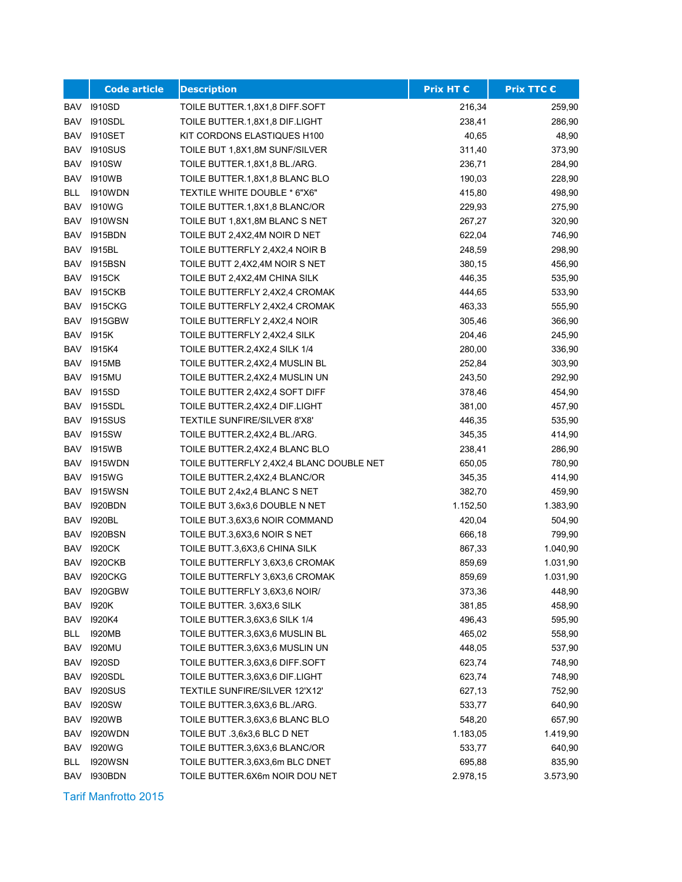|            | <b>Code article</b> | <b>Description</b>                       | Prix HT € | <b>Prix TTC €</b> |
|------------|---------------------|------------------------------------------|-----------|-------------------|
| BAV        | 1910SD              | TOILE BUTTER.1,8X1,8 DIFF.SOFT           | 216,34    | 259,90            |
| BAV        | <b>1910SDL</b>      | TOILE BUTTER.1,8X1,8 DIF.LIGHT           | 238,41    | 286,90            |
| <b>BAV</b> | <b>I910SET</b>      | KIT CORDONS ELASTIQUES H100              | 40,65     | 48,90             |
| <b>BAV</b> | <b>1910SUS</b>      | TOILE BUT 1,8X1,8M SUNF/SILVER           | 311,40    | 373,90            |
| <b>BAV</b> | <b>I910SW</b>       | TOILE BUTTER 1,8X1,8 BL./ARG.            | 236,71    | 284,90            |
| <b>BAV</b> | <b>1910WB</b>       | TOILE BUTTER.1,8X1,8 BLANC BLO           | 190,03    | 228,90            |
| <b>BLL</b> | <b>I910WDN</b>      | TEXTILE WHITE DOUBLE * 6"X6"             | 415,80    | 498,90            |
| <b>BAV</b> | <b>1910WG</b>       | TOILE BUTTER.1,8X1,8 BLANC/OR            | 229,93    | 275,90            |
| <b>BAV</b> | <b>I910WSN</b>      | TOILE BUT 1,8X1,8M BLANC S NET           | 267,27    | 320,90            |
| BAV        | 1915BDN             | TOILE BUT 2,4X2,4M NOIR D NET            | 622,04    | 746,90            |
| <b>BAV</b> | 1915BL              | TOILE BUTTERFLY 2,4X2,4 NOIR B           | 248,59    | 298,90            |
| <b>BAV</b> | <b>I915BSN</b>      | TOILE BUTT 2,4X2,4M NOIR S NET           | 380,15    | 456,90            |
| <b>BAV</b> | 1915CK              | TOILE BUT 2,4X2,4M CHINA SILK            | 446,35    | 535,90            |
| <b>BAV</b> | <b>1915CKB</b>      | TOILE BUTTERFLY 2,4X2,4 CROMAK           | 444,65    | 533,90            |
| <b>BAV</b> | <b>1915CKG</b>      | TOILE BUTTERFLY 2,4X2,4 CROMAK           | 463,33    | 555,90            |
| <b>BAV</b> | <b>I915GBW</b>      | TOILE BUTTERFLY 2,4X2,4 NOIR             | 305,46    | 366,90            |
| <b>BAV</b> | 1915K               | TOILE BUTTERFLY 2,4X2,4 SILK             | 204,46    | 245,90            |
| <b>BAV</b> | 1915K4              | TOILE BUTTER.2,4X2,4 SILK 1/4            | 280,00    | 336,90            |
| BAV        | <b>I915MB</b>       | TOILE BUTTER.2,4X2,4 MUSLIN BL           | 252,84    | 303,90            |
| <b>BAV</b> | <b>I915MU</b>       | TOILE BUTTER.2,4X2,4 MUSLIN UN           | 243,50    | 292,90            |
| <b>BAV</b> | 1915SD              | TOILE BUTTER 2,4X2,4 SOFT DIFF           | 378,46    | 454,90            |
| <b>BAV</b> | <b>1915SDL</b>      | TOILE BUTTER.2,4X2,4 DIF.LIGHT           | 381,00    | 457,90            |
| <b>BAV</b> | <b>1915SUS</b>      | TEXTILE SUNFIRE/SILVER 8'X8'             | 446,35    | 535,90            |
| <b>BAV</b> | <b>I915SW</b>       | TOILE BUTTER.2,4X2,4 BL./ARG.            | 345,35    | 414,90            |
| BAV        | <b>I915WB</b>       | TOILE BUTTER.2,4X2,4 BLANC BLO           | 238,41    | 286,90            |
| <b>BAV</b> | <b>I915WDN</b>      | TOILE BUTTERFLY 2,4X2,4 BLANC DOUBLE NET | 650,05    | 780,90            |
| <b>BAV</b> | <b>1915WG</b>       | TOILE BUTTER.2,4X2,4 BLANC/OR            | 345,35    | 414,90            |
| <b>BAV</b> | 1915WSN             | TOILE BUT 2,4x2,4 BLANC S NET            | 382,70    | 459,90            |
| <b>BAV</b> | <b>I920BDN</b>      | TOILE BUT 3,6x3,6 DOUBLE N NET           | 1.152,50  | 1.383,90          |
| <b>BAV</b> | 1920BL              | TOILE BUT.3,6X3,6 NOIR COMMAND           | 420,04    | 504,90            |
| <b>BAV</b> | <b>1920BSN</b>      | TOILE BUT.3,6X3,6 NOIR S NET             | 666,18    | 799,90            |
| <b>BAV</b> | <b>I920CK</b>       | TOILE BUTT.3,6X3,6 CHINA SILK            | 867,33    | 1.040,90          |
| <b>BAV</b> | <b>1920CKB</b>      | TOILE BUTTERFLY 3,6X3,6 CROMAK           | 859,69    | 1.031,90          |
| BAV        | <b>I920CKG</b>      | TOILE BUTTERFLY 3,6X3,6 CROMAK           | 859,69    | 1.031,90          |
| BAV        | <b>I920GBW</b>      | TOILE BUTTERFLY 3,6X3,6 NOIR/            | 373,36    | 448,90            |
| BAV        | 1920K               | TOILE BUTTER. 3,6X3,6 SILK               | 381,85    | 458,90            |
| BAV        | 1920K4              | TOILE BUTTER.3,6X3,6 SILK 1/4            | 496,43    | 595,90            |
| BLL        | <b>I920MB</b>       | TOILE BUTTER.3,6X3,6 MUSLIN BL           | 465,02    | 558,90            |
| BAV        | 1920MU              | TOILE BUTTER.3,6X3,6 MUSLIN UN           | 448,05    | 537,90            |
| BAV        | 1920SD              | TOILE BUTTER.3,6X3,6 DIFF.SOFT           | 623,74    | 748,90            |
| <b>BAV</b> | <b>1920SDL</b>      | TOILE BUTTER.3,6X3,6 DIF.LIGHT           | 623,74    | 748,90            |
| BAV        | <b>1920SUS</b>      | TEXTILE SUNFIRE/SILVER 12'X12'           | 627,13    | 752,90            |
| BAV        | <b>I920SW</b>       | TOILE BUTTER.3,6X3,6 BL./ARG.            | 533,77    | 640,90            |
| BAV        | 1920WB              | TOILE BUTTER.3,6X3,6 BLANC BLO           | 548,20    | 657,90            |
| BAV        | 1920WDN             | TOILE BUT .3,6x3,6 BLC D NET             | 1.183,05  | 1.419,90          |
| <b>BAV</b> | 1920WG              | TOILE BUTTER.3,6X3,6 BLANC/OR            | 533,77    | 640,90            |
| BLL        | <b>1920WSN</b>      | TOILE BUTTER.3,6X3,6m BLC DNET           | 695,88    | 835,90            |
| BAV        | <b>I930BDN</b>      | TOILE BUTTER.6X6m NOIR DOU NET           | 2.978,15  | 3.573,90          |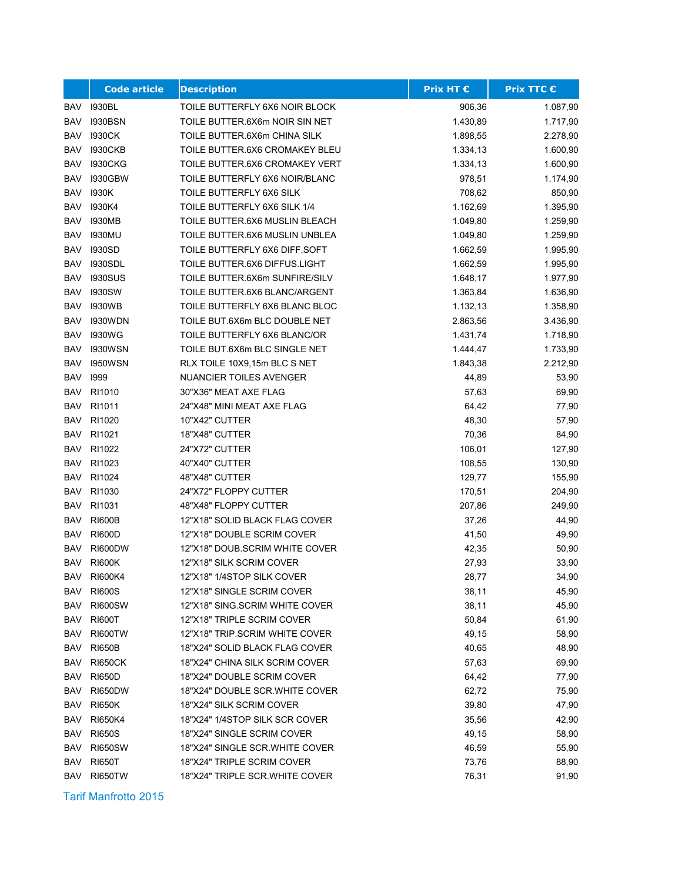|            | <b>Code article</b> | <b>Description</b>             | <b>Prix HT €</b> | <b>Prix TTC €</b> |
|------------|---------------------|--------------------------------|------------------|-------------------|
| BAV        | <b>1930BL</b>       | TOILE BUTTERFLY 6X6 NOIR BLOCK | 906,36           | 1.087,90          |
| <b>BAV</b> | <b>I930BSN</b>      | TOILE BUTTER.6X6m NOIR SIN NET | 1.430,89         | 1.717,90          |
| <b>BAV</b> | 1930CK              | TOILE BUTTER.6X6m CHINA SILK   | 1.898,55         | 2.278,90          |
| <b>BAV</b> | <b>1930CKB</b>      | TOILE BUTTER.6X6 CROMAKEY BLEU | 1.334,13         | 1.600,90          |
| <b>BAV</b> | <b>1930CKG</b>      | TOILE BUTTER.6X6 CROMAKEY VERT | 1.334,13         | 1.600,90          |
| <b>BAV</b> | <b>I930GBW</b>      | TOILE BUTTERFLY 6X6 NOIR/BLANC | 978,51           | 1.174,90          |
| <b>BAV</b> | 1930K               | TOILE BUTTERFLY 6X6 SILK       | 708,62           | 850,90            |
| <b>BAV</b> | 1930K4              | TOILE BUTTERFLY 6X6 SILK 1/4   | 1.162,69         | 1.395,90          |
| <b>BAV</b> | <b>1930MB</b>       | TOILE BUTTER.6X6 MUSLIN BLEACH | 1.049,80         | 1.259,90          |
| <b>BAV</b> | 1930MU              | TOILE BUTTER.6X6 MUSLIN UNBLEA | 1.049,80         | 1.259,90          |
| BAV        | <b>I930SD</b>       | TOILE BUTTERFLY 6X6 DIFF SOFT  | 1.662,59         | 1.995,90          |
| BAV        | <b>1930SDL</b>      | TOILE BUTTER.6X6 DIFFUS.LIGHT  | 1.662,59         | 1.995,90          |
| BAV        | <b>1930SUS</b>      | TOILE BUTTER.6X6m SUNFIRE/SILV | 1.648,17         | 1.977,90          |
| BAV        | <b>1930SW</b>       | TOILE BUTTER.6X6 BLANC/ARGENT  | 1.363,84         | 1.636,90          |
| <b>BAV</b> | <b>1930WB</b>       | TOILE BUTTERFLY 6X6 BLANC BLOC | 1.132,13         | 1.358,90          |
| <b>BAV</b> | <b>I930WDN</b>      | TOILE BUT.6X6m BLC DOUBLE NET  | 2.863,56         | 3.436,90          |
| <b>BAV</b> | <b>1930WG</b>       | TOILE BUTTERFLY 6X6 BLANC/OR   | 1.431,74         | 1.718,90          |
| <b>BAV</b> | <b>1930WSN</b>      | TOILE BUT.6X6m BLC SINGLE NET  | 1.444,47         | 1.733,90          |
| <b>BAV</b> | <b>1950WSN</b>      | RLX TOILE 10X9,15m BLC S NET   | 1.843,38         | 2.212,90          |
| BAV        | 1999                | <b>NUANCIER TOILES AVENGER</b> | 44,89            | 53,90             |
| <b>BAV</b> | RI1010              | 30"X36" MEAT AXE FLAG          | 57,63            | 69,90             |
| BAV        | RI1011              | 24"X48" MINI MEAT AXE FLAG     | 64,42            | 77,90             |
| <b>BAV</b> | RI1020              | 10"X42" CUTTER                 | 48,30            | 57,90             |
| <b>BAV</b> | RI1021              | 18"X48" CUTTER                 | 70,36            | 84,90             |
| BAV        | RI1022              | 24"X72" CUTTER                 | 106,01           | 127,90            |
| BAV        | RI1023              | 40"X40" CUTTER                 | 108,55           | 130,90            |
| BAV        | RI1024              | 48"X48" CUTTER                 | 129,77           | 155,90            |
| BAV        | RI1030              | 24"X72" FLOPPY CUTTER          | 170,51           | 204,90            |
| BAV        | RI1031              | 48"X48" FLOPPY CUTTER          | 207,86           | 249,90            |
| <b>BAV</b> | <b>RI600B</b>       | 12"X18" SOLID BLACK FLAG COVER | 37,26            | 44,90             |
| <b>BAV</b> | <b>RI600D</b>       | 12"X18" DOUBLE SCRIM COVER     | 41,50            | 49,90             |
| <b>BAV</b> | RI600DW             | 12"X18" DOUB SCRIM WHITE COVER | 42,35            | 50,90             |
| <b>BAV</b> | <b>RI600K</b>       | 12"X18" SILK SCRIM COVER       | 27,93            | 33,90             |
| BAV        | RI600K4             | 12"X18" 1/4STOP SILK COVER     | 28,77            | 34,90             |
|            | BAV RI600S          | 12"X18" SINGLE SCRIM COVER     | 38,11            | 45,90             |
| <b>BAV</b> | <b>RI600SW</b>      | 12"X18" SING SCRIM WHITE COVER | 38,11            | 45,90             |
| BAV        | <b>RI600T</b>       | 12"X18" TRIPLE SCRIM COVER     | 50,84            | 61,90             |
| BAV        | <b>RI600TW</b>      | 12"X18" TRIP.SCRIM WHITE COVER | 49,15            | 58,90             |
| BAV        | <b>RI650B</b>       | 18"X24" SOLID BLACK FLAG COVER | 40,65            | 48,90             |
| BAV        | <b>RI650CK</b>      | 18"X24" CHINA SILK SCRIM COVER | 57,63            | 69,90             |
| BAV        | <b>RI650D</b>       | 18"X24" DOUBLE SCRIM COVER     | 64,42            | 77,90             |
| BAV        | <b>RI650DW</b>      | 18"X24" DOUBLE SCR.WHITE COVER | 62,72            | 75,90             |
| BAV        | <b>RI650K</b>       | 18"X24" SILK SCRIM COVER       | 39,80            | 47,90             |
| BAV        | <b>RI650K4</b>      | 18"X24" 1/4STOP SILK SCR COVER | 35,56            | 42,90             |
| <b>BAV</b> | <b>RI650S</b>       | 18"X24" SINGLE SCRIM COVER     | 49,15            | 58,90             |
| BAV        | <b>RI650SW</b>      | 18"X24" SINGLE SCR.WHITE COVER | 46,59            | 55,90             |
| BAV        | <b>RI650T</b>       | 18"X24" TRIPLE SCRIM COVER     | 73,76            | 88,90             |
| BAV        | RI650TW             | 18"X24" TRIPLE SCR.WHITE COVER | 76,31            | 91,90             |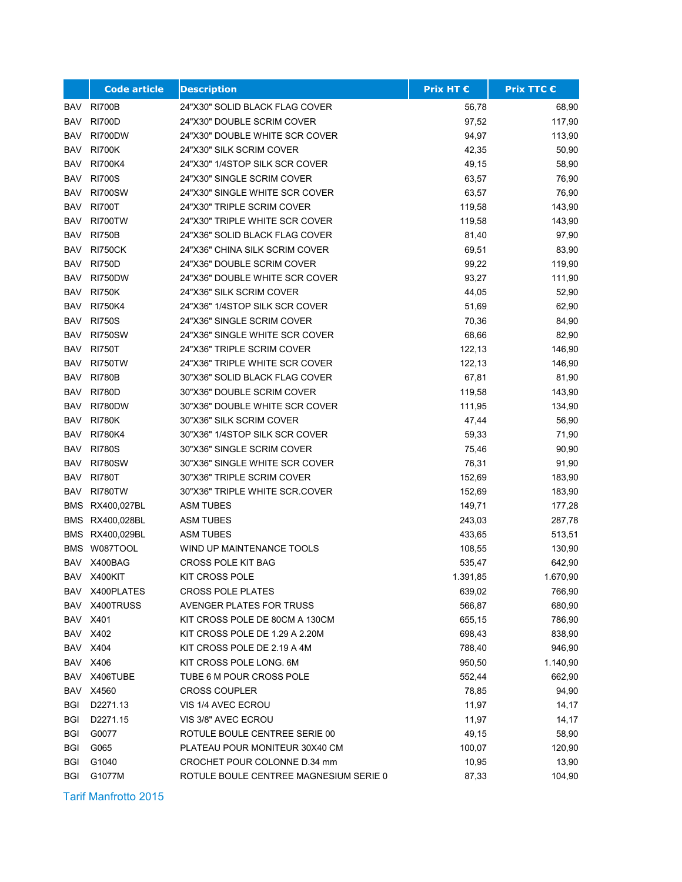|            | <b>Code article</b> | <b>Description</b>                     | <b>Prix HT €</b> | Prix TTC € |
|------------|---------------------|----------------------------------------|------------------|------------|
| BAV        | <b>RI700B</b>       | 24"X30" SOLID BLACK FLAG COVER         | 56,78            | 68,90      |
| <b>BAV</b> | <b>RI700D</b>       | 24"X30" DOUBLE SCRIM COVER             | 97,52            | 117,90     |
| BAV        | RI700DW             | 24"X30" DOUBLE WHITE SCR COVER         | 94,97            | 113,90     |
| BAV        | <b>RI700K</b>       | 24"X30" SILK SCRIM COVER               | 42,35            | 50,90      |
| BAV        | <b>RI700K4</b>      | 24"X30" 1/4STOP SILK SCR COVER         | 49,15            | 58,90      |
| BAV        | <b>RI700S</b>       | 24"X30" SINGLE SCRIM COVER             | 63,57            | 76,90      |
| BAV        | <b>RI700SW</b>      | 24"X30" SINGLE WHITE SCR COVER         | 63,57            | 76,90      |
| <b>BAV</b> | <b>RI700T</b>       | 24"X30" TRIPLE SCRIM COVER             | 119,58           | 143,90     |
| <b>BAV</b> | <b>RI700TW</b>      | 24"X30" TRIPLE WHITE SCR COVER         | 119,58           | 143,90     |
| <b>BAV</b> | <b>RI750B</b>       | 24"X36" SOLID BLACK FLAG COVER         | 81,40            | 97,90      |
| BAV        | <b>RI750CK</b>      | 24"X36" CHINA SILK SCRIM COVER         | 69,51            | 83,90      |
| BAV        | <b>RI750D</b>       | 24"X36" DOUBLE SCRIM COVER             | 99,22            | 119,90     |
| BAV        | <b>RI750DW</b>      | 24"X36" DOUBLE WHITE SCR COVER         | 93,27            | 111,90     |
| BAV        | <b>RI750K</b>       | 24"X36" SILK SCRIM COVER               | 44,05            | 52,90      |
| BAV        | <b>RI750K4</b>      | 24"X36" 1/4STOP SILK SCR COVER         | 51,69            | 62,90      |
| BAV        | <b>RI750S</b>       | 24"X36" SINGLE SCRIM COVER             | 70,36            | 84,90      |
| <b>BAV</b> | <b>RI750SW</b>      | 24"X36" SINGLE WHITE SCR COVER         | 68,66            | 82,90      |
| BAV        | <b>RI750T</b>       | 24"X36" TRIPLE SCRIM COVER             | 122,13           | 146,90     |
| <b>BAV</b> | <b>RI750TW</b>      | 24"X36" TRIPLE WHITE SCR COVER         | 122,13           | 146,90     |
| BAV        | <b>RI780B</b>       | 30"X36" SOLID BLACK FLAG COVER         | 67,81            | 81,90      |
| BAV        | <b>RI780D</b>       | 30"X36" DOUBLE SCRIM COVER             | 119,58           | 143,90     |
| BAV        | <b>RI780DW</b>      | 30"X36" DOUBLE WHITE SCR COVER         | 111,95           | 134,90     |
| BAV        | <b>RI780K</b>       | 30"X36" SILK SCRIM COVER               | 47,44            | 56,90      |
| <b>BAV</b> | <b>RI780K4</b>      | 30"X36" 1/4STOP SILK SCR COVER         | 59,33            | 71,90      |
| <b>BAV</b> | <b>RI780S</b>       | 30"X36" SINGLE SCRIM COVER             | 75,46            | 90,90      |
| BAV        | <b>RI780SW</b>      | 30"X36" SINGLE WHITE SCR COVER         | 76,31            | 91,90      |
| BAV        | <b>RI780T</b>       | 30"X36" TRIPLE SCRIM COVER             | 152,69           | 183,90     |
| BAV        | <b>RI780TW</b>      | 30"X36" TRIPLE WHITE SCR.COVER         | 152,69           | 183,90     |
| <b>BMS</b> | RX400,027BL         | <b>ASM TUBES</b>                       | 149,71           | 177,28     |
|            | BMS RX400,028BL     | <b>ASM TUBES</b>                       | 243,03           | 287,78     |
|            | BMS RX400,029BL     | ASM TUBES                              | 433,65           | 513,51     |
|            | BMS W087TOOL        | WIND UP MAINTENANCE TOOLS              | 108,55           | 130,90     |
| BAV        | X400BAG             | <b>CROSS POLE KIT BAG</b>              | 535,47           | 642,90     |
|            | BAV X400KIT         | <b>KIT CROSS POLE</b>                  | 1.391,85         | 1.670,90   |
|            | BAV X400PLATES      | <b>CROSS POLE PLATES</b>               | 639,02           | 766,90     |
|            | BAV X400TRUSS       | AVENGER PLATES FOR TRUSS               | 566,87           | 680,90     |
|            | <b>BAV X401</b>     | KIT CROSS POLE DE 80CM A 130CM         | 655,15           | 786,90     |
|            | <b>BAV X402</b>     | KIT CROSS POLE DE 1.29 A 2.20M         | 698,43           | 838,90     |
|            | <b>BAV X404</b>     | KIT CROSS POLE DE 2.19 A 4M            | 788,40           | 946,90     |
|            | <b>BAV X406</b>     | KIT CROSS POLE LONG. 6M                | 950,50           | 1.140,90   |
|            | BAV X406TUBE        | TUBE 6 M POUR CROSS POLE               | 552,44           | 662,90     |
| BAV        | X4560               | <b>CROSS COUPLER</b>                   | 78,85            | 94,90      |
| BGI        | D2271.13            | VIS 1/4 AVEC ECROU                     | 11,97            | 14,17      |
| <b>BGI</b> | D2271.15            | VIS 3/8" AVEC ECROU                    | 11,97            | 14,17      |
| <b>BGI</b> | G0077               | ROTULE BOULE CENTREE SERIE 00          | 49,15            | 58,90      |
| <b>BGI</b> | G065                | PLATEAU POUR MONITEUR 30X40 CM         | 100,07           | 120,90     |
| BGI        | G1040               | CROCHET POUR COLONNE D.34 mm           | 10,95            | 13,90      |
| <b>BGI</b> | G1077M              | ROTULE BOULE CENTREE MAGNESIUM SERIE 0 | 87,33            | 104,90     |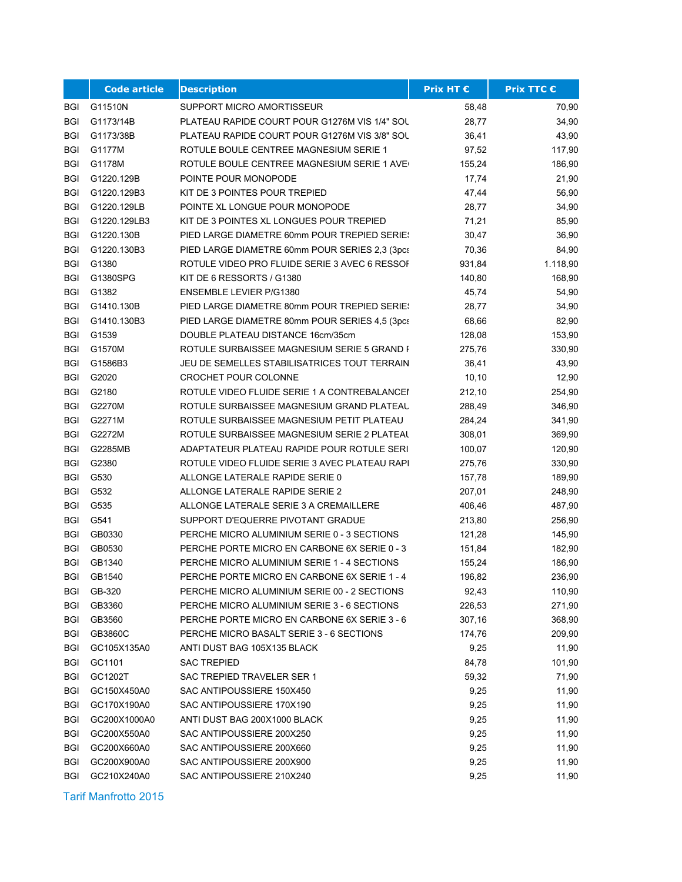|            | <b>Code article</b> | <b>Description</b>                              | Prix HT € | <b>Prix TTC €</b> |
|------------|---------------------|-------------------------------------------------|-----------|-------------------|
| BGI        | G11510N             | SUPPORT MICRO AMORTISSEUR                       | 58,48     | 70,90             |
| BGI        | G1173/14B           | PLATEAU RAPIDE COURT POUR G1276M VIS 1/4" SOL   | 28,77     | 34,90             |
| BGI        | G1173/38B           | PLATEAU RAPIDE COURT POUR G1276M VIS 3/8" SOL   | 36,41     | 43,90             |
| <b>BGI</b> | G1177M              | ROTULE BOULE CENTREE MAGNESIUM SERIE 1          | 97,52     | 117,90            |
| BGI        | G1178M              | ROTULE BOULE CENTREE MAGNESIUM SERIE 1 AVE      | 155,24    | 186,90            |
| BGI        | G1220.129B          | POINTE POUR MONOPODE                            | 17,74     | 21,90             |
| BGI        | G1220.129B3         | KIT DE 3 POINTES POUR TREPIED                   | 47,44     | 56,90             |
| BGI        | G1220.129LB         | POINTE XL LONGUE POUR MONOPODE                  | 28,77     | 34,90             |
| BGI        | G1220.129LB3        | KIT DE 3 POINTES XL LONGUES POUR TREPIED        | 71,21     | 85,90             |
| <b>BGI</b> | G1220.130B          | PIED LARGE DIAMETRE 60mm POUR TREPIED SERIE!    | 30,47     | 36,90             |
| BGI        | G1220.130B3         | PIED LARGE DIAMETRE 60mm POUR SERIES 2,3 (3pcs) | 70,36     | 84,90             |
| <b>BGI</b> | G1380               | ROTULE VIDEO PRO FLUIDE SERIE 3 AVEC 6 RESSOF   | 931,84    | 1.118,90          |
| BGI        | G1380SPG            | KIT DE 6 RESSORTS / G1380                       | 140,80    | 168,90            |
| <b>BGI</b> | G1382               | <b>ENSEMBLE LEVIER P/G1380</b>                  | 45,74     | 54,90             |
| BGI        | G1410.130B          | PIED LARGE DIAMETRE 80mm POUR TREPIED SERIE!    | 28,77     | 34,90             |
| BGI        | G1410.130B3         | PIED LARGE DIAMETRE 80mm POUR SERIES 4,5 (3pcs) | 68,66     | 82,90             |
| BGI        | G1539               | DOUBLE PLATEAU DISTANCE 16cm/35cm               | 128,08    | 153,90            |
| <b>BGI</b> | G1570M              | ROTULE SURBAISSEE MAGNESIUM SERIE 5 GRAND F     | 275,76    | 330,90            |
| BGI        | G1586B3             | JEU DE SEMELLES STABILISATRICES TOUT TERRAIN    | 36,41     | 43,90             |
| <b>BGI</b> | G2020               | CROCHET POUR COLONNE                            | 10, 10    | 12,90             |
| <b>BGI</b> | G2180               | ROTULE VIDEO FLUIDE SERIE 1 A CONTREBALANCEI    | 212,10    | 254,90            |
| BGI        | G2270M              | ROTULE SURBAISSEE MAGNESIUM GRAND PLATEAU       | 288,49    | 346,90            |
| BGI        | G2271M              | ROTULE SURBAISSEE MAGNESIUM PETIT PLATEAU       | 284,24    | 341,90            |
| <b>BGI</b> | G2272M              | ROTULE SURBAISSEE MAGNESIUM SERIE 2 PLATEAL     | 308,01    | 369,90            |
| BGI        | G2285MB             | ADAPTATEUR PLATEAU RAPIDE POUR ROTULE SERI      | 100,07    | 120,90            |
| BGI        | G2380               | ROTULE VIDEO FLUIDE SERIE 3 AVEC PLATEAU RAPI   | 275,76    | 330,90            |
| BGI        | G530                | ALLONGE LATERALE RAPIDE SERIE 0                 | 157,78    | 189,90            |
| BGI        | G532                | ALLONGE LATERALE RAPIDE SERIE 2                 | 207,01    | 248,90            |
| BGI        | G535                | ALLONGE LATERALE SERIE 3 A CREMAILLERE          | 406,46    | 487,90            |
| BGI        | G541                | SUPPORT D'EQUERRE PIVOTANT GRADUE               | 213,80    | 256,90            |
| <b>BGI</b> | GB0330              | PERCHE MICRO ALUMINIUM SERIE 0 - 3 SECTIONS     | 121,28    | 145,90            |
| BGI        | GB0530              | PERCHE PORTE MICRO EN CARBONE 6X SERIE 0 - 3    | 151,84    | 182,90            |
| <b>BGI</b> | GB1340              | PERCHE MICRO ALUMINIUM SERIE 1 - 4 SECTIONS     | 155,24    | 186,90            |
| <b>BGI</b> | GB1540              | PERCHE PORTE MICRO EN CARBONE 6X SERIE 1 - 4    | 196,82    | 236,90            |
| BGI        | GB-320              | PERCHE MICRO ALUMINIUM SERIE 00 - 2 SECTIONS    | 92,43     | 110,90            |
| <b>BGI</b> | GB3360              | PERCHE MICRO ALUMINIUM SERIE 3 - 6 SECTIONS     | 226,53    | 271,90            |
| BGI        | GB3560              | PERCHE PORTE MICRO EN CARBONE 6X SERIE 3 - 6    | 307,16    | 368,90            |
| BGI        | GB3860C             | PERCHE MICRO BASALT SERIE 3 - 6 SECTIONS        | 174,76    | 209,90            |
| BGI        | GC105X135A0         | ANTI DUST BAG 105X135 BLACK                     | 9,25      | 11,90             |
| BGI        | GC1101              | SAC TREPIED                                     | 84,78     | 101,90            |
| <b>BGI</b> | GC1202T             | SAC TREPIED TRAVELER SER 1                      | 59,32     | 71,90             |
| BGI        | GC150X450A0         | SAC ANTIPOUSSIERE 150X450                       | 9,25      | 11,90             |
| BGI        | GC170X190A0         | SAC ANTIPOUSSIERE 170X190                       | 9,25      | 11,90             |
| BGI        | GC200X1000A0        | ANTI DUST BAG 200X1000 BLACK                    | 9,25      | 11,90             |
| BGI        | GC200X550A0         | SAC ANTIPOUSSIERE 200X250                       | 9,25      | 11,90             |
| BGI        | GC200X660A0         | SAC ANTIPOUSSIERE 200X660                       | 9,25      | 11,90             |
| BGI        | GC200X900A0         | SAC ANTIPOUSSIERE 200X900                       | 9,25      | 11,90             |
| <b>BGI</b> | GC210X240A0         | SAC ANTIPOUSSIERE 210X240                       | 9,25      | 11,90             |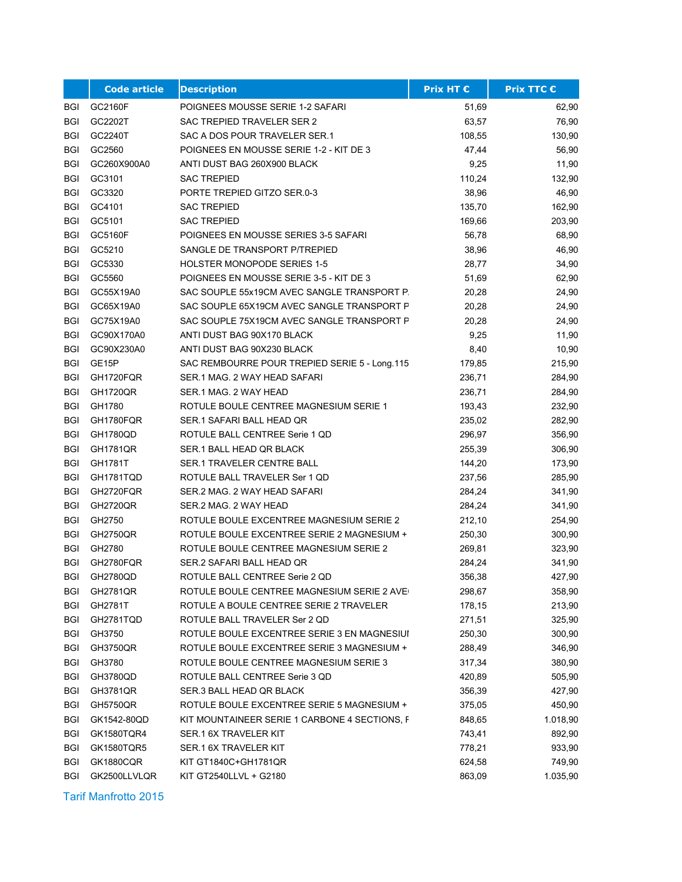|            | <b>Code article</b> | <b>Description</b>                            | <b>Prix HT €</b> | <b>Prix TTC €</b> |
|------------|---------------------|-----------------------------------------------|------------------|-------------------|
| BGI        | GC2160F             | POIGNEES MOUSSE SERIE 1-2 SAFARI              | 51,69            | 62,90             |
| <b>BGI</b> | GC2202T             | <b>SAC TREPIED TRAVELER SER 2</b>             | 63,57            | 76,90             |
| <b>BGI</b> | GC2240T             | SAC A DOS POUR TRAVELER SER.1                 | 108,55           | 130,90            |
| <b>BGI</b> | GC2560              | POIGNEES EN MOUSSE SERIE 1-2 - KIT DE 3       | 47,44            | 56,90             |
| BGI        | GC260X900A0         | ANTI DUST BAG 260X900 BLACK                   | 9,25             | 11,90             |
| BGI        | GC3101              | <b>SAC TREPIED</b>                            | 110,24           | 132,90            |
| BGI        | GC3320              | PORTE TREPIED GITZO SER.0-3                   | 38,96            | 46,90             |
| BGI        | GC4101              | <b>SAC TREPIED</b>                            | 135,70           | 162,90            |
| BGI        | GC5101              | <b>SAC TREPIED</b>                            | 169,66           | 203,90            |
| <b>BGI</b> | GC5160F             | POIGNEES EN MOUSSE SERIES 3-5 SAFARI          | 56,78            | 68,90             |
| BGI        | GC5210              | SANGLE DE TRANSPORT P/TREPIED                 | 38,96            | 46,90             |
| BGI        | GC5330              | <b>HOLSTER MONOPODE SERIES 1-5</b>            | 28,77            | 34,90             |
| BGI        | GC5560              | POIGNEES EN MOUSSE SERIE 3-5 - KIT DE 3       | 51,69            | 62,90             |
| BGI        | GC55X19A0           | SAC SOUPLE 55x19CM AVEC SANGLE TRANSPORT P.   | 20,28            | 24,90             |
| <b>BGI</b> | GC65X19A0           | SAC SOUPLE 65X19CM AVEC SANGLE TRANSPORT P    | 20,28            | 24,90             |
| BGI        | GC75X19A0           | SAC SOUPLE 75X19CM AVEC SANGLE TRANSPORT P    | 20,28            | 24,90             |
| <b>BGI</b> | GC90X170A0          | ANTI DUST BAG 90X170 BLACK                    | 9,25             | 11,90             |
| BGI        | GC90X230A0          | ANTI DUST BAG 90X230 BLACK                    | 8,40             | 10,90             |
| <b>BGI</b> | GE <sub>15</sub> P  | SAC REMBOURRE POUR TREPIED SERIE 5 - Long.115 | 179,85           | 215,90            |
| BGI        | GH1720FQR           | SER.1 MAG. 2 WAY HEAD SAFARI                  | 236,71           | 284,90            |
| BGI        | <b>GH1720QR</b>     | SER 1 MAG, 2 WAY HEAD                         | 236,71           | 284,90            |
| BGI        | GH1780              | ROTULE BOULE CENTREE MAGNESIUM SERIE 1        | 193,43           | 232,90            |
| BGI        | GH1780FQR           | SER.1 SAFARI BALL HEAD QR                     | 235,02           | 282,90            |
| <b>BGI</b> | GH1780QD            | ROTULE BALL CENTREE Serie 1 QD                | 296,97           | 356,90            |
| <b>BGI</b> | <b>GH1781QR</b>     | SER.1 BALL HEAD QR BLACK                      | 255,39           | 306,90            |
| BGI        | GH1781T             | <b>SER.1 TRAVELER CENTRE BALL</b>             | 144,20           | 173,90            |
| <b>BGI</b> | GH1781TQD           | ROTULE BALL TRAVELER Ser 1 QD                 | 237,56           | 285,90            |
| BGI        | GH2720FQR           | SER.2 MAG. 2 WAY HEAD SAFARI                  | 284,24           | 341,90            |
| <b>BGI</b> | <b>GH2720QR</b>     | SER.2 MAG. 2 WAY HEAD                         | 284,24           | 341,90            |
| <b>BGI</b> | GH2750              | ROTULE BOULE EXCENTREE MAGNESIUM SERIE 2      | 212,10           | 254,90            |
| BGI        | <b>GH2750QR</b>     | ROTULE BOULE EXCENTREE SERIE 2 MAGNESIUM +    | 250,30           | 300,90            |
| <b>BGI</b> | GH2780              | ROTULE BOULE CENTREE MAGNESIUM SERIE 2        | 269,81           | 323,90            |
| <b>BGI</b> | GH2780FQR           | SER.2 SAFARI BALL HEAD QR                     | 284,24           | 341,90            |
| BGI        | GH2780QD            | ROTULE BALL CENTREE Serie 2 QD                | 356,38           | 427,90            |
| BGI        | GH2781QR            | ROTULE BOULE CENTREE MAGNESIUM SERIE 2 AVE    | 298,67           | 358,90            |
| <b>BGI</b> | GH2781T             | ROTULE A BOULE CENTREE SERIE 2 TRAVELER       | 178,15           | 213,90            |
| BGI        | GH2781TQD           | ROTULE BALL TRAVELER Ser 2 QD                 | 271,51           | 325,90            |
| BGI        | GH3750              | ROTULE BOULE EXCENTREE SERIE 3 EN MAGNESIUI   | 250,30           | 300,90            |
| <b>BGI</b> | GH3750QR            | ROTULE BOULE EXCENTREE SERIE 3 MAGNESIUM +    | 288,49           | 346,90            |
| BGI        | GH3780              | ROTULE BOULE CENTREE MAGNESIUM SERIE 3        | 317,34           | 380,90            |
| <b>BGI</b> | GH3780QD            | ROTULE BALL CENTREE Serie 3 QD                | 420,89           | 505,90            |
| BGI        | GH3781QR            | SER.3 BALL HEAD QR BLACK                      | 356,39           | 427,90            |
| BGI        | <b>GH5750QR</b>     | ROTULE BOULE EXCENTREE SERIE 5 MAGNESIUM +    | 375,05           | 450,90            |
| BGI        | GK1542-80QD         | KIT MOUNTAINEER SERIE 1 CARBONE 4 SECTIONS, F | 848,65           | 1.018,90          |
| BGI        | GK1580TQR4          | SER.1 6X TRAVELER KIT                         | 743,41           | 892,90            |
| <b>BGI</b> | GK1580TQR5          | SER.1 6X TRAVELER KIT                         | 778,21           | 933,90            |
| BGI        | <b>GK1880CQR</b>    | KIT GT1840C+GH1781QR                          | 624,58           | 749,90            |
| <b>BGI</b> | GK2500LLVLQR        | KIT GT2540LLVL + G2180                        | 863,09           | 1.035,90          |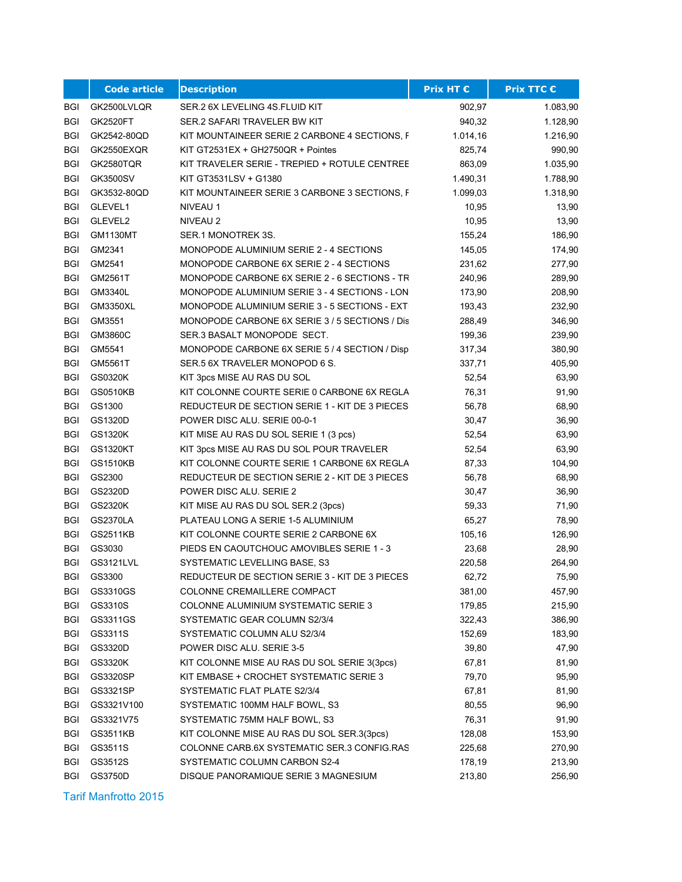|            | <b>Code article</b> | <b>Description</b>                             | Prix HT € | <b>Prix TTC €</b> |
|------------|---------------------|------------------------------------------------|-----------|-------------------|
| BGI        | GK2500LVLQR         | SER.2 6X LEVELING 4S.FLUID KIT                 | 902,97    | 1.083,90          |
| <b>BGI</b> | <b>GK2520FT</b>     | SER.2 SAFARI TRAVELER BW KIT                   | 940,32    | 1.128,90          |
| BGI        | GK2542-80QD         | KIT MOUNTAINEER SERIE 2 CARBONE 4 SECTIONS, F  | 1.014,16  | 1.216,90          |
| <b>BGI</b> | GK2550EXQR          | KIT GT2531EX + GH2750QR + Pointes              | 825,74    | 990,90            |
| <b>BGI</b> | <b>GK2580TQR</b>    | KIT TRAVELER SERIE - TREPIED + ROTULE CENTREE  | 863,09    | 1.035,90          |
| <b>BGI</b> | GK3500SV            | KIT GT3531LSV + G1380                          | 1.490,31  | 1.788,90          |
| <b>BGI</b> | GK3532-80QD         | KIT MOUNTAINEER SERIE 3 CARBONE 3 SECTIONS, F  | 1.099,03  | 1.318,90          |
| <b>BGI</b> | GLEVEL1             | NIVEAU 1                                       | 10,95     | 13,90             |
| <b>BGI</b> | GLEVEL2             | NIVEAU 2                                       | 10,95     | 13,90             |
| <b>BGI</b> | <b>GM1130MT</b>     | SER 1 MONOTREK 3S.                             | 155,24    | 186,90            |
| <b>BGI</b> | GM2341              | MONOPODE ALUMINIUM SERIE 2 - 4 SECTIONS        | 145,05    | 174,90            |
| <b>BGI</b> | GM2541              | MONOPODE CARBONE 6X SERIE 2 - 4 SECTIONS       | 231,62    | 277,90            |
| <b>BGI</b> | GM2561T             | MONOPODE CARBONE 6X SERIE 2 - 6 SECTIONS - TR  | 240,96    | 289,90            |
| <b>BGI</b> | GM3340L             | MONOPODE ALUMINIUM SERIE 3 - 4 SECTIONS - LON  | 173,90    | 208,90            |
| <b>BGI</b> | <b>GM3350XL</b>     | MONOPODE ALUMINIUM SERIE 3 - 5 SECTIONS - EXTI | 193,43    | 232,90            |
| <b>BGI</b> | GM3551              | MONOPODE CARBONE 6X SERIE 3 / 5 SECTIONS / Dis | 288,49    | 346,90            |
| <b>BGI</b> | GM3860C             | SER.3 BASALT MONOPODE SECT.                    | 199,36    | 239,90            |
| <b>BGI</b> | GM5541              | MONOPODE CARBONE 6X SERIE 5 / 4 SECTION / Disp | 317,34    | 380,90            |
| <b>BGI</b> | GM5561T             | SER 5 6X TRAVELER MONOPOD 6 S.                 | 337,71    | 405,90            |
| <b>BGI</b> | GS0320K             | KIT 3pcs MISE AU RAS DU SOL                    | 52,54     | 63,90             |
| <b>BGI</b> | <b>GS0510KB</b>     | KIT COLONNE COURTE SERIE 0 CARBONE 6X REGLA    | 76,31     | 91,90             |
| BGI        | GS1300              | REDUCTEUR DE SECTION SERIE 1 - KIT DE 3 PIECES | 56,78     | 68,90             |
| <b>BGI</b> | GS1320D             | POWER DISC ALU. SERIE 00-0-1                   | 30,47     | 36,90             |
| <b>BGI</b> | GS1320K             | KIT MISE AU RAS DU SOL SERIE 1 (3 pcs)         | 52,54     | 63,90             |
| <b>BGI</b> | <b>GS1320KT</b>     | KIT 3pcs MISE AU RAS DU SOL POUR TRAVELER      | 52,54     | 63,90             |
| BGI        | <b>GS1510KB</b>     | KIT COLONNE COURTE SERIE 1 CARBONE 6X REGLA    | 87,33     | 104,90            |
| <b>BGI</b> | GS2300              | REDUCTEUR DE SECTION SERIE 2 - KIT DE 3 PIECES | 56,78     | 68,90             |
| <b>BGI</b> | GS2320D             | POWER DISC ALU. SERIE 2                        | 30,47     | 36,90             |
| <b>BGI</b> | GS2320K             | KIT MISE AU RAS DU SOL SER.2 (3pcs)            | 59,33     | 71,90             |
| <b>BGI</b> | <b>GS2370LA</b>     | PLATEAU LONG A SERIE 1-5 ALUMINIUM             | 65,27     | 78,90             |
| <b>BGI</b> | GS2511KB            | KIT COLONNE COURTE SERIE 2 CARBONE 6X          | 105,16    | 126,90            |
| <b>BGI</b> | GS3030              | PIEDS EN CAOUTCHOUC AMOVIBLES SERIE 1 - 3      | 23,68     | 28,90             |
| <b>BGI</b> | GS3121LVL           | SYSTEMATIC LEVELLING BASE, S3                  | 220,58    | 264,90            |
| <b>BGI</b> | GS3300              | REDUCTEUR DE SECTION SERIE 3 - KIT DE 3 PIECES | 62,72     | 75,90             |
| BGI        | GS3310GS            | COLONNE CREMAILLERE COMPACT                    | 381,00    | 457,90            |
| <b>BGI</b> | GS3310S             | COLONNE ALUMINIUM SYSTEMATIC SERIE 3           | 179,85    | 215,90            |
| BGI        | GS3311GS            | SYSTEMATIC GEAR COLUMN S2/3/4                  | 322,43    | 386,90            |
| <b>BGI</b> | GS3311S             | SYSTEMATIC COLUMN ALU S2/3/4                   | 152,69    | 183,90            |
| <b>BGI</b> | GS3320D             | POWER DISC ALU. SERIE 3-5                      | 39,80     | 47,90             |
| <b>BGI</b> | GS3320K             | KIT COLONNE MISE AU RAS DU SOL SERIE 3(3pcs)   | 67,81     | 81,90             |
| <b>BGI</b> | GS3320SP            | KIT EMBASE + CROCHET SYSTEMATIC SERIE 3        | 79,70     | 95,90             |
| <b>BGI</b> | GS3321SP            | SYSTEMATIC FLAT PLATE S2/3/4                   | 67,81     | 81,90             |
| BGI        | GS3321V100          | SYSTEMATIC 100MM HALF BOWL, S3                 | 80,55     | 96,90             |
| BGI        | GS3321V75           | SYSTEMATIC 75MM HALF BOWL, S3                  | 76,31     | 91,90             |
| BGI        | GS3511KB            | KIT COLONNE MISE AU RAS DU SOL SER.3(3pcs)     | 128,08    | 153,90            |
| BGI        | GS3511S             | COLONNE CARB.6X SYSTEMATIC SER.3 CONFIG.RAS    | 225,68    | 270,90            |
| <b>BGI</b> | GS3512S             | SYSTEMATIC COLUMN CARBON S2-4                  | 178,19    | 213,90            |
| <b>BGI</b> | GS3750D             | DISQUE PANORAMIQUE SERIE 3 MAGNESIUM           | 213,80    | 256,90            |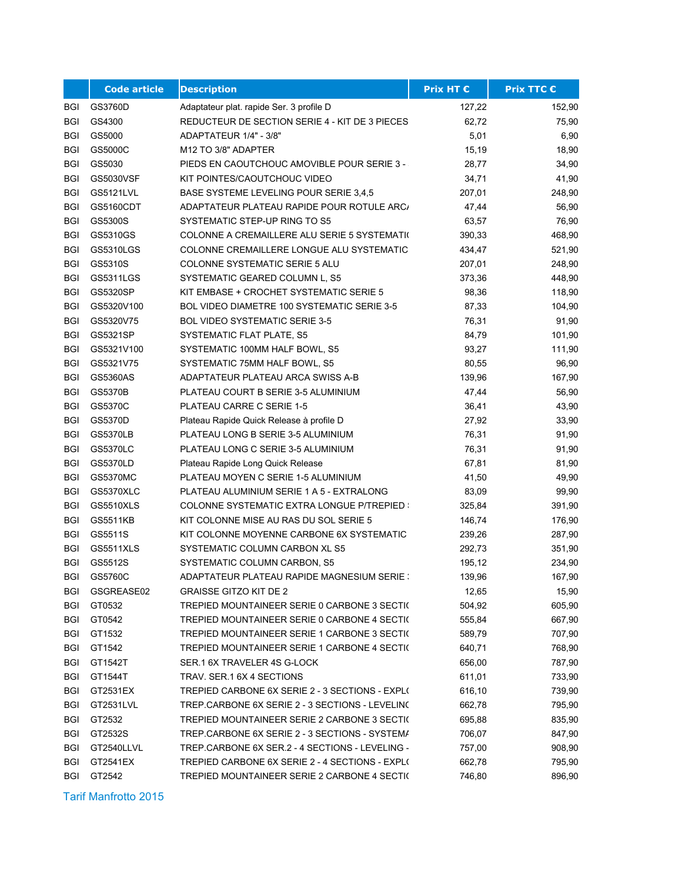|            | <b>Code article</b> | <b>Description</b>                                 | Prix HT € | <b>Prix TTC €</b> |
|------------|---------------------|----------------------------------------------------|-----------|-------------------|
| BGI        | GS3760D             | Adaptateur plat. rapide Ser. 3 profile D           | 127,22    | 152,90            |
| <b>BGI</b> | GS4300              | REDUCTEUR DE SECTION SERIE 4 - KIT DE 3 PIECES     | 62,72     | 75,90             |
| <b>BGI</b> | GS5000              | ADAPTATEUR 1/4" - 3/8"                             | 5,01      | 6,90              |
| <b>BGI</b> | GS5000C             | M12 TO 3/8" ADAPTER                                | 15,19     | 18,90             |
| <b>BGI</b> | GS5030              | <b>PIEDS EN CAOUTCHOUC AMOVIBLE POUR SERIE 3 -</b> | 28,77     | 34,90             |
| <b>BGI</b> | GS5030VSF           | KIT POINTES/CAOUTCHOUC VIDEO                       | 34,71     | 41,90             |
| BGI        | GS5121LVL           | BASE SYSTEME LEVELING POUR SERIE 3,4,5             | 207,01    | 248,90            |
| <b>BGI</b> | GS5160CDT           | ADAPTATEUR PLATEAU RAPIDE POUR ROTULE ARC/         | 47,44     | 56,90             |
| BGI        | GS5300S             | SYSTEMATIC STEP-UP RING TO S5                      | 63,57     | 76,90             |
| <b>BGI</b> | GS5310GS            | COLONNE A CREMAILLERE ALU SERIE 5 SYSTEMATI(       | 390,33    | 468,90            |
| <b>BGI</b> | GS5310LGS           | COLONNE CREMAILLERE LONGUE ALU SYSTEMATIC          | 434,47    | 521,90            |
| <b>BGI</b> | GS5310S             | <b>COLONNE SYSTEMATIC SERIE 5 ALU</b>              | 207,01    | 248,90            |
| BGI        | GS5311LGS           | SYSTEMATIC GEARED COLUMN L, S5                     | 373,36    | 448,90            |
| <b>BGI</b> | GS5320SP            | KIT EMBASE + CROCHET SYSTEMATIC SERIE 5            | 98,36     | 118,90            |
| <b>BGI</b> | GS5320V100          | BOL VIDEO DIAMETRE 100 SYSTEMATIC SERIE 3-5        | 87,33     | 104,90            |
| <b>BGI</b> | GS5320V75           | BOL VIDEO SYSTEMATIC SERIE 3-5                     | 76,31     | 91,90             |
| <b>BGI</b> | GS5321SP            | SYSTEMATIC FLAT PLATE, S5                          | 84,79     | 101,90            |
| <b>BGI</b> | GS5321V100          | SYSTEMATIC 100MM HALF BOWL, S5                     | 93,27     | 111,90            |
| <b>BGI</b> | GS5321V75           | SYSTEMATIC 75MM HALF BOWL, S5                      | 80,55     | 96,90             |
| <b>BGI</b> | GS5360AS            | ADAPTATEUR PLATEAU ARCA SWISS A-B                  | 139,96    | 167,90            |
| <b>BGI</b> | <b>GS5370B</b>      | PLATEAU COURT B SERIE 3-5 ALUMINIUM                | 47,44     | 56,90             |
| BGI        | GS5370C             | PLATEAU CARRE C SERIE 1-5                          | 36,41     | 43,90             |
| <b>BGI</b> | GS5370D             | Plateau Rapide Quick Release à profile D           | 27,92     | 33,90             |
| <b>BGI</b> | <b>GS5370LB</b>     | PLATEAU LONG B SERIE 3-5 ALUMINIUM                 | 76,31     | 91,90             |
| <b>BGI</b> | GS5370LC            | PLATEAU LONG C SERIE 3-5 ALUMINIUM                 | 76,31     | 91,90             |
| BGI        | GS5370LD            | Plateau Rapide Long Quick Release                  | 67,81     | 81,90             |
| <b>BGI</b> | <b>GS5370MC</b>     | PLATEAU MOYEN C SERIE 1-5 ALUMINIUM                | 41,50     | 49,90             |
| <b>BGI</b> | GS5370XLC           | PLATEAU ALUMINIUM SERIE 1 A 5 - EXTRALONG          | 83,09     | 99,90             |
| <b>BGI</b> | <b>GS5510XLS</b>    | COLONNE SYSTEMATIC EXTRA LONGUE P/TREPIED :        | 325,84    | 391,90            |
| <b>BGI</b> | GS5511KB            | KIT COLONNE MISE AU RAS DU SOL SERIE 5             | 146,74    | 176,90            |
| <b>BGI</b> | GS5511S             | KIT COLONNE MOYENNE CARBONE 6X SYSTEMATIC          | 239,26    | 287,90            |
| <b>BGI</b> | GS5511XLS           | SYSTEMATIC COLUMN CARBON XL S5                     | 292,73    | 351,90            |
| <b>BGI</b> | GS5512S             | SYSTEMATIC COLUMN CARBON, S5                       | 195,12    | 234,90            |
| BGI        | GS5760C             | ADAPTATEUR PLATEAU RAPIDE MAGNESIUM SERIE :        | 139,96    | 167,90            |
| BGI        | GSGREASE02          | <b>GRAISSE GITZO KIT DE 2</b>                      | 12,65     | 15,90             |
| <b>BGI</b> | GT0532              | TREPIED MOUNTAINEER SERIE 0 CARBONE 3 SECTI(       | 504,92    | 605,90            |
| BGI        | GT0542              | TREPIED MOUNTAINEER SERIE 0 CARBONE 4 SECTI(       | 555,84    | 667,90            |
| BGI        | GT1532              | TREPIED MOUNTAINEER SERIE 1 CARBONE 3 SECTI(       | 589,79    | 707,90            |
| BGI        | GT1542              | TREPIED MOUNTAINEER SERIE 1 CARBONE 4 SECTI(       | 640,71    | 768,90            |
| BGI        | GT1542T             | SER.1 6X TRAVELER 4S G-LOCK                        | 656,00    | 787,90            |
| BGI        | GT1544T             | TRAV. SER.1 6X 4 SECTIONS                          | 611,01    | 733,90            |
| BGI        | GT2531EX            | TREPIED CARBONE 6X SERIE 2 - 3 SECTIONS - EXPL(    | 616,10    | 739,90            |
| BGI        | GT2531LVL           | TREP.CARBONE 6X SERIE 2 - 3 SECTIONS - LEVELINC    | 662,78    | 795,90            |
| BGI        | GT2532              | TREPIED MOUNTAINEER SERIE 2 CARBONE 3 SECTI(       | 695,88    | 835,90            |
| BGI        | GT2532S             | TREP.CARBONE 6X SERIE 2 - 3 SECTIONS - SYSTEMA     | 706,07    | 847,90            |
| BGI        | GT2540LLVL          | TREP.CARBONE 6X SER.2 - 4 SECTIONS - LEVELING -    | 757,00    | 908,90            |
| BGI        | GT2541EX            | TREPIED CARBONE 6X SERIE 2 - 4 SECTIONS - EXPL(    | 662,78    | 795,90            |
| <b>BGI</b> | GT2542              | TREPIED MOUNTAINEER SERIE 2 CARBONE 4 SECTI(       | 746,80    | 896,90            |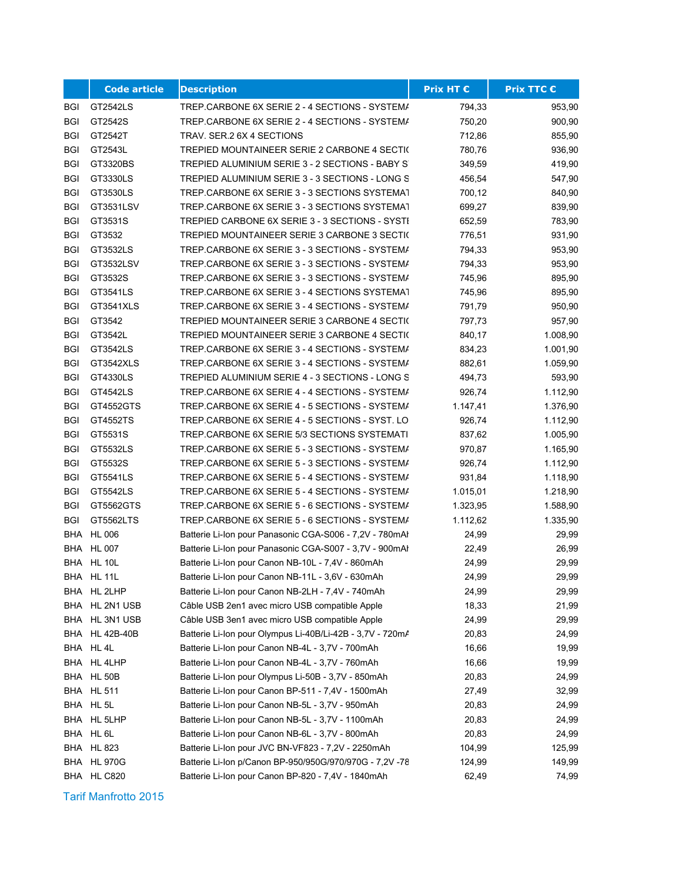|            | <b>Code article</b> | <b>Description</b>                                        | Prix HT € | Prix TTC € |
|------------|---------------------|-----------------------------------------------------------|-----------|------------|
| BGI        | GT2542LS            | TREP.CARBONE 6X SERIE 2 - 4 SECTIONS - SYSTEMA            | 794,33    | 953,90     |
| <b>BGI</b> | GT2542S             | TREP.CARBONE 6X SERIE 2 - 4 SECTIONS - SYSTEMA            | 750,20    | 900,90     |
| BGI        | GT2542T             | TRAV. SER.2 6X 4 SECTIONS                                 | 712,86    | 855,90     |
| <b>BGI</b> | GT2543L             | TREPIED MOUNTAINEER SERIE 2 CARBONE 4 SECTI(              | 780,76    | 936,90     |
| BGI        | GT3320BS            | TREPIED ALUMINIUM SERIE 3 - 2 SECTIONS - BABY ST          | 349,59    | 419,90     |
| <b>BGI</b> | GT3330LS            | TREPIED ALUMINIUM SERIE 3 - 3 SECTIONS - LONG S           | 456,54    | 547,90     |
| <b>BGI</b> | GT3530LS            | TREP.CARBONE 6X SERIE 3 - 3 SECTIONS SYSTEMAT             | 700,12    | 840,90     |
| <b>BGI</b> | GT3531LSV           | TREP.CARBONE 6X SERIE 3 - 3 SECTIONS SYSTEMAT             | 699,27    | 839,90     |
| <b>BGI</b> | GT3531S             | TREPIED CARBONE 6X SERIE 3 - 3 SECTIONS - SYSTI           | 652,59    | 783,90     |
| <b>BGI</b> | GT3532              | TREPIED MOUNTAINEER SERIE 3 CARBONE 3 SECTIC              | 776,51    | 931,90     |
| <b>BGI</b> | GT3532LS            | TREP.CARBONE 6X SERIE 3 - 3 SECTIONS - SYSTEMA            | 794,33    | 953,90     |
| <b>BGI</b> | GT3532LSV           | TREP.CARBONE 6X SERIE 3 - 3 SECTIONS - SYSTEMA            | 794,33    | 953,90     |
| BGI        | GT3532S             | TREP.CARBONE 6X SERIE 3 - 3 SECTIONS - SYSTEMA            | 745,96    | 895,90     |
| <b>BGI</b> | GT3541LS            | TREP.CARBONE 6X SERIE 3 - 4 SECTIONS SYSTEMAT             | 745,96    | 895,90     |
| <b>BGI</b> | GT3541XLS           | TREP.CARBONE 6X SERIE 3 - 4 SECTIONS - SYSTEMA            | 791,79    | 950,90     |
| BGI        | GT3542              | TREPIED MOUNTAINEER SERIE 3 CARBONE 4 SECTIC              | 797,73    | 957,90     |
| BGI        | GT3542L             | TREPIED MOUNTAINEER SERIE 3 CARBONE 4 SECTIC              | 840,17    | 1.008,90   |
| <b>BGI</b> | GT3542LS            | TREP.CARBONE 6X SERIE 3 - 4 SECTIONS - SYSTEMA            | 834,23    | 1.001,90   |
| <b>BGI</b> | GT3542XLS           | TREP.CARBONE 6X SERIE 3 - 4 SECTIONS - SYSTEMA            | 882,61    | 1.059,90   |
| <b>BGI</b> | GT4330LS            | TREPIED ALUMINIUM SERIE 4 - 3 SECTIONS - LONG S           | 494,73    | 593,90     |
| <b>BGI</b> | GT4542LS            | TREP.CARBONE 6X SERIE 4 - 4 SECTIONS - SYSTEMA            | 926,74    | 1.112,90   |
| BGI        | GT4552GTS           | TREP.CARBONE 6X SERIE 4 - 5 SECTIONS - SYSTEMA            | 1.147,41  | 1.376,90   |
| <b>BGI</b> | GT4552TS            | TREP.CARBONE 6X SERIE 4 - 5 SECTIONS - SYST. LO           | 926,74    | 1.112,90   |
| <b>BGI</b> | GT5531S             | TREP.CARBONE 6X SERIE 5/3 SECTIONS SYSTEMATI              | 837,62    | 1.005,90   |
| <b>BGI</b> | GT5532LS            | TREP.CARBONE 6X SERIE 5 - 3 SECTIONS - SYSTEMA            | 970,87    | 1.165,90   |
| <b>BGI</b> | GT5532S             | TREP.CARBONE 6X SERIE 5 - 3 SECTIONS - SYSTEMA            | 926,74    | 1.112,90   |
| <b>BGI</b> | GT5541LS            | TREP.CARBONE 6X SERIE 5 - 4 SECTIONS - SYSTEMA            | 931,84    | 1.118,90   |
| BGI        | GT5542LS            | TREP.CARBONE 6X SERIE 5 - 4 SECTIONS - SYSTEMA            | 1.015,01  | 1.218,90   |
| BGI        | GT5562GTS           | TREP.CARBONE 6X SERIE 5 - 6 SECTIONS - SYSTEMA            | 1.323,95  | 1.588,90   |
| BGI        | GT5562LTS           | TREP.CARBONE 6X SERIE 5 - 6 SECTIONS - SYSTEMA            | 1.112,62  | 1.335,90   |
| <b>BHA</b> | <b>HL 006</b>       | Batterie Li-Ion pour Panasonic CGA-S006 - 7,2V - 780mAl   | 24,99     | 29,99      |
| <b>BHA</b> | <b>HL 007</b>       | Batterie Li-Ion pour Panasonic CGA-S007 - 3,7V - 900mAl   | 22,49     | 26,99      |
| <b>BHA</b> | <b>HL 10L</b>       | Batterie Li-Ion pour Canon NB-10L - 7,4V - 860mAh         | 24,99     | 29,99      |
|            | BHA HL 11L          | Batterie Li-Ion pour Canon NB-11L - 3,6V - 630mAh         | 24,99     | 29,99      |
|            | BHA HL 2LHP         | Batterie Li-Ion pour Canon NB-2LH - 7,4V - 740mAh         | 24,99     | 29,99      |
| BHA        | HL 2N1 USB          | Câble USB 2en1 avec micro USB compatible Apple            | 18,33     | 21,99      |
| BHA        | HL 3N1 USB          | Câble USB 3en1 avec micro USB compatible Apple            | 24,99     | 29,99      |
| BHA        | <b>HL 42B-40B</b>   | Batterie Li-Ion pour Olympus Li-40B/Li-42B - 3,7V - 720mA | 20,83     | 24,99      |
|            | BHA HL 4L           | Batterie Li-Ion pour Canon NB-4L - 3,7V - 700mAh          | 16,66     | 19,99      |
|            | BHA HL 4LHP         | Batterie Li-Ion pour Canon NB-4L - 3,7V - 760mAh          | 16,66     | 19,99      |
| BHA        | <b>HL 50B</b>       | Batterie Li-Ion pour Olympus Li-50B - 3,7V - 850mAh       | 20,83     | 24,99      |
|            | <b>BHA HL 511</b>   | Batterie Li-Ion pour Canon BP-511 - 7,4V - 1500mAh        | 27,49     | 32,99      |
|            | BHA HL 5L           | Batterie Li-Ion pour Canon NB-5L - 3,7V - 950mAh          | 20,83     | 24,99      |
| BHA        | HL 5LHP             | Batterie Li-Ion pour Canon NB-5L - 3,7V - 1100mAh         | 20,83     | 24,99      |
|            | BHA HL 6L           | Batterie Li-Ion pour Canon NB-6L - 3,7V - 800mAh          | 20,83     | 24,99      |
| BHA        | HL 823              | Batterie Li-Ion pour JVC BN-VF823 - 7,2V - 2250mAh        | 104,99    | 125,99     |
| BHA        | <b>HL 970G</b>      | Batterie Li-Ion p/Canon BP-950/950G/970/970G - 7,2V -78   | 124,99    | 149,99     |
|            | BHA HL C820         | Batterie Li-Ion pour Canon BP-820 - 7,4V - 1840mAh        | 62,49     | 74,99      |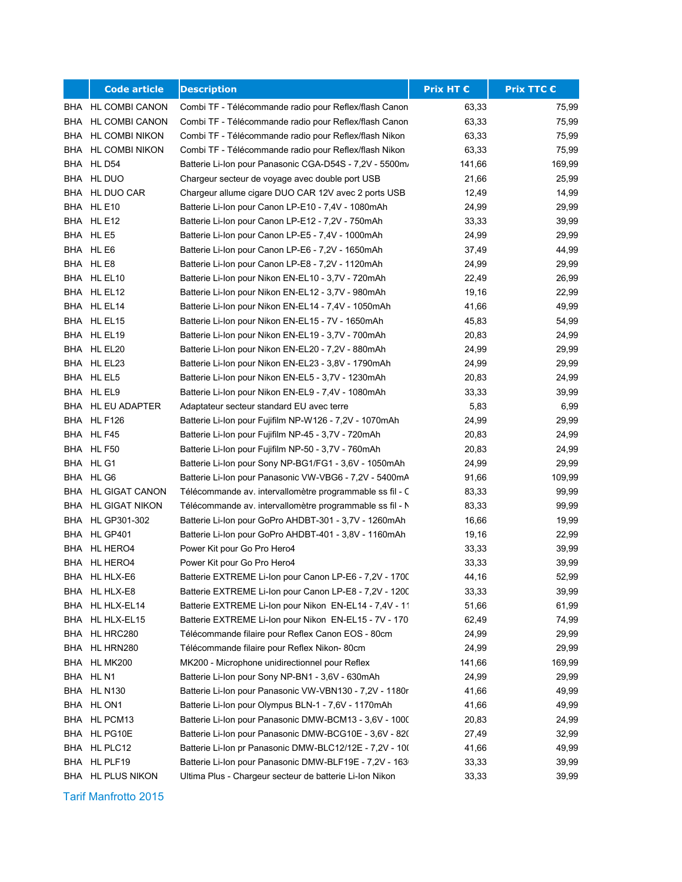|     | <b>Code article</b> | <b>Description</b>                                       | Prix HT € | <b>Prix TTC €</b> |
|-----|---------------------|----------------------------------------------------------|-----------|-------------------|
|     | BHA HL COMBI CANON  | Combi TF - Télécommande radio pour Reflex/flash Canon    | 63,33     | 75,99             |
|     | BHA HL COMBI CANON  | Combi TF - Télécommande radio pour Reflex/flash Canon    | 63,33     | 75,99             |
|     | BHA HL COMBI NIKON  | Combi TF - Télécommande radio pour Reflex/flash Nikon    | 63,33     | 75,99             |
|     | BHA HL COMBI NIKON  | Combi TF - Télécommande radio pour Reflex/flash Nikon    | 63,33     | 75,99             |
|     | BHA HL D54          | Batterie Li-Ion pour Panasonic CGA-D54S - 7,2V - 5500m/  | 141,66    | 169,99            |
|     | BHA HL DUO          | Chargeur secteur de voyage avec double port USB          | 21,66     | 25,99             |
|     | BHA HL DUO CAR      | Chargeur allume cigare DUO CAR 12V avec 2 ports USB      | 12,49     | 14,99             |
|     | BHA HL E10          | Batterie Li-Ion pour Canon LP-E10 - 7,4V - 1080mAh       | 24,99     | 29,99             |
|     | BHA HL E12          | Batterie Li-Ion pour Canon LP-E12 - 7,2V - 750mAh        | 33,33     | 39,99             |
|     | BHA HL E5           | Batterie Li-Ion pour Canon LP-E5 - 7,4V - 1000mAh        | 24,99     | 29,99             |
|     | BHA HL E6           | Batterie Li-Ion pour Canon LP-E6 - 7,2V - 1650mAh        | 37,49     | 44,99             |
|     | BHA HLE8            | Batterie Li-Ion pour Canon LP-E8 - 7,2V - 1120mAh        | 24,99     | 29,99             |
|     | BHA HL EL10         | Batterie Li-Ion pour Nikon EN-EL10 - 3,7V - 720mAh       | 22,49     | 26,99             |
|     | BHA HL EL12         | Batterie Li-Ion pour Nikon EN-EL12 - 3,7V - 980mAh       | 19,16     | 22,99             |
|     | BHA HL EL14         | Batterie Li-Ion pour Nikon EN-EL14 - 7,4V - 1050mAh      | 41,66     | 49,99             |
|     | BHA HL EL15         | Batterie Li-Ion pour Nikon EN-EL15 - 7V - 1650mAh        | 45,83     | 54,99             |
|     | BHA HL EL19         | Batterie Li-Ion pour Nikon EN-EL19 - 3,7V - 700mAh       | 20,83     | 24,99             |
|     | BHA HL EL20         | Batterie Li-Ion pour Nikon EN-EL20 - 7,2V - 880mAh       | 24,99     | 29,99             |
|     | BHA HL EL23         | Batterie Li-Ion pour Nikon EN-EL23 - 3,8V - 1790mAh      | 24,99     | 29,99             |
|     | BHA HL EL5          | Batterie Li-Ion pour Nikon EN-EL5 - 3,7V - 1230mAh       | 20,83     | 24,99             |
|     | BHA HL EL9          | Batterie Li-Ion pour Nikon EN-EL9 - 7,4V - 1080mAh       | 33,33     | 39,99             |
|     | BHA HL EU ADAPTER   | Adaptateur secteur standard EU avec terre                | 5,83      | 6,99              |
|     | BHA HL F126         | Batterie Li-Ion pour Fujifilm NP-W126 - 7,2V - 1070mAh   | 24,99     | 29,99             |
|     | BHA HL F45          | Batterie Li-Ion pour Fujifilm NP-45 - 3,7V - 720mAh      | 20,83     | 24,99             |
|     | BHA HL F50          | Batterie Li-Ion pour Fujifilm NP-50 - 3,7V - 760mAh      | 20,83     | 24,99             |
|     | BHA HL G1           | Batterie Li-Ion pour Sony NP-BG1/FG1 - 3,6V - 1050mAh    | 24,99     | 29,99             |
|     | BHA HL G6           | Batterie Li-Ion pour Panasonic VW-VBG6 - 7,2V - 5400mA   | 91,66     | 109,99            |
|     | BHA HL GIGAT CANON  | Télécommande av. intervallomètre programmable ss fil - C | 83,33     | 99,99             |
|     | BHA HL GIGAT NIKON  | Télécommande av. intervallomètre programmable ss fil - N | 83,33     | 99,99             |
|     | BHA HL GP301-302    | Batterie Li-Ion pour GoPro AHDBT-301 - 3,7V - 1260mAh    | 16,66     | 19,99             |
|     | BHA HL GP401        | Batterie Li-Ion pour GoPro AHDBT-401 - 3,8V - 1160mAh    | 19,16     | 22,99             |
|     | BHA HL HERO4        | Power Kit pour Go Pro Hero4                              | 33,33     | 39,99             |
|     | BHA HL HERO4        | Power Kit pour Go Pro Hero4                              | 33,33     | 39,99             |
|     | BHA HL HLX-E6       | Batterie EXTREME Li-Ion pour Canon LP-E6 - 7,2V - 1700   | 44,16     | 52,99             |
|     | BHA HL HLX-E8       | Batterie EXTREME Li-Ion pour Canon LP-E8 - 7,2V - 1200   | 33,33     | 39,99             |
| BHA | HL HLX-EL14         | Batterie EXTREME Li-Ion pour Nikon EN-EL14 - 7,4V - 11   | 51,66     | 61,99             |
| BHA | HL HLX-EL15         | Batterie EXTREME Li-Ion pour Nikon EN-EL15 - 7V - 170    | 62,49     | 74,99             |
| BHA | HL HRC280           | Télécommande filaire pour Reflex Canon EOS - 80cm        | 24,99     | 29,99             |
| BHA | HL HRN280           | Télécommande filaire pour Reflex Nikon-80cm              | 24,99     | 29,99             |
|     | BHA HL MK200        | MK200 - Microphone unidirectionnel pour Reflex           | 141,66    | 169,99            |
|     | BHA HL N1           | Batterie Li-Ion pour Sony NP-BN1 - 3,6V - 630mAh         | 24,99     | 29,99             |
|     | BHA HL N130         | Batterie Li-Ion pour Panasonic VW-VBN130 - 7,2V - 1180r  | 41,66     | 49,99             |
|     | BHA HL ON1          | Batterie Li-Ion pour Olympus BLN-1 - 7,6V - 1170mAh      | 41,66     | 49,99             |
| BHA | HL PCM13            | Batterie Li-Ion pour Panasonic DMW-BCM13 - 3,6V - 1000   | 20,83     | 24,99             |
| BHA | HL PG10E            | Batterie Li-Ion pour Panasonic DMW-BCG10E - 3,6V - 820   | 27,49     | 32,99             |
|     | BHA HL PLC12        | Batterie Li-Ion pr Panasonic DMW-BLC12/12E - 7,2V - 10(  | 41,66     | 49,99             |
| BHA | HL PLF19            | Batterie Li-Ion pour Panasonic DMW-BLF19E - 7,2V - 163   | 33,33     | 39,99             |
|     | BHA HL PLUS NIKON   | Ultima Plus - Chargeur secteur de batterie Li-Ion Nikon  | 33,33     | 39,99             |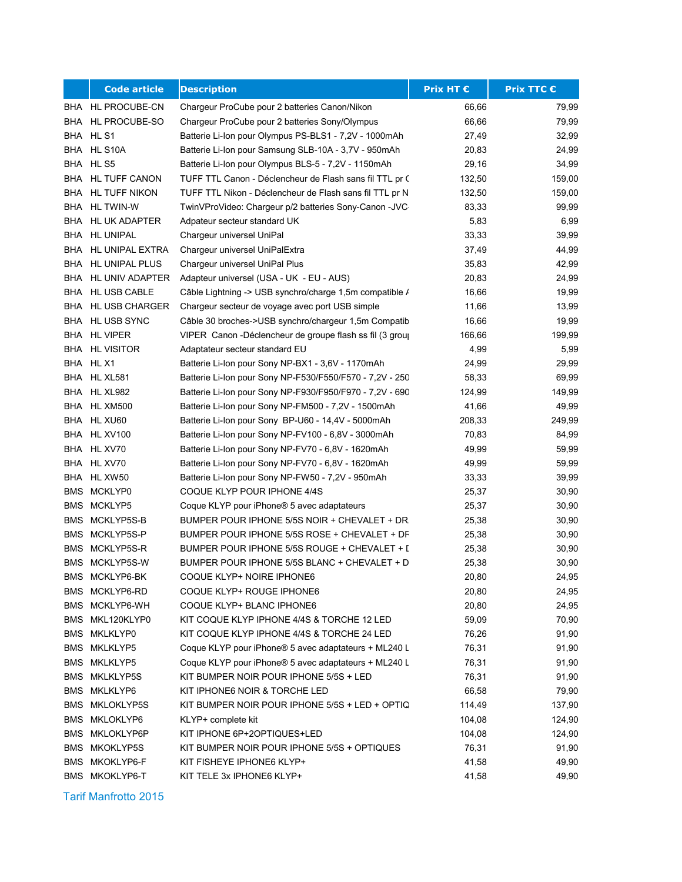|            | <b>Code article</b>   | <b>Description</b>                                         | Prix HT € | <b>Prix TTC €</b> |
|------------|-----------------------|------------------------------------------------------------|-----------|-------------------|
|            | BHA HL PROCUBE-CN     | Chargeur ProCube pour 2 batteries Canon/Nikon              | 66,66     | 79,99             |
|            | BHA HL PROCUBE-SO     | Chargeur ProCube pour 2 batteries Sony/Olympus             | 66,66     | 79,99             |
|            | BHA HLS1              | Batterie Li-Ion pour Olympus PS-BLS1 - 7,2V - 1000mAh      | 27,49     | 32,99             |
|            | BHA HL S10A           | Batterie Li-Ion pour Samsung SLB-10A - 3,7V - 950mAh       | 20,83     | 24,99             |
|            | BHA HLS5              | Batterie Li-Ion pour Olympus BLS-5 - 7,2V - 1150mAh        | 29,16     | 34,99             |
| BHA        | HL TUFF CANON         | TUFF TTL Canon - Déclencheur de Flash sans fil TTL pr (    | 132,50    | 159,00            |
|            | BHA HL TUFF NIKON     | TUFF TTL Nikon - Déclencheur de Flash sans fil TTL pr N    | 132,50    | 159,00            |
|            | BHA HL TWIN-W         | TwinVProVideo: Chargeur p/2 batteries Sony-Canon -JVC      | 83,33     | 99,99             |
|            | BHA HL UK ADAPTER     | Adpateur secteur standard UK                               | 5,83      | 6,99              |
|            | BHA HL UNIPAL         | Chargeur universel UniPal                                  | 33,33     | 39,99             |
|            | BHA HL UNIPAL EXTRA   | Chargeur universel UniPalExtra                             | 37,49     | 44,99             |
|            | BHA HL UNIPAL PLUS    | Chargeur universel UniPal Plus                             | 35,83     | 42,99             |
|            | BHA HL UNIV ADAPTER   | Adapteur universel (USA - UK - EU - AUS)                   | 20,83     | 24,99             |
|            | BHA HL USB CABLE      | Câble Lightning -> USB synchro/charge 1,5m compatible /    | 16,66     | 19,99             |
|            | BHA HL USB CHARGER    | Chargeur secteur de voyage avec port USB simple            | 11,66     | 13,99             |
|            | BHA HL USB SYNC       | Câble 30 broches->USB synchro/chargeur 1,5m Compatib       | 16,66     | 19,99             |
|            | BHA HL VIPER          | VIPER Canon - Déclencheur de groupe flash ss fil (3 group) | 166,66    | 199,99            |
|            | <b>BHA HL VISITOR</b> | Adaptateur secteur standard EU                             | 4,99      | 5,99              |
|            | BHA HL X1             | Batterie Li-Ion pour Sony NP-BX1 - 3,6V - 1170mAh          | 24,99     | 29,99             |
|            | BHA HL XL581          | Batterie Li-Ion pour Sony NP-F530/F550/F570 - 7,2V - 250   | 58,33     | 69,99             |
| <b>BHA</b> | HL XL982              | Batterie Li-Ion pour Sony NP-F930/F950/F970 - 7,2V - 690   | 124,99    | 149,99            |
|            | BHA HL XM500          | Batterie Li-Ion pour Sony NP-FM500 - 7,2V - 1500mAh        | 41,66     | 49,99             |
|            | BHA HL XU60           | Batterie Li-Ion pour Sony BP-U60 - 14,4V - 5000mAh         | 208,33    | 249,99            |
|            | BHA HL XV100          | Batterie Li-Ion pour Sony NP-FV100 - 6,8V - 3000mAh        | 70,83     | 84,99             |
|            | BHA HL XV70           | Batterie Li-Ion pour Sony NP-FV70 - 6,8V - 1620mAh         | 49,99     | 59,99             |
|            | BHA HL XV70           | Batterie Li-Ion pour Sony NP-FV70 - 6,8V - 1620mAh         | 49,99     | 59,99             |
|            | BHA HL XW50           | Batterie Li-Ion pour Sony NP-FW50 - 7,2V - 950mAh          | 33,33     | 39,99             |
|            | BMS MCKLYP0           | COQUE KLYP POUR IPHONE 4/4S                                | 25,37     | 30,90             |
|            | <b>BMS MCKLYP5</b>    | Coque KLYP pour iPhone® 5 avec adaptateurs                 | 25,37     | 30,90             |
| <b>BMS</b> | MCKLYP5S-B            | BUMPER POUR IPHONE 5/5S NOIR + CHEVALET + DR.              | 25,38     | 30,90             |
| BMS        | MCKLYP5S-P            | BUMPER POUR IPHONE 5/5S ROSE + CHEVALET + DF               | 25,38     | 30,90             |
| <b>BMS</b> | MCKLYP5S-R            | BUMPER POUR IPHONE 5/5S ROUGE + CHEVALET + [               | 25,38     | 30,90             |
|            | BMS MCKLYP5S-W        | BUMPER POUR IPHONE 5/5S BLANC + CHEVALET + D               | 25,38     | 30,90             |
|            | BMS MCKLYP6-BK        | COQUE KLYP+ NOIRE IPHONE6                                  | 20,80     | 24,95             |
|            | BMS MCKLYP6-RD        | COQUE KLYP+ ROUGE IPHONE6                                  | 20,80     | 24,95             |
|            | BMS MCKLYP6-WH        | COQUE KLYP+ BLANC IPHONE6                                  | 20,80     | 24,95             |
|            | BMS MKL120KLYP0       | KIT COQUE KLYP IPHONE 4/4S & TORCHE 12 LED                 | 59,09     | 70,90             |
|            | BMS MKLKLYP0          | KIT COQUE KLYP IPHONE 4/4S & TORCHE 24 LED                 | 76,26     | 91,90             |
|            | <b>BMS MKLKLYP5</b>   | Coque KLYP pour iPhone® 5 avec adaptateurs + ML240 L       | 76,31     | 91,90             |
|            | <b>BMS MKLKLYP5</b>   | Coque KLYP pour iPhone® 5 avec adaptateurs + ML240 L       | 76,31     | 91,90             |
|            | <b>BMS MKLKLYP5S</b>  | KIT BUMPER NOIR POUR IPHONE 5/5S + LED                     | 76,31     | 91,90             |
|            | <b>BMS MKLKLYP6</b>   | KIT IPHONE6 NOIR & TORCHE LED                              | 66,58     | 79,90             |
|            | <b>BMS MKLOKLYP5S</b> | KIT BUMPER NOIR POUR IPHONE 5/5S + LED + OPTIQ             | 114,49    | 137,90            |
|            | BMS MKLOKLYP6         | KLYP+ complete kit                                         | 104,08    | 124,90            |
| BMS        | MKLOKLYP6P            | KIT IPHONE 6P+2OPTIQUES+LED                                | 104,08    | 124,90            |
| BMS        | MKOKLYP5S             | KIT BUMPER NOIR POUR IPHONE 5/5S + OPTIQUES                | 76,31     | 91,90             |
| BMS        | MKOKLYP6-F            | KIT FISHEYE IPHONE6 KLYP+                                  | 41,58     | 49,90             |
|            | BMS MKOKLYP6-T        | KIT TELE 3x IPHONE6 KLYP+                                  | 41,58     | 49,90             |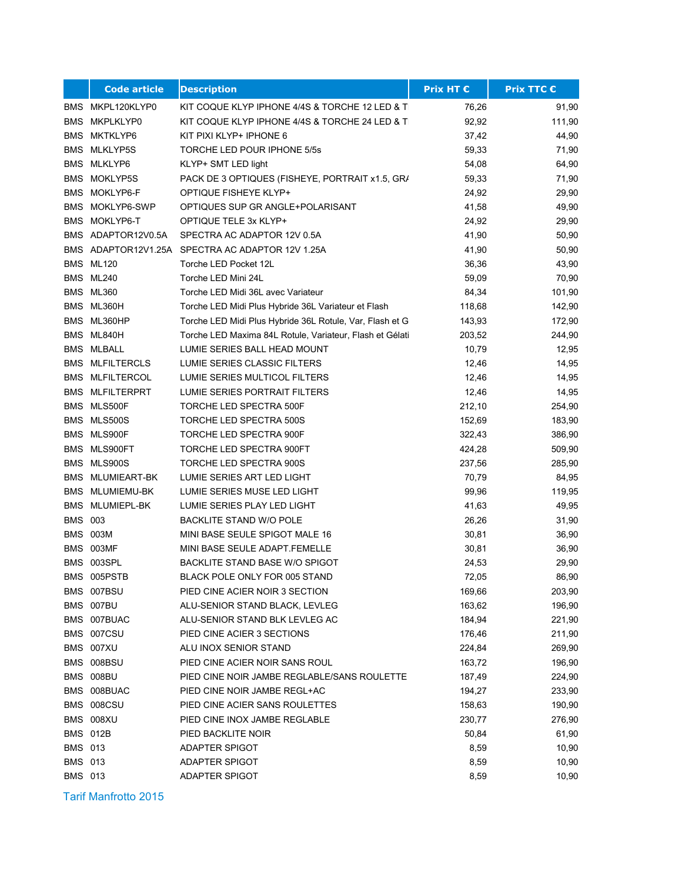|                | <b>Code article</b>    | <b>Description</b>                                       | <b>Prix HT €</b> | Prix TTC € |
|----------------|------------------------|----------------------------------------------------------|------------------|------------|
|                | BMS MKPL120KLYP0       | KIT COQUE KLYP IPHONE 4/4S & TORCHE 12 LED & TI          | 76,26            | 91,90      |
| BMS            | MKPLKLYP0              | KIT COQUE KLYP IPHONE 4/4S & TORCHE 24 LED & TI          | 92,92            | 111,90     |
| BMS            | MKTKLYP6               | KIT PIXI KLYP+ IPHONE 6                                  | 37,42            | 44,90      |
|                | <b>BMS MLKLYP5S</b>    | TORCHE LED POUR IPHONE 5/5s                              | 59,33            | 71,90      |
|                | <b>BMS MLKLYP6</b>     | KLYP+ SMT LED light                                      | 54,08            | 64,90      |
| <b>BMS</b>     | MOKLYP5S               | PACK DE 3 OPTIQUES (FISHEYE, PORTRAIT x1.5, GR/          | 59,33            | 71,90      |
|                | <b>BMS MOKLYP6-F</b>   | OPTIQUE FISHEYE KLYP+                                    | 24,92            | 29,90      |
|                | BMS MOKLYP6-SWP        | OPTIQUES SUP GR ANGLE+POLARISANT                         | 41,58            | 49,90      |
|                | <b>BMS MOKLYP6-T</b>   | OPTIQUE TELE 3x KLYP+                                    | 24,92            | 29,90      |
|                | BMS ADAPTOR12V0.5A     | SPECTRA AC ADAPTOR 12V 0.5A                              | 41,90            | 50,90      |
|                |                        | BMS ADAPTOR12V1.25A SPECTRA AC ADAPTOR 12V 1.25A         | 41,90            | 50,90      |
|                | BMS ML120              | Torche LED Pocket 12L                                    | 36,36            | 43,90      |
|                | BMS ML240              | Torche LED Mini 24L                                      | 59,09            | 70,90      |
|                | BMS ML360              | Torche LED Midi 36L avec Variateur                       | 84,34            | 101,90     |
|                | BMS ML360H             | Torche LED Midi Plus Hybride 36L Variateur et Flash      | 118,68           | 142,90     |
|                | BMS ML360HP            | Torche LED Midi Plus Hybride 36L Rotule, Var, Flash et G | 143,93           | 172,90     |
|                | BMS ML840H             | Torche LED Maxima 84L Rotule, Variateur, Flash et Gélati | 203,52           | 244,90     |
|                | <b>BMS MLBALL</b>      | LUMIE SERIES BALL HEAD MOUNT                             | 10,79            | 12,95      |
|                | <b>BMS MLFILTERCLS</b> | LUMIE SERIES CLASSIC FILTERS                             | 12,46            | 14,95      |
|                | <b>BMS MLFILTERCOL</b> | LUMIE SERIES MULTICOL FILTERS                            | 12,46            | 14,95      |
|                | <b>BMS MLFILTERPRT</b> | LUMIE SERIES PORTRAIT FILTERS                            | 12,46            | 14,95      |
|                | BMS MLS500F            | TORCHE LED SPECTRA 500F                                  | 212,10           | 254,90     |
|                | BMS MLS500S            | TORCHE LED SPECTRA 500S                                  | 152,69           | 183,90     |
|                | BMS MLS900F            | TORCHE LED SPECTRA 900F                                  | 322,43           | 386,90     |
|                | BMS MLS900FT           | TORCHE LED SPECTRA 900FT                                 | 424,28           | 509,90     |
|                | BMS MLS900S            | TORCHE LED SPECTRA 900S                                  | 237,56           | 285,90     |
|                | BMS MLUMIEART-BK       | LUMIE SERIES ART LED LIGHT                               | 70,79            | 84,95      |
|                | BMS MLUMIEMU-BK        | LUMIE SERIES MUSE LED LIGHT                              | 99,96            | 119,95     |
|                | BMS MLUMIEPL-BK        | LUMIE SERIES PLAY LED LIGHT                              | 41,63            | 49,95      |
| <b>BMS 003</b> |                        | <b>BACKLITE STAND W/O POLE</b>                           | 26,26            | 31,90      |
|                | <b>BMS 003M</b>        | MINI BASE SEULE SPIGOT MALE 16                           | 30,81            | 36,90      |
|                | BMS 003MF              | MINI BASE SEULE ADAPT.FEMELLE                            | 30,81            | 36,90      |
|                | BMS 003SPL             | BACKLITE STAND BASE W/O SPIGOT                           | 24,53            | 29,90      |
|                | BMS 005PSTB            | BLACK POLE ONLY FOR 005 STAND                            | 72,05            | 86,90      |
|                | BMS 007BSU             | PIED CINE ACIER NOIR 3 SECTION                           | 169,66           | 203,90     |
|                | BMS 007BU              | ALU-SENIOR STAND BLACK, LEVLEG                           | 163,62           | 196,90     |
|                | BMS 007BUAC            | ALU-SENIOR STAND BLK LEVLEG AC                           | 184,94           | 221,90     |
|                | BMS 007CSU             | PIED CINE ACIER 3 SECTIONS                               | 176,46           | 211,90     |
|                | BMS 007XU              | ALU INOX SENIOR STAND                                    | 224,84           | 269,90     |
|                | BMS 008BSU             | PIED CINE ACIER NOIR SANS ROUL                           | 163,72           | 196,90     |
|                | BMS 008BU              | PIED CINE NOIR JAMBE REGLABLE/SANS ROULETTE              | 187,49           | 224,90     |
|                | BMS 008BUAC            | PIED CINE NOIR JAMBE REGL+AC                             | 194,27           | 233,90     |
|                | BMS 008CSU             | PIED CINE ACIER SANS ROULETTES                           | 158,63           | 190,90     |
|                | BMS 008XU              | PIED CINE INOX JAMBE REGLABLE                            | 230,77           | 276,90     |
|                | <b>BMS 012B</b>        | PIED BACKLITE NOIR                                       | 50,84            | 61,90      |
| <b>BMS 013</b> |                        | ADAPTER SPIGOT                                           | 8,59             | 10,90      |
| <b>BMS 013</b> |                        | ADAPTER SPIGOT                                           | 8,59             | 10,90      |
| <b>BMS 013</b> |                        | ADAPTER SPIGOT                                           | 8,59             | 10,90      |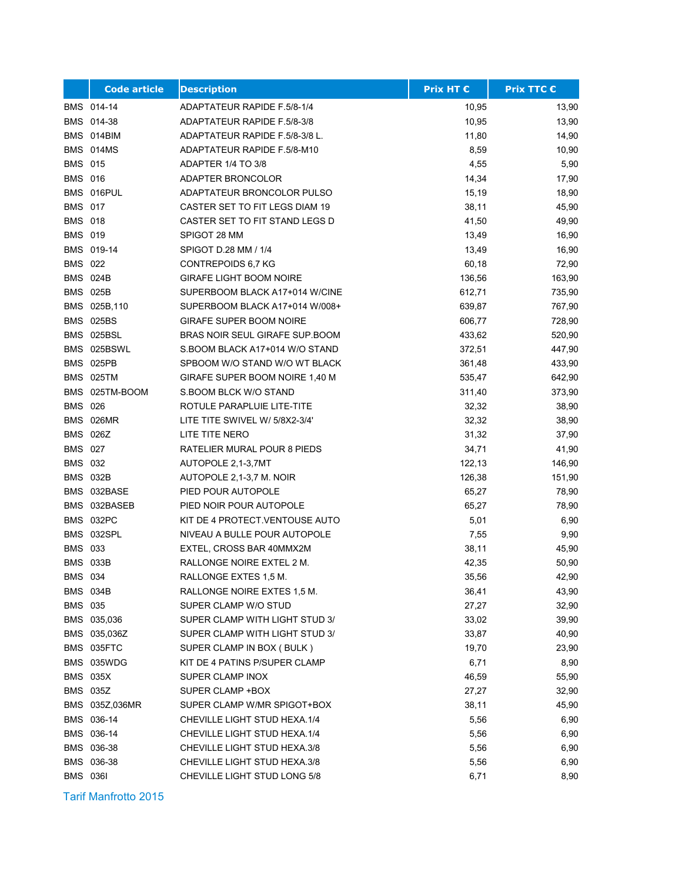|                 | <b>Code article</b> | <b>Description</b>                    | <b>Prix HT €</b> | <b>Prix TTC €</b> |
|-----------------|---------------------|---------------------------------------|------------------|-------------------|
|                 | BMS 014-14          | ADAPTATEUR RAPIDE F.5/8-1/4           | 10,95            | 13,90             |
|                 | BMS 014-38          | ADAPTATEUR RAPIDE F.5/8-3/8           | 10,95            | 13,90             |
|                 | BMS 014BIM          | ADAPTATEUR RAPIDE F.5/8-3/8 L.        | 11,80            | 14,90             |
|                 | BMS 014MS           | ADAPTATEUR RAPIDE F.5/8-M10           | 8,59             | 10,90             |
| <b>BMS 015</b>  |                     | ADAPTER 1/4 TO 3/8                    | 4,55             | 5,90              |
| <b>BMS 016</b>  |                     | ADAPTER BRONCOLOR                     | 14,34            | 17,90             |
|                 | BMS 016PUL          | ADAPTATEUR BRONCOLOR PULSO            | 15,19            | 18,90             |
| <b>BMS 017</b>  |                     | CASTER SET TO FIT LEGS DIAM 19        | 38,11            | 45,90             |
| <b>BMS 018</b>  |                     | CASTER SET TO FIT STAND LEGS D        | 41,50            | 49,90             |
| <b>BMS 019</b>  |                     | SPIGOT 28 MM                          | 13,49            | 16,90             |
|                 | BMS 019-14          | SPIGOT D.28 MM / 1/4                  | 13,49            | 16,90             |
| <b>BMS 022</b>  |                     | CONTREPOIDS 6,7 KG                    | 60,18            | 72,90             |
|                 | <b>BMS 024B</b>     | <b>GIRAFE LIGHT BOOM NOIRE</b>        | 136,56           | 163,90            |
|                 | <b>BMS 025B</b>     | SUPERBOOM BLACK A17+014 W/CINE        | 612,71           | 735,90            |
|                 | BMS 025B,110        | SUPERBOOM BLACK A17+014 W/008+        | 639,87           | 767,90            |
|                 | <b>BMS 025BS</b>    | <b>GIRAFE SUPER BOOM NOIRE</b>        | 606,77           | 728,90            |
|                 | BMS 025BSL          | <b>BRAS NOIR SEUL GIRAFE SUP BOOM</b> | 433,62           | 520,90            |
|                 | BMS 025BSWL         | S.BOOM BLACK A17+014 W/O STAND        | 372,51           | 447,90            |
|                 | BMS 025PB           | SPBOOM W/O STAND W/O WT BLACK         | 361,48           | 433,90            |
|                 | <b>BMS 025TM</b>    | GIRAFE SUPER BOOM NOIRE 1,40 M        | 535,47           | 642,90            |
|                 | BMS 025TM-BOOM      | S.BOOM BLCK W/O STAND                 | 311,40           | 373,90            |
| <b>BMS 026</b>  |                     | ROTULE PARAPLUIE LITE-TITE            | 32,32            | 38,90             |
|                 | <b>BMS 026MR</b>    | LITE TITE SWIVEL W/ 5/8X2-3/4'        | 32,32            | 38,90             |
|                 | <b>BMS 026Z</b>     | LITE TITE NERO                        | 31,32            | 37,90             |
| <b>BMS 027</b>  |                     | RATELIER MURAL POUR 8 PIEDS           | 34,71            | 41,90             |
| <b>BMS 032</b>  |                     | AUTOPOLE 2,1-3,7MT                    | 122,13           | 146,90            |
|                 | <b>BMS 032B</b>     | AUTOPOLE 2,1-3,7 M. NOIR              | 126,38           | 151,90            |
|                 | BMS 032BASE         | PIED POUR AUTOPOLE                    | 65,27            | 78,90             |
|                 | BMS 032BASEB        | PIED NOIR POUR AUTOPOLE               | 65,27            | 78,90             |
|                 | BMS 032PC           | KIT DE 4 PROTECT VENTOUSE AUTO        | 5,01             | 6,90              |
|                 | BMS 032SPL          | NIVEAU A BULLE POUR AUTOPOLE          | 7,55             | 9,90              |
| <b>BMS 033</b>  |                     | EXTEL, CROSS BAR 40MMX2M              | 38,11            | 45,90             |
|                 | <b>BMS 033B</b>     | RALLONGE NOIRE EXTEL 2 M.             | 42,35            | 50,90             |
| <b>BMS 034</b>  |                     | RALLONGE EXTES 1,5 M.                 | 35,56            | 42,90             |
|                 | BMS 034B            | RALLONGE NOIRE EXTES 1,5 M.           | 36,41            | 43,90             |
| BMS 035         |                     | SUPER CLAMP W/O STUD                  | 27,27            | 32,90             |
|                 | BMS 035,036         | SUPER CLAMP WITH LIGHT STUD 3/        | 33,02            | 39,90             |
|                 | BMS 035,036Z        | SUPER CLAMP WITH LIGHT STUD 3/        | 33,87            | 40,90             |
|                 | BMS 035FTC          | SUPER CLAMP IN BOX (BULK)             | 19,70            | 23,90             |
|                 | BMS 035WDG          | KIT DE 4 PATINS P/SUPER CLAMP         | 6,71             | 8,90              |
|                 | <b>BMS 035X</b>     | SUPER CLAMP INOX                      | 46,59            | 55,90             |
|                 | <b>BMS 035Z</b>     | SUPER CLAMP +BOX                      | 27,27            | 32,90             |
|                 | BMS 035Z,036MR      | SUPER CLAMP W/MR SPIGOT+BOX           | 38,11            | 45,90             |
|                 | BMS 036-14          | CHEVILLE LIGHT STUD HEXA.1/4          | 5,56             | 6,90              |
|                 | BMS 036-14          | CHEVILLE LIGHT STUD HEXA.1/4          | 5,56             | 6,90              |
|                 | BMS 036-38          | CHEVILLE LIGHT STUD HEXA.3/8          | 5,56             | 6,90              |
|                 | BMS 036-38          | CHEVILLE LIGHT STUD HEXA.3/8          | 5,56             | 6,90              |
| <b>BMS 0361</b> |                     | CHEVILLE LIGHT STUD LONG 5/8          | 6,71             | 8,90              |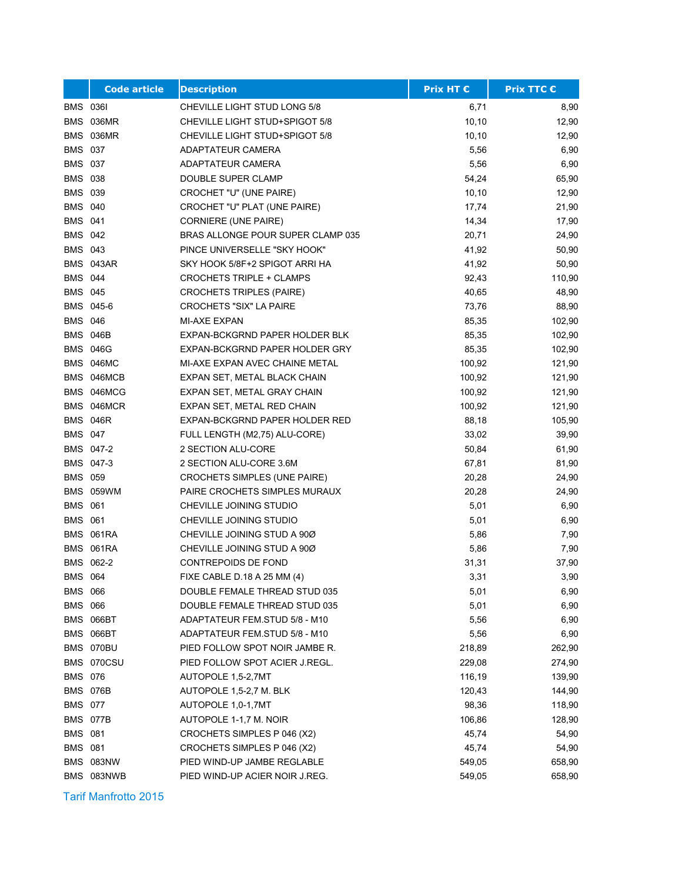|                 | <b>Code article</b> | <b>Description</b>                  | <b>Prix HT €</b> | <b>Prix TTC €</b> |
|-----------------|---------------------|-------------------------------------|------------------|-------------------|
| <b>BMS 0361</b> |                     | CHEVILLE LIGHT STUD LONG 5/8        | 6,71             | 8,90              |
|                 | BMS 036MR           | CHEVILLE LIGHT STUD+SPIGOT 5/8      | 10, 10           | 12,90             |
|                 | BMS 036MR           | CHEVILLE LIGHT STUD+SPIGOT 5/8      | 10, 10           | 12,90             |
| <b>BMS 037</b>  |                     | ADAPTATEUR CAMERA                   | 5,56             | 6,90              |
| <b>BMS 037</b>  |                     | ADAPTATEUR CAMERA                   | 5,56             | 6,90              |
| <b>BMS 038</b>  |                     | DOUBLE SUPER CLAMP                  | 54,24            | 65,90             |
| <b>BMS 039</b>  |                     | CROCHET "U" (UNE PAIRE)             | 10, 10           | 12,90             |
| <b>BMS 040</b>  |                     | CROCHET "U" PLAT (UNE PAIRE)        | 17,74            | 21,90             |
| <b>BMS 041</b>  |                     | <b>CORNIERE (UNE PAIRE)</b>         | 14,34            | 17,90             |
| <b>BMS 042</b>  |                     | BRAS ALLONGE POUR SUPER CLAMP 035   | 20,71            | 24,90             |
| <b>BMS 043</b>  |                     | PINCE UNIVERSELLE "SKY HOOK"        | 41,92            | 50,90             |
|                 | BMS 043AR           | SKY HOOK 5/8F+2 SPIGOT ARRI HA      | 41,92            | 50,90             |
| <b>BMS 044</b>  |                     | <b>CROCHETS TRIPLE + CLAMPS</b>     | 92,43            | 110,90            |
| <b>BMS 045</b>  |                     | <b>CROCHETS TRIPLES (PAIRE)</b>     | 40,65            | 48,90             |
|                 | BMS 045-6           | <b>CROCHETS "SIX" LA PAIRE</b>      | 73,76            | 88,90             |
| <b>BMS 046</b>  |                     | MI-AXE EXPAN                        | 85,35            | 102,90            |
|                 | <b>BMS 046B</b>     | EXPAN-BCKGRND PAPER HOLDER BLK      | 85,35            | 102,90            |
|                 | <b>BMS 046G</b>     | EXPAN-BCKGRND PAPER HOLDER GRY      | 85,35            | 102,90            |
|                 | BMS 046MC           | MI-AXE EXPAN AVEC CHAINE METAL      | 100,92           | 121,90            |
|                 | BMS 046MCB          | EXPAN SET, METAL BLACK CHAIN        | 100,92           | 121,90            |
|                 | BMS 046MCG          | EXPAN SET, METAL GRAY CHAIN         | 100,92           | 121,90            |
|                 | BMS 046MCR          | EXPAN SET, METAL RED CHAIN          | 100,92           | 121,90            |
|                 | <b>BMS 046R</b>     | EXPAN-BCKGRND PAPER HOLDER RED      | 88,18            | 105,90            |
| <b>BMS 047</b>  |                     | FULL LENGTH (M2,75) ALU-CORE)       | 33,02            | 39,90             |
|                 | BMS 047-2           | 2 SECTION ALU-CORE                  | 50,84            | 61,90             |
|                 | BMS 047-3           | 2 SECTION ALU-CORE 3.6M             | 67,81            | 81,90             |
| <b>BMS 059</b>  |                     | <b>CROCHETS SIMPLES (UNE PAIRE)</b> | 20,28            | 24,90             |
|                 | BMS 059WM           | PAIRE CROCHETS SIMPLES MURAUX       | 20,28            | 24,90             |
| <b>BMS 061</b>  |                     | CHEVILLE JOINING STUDIO             | 5,01             | 6,90              |
| <b>BMS 061</b>  |                     | CHEVILLE JOINING STUDIO             | 5,01             | 6,90              |
|                 | BMS 061RA           | CHEVILLE JOINING STUD A 900         | 5,86             | 7,90              |
|                 | BMS 061RA           | CHEVILLE JOINING STUD A 90Ø         | 5,86             | 7,90              |
|                 | BMS 062-2           | CONTREPOIDS DE FOND                 | 31,31            | 37,90             |
| <b>BMS 064</b>  |                     | FIXE CABLE D.18 A 25 MM (4)         | 3,31             | 3,90              |
| <b>BMS 066</b>  |                     | DOUBLE FEMALE THREAD STUD 035       | 5,01             | 6,90              |
| <b>BMS 066</b>  |                     | DOUBLE FEMALE THREAD STUD 035       | 5,01             | 6,90              |
|                 | BMS 066BT           | ADAPTATEUR FEM.STUD 5/8 - M10       | 5,56             | 6,90              |
|                 | BMS 066BT           | ADAPTATEUR FEM.STUD 5/8 - M10       | 5,56             | 6,90              |
|                 | BMS 070BU           | PIED FOLLOW SPOT NOIR JAMBE R.      | 218,89           | 262,90            |
|                 | BMS 070CSU          | PIED FOLLOW SPOT ACIER J.REGL.      | 229,08           | 274,90            |
| <b>BMS 076</b>  |                     | AUTOPOLE 1,5-2,7MT                  | 116,19           | 139,90            |
|                 | <b>BMS 076B</b>     | AUTOPOLE 1,5-2,7 M. BLK             | 120,43           | 144,90            |
| <b>BMS 077</b>  |                     | AUTOPOLE 1.0-1.7MT                  | 98,36            | 118,90            |
|                 | BMS 077B            | AUTOPOLE 1-1,7 M. NOIR              | 106,86           | 128,90            |
| <b>BMS 081</b>  |                     | CROCHETS SIMPLES P 046 (X2)         | 45,74            | 54,90             |
| <b>BMS 081</b>  |                     | CROCHETS SIMPLES P 046 (X2)         | 45,74            | 54,90             |
|                 | BMS 083NW           | PIED WIND-UP JAMBE REGLABLE         | 549,05           | 658,90            |
|                 | BMS 083NWB          | PIED WIND-UP ACIER NOIR J.REG.      | 549,05           | 658,90            |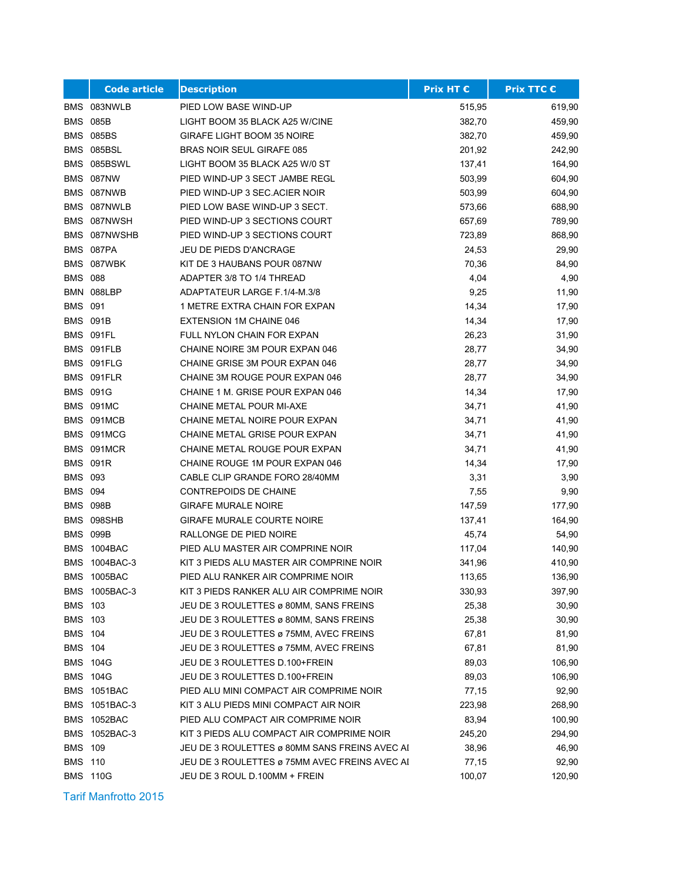|                | <b>Code article</b> | <b>Description</b>                            | <b>Prix HT €</b> | <b>Prix TTC €</b> |
|----------------|---------------------|-----------------------------------------------|------------------|-------------------|
|                | BMS 083NWLB         | PIED LOW BASE WIND-UP                         | 515,95           | 619,90            |
|                | <b>BMS 085B</b>     | LIGHT BOOM 35 BLACK A25 W/CINE                | 382,70           | 459,90            |
|                | <b>BMS 085BS</b>    | <b>GIRAFE LIGHT BOOM 35 NOIRE</b>             | 382,70           | 459,90            |
|                | BMS 085BSL          | <b>BRAS NOIR SEUL GIRAFE 085</b>              | 201,92           | 242,90            |
|                | BMS 085BSWL         | LIGHT BOOM 35 BLACK A25 W/0 ST                | 137,41           | 164,90            |
|                | BMS 087NW           | PIED WIND-UP 3 SECT JAMBE REGL                | 503,99           | 604,90            |
|                | BMS 087NWB          | PIED WIND-UP 3 SEC.ACIER NOIR                 | 503,99           | 604,90            |
|                | BMS 087NWLB         | PIED LOW BASE WIND-UP 3 SECT.                 | 573,66           | 688,90            |
|                | BMS 087NWSH         | PIED WIND-UP 3 SECTIONS COURT                 | 657,69           | 789,90            |
|                | BMS 087NWSHB        | PIED WIND-UP 3 SECTIONS COURT                 | 723,89           | 868,90            |
|                | BMS 087PA           | JEU DE PIEDS D'ANCRAGE                        | 24,53            | 29,90             |
|                | BMS 087WBK          | KIT DE 3 HAUBANS POUR 087NW                   | 70,36            | 84,90             |
| <b>BMS 088</b> |                     | ADAPTER 3/8 TO 1/4 THREAD                     | 4,04             | 4,90              |
|                | BMN 088LBP          | ADAPTATEUR LARGE F.1/4-M.3/8                  | 9,25             | 11,90             |
| <b>BMS 091</b> |                     | 1 METRE EXTRA CHAIN FOR EXPAN                 | 14,34            | 17,90             |
|                | <b>BMS 091B</b>     | EXTENSION 1M CHAINE 046                       | 14,34            | 17,90             |
|                | BMS 091FL           | FULL NYLON CHAIN FOR EXPAN                    | 26,23            | 31,90             |
|                | BMS 091FLB          | CHAINE NOIRE 3M POUR EXPAN 046                | 28,77            | 34,90             |
|                | BMS 091FLG          | CHAINE GRISE 3M POUR EXPAN 046                | 28,77            | 34,90             |
|                | BMS 091FLR          | CHAINE 3M ROUGE POUR EXPAN 046                | 28,77            | 34,90             |
|                | <b>BMS 091G</b>     | CHAINE 1 M. GRISE POUR EXPAN 046              | 14,34            | 17,90             |
|                | <b>BMS 091MC</b>    | CHAINE METAL POUR MI-AXE                      | 34,71            | 41,90             |
|                | BMS 091MCB          | CHAINE METAL NOIRE POUR EXPAN                 | 34,71            | 41,90             |
|                | BMS 091MCG          | CHAINE METAL GRISE POUR EXPAN                 | 34,71            | 41,90             |
|                | BMS 091MCR          | CHAINE METAL ROUGE POUR EXPAN                 | 34,71            | 41,90             |
|                | <b>BMS 091R</b>     | CHAINE ROUGE 1M POUR EXPAN 046                | 14,34            | 17,90             |
| <b>BMS 093</b> |                     | CABLE CLIP GRANDE FORO 28/40MM                | 3,31             | 3,90              |
| <b>BMS 094</b> |                     | CONTREPOIDS DE CHAINE                         | 7,55             | 9,90              |
|                | <b>BMS 098B</b>     | <b>GIRAFE MURALE NOIRE</b>                    | 147,59           | 177,90            |
|                | BMS 098SHB          | <b>GIRAFE MURALE COURTE NOIRE</b>             | 137,41           | 164,90            |
|                | <b>BMS 099B</b>     | RALLONGE DE PIED NOIRE                        | 45,74            | 54,90             |
| <b>BMS</b>     | 1004BAC             | PIED ALU MASTER AIR COMPRINE NOIR             | 117,04           | 140,90            |
| BMS            | 1004BAC-3           | KIT 3 PIEDS ALU MASTER AIR COMPRINE NOIR      | 341,96           | 410,90            |
|                | BMS 1005BAC         | PIED ALU RANKER AIR COMPRIME NOIR             | 113,65           | 136,90            |
|                | BMS 1005BAC-3       | KIT 3 PIEDS RANKER ALU AIR COMPRIME NOIR      | 330,93           | 397,90            |
| <b>BMS</b>     | 103                 | JEU DE 3 ROULETTES ø 80MM, SANS FREINS        | 25,38            | 30,90             |
| <b>BMS 103</b> |                     | JEU DE 3 ROULETTES ø 80MM, SANS FREINS        | 25,38            | 30,90             |
| <b>BMS 104</b> |                     | JEU DE 3 ROULETTES ø 75MM, AVEC FREINS        | 67,81            | 81,90             |
| <b>BMS 104</b> |                     | JEU DE 3 ROULETTES ø 75MM, AVEC FREINS        | 67,81            | 81,90             |
|                | <b>BMS 104G</b>     | JEU DE 3 ROULETTES D.100+FREIN                | 89,03            | 106,90            |
|                | <b>BMS 104G</b>     | JEU DE 3 ROULETTES D.100+FREIN                | 89,03            | 106,90            |
|                | <b>BMS 1051BAC</b>  | PIED ALU MINI COMPACT AIR COMPRIME NOIR       | 77,15            | 92,90             |
|                | BMS 1051BAC-3       | KIT 3 ALU PIEDS MINI COMPACT AIR NOIR         | 223,98           | 268,90            |
|                | BMS 1052BAC         | PIED ALU COMPACT AIR COMPRIME NOIR            | 83,94            | 100,90            |
|                | BMS 1052BAC-3       | KIT 3 PIEDS ALU COMPACT AIR COMPRIME NOIR     | 245,20           | 294,90            |
| <b>BMS</b>     | 109                 | JEU DE 3 ROULETTES ø 80MM SANS FREINS AVEC AI | 38,96            | 46,90             |
| <b>BMS 110</b> |                     | JEU DE 3 ROULETTES ø 75MM AVEC FREINS AVEC AI | 77,15            | 92,90             |
|                | <b>BMS 110G</b>     | JEU DE 3 ROUL D.100MM + FREIN                 | 100,07           | 120,90            |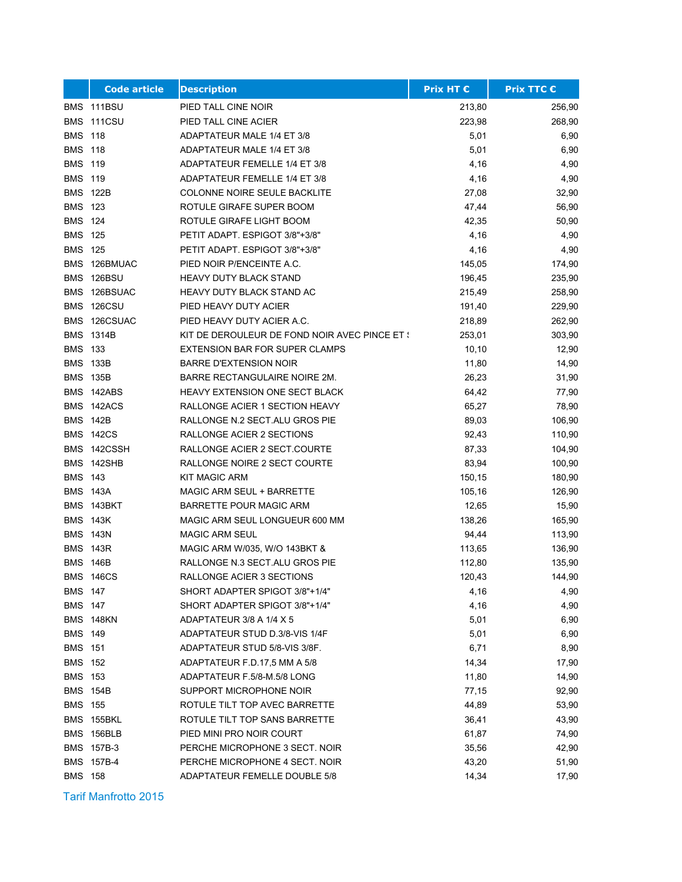|                 | <b>Code article</b> | <b>Description</b>                            | <b>Prix HT €</b> | <b>Prix TTC €</b> |
|-----------------|---------------------|-----------------------------------------------|------------------|-------------------|
|                 | BMS 111BSU          | PIED TALL CINE NOIR                           | 213,80           | 256,90            |
|                 | BMS 111CSU          | PIED TALL CINE ACIER                          | 223,98           | 268,90            |
| <b>BMS 118</b>  |                     | ADAPTATEUR MALE 1/4 ET 3/8                    | 5,01             | 6,90              |
| <b>BMS 118</b>  |                     | ADAPTATEUR MALE 1/4 ET 3/8                    | 5,01             | 6,90              |
| <b>BMS</b>      | 119                 | ADAPTATEUR FEMELLE 1/4 ET 3/8                 | 4,16             | 4,90              |
| <b>BMS</b>      | 119                 | ADAPTATEUR FEMELLE 1/4 ET 3/8                 | 4,16             | 4,90              |
| <b>BMS 122B</b> |                     | <b>COLONNE NOIRE SEULE BACKLITE</b>           | 27,08            | 32,90             |
| <b>BMS 123</b>  |                     | ROTULE GIRAFE SUPER BOOM                      | 47,44            | 56,90             |
| <b>BMS 124</b>  |                     | ROTULE GIRAFE LIGHT BOOM                      | 42,35            | 50,90             |
| <b>BMS 125</b>  |                     | PETIT ADAPT. ESPIGOT 3/8"+3/8"                | 4,16             | 4,90              |
| <b>BMS 125</b>  |                     | PETIT ADAPT. ESPIGOT 3/8"+3/8"                | 4,16             | 4,90              |
|                 | BMS 126BMUAC        | PIED NOIR P/ENCEINTE A.C.                     | 145,05           | 174,90            |
| <b>BMS</b>      | 126BSU              | <b>HEAVY DUTY BLACK STAND</b>                 | 196,45           | 235,90            |
| <b>BMS</b>      | 126BSUAC            | HEAVY DUTY BLACK STAND AC                     | 215,49           | 258,90            |
| <b>BMS</b>      | 126CSU              | PIED HEAVY DUTY ACIER                         | 191,40           | 229,90            |
| <b>BMS</b>      | 126CSUAC            | PIED HEAVY DUTY ACIER A.C.                    | 218,89           | 262,90            |
|                 | <b>BMS 1314B</b>    | KIT DE DEROULEUR DE FOND NOIR AVEC PINCE ET { | 253,01           | 303,90            |
| <b>BMS 133</b>  |                     | <b>EXTENSION BAR FOR SUPER CLAMPS</b>         | 10, 10           | 12,90             |
| <b>BMS 133B</b> |                     | <b>BARRE D'EXTENSION NOIR</b>                 | 11,80            | 14,90             |
| <b>BMS 135B</b> |                     | BARRE RECTANGULAIRE NOIRE 2M.                 | 26,23            | 31,90             |
| <b>BMS</b>      | 142ABS              | HEAVY EXTENSION ONE SECT BLACK                | 64,42            | 77,90             |
|                 | BMS 142ACS          | RALLONGE ACIER 1 SECTION HEAVY                | 65,27            | 78,90             |
| <b>BMS 142B</b> |                     | RALLONGE N.2 SECT. ALU GROS PIE               | 89,03            | 106,90            |
|                 | <b>BMS 142CS</b>    | RALLONGE ACIER 2 SECTIONS                     | 92,43            | 110,90            |
|                 | BMS 142CSSH         | RALLONGE ACIER 2 SECT.COURTE                  | 87,33            | 104,90            |
|                 | BMS 142SHB          | RALLONGE NOIRE 2 SECT COURTE                  | 83,94            | 100,90            |
| <b>BMS 143</b>  |                     | <b>KIT MAGIC ARM</b>                          | 150,15           | 180,90            |
| <b>BMS 143A</b> |                     | MAGIC ARM SEUL + BARRETTE                     | 105,16           | 126,90            |
|                 | BMS 143BKT          | BARRETTE POUR MAGIC ARM                       | 12,65            | 15,90             |
| <b>BMS 143K</b> |                     | MAGIC ARM SEUL LONGUEUR 600 MM                | 138,26           | 165,90            |
| <b>BMS 143N</b> |                     | <b>MAGIC ARM SEUL</b>                         | 94,44            | 113,90            |
| <b>BMS</b>      | 143R                | MAGIC ARM W/035, W/O 143BKT &                 | 113,65           | 136,90            |
| <b>BMS 146B</b> |                     | RALLONGE N.3 SECT.ALU GROS PIE                | 112,80           | 135,90            |
|                 | <b>BMS 146CS</b>    | RALLONGE ACIER 3 SECTIONS                     | 120,43           | 144,90            |
| BMS 147         |                     | SHORT ADAPTER SPIGOT 3/8"+1/4"                | 4,16             | 4,90              |
| <b>BMS 147</b>  |                     | SHORT ADAPTER SPIGOT 3/8"+1/4"                | 4,16             | 4,90              |
|                 | BMS 148KN           | ADAPTATEUR 3/8 A 1/4 X 5                      | 5,01             | 6,90              |
| <b>BMS 149</b>  |                     | ADAPTATEUR STUD D.3/8-VIS 1/4F                | 5,01             | 6,90              |
| <b>BMS 151</b>  |                     | ADAPTATEUR STUD 5/8-VIS 3/8F.                 | 6,71             | 8,90              |
| <b>BMS 152</b>  |                     | ADAPTATEUR F.D.17,5 MM A 5/8                  | 14,34            | 17,90             |
| <b>BMS 153</b>  |                     | ADAPTATEUR F.5/8-M.5/8 LONG                   | 11,80            | 14,90             |
|                 | BMS 154B            | SUPPORT MICROPHONE NOIR                       | 77,15            | 92,90             |
| <b>BMS 155</b>  |                     | ROTULE TILT TOP AVEC BARRETTE                 | 44,89            | 53,90             |
|                 | BMS 155BKL          | ROTULE TILT TOP SANS BARRETTE                 | 36,41            | 43,90             |
|                 | BMS 156BLB          | PIED MINI PRO NOIR COURT                      | 61,87            | 74,90             |
|                 | BMS 157B-3          | PERCHE MICROPHONE 3 SECT. NOIR                | 35,56            | 42,90             |
|                 | BMS 157B-4          | PERCHE MICROPHONE 4 SECT. NOIR                | 43,20            | 51,90             |
| <b>BMS 158</b>  |                     | ADAPTATEUR FEMELLE DOUBLE 5/8                 | 14,34            | 17,90             |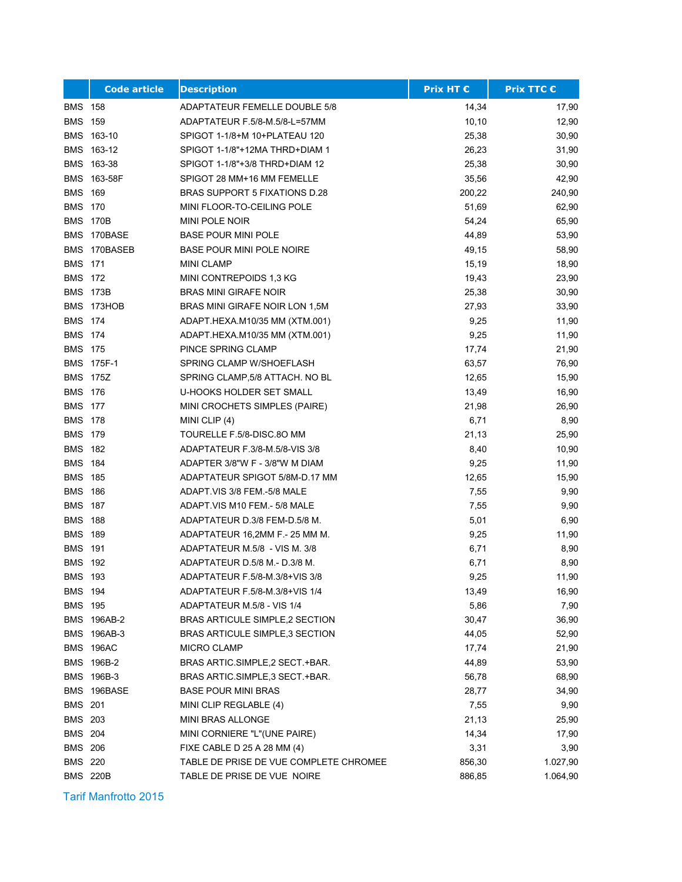|                | <b>Code article</b> | <b>Description</b>                     | <b>Prix HT €</b> | <b>Prix TTC €</b> |
|----------------|---------------------|----------------------------------------|------------------|-------------------|
| BMS 158        |                     | <b>ADAPTATEUR FEMELLE DOUBLE 5/8</b>   | 14,34            | 17,90             |
| <b>BMS 159</b> |                     | ADAPTATEUR F.5/8-M.5/8-L=57MM          | 10,10            | 12,90             |
|                | BMS 163-10          | SPIGOT 1-1/8+M 10+PLATEAU 120          | 25,38            | 30,90             |
|                | BMS 163-12          | SPIGOT 1-1/8"+12MA THRD+DIAM 1         | 26,23            | 31,90             |
| BMS            | 163-38              | SPIGOT 1-1/8"+3/8 THRD+DIAM 12         | 25,38            | 30,90             |
|                | BMS 163-58F         | SPIGOT 28 MM+16 MM FEMELLE             | 35,56            | 42,90             |
| <b>BMS</b>     | 169                 | BRAS SUPPORT 5 FIXATIONS D.28          | 200,22           | 240,90            |
| <b>BMS 170</b> |                     | MINI FLOOR-TO-CEILING POLE             | 51,69            | 62,90             |
| <b>BMS</b>     | 170B                | MINI POLE NOIR                         | 54,24            | 65,90             |
|                | BMS 170BASE         | <b>BASE POUR MINI POLE</b>             | 44,89            | 53,90             |
|                | BMS 170BASEB        | <b>BASE POUR MINI POLE NOIRE</b>       | 49,15            | 58,90             |
| <b>BMS 171</b> |                     | <b>MINI CLAMP</b>                      | 15,19            | 18,90             |
| BMS 172        |                     | MINI CONTREPOIDS 1,3 KG                | 19,43            | 23,90             |
| <b>BMS</b>     | 173B                | <b>BRAS MINI GIRAFE NOIR</b>           | 25,38            | 30,90             |
|                | BMS 173HOB          | BRAS MINI GIRAFE NOIR LON 1,5M         | 27,93            | 33,90             |
| <b>BMS</b>     | 174                 | ADAPT.HEXA.M10/35 MM (XTM.001)         | 9,25             | 11,90             |
| <b>BMS 174</b> |                     | ADAPT.HEXA.M10/35 MM (XTM.001)         | 9,25             | 11,90             |
| <b>BMS 175</b> |                     | PINCE SPRING CLAMP                     | 17,74            | 21,90             |
|                | BMS 175F-1          | SPRING CLAMP W/SHOEFLASH               | 63,57            | 76,90             |
|                | <b>BMS 175Z</b>     | SPRING CLAMP, 5/8 ATTACH. NO BL        | 12,65            | 15,90             |
| <b>BMS 176</b> |                     | <b>U-HOOKS HOLDER SET SMALL</b>        | 13,49            | 16,90             |
| BMS            | 177                 | MINI CROCHETS SIMPLES (PAIRE)          | 21,98            | 26,90             |
| <b>BMS 178</b> |                     | MINI CLIP (4)                          | 6,71             | 8,90              |
| <b>BMS</b>     | 179                 | TOURELLE F.5/8-DISC.8O MM              | 21,13            | 25,90             |
| <b>BMS 182</b> |                     | ADAPTATEUR F.3/8-M.5/8-VIS 3/8         | 8,40             | 10,90             |
| <b>BMS 184</b> |                     | ADAPTER 3/8"W F - 3/8"W M DIAM         | 9,25             | 11,90             |
| <b>BMS 185</b> |                     | ADAPTATEUR SPIGOT 5/8M-D.17 MM         | 12,65            | 15,90             |
| <b>BMS</b>     | 186                 | ADAPT VIS 3/8 FEM -5/8 MALE            | 7,55             | 9,90              |
| <b>BMS</b>     | 187                 | ADAPT VIS M10 FEM - 5/8 MALE           | 7,55             | 9,90              |
| <b>BMS</b>     | 188                 | ADAPTATEUR D.3/8 FEM-D.5/8 M.          | 5,01             | 6,90              |
| <b>BMS</b>     | 189                 | ADAPTATEUR 16,2MM F - 25 MM M.         | 9,25             | 11,90             |
| <b>BMS</b>     | 191                 | ADAPTATEUR M.5/8 - VIS M. 3/8          | 6,71             | 8,90              |
| <b>BMS 192</b> |                     | ADAPTATEUR D.5/8 M.- D.3/8 M.          | 6,71             | 8,90              |
| BMS 193        |                     | ADAPTATEUR F 5/8-M 3/8+VIS 3/8         | 9,25             | 11,90             |
| BMS 194        |                     | ADAPTATEUR F.5/8-M.3/8+VIS 1/4         | 13,49            | 16,90             |
| <b>BMS 195</b> |                     | ADAPTATEUR M.5/8 - VIS 1/4             | 5,86             | 7,90              |
|                | BMS 196AB-2         | BRAS ARTICULE SIMPLE, 2 SECTION        | 30,47            | 36,90             |
|                | BMS 196AB-3         | BRAS ARTICULE SIMPLE, 3 SECTION        | 44,05            | 52,90             |
|                | BMS 196AC           | MICRO CLAMP                            | 17,74            | 21,90             |
|                | BMS 196B-2          | BRAS ARTIC SIMPLE, 2 SECT . + BAR.     | 44,89            | 53,90             |
|                | BMS 196B-3          | BRAS ARTIC.SIMPLE, 3 SECT.+BAR.        | 56,78            | 68,90             |
|                | BMS 196BASE         | <b>BASE POUR MINI BRAS</b>             | 28,77            | 34,90             |
| <b>BMS 201</b> |                     | MINI CLIP REGLABLE (4)                 | 7,55             | 9,90              |
| <b>BMS 203</b> |                     | MINI BRAS ALLONGE                      | 21,13            | 25,90             |
| <b>BMS 204</b> |                     | MINI CORNIERE "L"(UNE PAIRE)           | 14,34            | 17,90             |
| <b>BMS 206</b> |                     | FIXE CABLE D 25 A 28 MM (4)            | 3,31             | 3,90              |
| <b>BMS 220</b> |                     | TABLE DE PRISE DE VUE COMPLETE CHROMEE | 856,30           | 1.027,90          |
|                | <b>BMS 220B</b>     | TABLE DE PRISE DE VUE NOIRE            | 886,85           | 1.064,90          |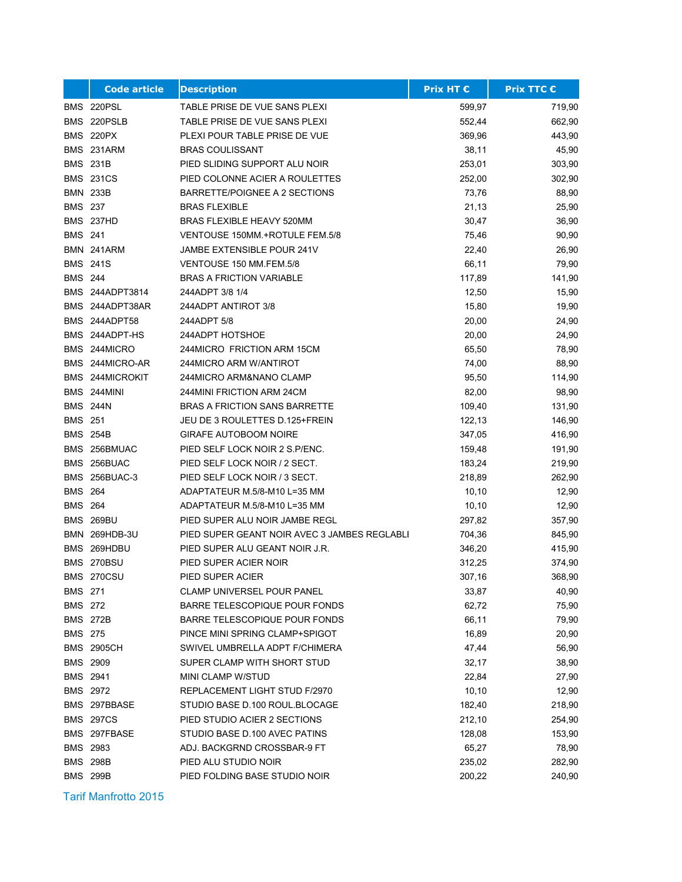|                | <b>Code article</b>  | <b>Description</b>                           | Prix HT € | <b>Prix TTC €</b> |
|----------------|----------------------|----------------------------------------------|-----------|-------------------|
|                | BMS 220PSL           | TABLE PRISE DE VUE SANS PLEXI                | 599,97    | 719,90            |
|                | BMS 220PSLB          | TABLE PRISE DE VUE SANS PLEXI                | 552,44    | 662,90            |
|                | <b>BMS 220PX</b>     | PLEXI POUR TABLE PRISE DE VUE                | 369,96    | 443,90            |
|                | BMS 231ARM           | <b>BRAS COULISSANT</b>                       | 38,11     | 45,90             |
|                | <b>BMS 231B</b>      | PIED SLIDING SUPPORT ALU NOIR                | 253,01    | 303,90            |
|                | <b>BMS 231CS</b>     | PIED COLONNE ACIER A ROULETTES               | 252,00    | 302,90            |
|                | <b>BMN 233B</b>      | BARRETTE/POIGNEE A 2 SECTIONS                | 73,76     | 88,90             |
| <b>BMS 237</b> |                      | <b>BRAS FLEXIBLE</b>                         | 21,13     | 25,90             |
|                | BMS 237HD            | BRAS FLEXIBLE HEAVY 520MM                    | 30,47     | 36,90             |
| <b>BMS 241</b> |                      | VENTOUSE 150MM.+ROTULE FEM.5/8               | 75,46     | 90,90             |
|                | BMN 241ARM           | JAMBE EXTENSIBLE POUR 241V                   | 22,40     | 26,90             |
|                | <b>BMS 241S</b>      | VENTOUSE 150 MM.FEM.5/8                      | 66,11     | 79,90             |
| <b>BMS 244</b> |                      | <b>BRAS A FRICTION VARIABLE</b>              | 117,89    | 141,90            |
|                | BMS 244ADPT3814      | 244ADPT 3/8 1/4                              | 12,50     | 15,90             |
|                | BMS 244ADPT38AR      | 244ADPT ANTIROT 3/8                          | 15,80     | 19,90             |
|                | BMS 244ADPT58        | 244ADPT 5/8                                  | 20,00     | 24,90             |
|                | BMS 244ADPT-HS       | 244ADPT HOTSHOE                              | 20,00     | 24,90             |
|                | BMS 244MICRO         | 244MICRO FRICTION ARM 15CM                   | 65,50     | 78,90             |
|                | BMS 244MICRO-AR      | 244MICRO ARM W/ANTIROT                       | 74,00     | 88,90             |
|                | BMS 244MICROKIT      | 244MICRO ARM&NANO CLAMP                      | 95,50     | 114,90            |
|                | BMS 244MINI          | 244MINI FRICTION ARM 24CM                    | 82,00     | 98,90             |
|                | <b>BMS 244N</b>      | <b>BRAS A FRICTION SANS BARRETTE</b>         | 109,40    | 131,90            |
| <b>BMS 251</b> |                      | JEU DE 3 ROULETTES D.125+FREIN               | 122,13    | 146,90            |
|                | <b>BMS 254B</b>      | <b>GIRAFE AUTOBOOM NOIRE</b>                 | 347,05    | 416,90            |
|                | BMS 256BMUAC         | PIED SELF LOCK NOIR 2 S.P/ENC.               | 159,48    | 191,90            |
|                | BMS 256BUAC          | PIED SELF LOCK NOIR / 2 SECT.                | 183,24    | 219,90            |
|                | <b>BMS 256BUAC-3</b> | PIED SELF LOCK NOIR / 3 SECT.                | 218,89    | 262,90            |
| <b>BMS 264</b> |                      | ADAPTATEUR M.5/8-M10 L=35 MM                 | 10, 10    | 12,90             |
| <b>BMS 264</b> |                      | ADAPTATEUR M.5/8-M10 L=35 MM                 | 10, 10    | 12,90             |
|                | <b>BMS 269BU</b>     | PIED SUPER ALU NOIR JAMBE REGL               | 297,82    | 357,90            |
|                | BMN 269HDB-3U        | PIED SUPER GEANT NOIR AVEC 3 JAMBES REGLABLI | 704,36    | 845,90            |
|                | BMS 269HDBU          | PIED SUPER ALU GEANT NOIR J.R.               | 346,20    | 415,90            |
|                | BMS 270BSU           | PIED SUPER ACIER NOIR                        | 312,25    | 374,90            |
|                | BMS 270CSU           | PIED SUPER ACIER                             | 307,16    | 368,90            |
| BMS 271        |                      | <b>CLAMP UNIVERSEL POUR PANEL</b>            | 33,87     | 40,90             |
| <b>BMS 272</b> |                      | <b>BARRE TELESCOPIQUE POUR FONDS</b>         | 62,72     | 75,90             |
|                | <b>BMS 272B</b>      | BARRE TELESCOPIQUE POUR FONDS                | 66,11     | 79,90             |
| <b>BMS 275</b> |                      | PINCE MINI SPRING CLAMP+SPIGOT               | 16,89     | 20,90             |
|                | <b>BMS 2905CH</b>    | SWIVEL UMBRELLA ADPT F/CHIMERA               | 47,44     | 56,90             |
|                | BMS 2909             | SUPER CLAMP WITH SHORT STUD                  | 32,17     | 38,90             |
|                | BMS 2941             | MINI CLAMP W/STUD                            | 22,84     | 27,90             |
|                | BMS 2972             | REPLACEMENT LIGHT STUD F/2970                | 10, 10    | 12,90             |
|                | BMS 297BBASE         | STUDIO BASE D.100 ROUL.BLOCAGE               | 182,40    | 218,90            |
|                | <b>BMS 297CS</b>     | PIED STUDIO ACIER 2 SECTIONS                 | 212,10    | 254,90            |
|                | BMS 297FBASE         | STUDIO BASE D.100 AVEC PATINS                | 128,08    | 153,90            |
|                | BMS 2983             | ADJ. BACKGRND CROSSBAR-9 FT                  | 65,27     | 78,90             |
|                | <b>BMS 298B</b>      | PIED ALU STUDIO NOIR                         | 235,02    | 282,90            |
|                | <b>BMS 299B</b>      | PIED FOLDING BASE STUDIO NOIR                | 200,22    | 240,90            |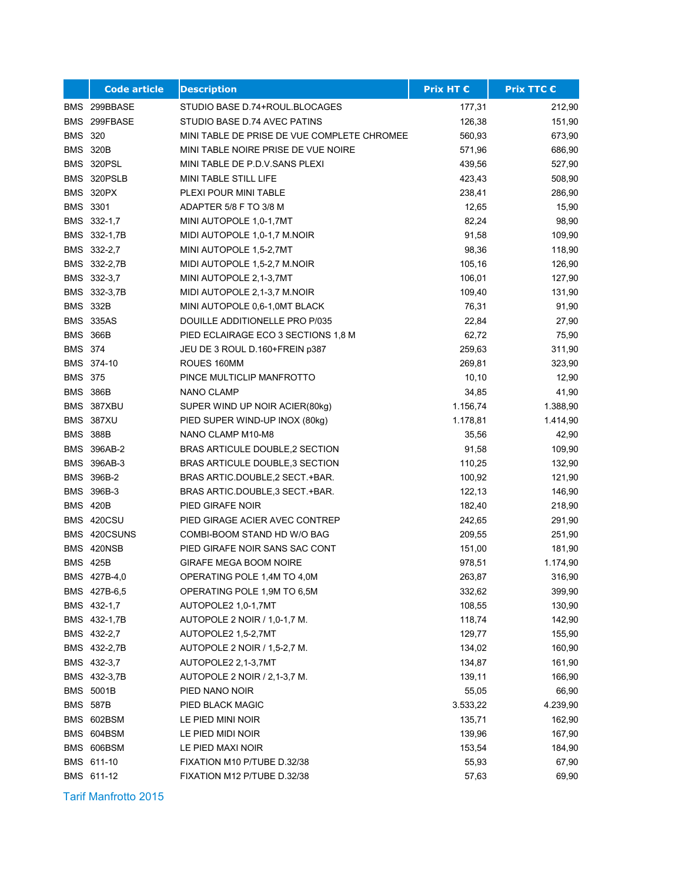|                 | <b>Code article</b> | <b>Description</b>                          | <b>Prix HT €</b> | <b>Prix TTC €</b> |
|-----------------|---------------------|---------------------------------------------|------------------|-------------------|
|                 | BMS 299BBASE        | STUDIO BASE D.74+ROUL.BLOCAGES              | 177,31           | 212,90            |
|                 | BMS 299FBASE        | STUDIO BASE D.74 AVEC PATINS                | 126,38           | 151,90            |
| <b>BMS 320</b>  |                     | MINI TABLE DE PRISE DE VUE COMPLETE CHROMEE | 560,93           | 673,90            |
|                 | <b>BMS 320B</b>     | MINI TABLE NOIRE PRISE DE VUE NOIRE         | 571,96           | 686,90            |
|                 | BMS 320PSL          | MINI TABLE DE P.D.V. SANS PLEXI             | 439,56           | 527,90            |
|                 | BMS 320PSLB         | MINI TABLE STILL LIFE                       | 423,43           | 508,90            |
|                 | BMS 320PX           | PLEXI POUR MINI TABLE                       | 238,41           | 286,90            |
| BMS 3301        |                     | ADAPTER 5/8 F TO 3/8 M                      | 12,65            | 15,90             |
|                 | BMS 332-1,7         | MINI AUTOPOLE 1,0-1,7MT                     | 82,24            | 98,90             |
|                 | BMS 332-1,7B        | MIDI AUTOPOLE 1,0-1,7 M.NOIR                | 91,58            | 109,90            |
|                 | BMS 332-2,7         | MINI AUTOPOLE 1,5-2,7MT                     | 98,36            | 118,90            |
|                 | BMS 332-2,7B        | MIDI AUTOPOLE 1,5-2,7 M.NOIR                | 105,16           | 126,90            |
|                 | BMS 332-3,7         | MINI AUTOPOLE 2,1-3,7MT                     | 106,01           | 127,90            |
|                 | BMS 332-3,7B        | MIDI AUTOPOLE 2,1-3,7 M.NOIR                | 109,40           | 131,90            |
| <b>BMS 332B</b> |                     | MINI AUTOPOLE 0.6-1.0MT BLACK               | 76,31            | 91,90             |
|                 | <b>BMS 335AS</b>    | DOUILLE ADDITIONELLE PRO P/035              | 22,84            | 27,90             |
| <b>BMS 366B</b> |                     | PIED ECLAIRAGE ECO 3 SECTIONS 1,8 M         | 62,72            | 75,90             |
| <b>BMS 374</b>  |                     | JEU DE 3 ROUL D.160+FREIN p387              | 259,63           | 311,90            |
|                 | BMS 374-10          | ROUES 160MM                                 | 269,81           | 323,90            |
| <b>BMS 375</b>  |                     | PINCE MULTICLIP MANFROTTO                   | 10, 10           | 12,90             |
| <b>BMS 386B</b> |                     | <b>NANO CLAMP</b>                           | 34,85            | 41,90             |
|                 | BMS 387XBU          | SUPER WIND UP NOIR ACIER(80kg)              | 1.156,74         | 1.388,90          |
|                 | <b>BMS 387XU</b>    | PIED SUPER WIND-UP INOX (80kg)              | 1.178,81         | 1.414,90          |
| <b>BMS 388B</b> |                     | NANO CLAMP M10-M8                           | 35,56            | 42,90             |
|                 | <b>BMS 396AB-2</b>  | BRAS ARTICULE DOUBLE, 2 SECTION             | 91,58            | 109,90            |
|                 | BMS 396AB-3         | BRAS ARTICULE DOUBLE, 3 SECTION             | 110,25           | 132,90            |
|                 | BMS 396B-2          | BRAS ARTIC DOUBLE, 2 SECT + BAR.            | 100,92           | 121,90            |
|                 | BMS 396B-3          | BRAS ARTIC DOUBLE, 3 SECT + BAR.            | 122,13           | 146,90            |
| <b>BMS 420B</b> |                     | PIED GIRAFE NOIR                            | 182,40           | 218,90            |
|                 | BMS 420CSU          | PIED GIRAGE ACIER AVEC CONTREP              | 242,65           | 291,90            |
|                 | BMS 420CSUNS        | COMBI-BOOM STAND HD W/O BAG                 | 209,55           | 251,90            |
|                 | BMS 420NSB          | PIED GIRAFE NOIR SANS SAC CONT              | 151,00           | 181,90            |
| <b>BMS 425B</b> |                     | <b>GIRAFE MEGA BOOM NOIRE</b>               | 978,51           | 1.174,90          |
|                 | BMS 427B-4,0        | OPERATING POLE 1,4M TO 4,0M                 | 263,87           | 316,90            |
|                 | BMS 427B-6,5        | OPERATING POLE 1,9M TO 6,5M                 | 332,62           | 399,90            |
|                 | BMS 432-1,7         | AUTOPOLE2 1,0-1,7MT                         | 108,55           | 130,90            |
|                 | BMS 432-1,7B        | AUTOPOLE 2 NOIR / 1,0-1,7 M.                | 118,74           | 142,90            |
|                 | BMS 432-2,7         | AUTOPOLE2 1,5-2,7MT                         | 129,77           | 155,90            |
|                 | BMS 432-2,7B        | AUTOPOLE 2 NOIR / 1,5-2,7 M.                | 134,02           | 160,90            |
|                 | BMS 432-3,7         | AUTOPOLE2 2,1-3,7MT                         | 134,87           | 161,90            |
|                 | BMS 432-3,7B        | AUTOPOLE 2 NOIR / 2,1-3,7 M.                | 139,11           | 166,90            |
|                 | BMS 5001B           | PIED NANO NOIR                              | 55,05            | 66,90             |
|                 | <b>BMS 587B</b>     | PIED BLACK MAGIC                            | 3.533,22         | 4.239,90          |
|                 | BMS 602BSM          | LE PIED MINI NOIR                           | 135,71           | 162,90            |
|                 | BMS 604BSM          | LE PIED MIDI NOIR                           | 139,96           | 167,90            |
|                 | BMS 606BSM          | LE PIED MAXI NOIR                           | 153,54           | 184,90            |
|                 | BMS 611-10          | FIXATION M10 P/TUBE D.32/38                 | 55,93            | 67,90             |
|                 | BMS 611-12          | FIXATION M12 P/TUBE D.32/38                 | 57,63            | 69,90             |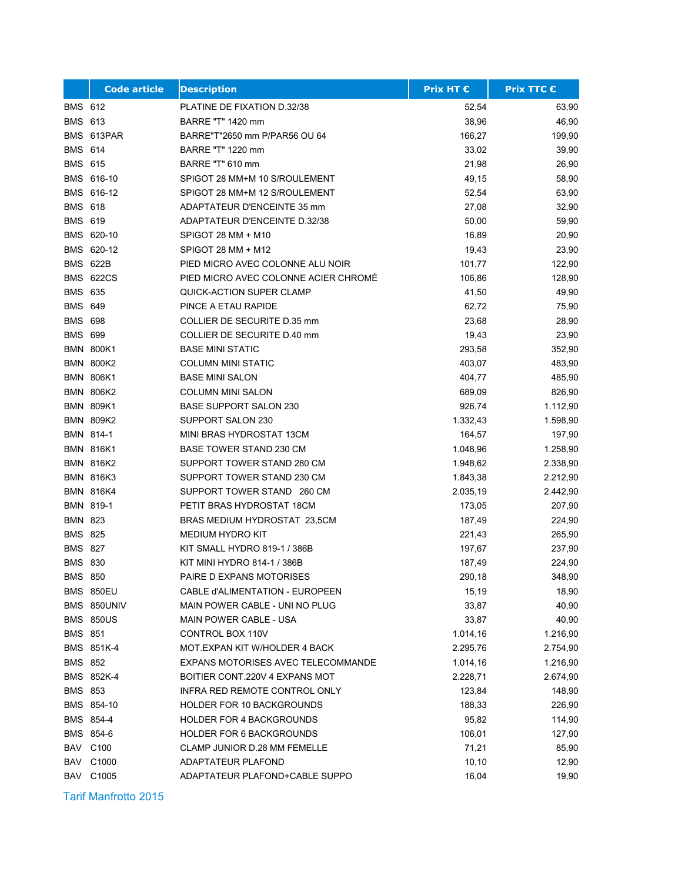|                | <b>Code article</b> | <b>Description</b>                   | <b>Prix HT €</b> | <b>Prix TTC €</b> |
|----------------|---------------------|--------------------------------------|------------------|-------------------|
| <b>BMS 612</b> |                     | PLATINE DE FIXATION D.32/38          | 52,54            | 63,90             |
| <b>BMS 613</b> |                     | BARRE "T" 1420 mm                    | 38,96            | 46,90             |
|                | BMS 613PAR          | BARRE"T"2650 mm P/PAR56 OU 64        | 166,27           | 199,90            |
| <b>BMS 614</b> |                     | BARRE "T" 1220 mm                    | 33,02            | 39,90             |
| <b>BMS 615</b> |                     | BARRE "T" 610 mm                     | 21,98            | 26,90             |
|                | BMS 616-10          | SPIGOT 28 MM+M 10 S/ROULEMENT        | 49,15            | 58,90             |
|                | BMS 616-12          | SPIGOT 28 MM+M 12 S/ROULEMENT        | 52,54            | 63,90             |
| <b>BMS 618</b> |                     | ADAPTATEUR D'ENCEINTE 35 mm          | 27,08            | 32,90             |
| <b>BMS 619</b> |                     | <b>ADAPTATEUR D'ENCEINTE D.32/38</b> | 50,00            | 59,90             |
|                | BMS 620-10          | SPIGOT 28 MM + M10                   | 16,89            | 20,90             |
|                | BMS 620-12          | SPIGOT 28 MM + M12                   | 19,43            | 23,90             |
|                | <b>BMS 622B</b>     | PIED MICRO AVEC COLONNE ALU NOIR     | 101,77           | 122,90            |
|                | <b>BMS 622CS</b>    | PIED MICRO AVEC COLONNE ACIER CHROMÉ | 106,86           | 128,90            |
| <b>BMS 635</b> |                     | QUICK-ACTION SUPER CLAMP             | 41,50            | 49,90             |
| <b>BMS 649</b> |                     | PINCE A ETAU RAPIDE                  | 62,72            | 75,90             |
| <b>BMS 698</b> |                     | COLLIER DE SECURITE D.35 mm          | 23,68            | 28,90             |
| <b>BMS 699</b> |                     | COLLIER DE SECURITE D.40 mm          | 19,43            | 23,90             |
|                | <b>BMN 800K1</b>    | <b>BASE MINI STATIC</b>              | 293,58           | 352,90            |
|                | <b>BMN 800K2</b>    | <b>COLUMN MINI STATIC</b>            | 403,07           | 483,90            |
|                | <b>BMN 806K1</b>    | <b>BASE MINI SALON</b>               | 404,77           | 485,90            |
|                | <b>BMN 806K2</b>    | <b>COLUMN MINI SALON</b>             | 689,09           | 826,90            |
|                | <b>BMN 809K1</b>    | <b>BASE SUPPORT SALON 230</b>        | 926,74           | 1.112,90          |
|                | <b>BMN 809K2</b>    | SUPPORT SALON 230                    | 1.332,43         | 1.598,90          |
|                | BMN 814-1           | MINI BRAS HYDROSTAT 13CM             | 164,57           | 197,90            |
|                | <b>BMN 816K1</b>    | <b>BASE TOWER STAND 230 CM</b>       | 1.048,96         | 1.258,90          |
|                | <b>BMN 816K2</b>    | SUPPORT TOWER STAND 280 CM           | 1.948,62         | 2.338,90          |
|                | <b>BMN 816K3</b>    | SUPPORT TOWER STAND 230 CM           | 1.843,38         | 2.212,90          |
|                | <b>BMN 816K4</b>    | SUPPORT TOWER STAND 260 CM           | 2.035,19         | 2.442,90          |
|                | BMN 819-1           | PETIT BRAS HYDROSTAT 18CM            | 173,05           | 207,90            |
| <b>BMN 823</b> |                     | BRAS MEDIUM HYDROSTAT 23,5CM         | 187,49           | 224,90            |
| <b>BMS 825</b> |                     | <b>MEDIUM HYDRO KIT</b>              | 221,43           | 265,90            |
| <b>BMS 827</b> |                     | KIT SMALL HYDRO 819-1 / 386B         | 197,67           | 237,90            |
| <b>BMS 830</b> |                     | KIT MINI HYDRO 814-1 / 386B          | 187,49           | 224,90            |
| <b>BMS 850</b> |                     | PAIRE D EXPANS MOTORISES             | 290,18           | 348,90            |
|                | <b>BMS 850EU</b>    | CABLE d'ALIMENTATION - EUROPEEN      | 15,19            | 18,90             |
|                | BMS 850UNIV         | MAIN POWER CABLE - UNI NO PLUG       | 33,87            | 40,90             |
|                | <b>BMS 850US</b>    | <b>MAIN POWER CABLE - USA</b>        | 33,87            | 40,90             |
| BMS 851        |                     | CONTROL BOX 110V                     | 1.014,16         | 1.216,90          |
|                | BMS 851K-4          | MOT.EXPAN KIT W/HOLDER 4 BACK        | 2.295,76         | 2.754,90          |
| BMS 852        |                     | EXPANS MOTORISES AVEC TELECOMMANDE   | 1.014,16         | 1.216,90          |
|                | BMS 852K-4          | BOITIER CONT.220V 4 EXPANS MOT       | 2.228,71         | 2.674,90          |
| BMS 853        |                     | INFRA RED REMOTE CONTROL ONLY        | 123,84           | 148,90            |
|                | BMS 854-10          | <b>HOLDER FOR 10 BACKGROUNDS</b>     | 188,33           | 226,90            |
|                | BMS 854-4           | HOLDER FOR 4 BACKGROUNDS             | 95,82            | 114,90            |
|                | BMS 854-6           | HOLDER FOR 6 BACKGROUNDS             | 106,01           | 127,90            |
|                | <b>BAV C100</b>     | CLAMP JUNIOR D.28 MM FEMELLE         | 71,21            | 85,90             |
|                | <b>BAV C1000</b>    | ADAPTATEUR PLAFOND                   | 10, 10           | 12,90             |
|                | <b>BAV C1005</b>    | ADAPTATEUR PLAFOND+CABLE SUPPO       | 16,04            | 19,90             |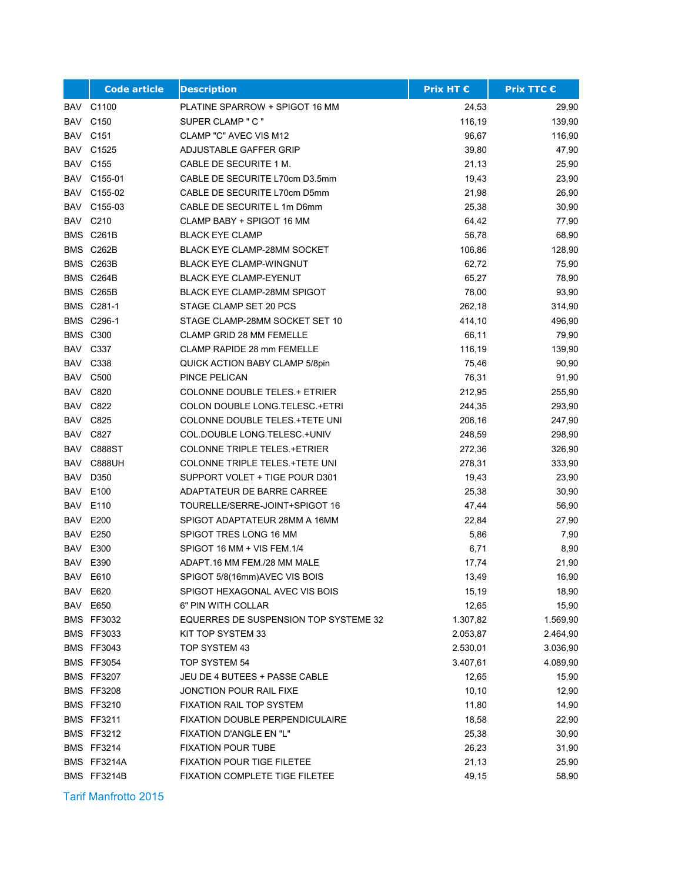|     | <b>Code article</b> | <b>Description</b>                    | <b>Prix HT €</b> | <b>Prix TTC €</b> |
|-----|---------------------|---------------------------------------|------------------|-------------------|
| BAV | C1100               | PLATINE SPARROW + SPIGOT 16 MM        | 24,53            | 29,90             |
| BAV | C <sub>150</sub>    | SUPER CLAMP " C "                     | 116,19           | 139,90            |
|     | <b>BAV C151</b>     | CLAMP "C" AVEC VIS M12                | 96,67            | 116,90            |
| BAV | C1525               | ADJUSTABLE GAFFER GRIP                | 39,80            | 47,90             |
| BAV | C155                | CABLE DE SECURITE 1 M.                | 21,13            | 25,90             |
| BAV | C155-01             | CABLE DE SECURITE L70cm D3.5mm        | 19,43            | 23,90             |
| BAV | C155-02             | CABLE DE SECURITE L70cm D5mm          | 21,98            | 26,90             |
| BAV | C155-03             | CABLE DE SECURITE L 1m D6mm           | 25,38            | 30,90             |
| BAV | C210                | CLAMP BABY + SPIGOT 16 MM             | 64,42            | 77,90             |
|     | BMS C261B           | <b>BLACK EYE CLAMP</b>                | 56,78            | 68,90             |
|     | BMS C262B           | <b>BLACK EYE CLAMP-28MM SOCKET</b>    | 106,86           | 128,90            |
|     | BMS C263B           | <b>BLACK EYE CLAMP-WINGNUT</b>        | 62,72            | 75,90             |
|     | BMS C264B           | <b>BLACK EYE CLAMP-EYENUT</b>         | 65,27            | 78,90             |
|     | BMS C265B           | <b>BLACK EYE CLAMP-28MM SPIGOT</b>    | 78,00            | 93,90             |
|     | BMS C281-1          | STAGE CLAMP SET 20 PCS                | 262,18           | 314,90            |
|     | BMS C296-1          | STAGE CLAMP-28MM SOCKET SET 10        | 414,10           | 496,90            |
|     | <b>BMS C300</b>     | <b>CLAMP GRID 28 MM FEMELLE</b>       | 66,11            | 79,90             |
|     | <b>BAV C337</b>     | CLAMP RAPIDE 28 mm FEMELLE            | 116,19           | 139,90            |
|     | <b>BAV C338</b>     | QUICK ACTION BABY CLAMP 5/8pin        | 75,46            | 90,90             |
|     | <b>BAV C500</b>     | PINCE PELICAN                         | 76,31            | 91,90             |
|     | <b>BAV C820</b>     | <b>COLONNE DOUBLE TELES.+ ETRIER</b>  | 212,95           | 255,90            |
| BAV | C822                | COLON DOUBLE LONG TELESC .+ ETRI      | 244,35           | 293,90            |
| BAV | C825                | COLONNE DOUBLE TELES. +TETE UNI       | 206,16           | 247,90            |
| BAV | C827                | COL.DOUBLE LONG TELESC.+UNIV          | 248,59           | 298,90            |
| BAV | C888ST              | <b>COLONNE TRIPLE TELES.+ETRIER</b>   | 272,36           | 326,90            |
| BAV | <b>C888UH</b>       | COLONNE TRIPLE TELES. +TETE UNI       | 278,31           | 333,90            |
| BAV | D350                | SUPPORT VOLET + TIGE POUR D301        | 19,43            | 23,90             |
| BAV | E100                | ADAPTATEUR DE BARRE CARREE            | 25,38            | 30,90             |
| BAV | E110                | TOURELLE/SERRE-JOINT+SPIGOT 16        | 47,44            | 56,90             |
| BAV | E200                | SPIGOT ADAPTATEUR 28MM A 16MM         | 22,84            | 27,90             |
| BAV | E250                | SPIGOT TRES LONG 16 MM                | 5,86             | 7,90              |
| BAV | E300                | SPIGOT 16 MM + VIS FEM.1/4            | 6,71             | 8,90              |
| BAV | E390                | ADAPT.16 MM FEM./28 MM MALE           | 17,74            | 21,90             |
|     | <b>BAV E610</b>     | SPIGOT 5/8(16mm)AVEC VIS BOIS         | 13,49            | 16,90             |
|     | BAV E620            | SPIGOT HEXAGONAL AVEC VIS BOIS        | 15,19            | 18,90             |
|     | BAV E650            | 6" PIN WITH COLLAR                    | 12,65            | 15,90             |
|     | <b>BMS FF3032</b>   | EQUERRES DE SUSPENSION TOP SYSTEME 32 | 1.307,82         | 1.569,90          |
|     | <b>BMS FF3033</b>   | KIT TOP SYSTEM 33                     | 2.053,87         | 2.464,90          |
|     | <b>BMS FF3043</b>   | TOP SYSTEM 43                         | 2.530,01         | 3.036,90          |
|     | <b>BMS FF3054</b>   | TOP SYSTEM 54                         | 3.407,61         | 4.089,90          |
|     | <b>BMS FF3207</b>   | JEU DE 4 BUTEES + PASSE CABLE         | 12,65            | 15,90             |
|     | <b>BMS FF3208</b>   | JONCTION POUR RAIL FIXE               | 10, 10           | 12,90             |
|     | <b>BMS FF3210</b>   | FIXATION RAIL TOP SYSTEM              | 11,80            | 14,90             |
|     | <b>BMS FF3211</b>   | FIXATION DOUBLE PERPENDICULAIRE       | 18,58            | 22,90             |
|     | <b>BMS FF3212</b>   | FIXATION D'ANGLE EN "L"               | 25,38            | 30,90             |
|     | <b>BMS FF3214</b>   | <b>FIXATION POUR TUBE</b>             | 26,23            | 31,90             |
|     | BMS FF3214A         | <b>FIXATION POUR TIGE FILETEE</b>     | 21,13            | 25,90             |
|     | BMS FF3214B         | FIXATION COMPLETE TIGE FILETEE        | 49,15            | 58,90             |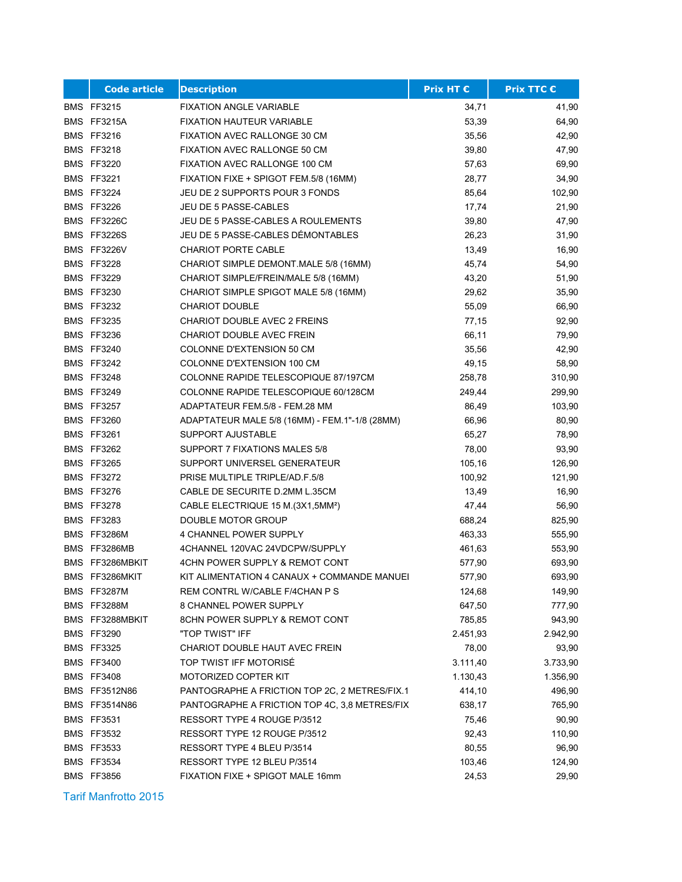| <b>Code article</b> | <b>Description</b>                             | <b>Prix HT €</b> | <b>Prix TTC €</b> |
|---------------------|------------------------------------------------|------------------|-------------------|
| <b>BMS FF3215</b>   | <b>FIXATION ANGLE VARIABLE</b>                 | 34,71            | 41,90             |
| BMS FF3215A         | <b>FIXATION HAUTEUR VARIABLE</b>               | 53,39            | 64,90             |
| <b>BMS FF3216</b>   | FIXATION AVEC RALLONGE 30 CM                   | 35,56            | 42,90             |
| <b>BMS FF3218</b>   | FIXATION AVEC RALLONGE 50 CM                   | 39,80            | 47,90             |
| <b>BMS FF3220</b>   | FIXATION AVEC RALLONGE 100 CM                  | 57,63            | 69,90             |
| <b>BMS FF3221</b>   | FIXATION FIXE + SPIGOT FEM.5/8 (16MM)          | 28,77            | 34,90             |
| <b>BMS FF3224</b>   | JEU DE 2 SUPPORTS POUR 3 FONDS                 | 85,64            | 102,90            |
| <b>BMS FF3226</b>   | JEU DE 5 PASSE-CABLES                          | 17,74            | 21,90             |
| BMS FF3226C         | JEU DE 5 PASSE-CABLES A ROULEMENTS             | 39,80            | 47,90             |
| BMS FF3226S         | JEU DE 5 PASSE-CABLES DÉMONTABLES              | 26,23            | 31,90             |
| BMS FF3226V         | <b>CHARIOT PORTE CABLE</b>                     | 13,49            | 16,90             |
| <b>BMS FF3228</b>   | CHARIOT SIMPLE DEMONT MALE 5/8 (16MM)          | 45,74            | 54,90             |
| <b>BMS FF3229</b>   | CHARIOT SIMPLE/FREIN/MALE 5/8 (16MM)           | 43,20            | 51,90             |
| <b>BMS FF3230</b>   | CHARIOT SIMPLE SPIGOT MALE 5/8 (16MM)          | 29,62            | 35,90             |
| <b>BMS FF3232</b>   | <b>CHARIOT DOUBLE</b>                          | 55,09            | 66,90             |
| <b>BMS FF3235</b>   | CHARIOT DOUBLE AVEC 2 FREINS                   | 77,15            | 92,90             |
| <b>BMS FF3236</b>   | <b>CHARIOT DOUBLE AVEC FREIN</b>               | 66,11            | 79,90             |
| <b>BMS FF3240</b>   | COLONNE D'EXTENSION 50 CM                      | 35,56            | 42,90             |
| <b>BMS FF3242</b>   | COLONNE D'EXTENSION 100 CM                     | 49,15            | 58,90             |
| <b>BMS FF3248</b>   | COLONNE RAPIDE TELESCOPIQUE 87/197CM           | 258,78           | 310,90            |
| <b>BMS FF3249</b>   | COLONNE RAPIDE TELESCOPIQUE 60/128CM           | 249,44           | 299,90            |
| <b>BMS FF3257</b>   | ADAPTATEUR FEM.5/8 - FEM.28 MM                 | 86,49            | 103,90            |
| <b>BMS FF3260</b>   | ADAPTATEUR MALE 5/8 (16MM) - FEM.1"-1/8 (28MM) | 66,96            | 80,90             |
| <b>BMS FF3261</b>   | SUPPORT AJUSTABLE                              | 65,27            | 78,90             |
| <b>BMS FF3262</b>   | SUPPORT 7 FIXATIONS MALES 5/8                  | 78,00            | 93,90             |
| <b>BMS FF3265</b>   | SUPPORT UNIVERSEL GENERATEUR                   | 105,16           | 126,90            |
| <b>BMS FF3272</b>   | PRISE MULTIPLE TRIPLE/AD.F.5/8                 | 100,92           | 121,90            |
| <b>BMS FF3276</b>   | CABLE DE SECURITE D.2MM L.35CM                 | 13,49            | 16,90             |
| <b>BMS FF3278</b>   | CABLE ELECTRIQUE 15 M.(3X1,5MM <sup>2</sup> )  | 47,44            | 56,90             |
| <b>BMS FF3283</b>   | DOUBLE MOTOR GROUP                             | 688,24           | 825,90            |
| BMS FF3286M         | 4 CHANNEL POWER SUPPLY                         | 463,33           | 555,90            |
| BMS FF3286MB        | 4CHANNEL 120VAC 24VDCPW/SUPPLY                 | 461,63           | 553,90            |
| BMS FF3286MBKIT     | 4CHN POWER SUPPLY & REMOT CONT                 | 577,90           | 693,90            |
| BMS FF3286MKIT      | KIT ALIMENTATION 4 CANAUX + COMMANDE MANUEI    | 577,90           | 693,90            |
| BMS FF3287M         | REM CONTRL W/CABLE F/4CHAN P S                 | 124,68           | 149,90            |
| BMS FF3288M         | 8 CHANNEL POWER SUPPLY                         | 647,50           | 777,90            |
| BMS FF3288MBKIT     | 8CHN POWER SUPPLY & REMOT CONT                 | 785,85           | 943,90            |
| <b>BMS FF3290</b>   | "TOP TWIST" IFF                                | 2.451,93         | 2.942,90          |
| <b>BMS FF3325</b>   | CHARIOT DOUBLE HAUT AVEC FREIN                 | 78,00            | 93,90             |
| <b>BMS FF3400</b>   | TOP TWIST IFF MOTORISÉ                         | 3.111,40         | 3.733,90          |
| <b>BMS FF3408</b>   | MOTORIZED COPTER KIT                           | 1.130,43         | 1.356,90          |
| BMS FF3512N86       | PANTOGRAPHE A FRICTION TOP 2C, 2 METRES/FIX.1  | 414,10           | 496,90            |
| BMS FF3514N86       | PANTOGRAPHE A FRICTION TOP 4C, 3,8 METRES/FIX  | 638,17           | 765,90            |
| <b>BMS FF3531</b>   | RESSORT TYPE 4 ROUGE P/3512                    | 75,46            | 90,90             |
| <b>BMS FF3532</b>   | RESSORT TYPE 12 ROUGE P/3512                   | 92,43            | 110,90            |
| <b>BMS FF3533</b>   | RESSORT TYPE 4 BLEU P/3514                     | 80,55            | 96,90             |
| <b>BMS FF3534</b>   | RESSORT TYPE 12 BLEU P/3514                    | 103,46           | 124,90            |
| <b>BMS FF3856</b>   | FIXATION FIXE + SPIGOT MALE 16mm               | 24,53            | 29,90             |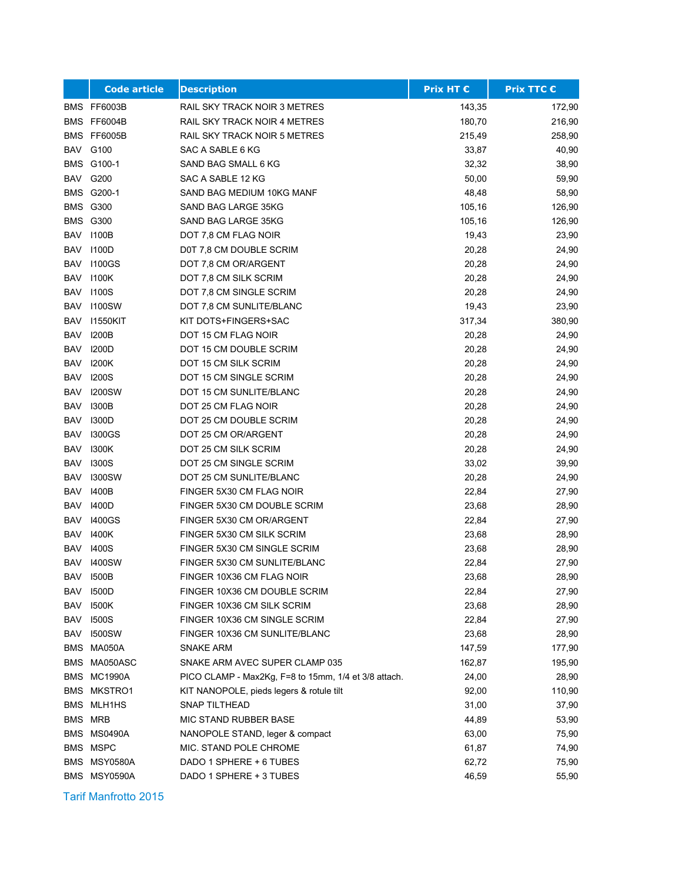|            | <b>Code article</b> | <b>Description</b>                                   | <b>Prix HT €</b> | <b>Prix TTC €</b> |
|------------|---------------------|------------------------------------------------------|------------------|-------------------|
|            | BMS FF6003B         | RAIL SKY TRACK NOIR 3 METRES                         | 143,35           | 172,90            |
|            | BMS FF6004B         | RAIL SKY TRACK NOIR 4 METRES                         | 180,70           | 216,90            |
|            | BMS FF6005B         | RAIL SKY TRACK NOIR 5 METRES                         | 215,49           | 258,90            |
|            | <b>BAV G100</b>     | SAC A SABLE 6 KG                                     | 33,87            | 40,90             |
|            | BMS G100-1          | SAND BAG SMALL 6 KG                                  | 32,32            | 38,90             |
|            | <b>BAV G200</b>     | SAC A SABLE 12 KG                                    | 50,00            | 59,90             |
|            | BMS G200-1          | SAND BAG MEDIUM 10KG MANF                            | 48,48            | 58,90             |
|            | <b>BMS G300</b>     | SAND BAG LARGE 35KG                                  | 105,16           | 126,90            |
|            | <b>BMS G300</b>     | SAND BAG LARGE 35KG                                  | 105,16           | 126,90            |
| BAV        | 1100B               | DOT 7.8 CM FLAG NOIR                                 | 19,43            | 23,90             |
| BAV        | 1100D               | D0T 7,8 CM DOUBLE SCRIM                              | 20,28            | 24,90             |
| BAV        | <b>1100GS</b>       | DOT 7,8 CM OR/ARGENT                                 | 20,28            | 24,90             |
| <b>BAV</b> | 1100K               | DOT 7,8 CM SILK SCRIM                                | 20,28            | 24,90             |
| BAV        | 1100S               | DOT 7,8 CM SINGLE SCRIM                              | 20,28            | 24,90             |
| <b>BAV</b> | <b>I100SW</b>       | DOT 7,8 CM SUNLITE/BLANC                             | 19,43            | 23,90             |
| <b>BAV</b> | 11550KIT            | KIT DOTS+FINGERS+SAC                                 | 317,34           | 380,90            |
| <b>BAV</b> | <b>I200B</b>        | DOT 15 CM FLAG NOIR                                  | 20,28            | 24,90             |
| <b>BAV</b> | 1200D               | DOT 15 CM DOUBLE SCRIM                               | 20,28            | 24,90             |
| <b>BAV</b> | 1200K               | DOT 15 CM SILK SCRIM                                 | 20,28            | 24,90             |
| BAV        | <b>I200S</b>        | DOT 15 CM SINGLE SCRIM                               | 20,28            | 24,90             |
| BAV        | <b>I200SW</b>       | DOT 15 CM SUNLITE/BLANC                              | 20,28            | 24,90             |
| <b>BAV</b> | 1300B               | DOT 25 CM FLAG NOIR                                  | 20,28            | 24,90             |
| BAV        | 1300D               | DOT 25 CM DOUBLE SCRIM                               | 20,28            | 24,90             |
| <b>BAV</b> | <b>I300GS</b>       | DOT 25 CM OR/ARGENT                                  | 20,28            | 24,90             |
| BAV        | 1300K               | DOT 25 CM SILK SCRIM                                 | 20,28            | 24,90             |
| <b>BAV</b> | <b>I300S</b>        | DOT 25 CM SINGLE SCRIM                               | 33,02            | 39,90             |
| BAV        | <b>I300SW</b>       | DOT 25 CM SUNLITE/BLANC                              | 20,28            | 24,90             |
| <b>BAV</b> | 1400B               | FINGER 5X30 CM FLAG NOIR                             | 22,84            | 27,90             |
| BAV        | 1400D               | FINGER 5X30 CM DOUBLE SCRIM                          | 23,68            | 28,90             |
| BAV        | <b>I400GS</b>       | FINGER 5X30 CM OR/ARGENT                             | 22,84            | 27,90             |
| BAV        | 1400K               | FINGER 5X30 CM SILK SCRIM                            | 23,68            | 28,90             |
| <b>BAV</b> | <b>I400S</b>        | FINGER 5X30 CM SINGLE SCRIM                          | 23,68            | 28,90             |
| <b>BAV</b> | <b>I400SW</b>       | FINGER 5X30 CM SUNLITE/BLANC                         | 22,84            | 27,90             |
|            | <b>BAV 1500B</b>    | FINGER 10X36 CM FLAG NOIR                            | 23,68            | 28,90             |
|            | <b>BAV 1500D</b>    | FINGER 10X36 CM DOUBLE SCRIM                         | 22,84            | 27,90             |
| BAV        | 1500K               | FINGER 10X36 CM SILK SCRIM                           | 23,68            | 28,90             |
| BAV        | <b>1500S</b>        | FINGER 10X36 CM SINGLE SCRIM                         | 22,84            | 27,90             |
| BAV        | 1500SW              | FINGER 10X36 CM SUNLITE/BLANC                        | 23,68            | 28,90             |
|            | BMS MA050A          | <b>SNAKE ARM</b>                                     | 147,59           | 177,90            |
|            | BMS MA050ASC        | SNAKE ARM AVEC SUPER CLAMP 035                       | 162,87           | 195,90            |
|            | BMS MC1990A         | PICO CLAMP - Max2Kg, F=8 to 15mm, 1/4 et 3/8 attach. | 24,00            | 28,90             |
|            | BMS MKSTRO1         | KIT NANOPOLE, pieds legers & rotule tilt             | 92,00            | 110,90            |
|            | <b>BMS MLH1HS</b>   | SNAP TILTHEAD                                        | 31,00            | 37,90             |
|            | BMS MRB             | MIC STAND RUBBER BASE                                | 44,89            | 53,90             |
|            | BMS MS0490A         | NANOPOLE STAND, leger & compact                      | 63,00            | 75,90             |
|            | BMS MSPC            | MIC. STAND POLE CHROME                               | 61,87            | 74,90             |
|            | BMS MSY0580A        | DADO 1 SPHERE + 6 TUBES                              | 62,72            | 75,90             |
|            | BMS MSY0590A        | DADO 1 SPHERE + 3 TUBES                              | 46,59            | 55,90             |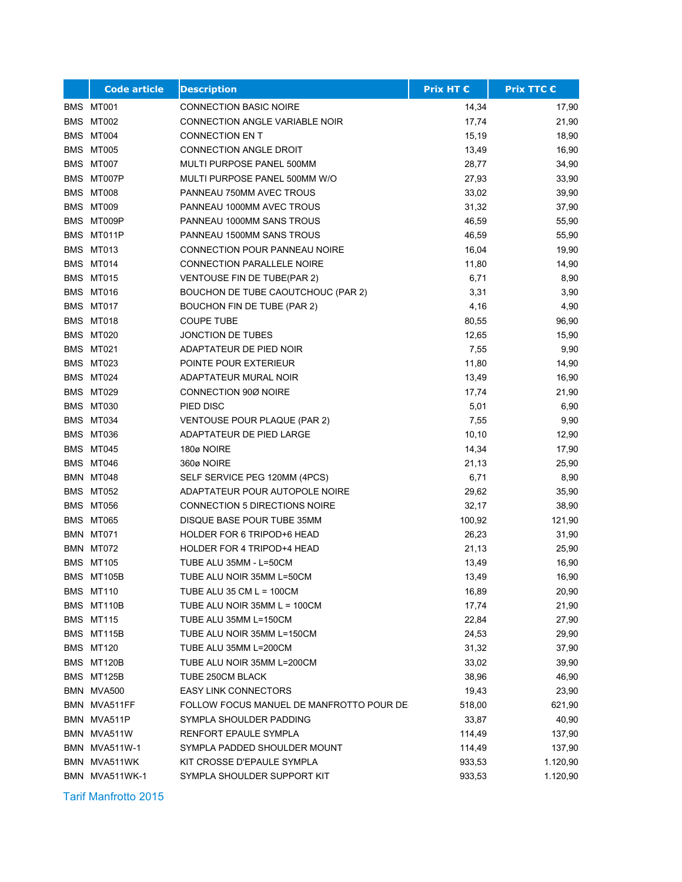| <b>Code article</b>  | <b>Description</b>                       | <b>Prix HT €</b> | <b>Prix TTC €</b> |
|----------------------|------------------------------------------|------------------|-------------------|
| BMS MT001            | <b>CONNECTION BASIC NOIRE</b>            | 14,34            | 17,90             |
| BMS MT002            | CONNECTION ANGLE VARIABLE NOIR           | 17,74            | 21,90             |
| BMS MT004            | <b>CONNECTION EN T</b>                   | 15,19            | 18,90             |
| BMS MT005            | <b>CONNECTION ANGLE DROIT</b>            | 13,49            | 16,90             |
| BMS MT007            | MULTI PURPOSE PANEL 500MM                | 28,77            | 34,90             |
| BMS MT007P           | MULTI PURPOSE PANEL 500MM W/O            | 27,93            | 33,90             |
| BMS MT008            | PANNEAU 750MM AVEC TROUS                 | 33,02            | 39,90             |
| BMS MT009            | PANNEAU 1000MM AVEC TROUS                | 31,32            | 37,90             |
| BMS MT009P           | PANNEAU 1000MM SANS TROUS                | 46,59            | 55,90             |
| BMS MT011P           | PANNEAU 1500MM SANS TROUS                | 46,59            | 55,90             |
| BMS MT013            | CONNECTION POUR PANNEAU NOIRE            | 16,04            | 19,90             |
| BMS MT014            | CONNECTION PARALLELE NOIRE               | 11,80            | 14,90             |
| BMS MT015            | VENTOUSE FIN DE TUBE(PAR 2)              | 6,71             | 8,90              |
| BMS MT016            | BOUCHON DE TUBE CAOUTCHOUC (PAR 2)       | 3,31             | 3,90              |
| BMS MT017            | BOUCHON FIN DE TUBE (PAR 2)              | 4,16             | 4,90              |
| BMS MT018            | <b>COUPE TUBE</b>                        | 80,55            | 96,90             |
| BMS MT020            | JONCTION DE TUBES                        | 12,65            | 15,90             |
| BMS MT021            | ADAPTATEUR DE PIED NOIR                  | 7,55             | 9,90              |
| BMS MT023            | POINTE POUR EXTERIEUR                    | 11,80            | 14,90             |
| BMS MT024            | ADAPTATEUR MURAL NOIR                    | 13,49            | 16,90             |
| BMS MT029            | CONNECTION 90Ø NOIRE                     | 17,74            | 21,90             |
| BMS MT030            | PIED DISC                                | 5,01             | 6,90              |
| BMS MT034            | VENTOUSE POUR PLAQUE (PAR 2)             | 7,55             | 9,90              |
| BMS MT036            | ADAPTATEUR DE PIED LARGE                 | 10, 10           | 12,90             |
| BMS MT045            | 180ø NOIRE                               | 14,34            | 17,90             |
| BMS MT046            | 360ø NOIRE                               | 21,13            | 25,90             |
| BMN MT048            | SELF SERVICE PEG 120MM (4PCS)            | 6,71             | 8,90              |
| BMS MT052            | ADAPTATEUR POUR AUTOPOLE NOIRE           | 29,62            | 35,90             |
| BMS MT056            | <b>CONNECTION 5 DIRECTIONS NOIRE</b>     | 32,17            | 38,90             |
| BMS MT065            | DISQUE BASE POUR TUBE 35MM               | 100,92           | 121,90            |
| BMN MT071            | HOLDER FOR 6 TRIPOD+6 HEAD               | 26,23            | 31,90             |
| BMN MT072            | <b>HOLDER FOR 4 TRIPOD+4 HEAD</b>        | 21,13            | 25,90             |
| <b>BMS MT105</b>     | TUBE ALU 35MM - L=50CM                   | 13,49            | 16,90             |
| BMS MT105B           | TUBE ALU NOIR 35MM L=50CM                | 13,49            | 16,90             |
| BMS MT110            | TUBE ALU 35 CM L = 100CM                 | 16,89            | 20,90             |
| BMS MT110B           | TUBE ALU NOIR 35MM L = 100CM             | 17,74            | 21,90             |
| BMS MT115            | TUBE ALU 35MM L=150CM                    | 22,84            | 27,90             |
| BMS MT115B           | TUBE ALU NOIR 35MM L=150CM               | 24,53            | 29,90             |
| BMS MT120            | TUBE ALU 35MM L=200CM                    | 31,32            | 37,90             |
| BMS MT120B           | TUBE ALU NOIR 35MM L=200CM               | 33,02            | 39,90             |
| BMS MT125B           | TUBE 250CM BLACK                         | 38,96            | 46,90             |
| BMN MVA500           | <b>EASY LINK CONNECTORS</b>              | 19,43            | 23,90             |
| BMN MVA511FF         | FOLLOW FOCUS MANUEL DE MANFROTTO POUR DE | 518,00           | 621,90            |
| BMN MVA511P          | SYMPLA SHOULDER PADDING                  | 33,87            | 40,90             |
| BMN MVA511W          | RENFORT EPAULE SYMPLA                    | 114,49           | 137,90            |
| <b>BMN MVA511W-1</b> | SYMPLA PADDED SHOULDER MOUNT             | 114,49           | 137,90            |
| BMN MVA511WK         | KIT CROSSE D'EPAULE SYMPLA               | 933,53           | 1.120,90          |
| BMN MVA511WK-1       | SYMPLA SHOULDER SUPPORT KIT              | 933,53           | 1.120,90          |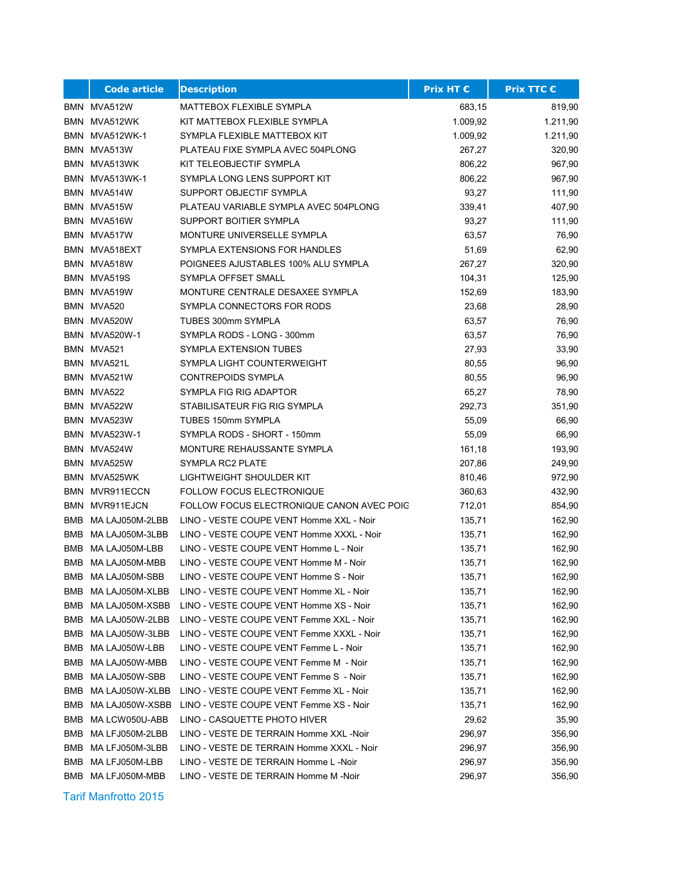|     | <b>Code article</b>  | <b>Description</b>                        | <b>Prix HT €</b> | <b>Prix TTC €</b> |
|-----|----------------------|-------------------------------------------|------------------|-------------------|
|     | BMN MVA512W          | MATTEBOX FLEXIBLE SYMPLA                  | 683,15           | 819,90            |
|     | BMN MVA512WK         | KIT MATTEBOX FLEXIBLE SYMPLA              | 1.009,92         | 1.211,90          |
|     | BMN MVA512WK-1       | SYMPLA FLEXIBLE MATTEBOX KIT              | 1.009,92         | 1.211,90          |
|     | BMN MVA513W          | PLATEAU FIXE SYMPLA AVEC 504PLONG         | 267,27           | 320,90            |
| BMN | MVA513WK             | KIT TELEOBJECTIF SYMPLA                   | 806,22           | 967,90            |
|     | BMN MVA513WK-1       | SYMPLA LONG LENS SUPPORT KIT              | 806,22           | 967,90            |
|     | BMN MVA514W          | SUPPORT OBJECTIF SYMPLA                   | 93,27            | 111,90            |
|     | BMN MVA515W          | PLATEAU VARIABLE SYMPLA AVEC 504PLONG     | 339,41           | 407,90            |
|     | BMN MVA516W          | SUPPORT BOITIER SYMPLA                    | 93,27            | 111,90            |
|     | BMN MVA517W          | MONTURE UNIVERSELLE SYMPLA                | 63,57            | 76,90             |
|     | BMN MVA518EXT        | SYMPLA EXTENSIONS FOR HANDLES             | 51,69            | 62,90             |
|     | BMN MVA518W          | POIGNEES AJUSTABLES 100% ALU SYMPLA       | 267,27           | 320,90            |
|     | BMN MVA519S          | SYMPLA OFFSET SMALL                       | 104,31           | 125,90            |
|     | BMN MVA519W          | MONTURE CENTRALE DESAXEE SYMPLA           | 152,69           | 183,90            |
|     | BMN MVA520           | SYMPLA CONNECTORS FOR RODS                | 23,68            | 28,90             |
|     | BMN MVA520W          | TUBES 300mm SYMPLA                        | 63,57            | 76,90             |
|     | <b>BMN MVA520W-1</b> | SYMPLA RODS - LONG - 300mm                | 63,57            | 76,90             |
|     | BMN MVA521           | <b>SYMPLA EXTENSION TUBES</b>             | 27,93            | 33,90             |
|     | BMN MVA521L          | SYMPLA LIGHT COUNTERWEIGHT                | 80,55            | 96,90             |
|     | BMN MVA521W          | <b>CONTREPOIDS SYMPLA</b>                 | 80,55            | 96,90             |
|     | BMN MVA522           | SYMPLA FIG RIG ADAPTOR                    | 65,27            | 78,90             |
|     | BMN MVA522W          | STABILISATEUR FIG RIG SYMPLA              | 292,73           | 351,90            |
|     | BMN MVA523W          | TUBES 150mm SYMPLA                        | 55,09            | 66,90             |
|     | BMN MVA523W-1        | SYMPLA RODS - SHORT - 150mm               | 55,09            | 66,90             |
|     | BMN MVA524W          | MONTURE REHAUSSANTE SYMPLA                | 161,18           | 193,90            |
|     | BMN MVA525W          | SYMPLA RC2 PLATE                          | 207,86           | 249,90            |
|     | BMN MVA525WK         | LIGHTWEIGHT SHOULDER KIT                  | 810,46           | 972,90            |
|     | BMN MVR911ECCN       | <b>FOLLOW FOCUS ELECTRONIQUE</b>          | 360,63           | 432,90            |
|     | BMN MVR911EJCN       | FOLLOW FOCUS ELECTRONIQUE CANON AVEC POIG | 712,01           | 854,90            |
| BMB | MA LAJ050M-2LBB      | LINO - VESTE COUPE VENT Homme XXL - Noir  | 135,71           | 162,90            |
|     | BMB MA LAJ050M-3LBB  | LINO - VESTE COUPE VENT Homme XXXL - Noir | 135,71           | 162,90            |
| BMB | MA LAJ050M-LBB       | LINO - VESTE COUPE VENT Homme L - Noir    | 135,71           | 162,90            |
| BMB | MA LAJ050M-MBB       | LINO - VESTE COUPE VENT Homme M - Noir    | 135,71           | 162,90            |
|     | BMB MA LAJ050M-SBB   | LINO - VESTE COUPE VENT Homme S - Noir    | 135,71           | 162,90            |
|     | BMB MA LAJ050M-XLBB  | LINO - VESTE COUPE VENT Homme XL - Noir   | 135,71           | 162,90            |
| BMB | MA LAJ050M-XSBB      | LINO - VESTE COUPE VENT Homme XS - Noir   | 135,71           | 162,90            |
| BMB | MA LAJ050W-2LBB      | LINO - VESTE COUPE VENT Femme XXL - Noir  | 135,71           | 162,90            |
| BMB | MA LAJ050W-3LBB      | LINO - VESTE COUPE VENT Femme XXXL - Noir | 135,71           | 162,90            |
| BMB | MA LAJ050W-LBB       | LINO - VESTE COUPE VENT Femme L - Noir    | 135,71           | 162,90            |
| BMB | MA LAJ050W-MBB       | LINO - VESTE COUPE VENT Femme M - Noir    | 135,71           | 162,90            |
| BMB | MA LAJ050W-SBB       | LINO - VESTE COUPE VENT Femme S - Noir    | 135,71           | 162,90            |
| BMB | MA LAJ050W-XLBB      | LINO - VESTE COUPE VENT Femme XL - Noir   | 135,71           | 162,90            |
| BMB | MA LAJ050W-XSBB      | LINO - VESTE COUPE VENT Femme XS - Noir   | 135,71           | 162,90            |
| BMB | MA LCW050U-ABB       | LINO - CASQUETTE PHOTO HIVER              | 29,62            | 35,90             |
| BMB | MA LFJ050M-2LBB      | LINO - VESTE DE TERRAIN Homme XXL -Noir   | 296,97           | 356,90            |
| BMB | MA LFJ050M-3LBB      | LINO - VESTE DE TERRAIN Homme XXXL - Noir | 296,97           | 356,90            |
| BMB | MA LFJ050M-LBB       | LINO - VESTE DE TERRAIN Homme L -Noir     | 296,97           | 356,90            |
| BMB | MA LFJ050M-MBB       | LINO - VESTE DE TERRAIN Homme M -Noir     | 296,97           | 356,90            |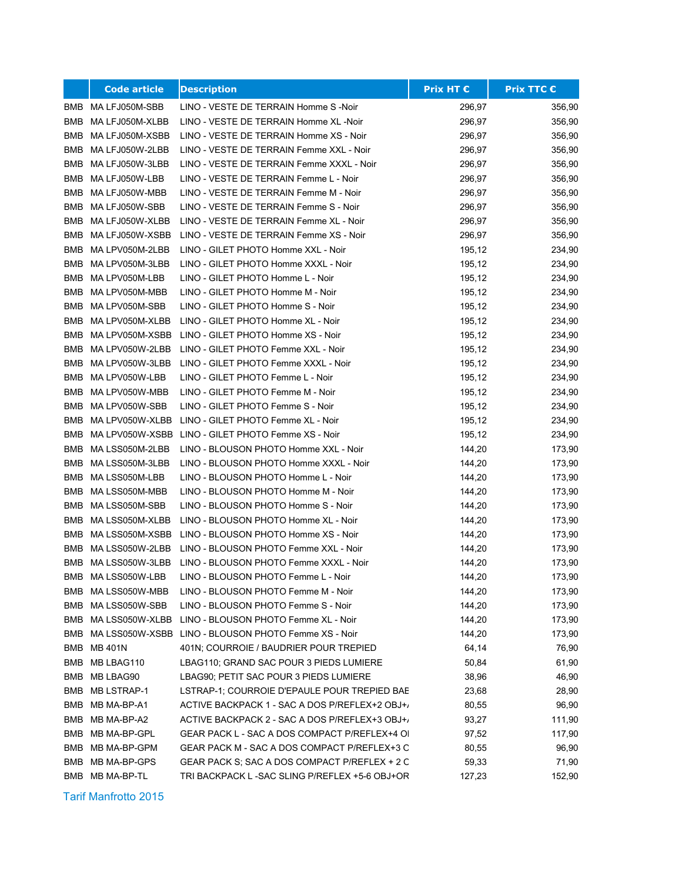|            | <b>Code article</b> | <b>Description</b>                                   | <b>Prix HT €</b> | <b>Prix TTC €</b> |
|------------|---------------------|------------------------------------------------------|------------------|-------------------|
|            | BMB MA LFJ050M-SBB  | LINO - VESTE DE TERRAIN Homme S -Noir                | 296,97           | 356,90            |
| <b>BMB</b> | MA LFJ050M-XLBB     | LINO - VESTE DE TERRAIN Homme XL -Noir               | 296,97           | 356,90            |
| BMB        | MA LFJ050M-XSBB     | LINO - VESTE DE TERRAIN Homme XS - Noir              | 296,97           | 356,90            |
| BMB        | MA LFJ050W-2LBB     | LINO - VESTE DE TERRAIN Femme XXL - Noir             | 296,97           | 356,90            |
| BMB        | MA LFJ050W-3LBB     | LINO - VESTE DE TERRAIN Femme XXXL - Noir            | 296,97           | 356,90            |
| BMB        | MA LFJ050W-LBB      | LINO - VESTE DE TERRAIN Femme L - Noir               | 296,97           | 356,90            |
| BMB        | MA LFJ050W-MBB      | LINO - VESTE DE TERRAIN Femme M - Noir               | 296,97           | 356,90            |
| BMB        | MA LFJ050W-SBB      | LINO - VESTE DE TERRAIN Femme S - Noir               | 296,97           | 356,90            |
| BMB        | MA LFJ050W-XLBB     | LINO - VESTE DE TERRAIN Femme XL - Noir              | 296,97           | 356,90            |
| BMB        | MA LFJ050W-XSBB     | LINO - VESTE DE TERRAIN Femme XS - Noir              | 296,97           | 356,90            |
| BMB        | MA LPV050M-2LBB     | LINO - GILET PHOTO Homme XXL - Noir                  | 195,12           | 234,90            |
|            | BMB MA LPV050M-3LBB | LINO - GILET PHOTO Homme XXXL - Noir                 | 195,12           | 234,90            |
|            | BMB MA LPV050M-LBB  | LINO - GILET PHOTO Homme L - Noir                    | 195,12           | 234,90            |
| BMB        | MA LPV050M-MBB      | LINO - GILET PHOTO Homme M - Noir                    | 195,12           | 234,90            |
| BMB        | MA LPV050M-SBB      | LINO - GILET PHOTO Homme S - Noir                    | 195,12           | 234,90            |
| <b>BMB</b> | MA LPV050M-XLBB     | LINO - GILET PHOTO Homme XL - Noir                   | 195,12           | 234,90            |
| BMB        | MA LPV050M-XSBB     | LINO - GILET PHOTO Homme XS - Noir                   | 195,12           | 234,90            |
| BMB        | MA LPV050W-2LBB     | LINO - GILET PHOTO Femme XXL - Noir                  | 195,12           | 234,90            |
| BMB        | MA LPV050W-3LBB     | LINO - GILET PHOTO Femme XXXL - Noir                 | 195,12           | 234,90            |
|            | BMB MA LPV050W-LBB  | LINO - GILET PHOTO Femme L - Noir                    | 195,12           | 234,90            |
| BMB        | MA LPV050W-MBB      | LINO - GILET PHOTO Femme M - Noir                    | 195,12           | 234,90            |
| BMB        | MA LPV050W-SBB      | LINO - GILET PHOTO Femme S - Noir                    | 195,12           | 234,90            |
| BMB        | MA LPV050W-XLBB     | LINO - GILET PHOTO Femme XL - Noir                   | 195,12           | 234,90            |
| BMB        | MA LPV050W-XSBB     | LINO - GILET PHOTO Femme XS - Noir                   | 195,12           | 234,90            |
| BMB        | MA LSS050M-2LBB     | LINO - BLOUSON PHOTO Homme XXL - Noir                | 144,20           | 173,90            |
| BMB        | MA LSS050M-3LBB     | LINO - BLOUSON PHOTO Homme XXXL - Noir               | 144,20           | 173,90            |
|            | BMB MA LSS050M-LBB  | LINO - BLOUSON PHOTO Homme L - Noir                  | 144,20           | 173,90            |
|            | BMB MA LSS050M-MBB  | LINO - BLOUSON PHOTO Homme M - Noir                  | 144,20           | 173,90            |
| BMB        | MA LSS050M-SBB      | LINO - BLOUSON PHOTO Homme S - Noir                  | 144,20           | 173,90            |
| BMB        | MA LSS050M-XLBB     | LINO - BLOUSON PHOTO Homme XL - Noir                 | 144,20           | 173,90            |
|            | BMB MALSS050M-XSBB  | LINO - BLOUSON PHOTO Homme XS - Noir                 | 144,20           | 173,90            |
| BMB        | MA LSS050W-2LBB     | LINO - BLOUSON PHOTO Femme XXL - Noir                | 144,20           | 173,90            |
| BMB        | MA LSS050W-3LBB     | LINO - BLOUSON PHOTO Femme XXXL - Noir               | 144,20           | 173,90            |
|            | BMB MA LSS050W-LBB  | LINO - BLOUSON PHOTO Femme L - Noir                  | 144,20           | 173,90            |
|            | BMB MA LSS050W-MBB  | LINO - BLOUSON PHOTO Femme M - Noir                  | 144,20           | 173,90            |
| BMB        | MA LSS050W-SBB      | LINO - BLOUSON PHOTO Femme S - Noir                  | 144,20           | 173,90            |
| BMB        | MA LSS050W-XLBB     | LINO - BLOUSON PHOTO Femme XL - Noir                 | 144,20           | 173,90            |
| <b>BMB</b> |                     | MA LSS050W-XSBB LINO - BLOUSON PHOTO Femme XS - Noir | 144,20           | 173,90            |
|            | <b>BMB MB 401N</b>  | 401N; COURROIE / BAUDRIER POUR TREPIED               | 64,14            | 76,90             |
| BMB        | MB LBAG110          | LBAG110; GRAND SAC POUR 3 PIEDS LUMIERE              | 50,84            | 61,90             |
| <b>BMB</b> | MB LBAG90           | LBAG90; PETIT SAC POUR 3 PIEDS LUMIERE               | 38,96            | 46,90             |
| BMB        | MB LSTRAP-1         | LSTRAP-1; COURROIE D'EPAULE POUR TREPIED BAE         | 23,68            | 28,90             |
| BMB        | MB MA-BP-A1         | ACTIVE BACKPACK 1 - SAC A DOS P/REFLEX+2 OBJ+/       | 80,55            | 96,90             |
| BMB        | MB MA-BP-A2         | ACTIVE BACKPACK 2 - SAC A DOS P/REFLEX+3 OBJ+/       | 93,27            | 111,90            |
| BMB        | MB MA-BP-GPL        | GEAR PACK L - SAC A DOS COMPACT P/REFLEX+4 OI        | 97,52            | 117,90            |
| BMB        | MB MA-BP-GPM        | GEAR PACK M - SAC A DOS COMPACT P/REFLEX+3 O         | 80,55            | 96,90             |
| BMB        | MB MA-BP-GPS        | GEAR PACK S; SAC A DOS COMPACT P/REFLEX + 2 C        | 59,33            | 71,90             |
|            | BMB MB MA-BP-TL     | TRI BACKPACK L-SAC SLING P/REFLEX +5-6 OBJ+OR        | 127,23           | 152,90            |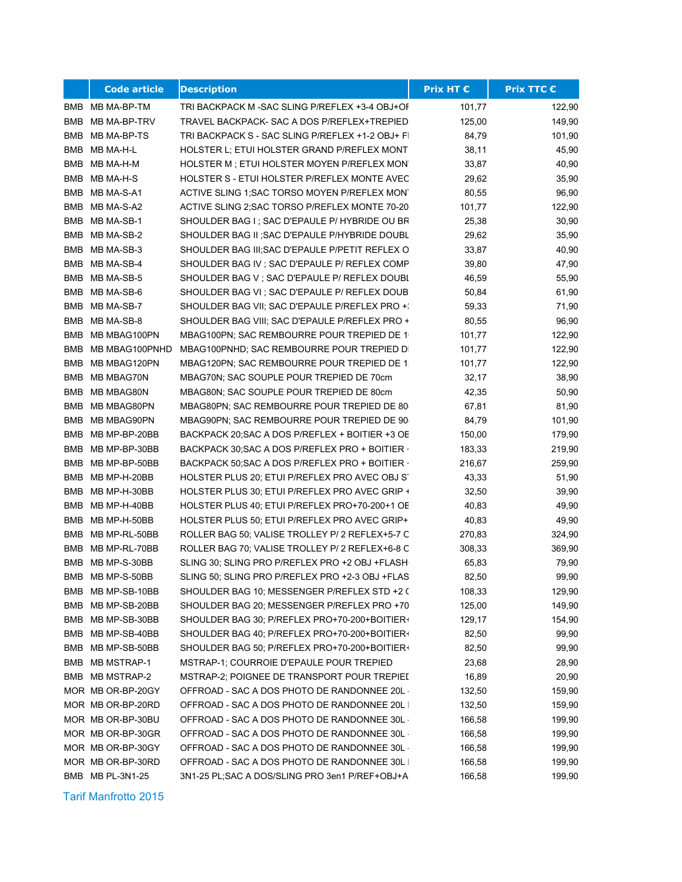|            | <b>Code article</b> | <b>Description</b>                               | Prix HT € | <b>Prix TTC €</b> |
|------------|---------------------|--------------------------------------------------|-----------|-------------------|
|            | BMB MB MA-BP-TM     | TRI BACKPACK M - SAC SLING P/REFLEX +3-4 OBJ+OF  | 101,77    | 122,90            |
| BMB        | MB MA-BP-TRV        | TRAVEL BACKPACK- SAC A DOS P/REFLEX+TREPIED      | 125,00    | 149,90            |
| BMB        | MB MA-BP-TS         | TRI BACKPACK S - SAC SLING P/REFLEX +1-2 OBJ+ FI | 84,79     | 101,90            |
| BMB        | MB MA-H-L           | HOLSTER L; ETUI HOLSTER GRAND P/REFLEX MONT      | 38,11     | 45,90             |
| <b>BMB</b> | MB MA-H-M           | HOLSTER M; ETUI HOLSTER MOYEN P/REFLEX MONT      | 33,87     | 40,90             |
| BMB        | MB MA-H-S           | HOLSTER S - ETUI HOLSTER P/REFLEX MONTE AVEC     | 29,62     | 35,90             |
| BMB        | MB MA-S-A1          | ACTIVE SLING 1; SAC TORSO MOYEN P/REFLEX MON'    | 80,55     | 96,90             |
| <b>BMB</b> | MB MA-S-A2          | ACTIVE SLING 2; SAC TORSO P/REFLEX MONTE 70-20   | 101,77    | 122,90            |
| BMB        | MB MA-SB-1          | SHOULDER BAG I : SAC D'EPAULE P/ HYBRIDE OU BR   | 25,38     | 30,90             |
| BMB        | MB MA-SB-2          | SHOULDER BAG II ; SAC D'EPAULE P/HYBRIDE DOUBL   | 29,62     | 35,90             |
|            | BMB MB MA-SB-3      | SHOULDER BAG III; SAC D'EPAULE P/PETIT REFLEX O  | 33,87     | 40,90             |
|            | BMB MB MA-SB-4      | SHOULDER BAG IV; SAC D'EPAULE P/ REFLEX COMP     | 39,80     | 47,90             |
|            | BMB MB MA-SB-5      | SHOULDER BAG V ; SAC D'EPAULE P/ REFLEX DOUBL    | 46,59     | 55,90             |
|            | BMB MB MA-SB-6      | SHOULDER BAG VI; SAC D'EPAULE P/ REFLEX DOUB     | 50,84     | 61,90             |
|            | BMB MB MA-SB-7      | SHOULDER BAG VII; SAC D'EPAULE P/REFLEX PRO +:   | 59,33     | 71,90             |
| BMB        | MB MA-SB-8          | SHOULDER BAG VIII; SAC D'EPAULE P/REFLEX PRO +   | 80,55     | 96,90             |
| <b>BMB</b> | MB MBAG100PN        | MBAG100PN; SAC REMBOURRE POUR TREPIED DE 1       | 101,77    | 122,90            |
| BMB        | MB MBAG100PNHD      | MBAG100PNHD; SAC REMBOURRE POUR TREPIED DI       | 101,77    | 122,90            |
| <b>BMB</b> | MB MBAG120PN        | MBAG120PN; SAC REMBOURRE POUR TREPIED DE 1.      | 101,77    | 122,90            |
| BMB        | MB MBAG70N          | MBAG70N; SAC SOUPLE POUR TREPIED DE 70cm         | 32,17     | 38,90             |
| BMB        | MB MBAG80N          | MBAG80N; SAC SOUPLE POUR TREPIED DE 80cm         | 42,35     | 50,90             |
| BMB        | MB MBAG80PN         | MBAG80PN; SAC REMBOURRE POUR TREPIED DE 80       | 67,81     | 81,90             |
| BMB        | MB MBAG90PN         | MBAG90PN; SAC REMBOURRE POUR TREPIED DE 90       | 84,79     | 101,90            |
| BMB        | MB MP-BP-20BB       | BACKPACK 20; SAC A DOS P/REFLEX + BOITIER +3 OE  | 150,00    | 179,90            |
| BMB        | MB MP-BP-30BB       | BACKPACK 30; SAC A DOS P/REFLEX PRO + BOITIER -  | 183,33    | 219,90            |
| BMB        | MB MP-BP-50BB       | BACKPACK 50; SAC A DOS P/REFLEX PRO + BOITIER -  | 216,67    | 259,90            |
| BMB        | MB MP-H-20BB        | HOLSTER PLUS 20; ETUI P/REFLEX PRO AVEC OBJ ST   | 43,33     | 51,90             |
| BMB        | MB MP-H-30BB        | HOLSTER PLUS 30; ETUI P/REFLEX PRO AVEC GRIP +   | 32,50     | 39,90             |
|            | BMB MB MP-H-40BB    | HOLSTER PLUS 40; ETUI P/REFLEX PRO+70-200+1 OE   | 40,83     | 49,90             |
| BMB        | MB MP-H-50BB        | HOLSTER PLUS 50; ETUI P/REFLEX PRO AVEC GRIP+    | 40,83     | 49,90             |
| <b>BMB</b> | MB MP-RL-50BB       | ROLLER BAG 50; VALISE TROLLEY P/ 2 REFLEX+5-7 C  | 270,83    | 324,90            |
| BMB        | MB MP-RL-70BB       | ROLLER BAG 70; VALISE TROLLEY P/ 2 REFLEX+6-8 C  | 308,33    | 369,90            |
| BMB        | MB MP-S-30BB        | SLING 30; SLING PRO P/REFLEX PRO +2 OBJ +FLASH   | 65,83     | 79,90             |
| BMB        | MB MP-S-50BB        | SLING 50; SLING PRO P/REFLEX PRO +2-3 OBJ +FLAS  | 82,50     | 99,90             |
|            | BMB MB MP-SB-10BB   | SHOULDER BAG 10; MESSENGER P/REFLEX STD +2 (     | 108,33    | 129,90            |
| BMB        | MB MP-SB-20BB       | SHOULDER BAG 20; MESSENGER P/REFLEX PRO +70      | 125,00    | 149,90            |
|            | BMB MB MP-SB-30BB   | SHOULDER BAG 30; P/REFLEX PRO+70-200+BOITIER+    | 129,17    | 154,90            |
| BMB        | MB MP-SB-40BB       | SHOULDER BAG 40; P/REFLEX PRO+70-200+BOITIER+    | 82,50     | 99,90             |
|            | BMB MB MP-SB-50BB   | SHOULDER BAG 50; P/REFLEX PRO+70-200+BOITIER+    | 82,50     | 99,90             |
|            | BMB MB MSTRAP-1     | MSTRAP-1; COURROIE D'EPAULE POUR TREPIED         | 23,68     | 28,90             |
|            | BMB MB MSTRAP-2     | MSTRAP-2; POIGNEE DE TRANSPORT POUR TREPIEI      | 16,89     | 20,90             |
|            | MOR MB OR-BP-20GY   | OFFROAD - SAC A DOS PHOTO DE RANDONNEE 20L ·     | 132,50    | 159,90            |
|            | MOR MB OR-BP-20RD   | OFFROAD - SAC A DOS PHOTO DE RANDONNEE 20L I     | 132,50    | 159,90            |
|            | MOR MB OR-BP-30BU   | OFFROAD - SAC A DOS PHOTO DE RANDONNEE 30L ·     | 166,58    | 199,90            |
|            | MOR MB OR-BP-30GR   | OFFROAD - SAC A DOS PHOTO DE RANDONNEE 30L ·     | 166,58    | 199,90            |
|            | MOR MB OR-BP-30GY   | OFFROAD - SAC A DOS PHOTO DE RANDONNEE 30L ·     | 166,58    | 199,90            |
|            | MOR MB OR-BP-30RD   | OFFROAD - SAC A DOS PHOTO DE RANDONNEE 30L       | 166,58    | 199,90            |
|            | BMB MB PL-3N1-25    | 3N1-25 PL;SAC A DOS/SLING PRO 3en1 P/REF+OBJ+A   | 166,58    | 199,90            |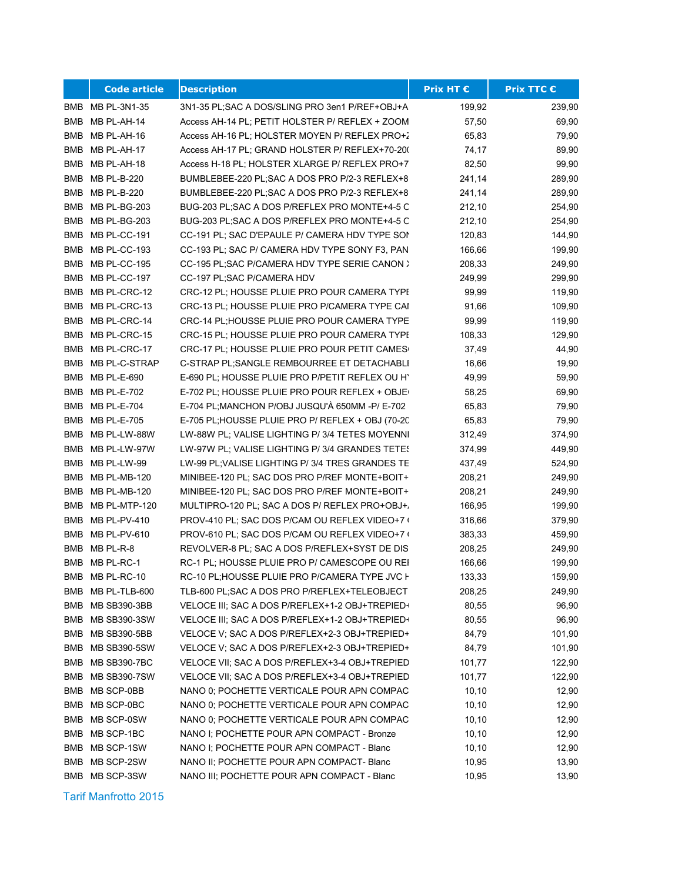|            | <b>Code article</b> | <b>Description</b>                                | Prix HT € | <b>Prix TTC €</b> |
|------------|---------------------|---------------------------------------------------|-----------|-------------------|
|            | BMB MB PL-3N1-35    | 3N1-35 PL; SAC A DOS/SLING PRO 3en1 P/REF+OBJ+A   | 199,92    | 239,90            |
| <b>BMB</b> | MB PL-AH-14         | Access AH-14 PL; PETIT HOLSTER P/ REFLEX + ZOOM   | 57,50     | 69,90             |
| <b>BMB</b> | MB PL-AH-16         | Access AH-16 PL; HOLSTER MOYEN P/ REFLEX PRO+2    | 65,83     | 79,90             |
| <b>BMB</b> | MB PL-AH-17         | Access AH-17 PL; GRAND HOLSTER P/ REFLEX+70-200   | 74,17     | 89,90             |
| BMB        | MB PL-AH-18         | Access H-18 PL; HOLSTER XLARGE P/ REFLEX PRO+7    | 82,50     | 99,90             |
| BMB        | MB PL-B-220         | BUMBLEBEE-220 PL;SAC A DOS PRO P/2-3 REFLEX+8     | 241,14    | 289,90            |
| BMB        | MB PL-B-220         | BUMBLEBEE-220 PL;SAC A DOS PRO P/2-3 REFLEX+8     | 241,14    | 289,90            |
| BMB        | MB PL-BG-203        | BUG-203 PL;SAC A DOS P/REFLEX PRO MONTE+4-5 C     | 212,10    | 254,90            |
| <b>BMB</b> | MB PL-BG-203        | BUG-203 PL;SAC A DOS P/REFLEX PRO MONTE+4-5 C     | 212,10    | 254,90            |
| <b>BMB</b> | MB PL-CC-191        | CC-191 PL; SAC D'EPAULE P/ CAMERA HDV TYPE SON    | 120,83    | 144,90            |
| <b>BMB</b> | MB PL-CC-193        | CC-193 PL; SAC P/ CAMERA HDV TYPE SONY F3, PAN    | 166,66    | 199,90            |
| BMB        | MB PL-CC-195        | CC-195 PL;SAC P/CAMERA HDV TYPE SERIE CANON >     | 208,33    | 249,90            |
| <b>BMB</b> | MB PL-CC-197        | CC-197 PL;SAC P/CAMERA HDV                        | 249,99    | 299,90            |
| BMB        | MB PL-CRC-12        | CRC-12 PL; HOUSSE PLUIE PRO POUR CAMERA TYPE      | 99,99     | 119,90            |
| <b>BMB</b> | MB PL-CRC-13        | CRC-13 PL; HOUSSE PLUIE PRO P/CAMERA TYPE CAI     | 91,66     | 109,90            |
| <b>BMB</b> | MB PL-CRC-14        | CRC-14 PL;HOUSSE PLUIE PRO POUR CAMERA TYPE       | 99,99     | 119,90            |
| <b>BMB</b> | MB PL-CRC-15        | CRC-15 PL; HOUSSE PLUIE PRO POUR CAMERA TYPE      | 108,33    | 129,90            |
| <b>BMB</b> | MB PL-CRC-17        | CRC-17 PL; HOUSSE PLUIE PRO POUR PETIT CAMES      | 37,49     | 44,90             |
| <b>BMB</b> | MB PL-C-STRAP       | C-STRAP PL;SANGLE REMBOURREE ET DETACHABLI        | 16,66     | 19,90             |
| <b>BMB</b> | <b>MB PL-E-690</b>  | E-690 PL; HOUSSE PLUIE PRO P/PETIT REFLEX OU H'   | 49,99     | 59,90             |
| <b>BMB</b> | MB PL-E-702         | E-702 PL; HOUSSE PLUIE PRO POUR REFLEX + OBJE     | 58,25     | 69,90             |
| <b>BMB</b> | MB PL-E-704         | E-704 PL;MANCHON P/OBJ JUSQU'À 650MM -P/ E-702    | 65,83     | 79,90             |
| BMB        | <b>MB PL-E-705</b>  | E-705 PL;HOUSSE PLUIE PRO P/ REFLEX + OBJ (70-20) | 65,83     | 79,90             |
| <b>BMB</b> | MB PL-LW-88W        | LW-88W PL; VALISE LIGHTING P/ 3/4 TETES MOYENNI   | 312,49    | 374,90            |
| <b>BMB</b> | MB PL-LW-97W        | LW-97W PL; VALISE LIGHTING P/ 3/4 GRANDES TETES   | 374,99    | 449,90            |
| <b>BMB</b> | MB PL-LW-99         | LW-99 PL; VALISE LIGHTING P/ 3/4 TRES GRANDES TE  | 437,49    | 524,90            |
| BMB        | MB PL-MB-120        | MINIBEE-120 PL; SAC DOS PRO P/REF MONTE+BOIT+     | 208,21    | 249,90            |
| BMB        | MB PL-MB-120        | MINIBEE-120 PL; SAC DOS PRO P/REF MONTE+BOIT+     | 208,21    | 249,90            |
| BMB        | MB PL-MTP-120       | MULTIPRO-120 PL; SAC A DOS P/ REFLEX PRO+OBJ+,    | 166,95    | 199,90            |
| <b>BMB</b> | <b>MB PL-PV-410</b> | PROV-410 PL; SAC DOS P/CAM OU REFLEX VIDEO+7 (    | 316,66    | 379,90            |
| <b>BMB</b> | <b>MB PL-PV-610</b> | PROV-610 PL; SAC DOS P/CAM OU REFLEX VIDEO+7 (    | 383,33    | 459,90            |
| <b>BMB</b> | MB PL-R-8           | REVOLVER-8 PL; SAC A DOS P/REFLEX+SYST DE DIS     | 208,25    | 249,90            |
| <b>BMB</b> | MB PL-RC-1          | RC-1 PL; HOUSSE PLUIE PRO P/ CAMESCOPE OU REI     | 166,66    | 199,90            |
| <b>BMB</b> | MB PL-RC-10         | RC-10 PL;HOUSSE PLUIE PRO P/CAMERA TYPE JVC I     | 133,33    | 159,90            |
| BMB        | MB PL-TLB-600       | TLB-600 PL;SAC A DOS PRO P/REFLEX+TELEOBJECT      | 208,25    | 249,90            |
| <b>BMB</b> | MB SB390-3BB        | VELOCE III; SAC A DOS P/REFLEX+1-2 OBJ+TREPIED+   | 80,55     | 96,90             |
| BMB        | <b>MB SB390-3SW</b> | VELOCE III; SAC A DOS P/REFLEX+1-2 OBJ+TREPIED+   | 80,55     | 96,90             |
| BMB        | MB SB390-5BB        | VELOCE V; SAC A DOS P/REFLEX+2-3 OBJ+TREPIED+     | 84,79     | 101,90            |
| BMB        | <b>MB SB390-5SW</b> | VELOCE V; SAC A DOS P/REFLEX+2-3 OBJ+TREPIED+     | 84,79     | 101,90            |
| BMB        | <b>MB SB390-7BC</b> | VELOCE VII; SAC A DOS P/REFLEX+3-4 OBJ+TREPIED    | 101,77    | 122,90            |
| BMB        | <b>MB SB390-7SW</b> | VELOCE VII; SAC A DOS P/REFLEX+3-4 OBJ+TREPIED    | 101,77    | 122,90            |
| BMB        | MB SCP-0BB          | NANO 0; POCHETTE VERTICALE POUR APN COMPAC        | 10, 10    | 12,90             |
| BMB        | MB SCP-0BC          | NANO 0; POCHETTE VERTICALE POUR APN COMPAC        | 10, 10    | 12,90             |
| BMB        | MB SCP-0SW          | NANO 0; POCHETTE VERTICALE POUR APN COMPAC        | 10, 10    | 12,90             |
| BMB        | MB SCP-1BC          | NANO I; POCHETTE POUR APN COMPACT - Bronze        | 10,10     | 12,90             |
| BMB        | MB SCP-1SW          | NANO I; POCHETTE POUR APN COMPACT - Blanc         | 10, 10    | 12,90             |
| BMB        | MB SCP-2SW          | NANO II; POCHETTE POUR APN COMPACT- Blanc         | 10,95     | 13,90             |
|            | BMB MB SCP-3SW      | NANO III; POCHETTE POUR APN COMPACT - Blanc       | 10,95     | 13,90             |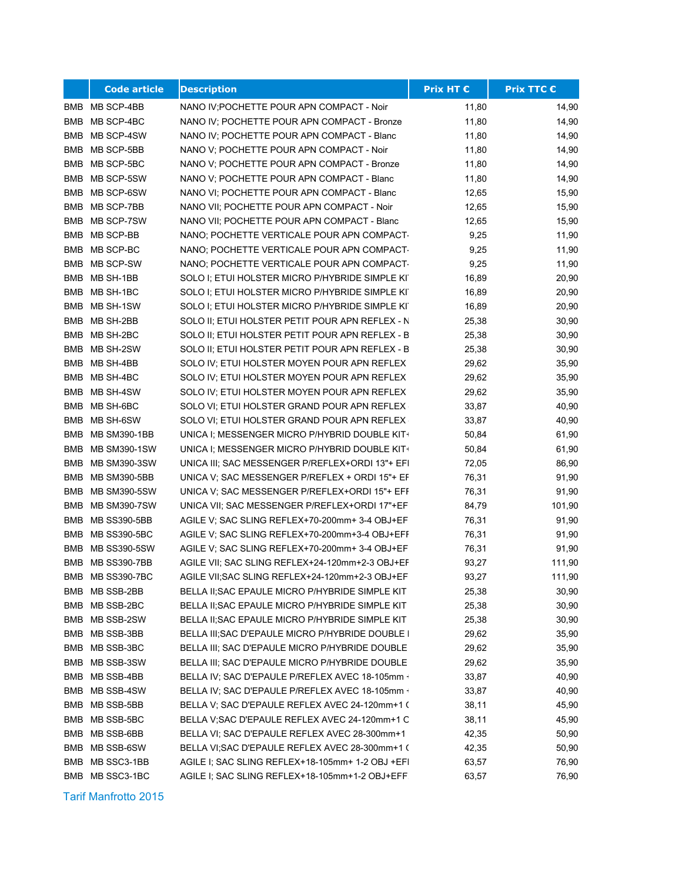|            | <b>Code article</b> | <b>Description</b>                               | Prix HT € | <b>Prix TTC €</b> |
|------------|---------------------|--------------------------------------------------|-----------|-------------------|
|            | BMB MB SCP-4BB      | NANO IV; POCHETTE POUR APN COMPACT - Noir        | 11,80     | 14,90             |
| BMB        | MB SCP-4BC          | NANO IV; POCHETTE POUR APN COMPACT - Bronze      | 11,80     | 14,90             |
| <b>BMB</b> | MB SCP-4SW          | NANO IV; POCHETTE POUR APN COMPACT - Blanc       | 11,80     | 14,90             |
| BMB        | MB SCP-5BB          | NANO V; POCHETTE POUR APN COMPACT - Noir         | 11,80     | 14,90             |
| BMB        | MB SCP-5BC          | NANO V; POCHETTE POUR APN COMPACT - Bronze       | 11,80     | 14,90             |
| <b>BMB</b> | MB SCP-5SW          | NANO V; POCHETTE POUR APN COMPACT - Blanc        | 11,80     | 14,90             |
| <b>BMB</b> | MB SCP-6SW          | NANO VI; POCHETTE POUR APN COMPACT - Blanc       | 12,65     | 15,90             |
| <b>BMB</b> | MB SCP-7BB          | NANO VII; POCHETTE POUR APN COMPACT - Noir       | 12,65     | 15,90             |
| BMB        | MB SCP-7SW          | NANO VII; POCHETTE POUR APN COMPACT - Blanc      | 12,65     | 15,90             |
| <b>BMB</b> | MB SCP-BB           | NANO; POCHETTE VERTICALE POUR APN COMPACT-       | 9,25      | 11,90             |
|            | BMB MB SCP-BC       | NANO; POCHETTE VERTICALE POUR APN COMPACT-       | 9,25      | 11,90             |
|            | BMB MB SCP-SW       | NANO; POCHETTE VERTICALE POUR APN COMPACT-       | 9,25      | 11,90             |
|            | BMB MB SH-1BB       | SOLO I; ETUI HOLSTER MICRO P/HYBRIDE SIMPLE KI   | 16,89     | 20,90             |
|            | BMB MB SH-1BC       | SOLO I; ETUI HOLSTER MICRO P/HYBRIDE SIMPLE KI   | 16,89     | 20,90             |
|            | BMB MB SH-1SW       | SOLO I; ETUI HOLSTER MICRO P/HYBRIDE SIMPLE KIT  | 16,89     | 20,90             |
| BMB        | MB SH-2BB           | SOLO II; ETUI HOLSTER PETIT POUR APN REFLEX - N  | 25,38     | 30,90             |
| BMB        | MB SH-2BC           | SOLO II; ETUI HOLSTER PETIT POUR APN REFLEX - B  | 25,38     | 30,90             |
| <b>BMB</b> | MB SH-2SW           | SOLO II: ETUI HOLSTER PETIT POUR APN REFLEX - B  | 25,38     | 30,90             |
| BMB        | MB SH-4BB           | SOLO IV; ETUI HOLSTER MOYEN POUR APN REFLEX      | 29,62     | 35,90             |
| BMB        | MB SH-4BC           | SOLO IV; ETUI HOLSTER MOYEN POUR APN REFLEX      | 29,62     | 35,90             |
| BMB        | MB SH-4SW           | SOLO IV; ETUI HOLSTER MOYEN POUR APN REFLEX      | 29,62     | 35,90             |
| BMB        | MB SH-6BC           | SOLO VI; ETUI HOLSTER GRAND POUR APN REFLEX      | 33,87     | 40,90             |
| BMB        | MB SH-6SW           | SOLO VI; ETUI HOLSTER GRAND POUR APN REFLEX      | 33,87     | 40,90             |
| BMB        | MB SM390-1BB        | UNICA I; MESSENGER MICRO P/HYBRID DOUBLE KIT+    | 50,84     | 61,90             |
| BMB        | MB SM390-1SW        | UNICA I; MESSENGER MICRO P/HYBRID DOUBLE KIT+    | 50,84     | 61,90             |
| <b>BMB</b> | <b>MB SM390-3SW</b> | UNICA III; SAC MESSENGER P/REFLEX+ORDI 13"+ EFI  | 72,05     | 86,90             |
| BMB        | MB SM390-5BB        | UNICA V; SAC MESSENGER P/REFLEX + ORDI 15"+ EF   | 76,31     | 91,90             |
|            | BMB MB SM390-5SW    | UNICA V; SAC MESSENGER P/REFLEX+ORDI 15"+ EFF    | 76,31     | 91,90             |
| <b>BMB</b> | MB SM390-7SW        | UNICA VII; SAC MESSENGER P/REFLEX+ORDI 17"+EF    | 84,79     | 101,90            |
| <b>BMB</b> | <b>MB SS390-5BB</b> | AGILE V; SAC SLING REFLEX+70-200mm+ 3-4 OBJ+EF   | 76,31     | 91,90             |
| BMB        | <b>MB SS390-5BC</b> | AGILE V; SAC SLING REFLEX+70-200mm+3-4 OBJ+EFF   | 76,31     | 91,90             |
| BMB        | <b>MB SS390-5SW</b> | AGILE V; SAC SLING REFLEX+70-200mm+ 3-4 OBJ+EF   | 76,31     | 91,90             |
| BMB        | <b>MB SS390-7BB</b> | AGILE VII; SAC SLING REFLEX+24-120mm+2-3 OBJ+EF  | 93,27     | 111,90            |
| <b>BMB</b> | <b>MB SS390-7BC</b> | AGILE VII; SAC SLING REFLEX+24-120mm+2-3 OBJ+EF  | 93,27     | 111,90            |
|            | BMB MB SSB-2BB      | BELLA II; SAC EPAULE MICRO P/HYBRIDE SIMPLE KIT  | 25,38     | 30,90             |
| BMB        | MB SSB-2BC          | BELLA II: SAC EPAULE MICRO P/HYBRIDE SIMPLE KIT  | 25,38     | 30,90             |
| BMB        | MB SSB-2SW          | BELLA II; SAC EPAULE MICRO P/HYBRIDE SIMPLE KIT  | 25,38     | 30,90             |
| BMB        | MB SSB-3BB          | BELLA III; SAC D'EPAULE MICRO P/HYBRIDE DOUBLE I | 29,62     | 35,90             |
| BMB        | MB SSB-3BC          | BELLA III; SAC D'EPAULE MICRO P/HYBRIDE DOUBLE   | 29,62     | 35,90             |
| BMB        | MB SSB-3SW          | BELLA III; SAC D'EPAULE MICRO P/HYBRIDE DOUBLE   | 29,62     | 35,90             |
| BMB        | MB SSB-4BB          | BELLA IV; SAC D'EPAULE P/REFLEX AVEC 18-105mm +  | 33,87     | 40,90             |
| BMB        | MB SSB-4SW          | BELLA IV; SAC D'EPAULE P/REFLEX AVEC 18-105mm +  | 33,87     | 40,90             |
| BMB        | MB SSB-5BB          | BELLA V; SAC D'EPAULE REFLEX AVEC 24-120mm+1 (   | 38,11     | 45,90             |
| BMB        | MB SSB-5BC          | BELLA V; SAC D'EPAULE REFLEX AVEC 24-120mm+1 C   | 38,11     | 45,90             |
| BMB        | MB SSB-6BB          | BELLA VI; SAC D'EPAULE REFLEX AVEC 28-300mm+1    | 42,35     | 50,90             |
| BMB        | MB SSB-6SW          | BELLA VI; SAC D'EPAULE REFLEX AVEC 28-300mm+1 (  | 42,35     | 50,90             |
| BMB        | MB SSC3-1BB         | AGILE I; SAC SLING REFLEX+18-105mm+ 1-2 OBJ +EFI | 63,57     | 76,90             |
| BMB        | MB SSC3-1BC         | AGILE I; SAC SLING REFLEX+18-105mm+1-2 OBJ+EFF.  | 63,57     | 76,90             |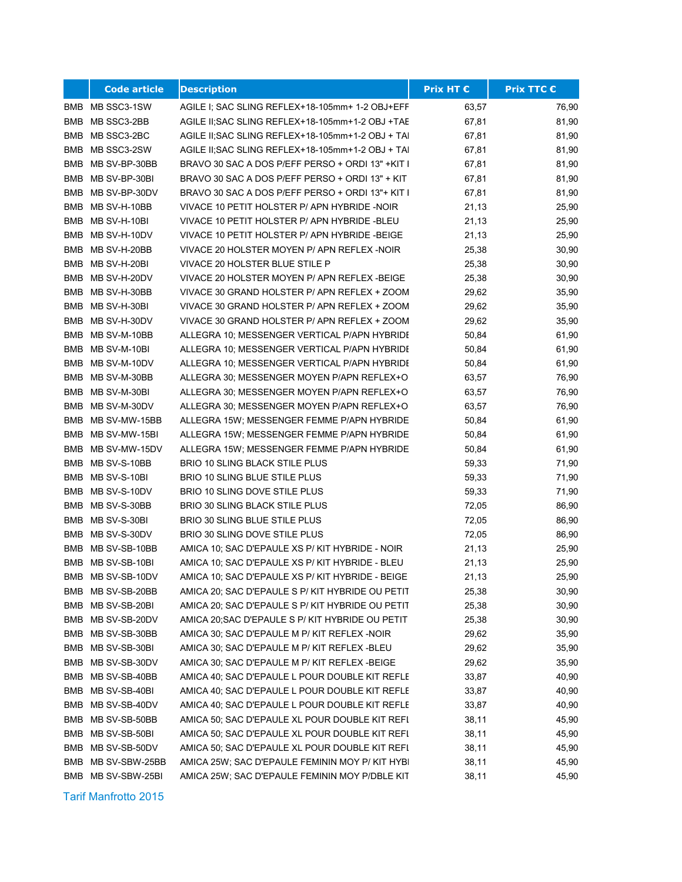|     | <b>Code article</b> | <b>Description</b>                                | <b>Prix HT €</b> | <b>Prix TTC €</b> |
|-----|---------------------|---------------------------------------------------|------------------|-------------------|
|     | BMB MB SSC3-1SW     | AGILE I; SAC SLING REFLEX+18-105mm+ 1-2 OBJ+EFF   | 63,57            | 76,90             |
| BMB | MB SSC3-2BB         | AGILE II; SAC SLING REFLEX+18-105mm+1-2 OBJ +TAE  | 67,81            | 81,90             |
| BMB | MB SSC3-2BC         | AGILE II; SAC SLING REFLEX+18-105mm+1-2 OBJ + TAI | 67,81            | 81,90             |
| BMB | MB SSC3-2SW         | AGILE II; SAC SLING REFLEX+18-105mm+1-2 OBJ + TAI | 67,81            | 81,90             |
| BMB | MB SV-BP-30BB       | BRAVO 30 SAC A DOS P/EFF PERSO + ORDI 13" +KIT I  | 67,81            | 81,90             |
|     | BMB MB SV-BP-30BI   | BRAVO 30 SAC A DOS P/EFF PERSO + ORDI 13" + KIT   | 67,81            | 81,90             |
|     | BMB MB SV-BP-30DV   | BRAVO 30 SAC A DOS P/EFF PERSO + ORDI 13"+ KIT I  | 67,81            | 81,90             |
|     | BMB MB SV-H-10BB    | VIVACE 10 PETIT HOLSTER P/ APN HYBRIDE-NOIR       | 21,13            | 25,90             |
|     | BMB MB SV-H-10BI    | VIVACE 10 PETIT HOLSTER P/ APN HYBRIDE -BLEU      | 21,13            | 25,90             |
|     | BMB MB SV-H-10DV    | VIVACE 10 PETIT HOLSTER P/ APN HYBRIDE -BEIGE     | 21,13            | 25,90             |
|     | BMB MB SV-H-20BB    | VIVACE 20 HOLSTER MOYEN P/ APN REFLEX -NOIR       | 25,38            | 30,90             |
|     | BMB MB SV-H-20BI    | VIVACE 20 HOLSTER BLUE STILE P                    | 25,38            | 30,90             |
|     | BMB MB SV-H-20DV    | VIVACE 20 HOLSTER MOYEN P/ APN REFLEX -BEIGE      | 25,38            | 30,90             |
|     | BMB MB SV-H-30BB    | VIVACE 30 GRAND HOLSTER P/ APN REFLEX + ZOOM      | 29,62            | 35,90             |
|     | BMB MB SV-H-30BI    | VIVACE 30 GRAND HOLSTER P/ APN REFLEX + ZOOM      | 29,62            | 35,90             |
|     | BMB MB SV-H-30DV    | VIVACE 30 GRAND HOLSTER P/ APN REFLEX + ZOOM      | 29,62            | 35,90             |
|     | BMB MB SV-M-10BB    | ALLEGRA 10; MESSENGER VERTICAL P/APN HYBRIDE      | 50,84            | 61,90             |
|     | BMB MB SV-M-10BI    | ALLEGRA 10; MESSENGER VERTICAL P/APN HYBRIDE      | 50,84            | 61,90             |
|     | BMB MB SV-M-10DV    | ALLEGRA 10; MESSENGER VERTICAL P/APN HYBRIDE      | 50,84            | 61,90             |
|     | BMB MB SV-M-30BB    | ALLEGRA 30; MESSENGER MOYEN P/APN REFLEX+O        | 63,57            | 76,90             |
|     | BMB MB SV-M-30BI    | ALLEGRA 30; MESSENGER MOYEN P/APN REFLEX+O        | 63,57            | 76,90             |
|     | BMB MB SV-M-30DV    | ALLEGRA 30; MESSENGER MOYEN P/APN REFLEX+O        | 63,57            | 76,90             |
|     | BMB MB SV-MW-15BB   | ALLEGRA 15W; MESSENGER FEMME P/APN HYBRIDE        | 50,84            | 61,90             |
|     | BMB MB SV-MW-15BI   | ALLEGRA 15W; MESSENGER FEMME P/APN HYBRIDE        | 50,84            | 61,90             |
|     | BMB MB SV-MW-15DV   | ALLEGRA 15W; MESSENGER FEMME P/APN HYBRIDE        | 50,84            | 61,90             |
|     | BMB MB SV-S-10BB    | BRIO 10 SLING BLACK STILE PLUS                    | 59,33            | 71,90             |
|     | BMB MB SV-S-10BI    | BRIO 10 SLING BLUE STILE PLUS                     | 59,33            | 71,90             |
|     | BMB MB SV-S-10DV    | BRIO 10 SLING DOVE STILE PLUS                     | 59,33            | 71,90             |
|     | BMB MB SV-S-30BB    | <b>BRIO 30 SLING BLACK STILE PLUS</b>             | 72,05            | 86,90             |
|     | BMB MB SV-S-30BI    | <b>BRIO 30 SLING BLUE STILE PLUS</b>              | 72,05            | 86,90             |
|     | BMB MB SV-S-30DV    | BRIO 30 SLING DOVE STILE PLUS                     | 72,05            | 86,90             |
| BMB | MB SV-SB-10BB       | AMICA 10; SAC D'EPAULE XS P/ KIT HYBRIDE - NOIR   | 21,13            | 25,90             |
|     | BMB MB SV-SB-10BI   | AMICA 10; SAC D'EPAULE XS P/ KIT HYBRIDE - BLEU   | 21,13            | 25,90             |
|     | BMB MB SV-SB-10DV   | AMICA 10; SAC D'EPAULE XS P/ KIT HYBRIDE - BEIGE  | 21,13            | 25,90             |
|     | BMB MB SV-SB-20BB   | AMICA 20; SAC D'EPAULE S P/ KIT HYBRIDE OU PETIT  | 25,38            | 30,90             |
|     | BMB MB SV-SB-20BI   | AMICA 20; SAC D'EPAULE S P/ KIT HYBRIDE OU PETIT  | 25,38            | 30,90             |
|     | BMB MB SV-SB-20DV   | AMICA 20; SAC D'EPAULE S P/ KIT HYBRIDE OU PETIT  | 25,38            | 30,90             |
| BMB | MB SV-SB-30BB       | AMICA 30; SAC D'EPAULE M P/ KIT REFLEX -NOIR      | 29,62            | 35,90             |
| BMB | MB SV-SB-30BI       | AMICA 30; SAC D'EPAULE M P/ KIT REFLEX-BLEU       | 29,62            | 35,90             |
| BMB | MB SV-SB-30DV       | AMICA 30; SAC D'EPAULE M P/ KIT REFLEX -BEIGE     | 29,62            | 35,90             |
| BMB | MB SV-SB-40BB       | AMICA 40; SAC D'EPAULE L POUR DOUBLE KIT REFLE    | 33,87            | 40,90             |
|     | BMB MB SV-SB-40BI   | AMICA 40; SAC D'EPAULE L POUR DOUBLE KIT REFLE    | 33,87            | 40,90             |
| BMB | MB SV-SB-40DV       | AMICA 40; SAC D'EPAULE L POUR DOUBLE KIT REFLE    | 33,87            | 40,90             |
| BMB | MB SV-SB-50BB       | AMICA 50; SAC D'EPAULE XL POUR DOUBLE KIT REFL    | 38,11            | 45,90             |
| BMB | MB SV-SB-50BI       | AMICA 50; SAC D'EPAULE XL POUR DOUBLE KIT REFL    | 38,11            | 45,90             |
| BMB | MB SV-SB-50DV       | AMICA 50; SAC D'EPAULE XL POUR DOUBLE KIT REFL    | 38,11            | 45,90             |
| BMB | MB SV-SBW-25BB      | AMICA 25W; SAC D'EPAULE FEMININ MOY P/ KIT HYBI   | 38,11            | 45,90             |
|     | BMB MB SV-SBW-25BI  | AMICA 25W; SAC D'EPAULE FEMININ MOY P/DBLE KIT    | 38,11            | 45,90             |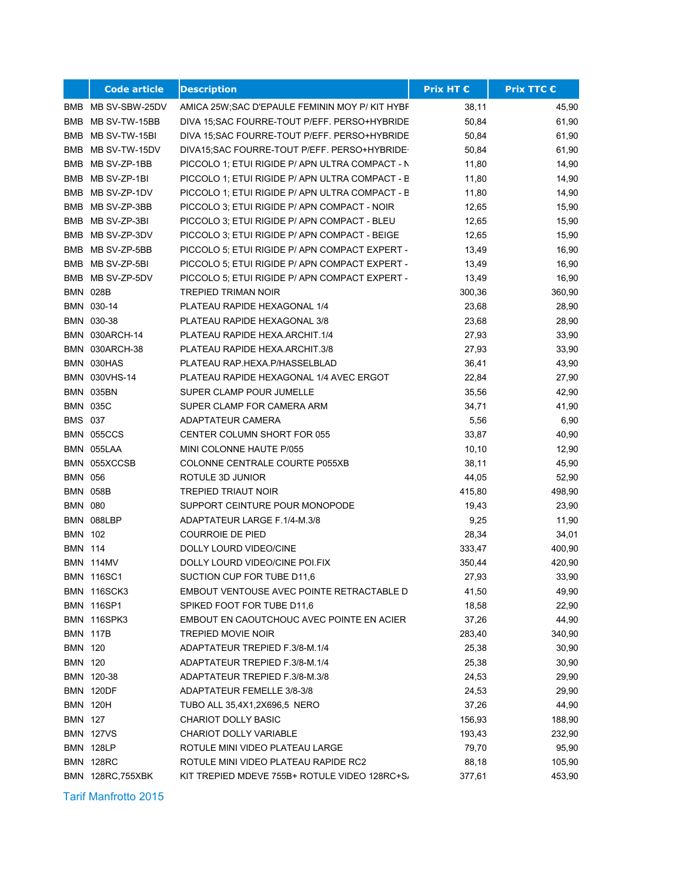|                | <b>Code article</b>  | <b>Description</b>                              | <b>Prix HT €</b> | <b>Prix TTC €</b> |
|----------------|----------------------|-------------------------------------------------|------------------|-------------------|
|                | BMB MB SV-SBW-25DV   | AMICA 25W; SAC D'EPAULE FEMININ MOY P/ KIT HYBF | 38,11            | 45,90             |
| BMB            | MB SV-TW-15BB        | DIVA 15; SAC FOURRE-TOUT P/EFF. PERSO+HYBRIDE   | 50,84            | 61,90             |
| BMB            | MB SV-TW-15BI        | DIVA 15;SAC FOURRE-TOUT P/EFF. PERSO+HYBRIDE    | 50,84            | 61,90             |
| BMB            | MB SV-TW-15DV        | DIVA15; SAC FOURRE-TOUT P/EFF. PERSO+HYBRIDE-   | 50,84            | 61,90             |
|                | BMB MB SV-ZP-1BB     | PICCOLO 1; ETUI RIGIDE P/ APN ULTRA COMPACT - N | 11,80            | 14,90             |
| BMB            | MB SV-ZP-1BI         | PICCOLO 1; ETUI RIGIDE P/ APN ULTRA COMPACT - B | 11,80            | 14,90             |
| BMB            | MB SV-ZP-1DV         | PICCOLO 1; ETUI RIGIDE P/ APN ULTRA COMPACT - B | 11,80            | 14,90             |
|                | BMB MB SV-ZP-3BB     | PICCOLO 3; ETUI RIGIDE P/ APN COMPACT - NOIR    | 12,65            | 15,90             |
|                | BMB MB SV-ZP-3BI     | PICCOLO 3; ETUI RIGIDE P/ APN COMPACT - BLEU    | 12,65            | 15,90             |
|                | BMB MB SV-ZP-3DV     | PICCOLO 3; ETUI RIGIDE P/ APN COMPACT - BEIGE   | 12,65            | 15,90             |
|                | BMB MB SV-ZP-5BB     | PICCOLO 5; ETUI RIGIDE P/ APN COMPACT EXPERT -  | 13,49            | 16,90             |
|                | BMB MB SV-ZP-5BI     | PICCOLO 5; ETUI RIGIDE P/ APN COMPACT EXPERT -  | 13,49            | 16,90             |
|                | BMB MB SV-ZP-5DV     | PICCOLO 5; ETUI RIGIDE P/ APN COMPACT EXPERT -  | 13,49            | 16,90             |
|                | <b>BMN 028B</b>      | <b>TREPIED TRIMAN NOIR</b>                      | 300,36           | 360,90            |
|                | BMN 030-14           | PLATEAU RAPIDE HEXAGONAL 1/4                    | 23,68            | 28,90             |
|                | BMN 030-38           | PLATEAU RAPIDE HEXAGONAL 3/8                    | 23,68            | 28,90             |
|                | BMN 030ARCH-14       | PLATEAU RAPIDE HEXA ARCHIT.1/4                  | 27,93            | 33,90             |
|                | BMN 030ARCH-38       | PLATEAU RAPIDE HEXA.ARCHIT.3/8                  | 27,93            | 33,90             |
|                | BMN 030HAS           | PLATEAU RAP.HEXA.P/HASSELBLAD                   | 36,41            | 43,90             |
|                | <b>BMN 030VHS-14</b> | PLATEAU RAPIDE HEXAGONAL 1/4 AVEC ERGOT         | 22,84            | 27,90             |
|                | BMN 035BN            | SUPER CLAMP POUR JUMELLE                        | 35,56            | 42,90             |
|                | <b>BMN 035C</b>      | SUPER CLAMP FOR CAMERA ARM                      | 34,71            | 41,90             |
| <b>BMS 037</b> |                      | ADAPTATEUR CAMERA                               | 5,56             | 6,90              |
|                | BMN 055CCS           | CENTER COLUMN SHORT FOR 055                     | 33,87            | 40,90             |
|                | BMN 055LAA           | MINI COLONNE HAUTE P/055                        | 10, 10           | 12,90             |
|                | BMN 055XCCSB         | COLONNE CENTRALE COURTE P055XB                  | 38,11            | 45,90             |
| <b>BMN 056</b> |                      | ROTULE 3D JUNIOR                                | 44,05            | 52,90             |
|                | <b>BMN 058B</b>      | <b>TREPIED TRIAUT NOIR</b>                      | 415,80           | 498,90            |
| <b>BMN 080</b> |                      | SUPPORT CEINTURE POUR MONOPODE                  | 19,43            | 23,90             |
|                | BMN 088LBP           | ADAPTATEUR LARGE F.1/4-M.3/8                    | 9,25             | 11,90             |
| <b>BMN 102</b> |                      | <b>COURROIE DE PIED</b>                         | 28,34            | 34,01             |
| <b>BMN 114</b> |                      | DOLLY LOURD VIDEO/CINE                          | 333,47           | 400,90            |
|                | <b>BMN 114MV</b>     | DOLLY LOURD VIDEO/CINE POI.FIX                  | 350,44           | 420,90            |
|                | <b>BMN 116SC1</b>    | SUCTION CUP FOR TUBE D11,6                      | 27,93            | 33,90             |
|                | <b>BMN 116SCK3</b>   | EMBOUT VENTOUSE AVEC POINTE RETRACTABLE D       | 41,50            | 49,90             |
|                | <b>BMN 116SP1</b>    | SPIKED FOOT FOR TUBE D11,6                      | 18,58            | 22,90             |
|                | BMN 116SPK3          | EMBOUT EN CAOUTCHOUC AVEC POINTE EN ACIER       | 37,26            | 44,90             |
|                | BMN 117B             | TREPIED MOVIE NOIR                              | 283,40           | 340,90            |
| <b>BMN 120</b> |                      | ADAPTATEUR TREPIED F.3/8-M.1/4                  | 25,38            | 30,90             |
| <b>BMN 120</b> |                      | ADAPTATEUR TREPIED F.3/8-M.1/4                  | 25,38            | 30,90             |
|                | BMN 120-38           | ADAPTATEUR TREPIED F.3/8-M.3/8                  | 24,53            | 29,90             |
|                | BMN 120DF            | ADAPTATEUR FEMELLE 3/8-3/8                      | 24,53            | 29,90             |
|                | BMN 120H             | TUBO ALL 35,4X1,2X696,5 NERO                    | 37,26            | 44,90             |
| <b>BMN 127</b> |                      | <b>CHARIOT DOLLY BASIC</b>                      | 156,93           | 188,90            |
|                | <b>BMN 127VS</b>     | <b>CHARIOT DOLLY VARIABLE</b>                   | 193,43           | 232,90            |
|                | BMN 128LP            | ROTULE MINI VIDEO PLATEAU LARGE                 | 79,70            | 95,90             |
|                | <b>BMN 128RC</b>     | ROTULE MINI VIDEO PLATEAU RAPIDE RC2            | 88,18            | 105,90            |
|                | BMN 128RC, 755XBK    | KIT TREPIED MDEVE 755B+ ROTULE VIDEO 128RC+S/   | 377,61           | 453,90            |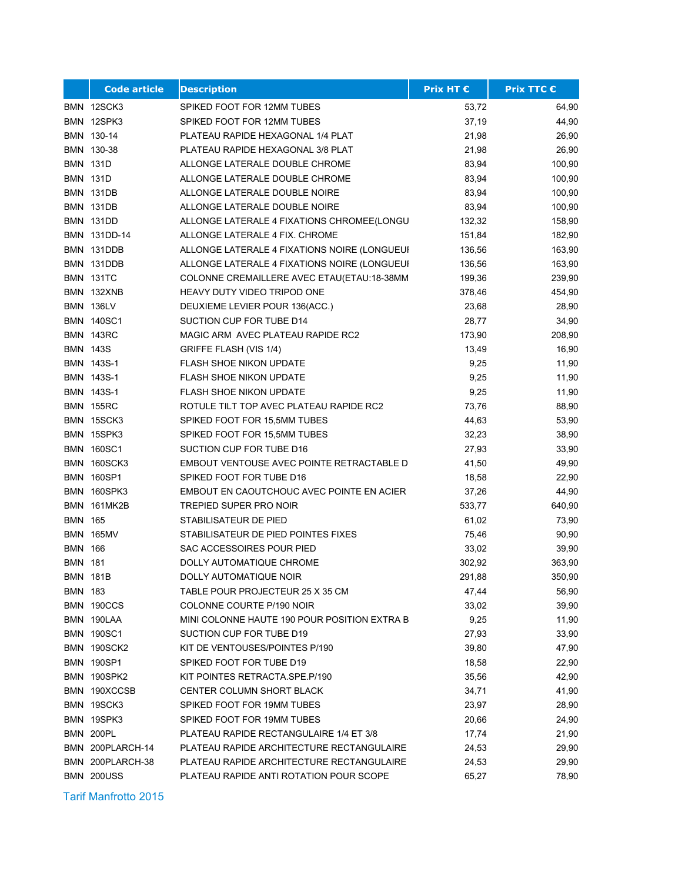|                | <b>Code article</b> | <b>Description</b>                           | <b>Prix HT €</b> | <b>Prix TTC €</b> |
|----------------|---------------------|----------------------------------------------|------------------|-------------------|
|                | BMN 12SCK3          | SPIKED FOOT FOR 12MM TUBES                   | 53,72            | 64,90             |
|                | BMN 12SPK3          | SPIKED FOOT FOR 12MM TUBES                   | 37,19            | 44,90             |
|                | BMN 130-14          | PLATEAU RAPIDE HEXAGONAL 1/4 PLAT            | 21,98            | 26,90             |
|                | BMN 130-38          | PLATEAU RAPIDE HEXAGONAL 3/8 PLAT            | 21,98            | 26,90             |
|                | <b>BMN 131D</b>     | ALLONGE LATERALE DOUBLE CHROME               | 83,94            | 100,90            |
|                | <b>BMN 131D</b>     | ALLONGE LATERALE DOUBLE CHROME               | 83,94            | 100,90            |
|                | <b>BMN 131DB</b>    | ALLONGE LATERALE DOUBLE NOIRE                | 83,94            | 100,90            |
|                | <b>BMN 131DB</b>    | ALLONGE LATERALE DOUBLE NOIRE                | 83,94            | 100,90            |
|                | <b>BMN 131DD</b>    | ALLONGE LATERALE 4 FIXATIONS CHROMEE(LONGU   | 132,32           | 158,90            |
|                | BMN 131DD-14        | ALLONGE LATERALE 4 FIX. CHROME               | 151,84           | 182,90            |
|                | BMN 131DDB          | ALLONGE LATERALE 4 FIXATIONS NOIRE (LONGUEUI | 136,56           | 163,90            |
|                | BMN 131DDB          | ALLONGE LATERALE 4 FIXATIONS NOIRE (LONGUEUI | 136,56           | 163,90            |
|                | <b>BMN 131TC</b>    | COLONNE CREMAILLERE AVEC ETAU(ETAU:18-38MM   | 199,36           | 239,90            |
|                | BMN 132XNB          | HEAVY DUTY VIDEO TRIPOD ONE                  | 378,46           | 454,90            |
|                | <b>BMN 136LV</b>    | DEUXIEME LEVIER POUR 136(ACC.)               | 23,68            | 28,90             |
|                | <b>BMN 140SC1</b>   | SUCTION CUP FOR TUBE D14                     | 28,77            | 34,90             |
|                | BMN 143RC           | MAGIC ARM AVEC PLATEAU RAPIDE RC2            | 173,90           | 208,90            |
|                | <b>BMN 143S</b>     | GRIFFE FLASH (VIS 1/4)                       | 13,49            | 16,90             |
|                | BMN 143S-1          | <b>FLASH SHOE NIKON UPDATE</b>               | 9,25             | 11,90             |
|                | BMN 143S-1          | <b>FLASH SHOE NIKON UPDATE</b>               | 9,25             | 11,90             |
|                | BMN 143S-1          | <b>FLASH SHOE NIKON UPDATE</b>               | 9,25             | 11,90             |
|                | <b>BMN 155RC</b>    | ROTULE TILT TOP AVEC PLATEAU RAPIDE RC2      | 73,76            | 88,90             |
|                | BMN 15SCK3          | SPIKED FOOT FOR 15,5MM TUBES                 | 44,63            | 53,90             |
|                | BMN 15SPK3          | SPIKED FOOT FOR 15,5MM TUBES                 | 32,23            | 38,90             |
|                | <b>BMN 160SC1</b>   | SUCTION CUP FOR TUBE D16                     | 27,93            | 33,90             |
|                | <b>BMN 160SCK3</b>  | EMBOUT VENTOUSE AVEC POINTE RETRACTABLE D    | 41,50            | 49,90             |
|                | <b>BMN 160SP1</b>   | SPIKED FOOT FOR TUBE D16                     | 18,58            | 22,90             |
|                | BMN 160SPK3         | EMBOUT EN CAOUTCHOUC AVEC POINTE EN ACIER    | 37,26            | 44,90             |
| BMN            | 161MK2B             | TREPIED SUPER PRO NOIR                       | 533,77           | 640,90            |
| <b>BMN 165</b> |                     | STABILISATEUR DE PIED                        | 61,02            | 73,90             |
|                | <b>BMN 165MV</b>    | STABILISATEUR DE PIED POINTES FIXES          | 75,46            | 90,90             |
| BMN            | 166                 | SAC ACCESSOIRES POUR PIED                    | 33,02            | 39,90             |
| <b>BMN 181</b> |                     | DOLLY AUTOMATIQUE CHROME                     | 302,92           | 363,90            |
|                | <b>BMN 181B</b>     | DOLLY AUTOMATIQUE NOIR                       | 291,88           | 350,90            |
| BMN 183        |                     | TABLE POUR PROJECTEUR 25 X 35 CM             | 47,44            | 56,90             |
|                | BMN 190CCS          | COLONNE COURTE P/190 NOIR                    | 33,02            | 39,90             |
|                | BMN 190LAA          | MINI COLONNE HAUTE 190 POUR POSITION EXTRA B | 9,25             | 11,90             |
|                | <b>BMN 190SC1</b>   | SUCTION CUP FOR TUBE D19                     | 27,93            | 33,90             |
|                | BMN 190SCK2         | KIT DE VENTOUSES/POINTES P/190               | 39,80            | 47,90             |
|                | <b>BMN 190SP1</b>   | SPIKED FOOT FOR TUBE D19                     | 18,58            | 22,90             |
|                | BMN 190SPK2         | KIT POINTES RETRACTA.SPE.P/190               | 35,56            | 42,90             |
|                | BMN 190XCCSB        | CENTER COLUMN SHORT BLACK                    | 34,71            | 41,90             |
|                | BMN 19SCK3          | SPIKED FOOT FOR 19MM TUBES                   | 23,97            | 28,90             |
|                | BMN 19SPK3          | SPIKED FOOT FOR 19MM TUBES                   | 20,66            | 24,90             |
|                | BMN 200PL           | PLATEAU RAPIDE RECTANGULAIRE 1/4 ET 3/8      | 17,74            | 21,90             |
|                | BMN 200PLARCH-14    | PLATEAU RAPIDE ARCHITECTURE RECTANGULAIRE    | 24,53            | 29,90             |
|                | BMN 200PLARCH-38    | PLATEAU RAPIDE ARCHITECTURE RECTANGULAIRE    | 24,53            | 29,90             |
|                | <b>BMN 200USS</b>   | PLATEAU RAPIDE ANTI ROTATION POUR SCOPE      | 65,27            | 78,90             |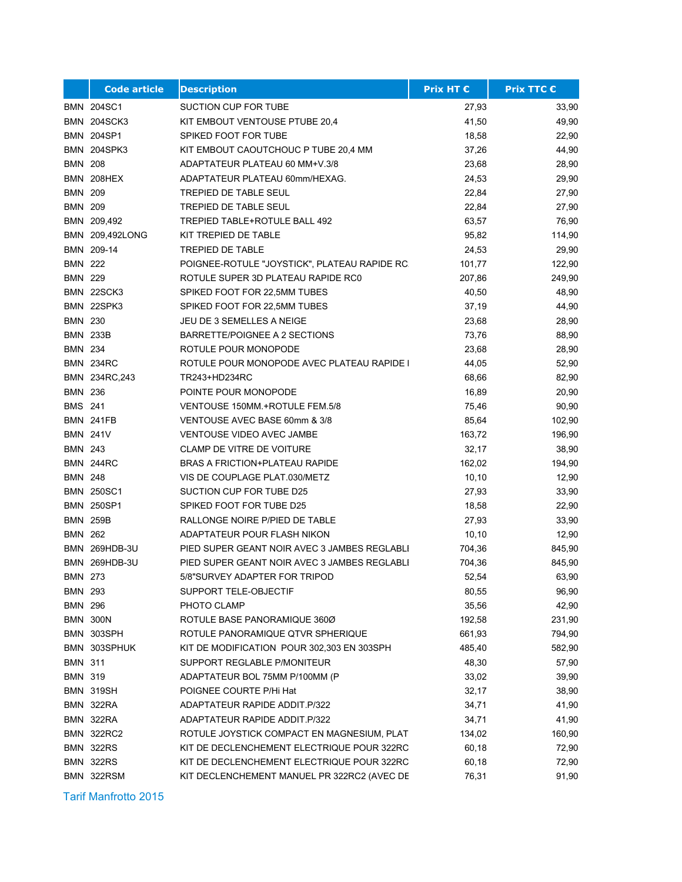|                | <b>Code article</b> | <b>Description</b>                            | <b>Prix HT €</b> | <b>Prix TTC €</b> |
|----------------|---------------------|-----------------------------------------------|------------------|-------------------|
|                | <b>BMN 204SC1</b>   | SUCTION CUP FOR TUBE                          | 27,93            | 33,90             |
|                | <b>BMN 204SCK3</b>  | KIT EMBOUT VENTOUSE PTUBE 20,4                | 41,50            | 49,90             |
|                | <b>BMN 204SP1</b>   | SPIKED FOOT FOR TUBE                          | 18,58            | 22,90             |
|                | <b>BMN 204SPK3</b>  | KIT EMBOUT CAOUTCHOUC P TUBE 20,4 MM          | 37,26            | 44,90             |
| <b>BMN 208</b> |                     | ADAPTATEUR PLATEAU 60 MM+V.3/8                | 23,68            | 28,90             |
|                | BMN 208HEX          | ADAPTATEUR PLATEAU 60mm/HEXAG.                | 24,53            | 29,90             |
| <b>BMN 209</b> |                     | <b>TREPIED DE TABLE SEUL</b>                  | 22,84            | 27,90             |
| <b>BMN 209</b> |                     | <b>TREPIED DE TABLE SEUL</b>                  | 22,84            | 27,90             |
|                | BMN 209,492         | TREPIED TABLE+ROTULE BALL 492                 | 63,57            | 76,90             |
|                | BMN 209,492LONG     | KIT TREPIED DE TABLE                          | 95,82            | 114,90            |
|                | BMN 209-14          | <b>TREPIED DE TABLE</b>                       | 24,53            | 29,90             |
| <b>BMN 222</b> |                     | POIGNEE-ROTULE "JOYSTICK", PLATEAU RAPIDE RC. | 101,77           | 122,90            |
| <b>BMN 229</b> |                     | ROTULE SUPER 3D PLATEAU RAPIDE RC0            | 207,86           | 249,90            |
|                | BMN 22SCK3          | SPIKED FOOT FOR 22,5MM TUBES                  | 40,50            | 48,90             |
|                | BMN 22SPK3          | SPIKED FOOT FOR 22,5MM TUBES                  | 37,19            | 44,90             |
| <b>BMN 230</b> |                     | JEU DE 3 SEMELLES A NEIGE                     | 23,68            | 28,90             |
|                | <b>BMN 233B</b>     | BARRETTE/POIGNEE A 2 SECTIONS                 | 73,76            | 88,90             |
| <b>BMN 234</b> |                     | ROTULE POUR MONOPODE                          | 23,68            | 28,90             |
|                | <b>BMN 234RC</b>    | ROTULE POUR MONOPODE AVEC PLATEAU RAPIDE I    | 44,05            | 52,90             |
|                | BMN 234RC, 243      | TR243+HD234RC                                 | 68,66            | 82,90             |
| <b>BMN 236</b> |                     | POINTE POUR MONOPODE                          | 16,89            | 20,90             |
| <b>BMS 241</b> |                     | VENTOUSE 150MM.+ROTULE FEM.5/8                | 75,46            | 90,90             |
|                | <b>BMN 241FB</b>    | VENTOUSE AVEC BASE 60mm & 3/8                 | 85,64            | 102,90            |
|                | <b>BMN 241V</b>     | <b>VENTOUSE VIDEO AVEC JAMBE</b>              | 163,72           | 196,90            |
| <b>BMN 243</b> |                     | <b>CLAMP DE VITRE DE VOITURE</b>              | 32,17            | 38,90             |
|                | <b>BMN 244RC</b>    | <b>BRAS A FRICTION+PLATEAU RAPIDE</b>         | 162,02           | 194,90            |
| <b>BMN 248</b> |                     | VIS DE COUPLAGE PLAT.030/METZ                 | 10, 10           | 12,90             |
|                | <b>BMN 250SC1</b>   | SUCTION CUP FOR TUBE D25                      | 27,93            | 33,90             |
|                | <b>BMN 250SP1</b>   | SPIKED FOOT FOR TUBE D25                      | 18,58            | 22,90             |
|                | <b>BMN 259B</b>     | RALLONGE NOIRE P/PIED DE TABLE                | 27,93            | 33,90             |
| <b>BMN 262</b> |                     | ADAPTATEUR POUR FLASH NIKON                   | 10, 10           | 12,90             |
|                | BMN 269HDB-3U       | PIED SUPER GEANT NOIR AVEC 3 JAMBES REGLABLI  | 704,36           | 845,90            |
|                | BMN 269HDB-3U       | PIED SUPER GEANT NOIR AVEC 3 JAMBES REGLABLI  | 704,36           | 845,90            |
| <b>BMN 273</b> |                     | 5/8"SURVEY ADAPTER FOR TRIPOD                 | 52,54            | 63,90             |
| BMN 293        |                     | SUPPORT TELE-OBJECTIF                         | 80,55            | 96,90             |
| <b>BMN 296</b> |                     | PHOTO CLAMP                                   | 35,56            | 42,90             |
|                | <b>BMN 300N</b>     | ROTULE BASE PANORAMIQUE 360Ø                  | 192,58           | 231,90            |
|                | BMN 303SPH          | ROTULE PANORAMIQUE QTVR SPHERIQUE             | 661,93           | 794,90            |
|                | BMN 303SPHUK        | KIT DE MODIFICATION POUR 302,303 EN 303SPH    | 485,40           | 582,90            |
| <b>BMN 311</b> |                     | SUPPORT REGLABLE P/MONITEUR                   | 48,30            | 57,90             |
| <b>BMN 319</b> |                     | ADAPTATEUR BOL 75MM P/100MM (P                | 33,02            | 39,90             |
|                | <b>BMN 319SH</b>    | POIGNEE COURTE P/Hi Hat                       | 32,17            | 38,90             |
|                | BMN 322RA           | ADAPTATEUR RAPIDE ADDIT P/322                 | 34,71            | 41,90             |
|                | BMN 322RA           | <b>ADAPTATEUR RAPIDE ADDIT P/322</b>          | 34,71            | 41,90             |
|                | <b>BMN 322RC2</b>   | ROTULE JOYSTICK COMPACT EN MAGNESIUM, PLAT    | 134,02           | 160,90            |
|                | BMN 322RS           | KIT DE DECLENCHEMENT ELECTRIQUE POUR 322RC    | 60,18            | 72,90             |
|                | <b>BMN 322RS</b>    | KIT DE DECLENCHEMENT ELECTRIQUE POUR 322RC    | 60,18            | 72,90             |
|                | BMN 322RSM          | KIT DECLENCHEMENT MANUEL PR 322RC2 (AVEC DE   | 76,31            | 91,90             |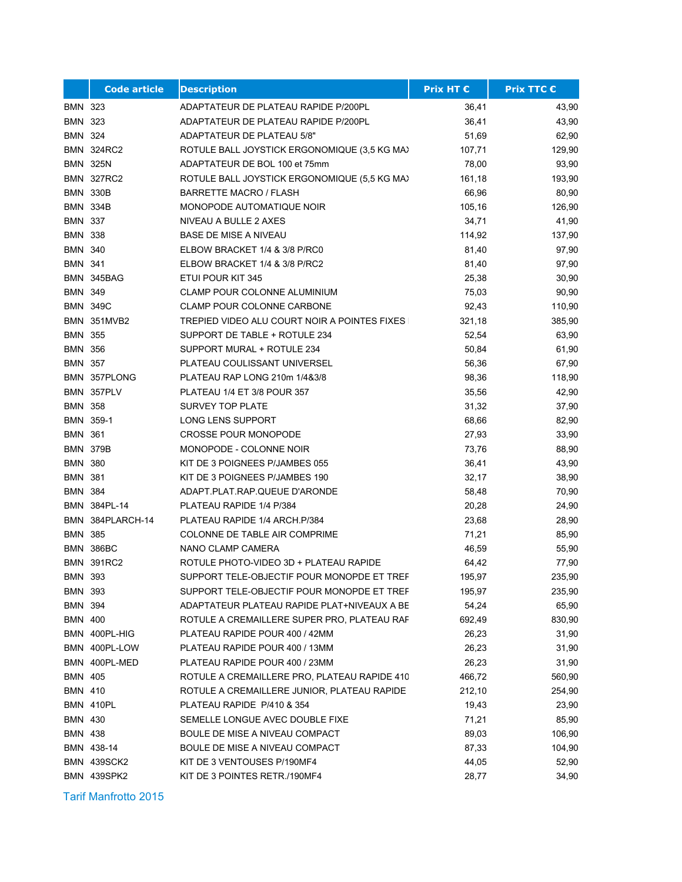|                | <b>Code article</b> | <b>Description</b>                             | <b>Prix HT €</b> | <b>Prix TTC €</b> |
|----------------|---------------------|------------------------------------------------|------------------|-------------------|
| BMN 323        |                     | ADAPTATEUR DE PLATEAU RAPIDE P/200PL           | 36,41            | 43,90             |
| <b>BMN 323</b> |                     | ADAPTATEUR DE PLATEAU RAPIDE P/200PL           | 36,41            | 43,90             |
| BMN 324        |                     | ADAPTATEUR DE PLATEAU 5/8"                     | 51,69            | 62,90             |
|                | <b>BMN 324RC2</b>   | ROTULE BALL JOYSTICK ERGONOMIQUE (3,5 KG MA)   | 107,71           | 129,90            |
|                | <b>BMN 325N</b>     | ADAPTATEUR DE BOL 100 et 75mm                  | 78,00            | 93,90             |
|                | <b>BMN 327RC2</b>   | ROTULE BALL JOYSTICK ERGONOMIQUE (5,5 KG MA)   | 161,18           | 193,90            |
|                | <b>BMN 330B</b>     | <b>BARRETTE MACRO / FLASH</b>                  | 66,96            | 80,90             |
|                | <b>BMN 334B</b>     | <b>MONOPODE AUTOMATIQUE NOIR</b>               | 105,16           | 126,90            |
| <b>BMN 337</b> |                     | NIVEAU A BULLE 2 AXES                          | 34,71            | 41,90             |
| <b>BMN 338</b> |                     | <b>BASE DE MISE A NIVEAU</b>                   | 114,92           | 137,90            |
| BMN 340        |                     | ELBOW BRACKET 1/4 & 3/8 P/RC0                  | 81,40            | 97,90             |
| <b>BMN 341</b> |                     | ELBOW BRACKET 1/4 & 3/8 P/RC2                  | 81,40            | 97,90             |
|                | BMN 345BAG          | ETUI POUR KIT 345                              | 25,38            | 30,90             |
| <b>BMN 349</b> |                     | CLAMP POUR COLONNE ALUMINIUM                   | 75,03            | 90,90             |
|                | <b>BMN 349C</b>     | CLAMP POUR COLONNE CARBONE                     | 92,43            | 110,90            |
|                | <b>BMN 351MVB2</b>  | TREPIED VIDEO ALU COURT NOIR A POINTES FIXES I | 321,18           | 385,90            |
| <b>BMN 355</b> |                     | SUPPORT DE TABLE + ROTULE 234                  | 52,54            | 63,90             |
| <b>BMN 356</b> |                     | SUPPORT MURAL + ROTULE 234                     | 50,84            | 61,90             |
| <b>BMN 357</b> |                     | PLATEAU COULISSANT UNIVERSEL                   | 56,36            | 67,90             |
|                | BMN 357PLONG        | PLATEAU RAP LONG 210m 1/4&3/8                  | 98,36            | 118,90            |
|                | BMN 357PLV          | PLATEAU 1/4 ET 3/8 POUR 357                    | 35,56            | 42,90             |
| <b>BMN 358</b> |                     | <b>SURVEY TOP PLATE</b>                        | 31,32            | 37,90             |
|                | BMN 359-1           | LONG LENS SUPPORT                              | 68,66            | 82,90             |
| <b>BMN 361</b> |                     | <b>CROSSE POUR MONOPODE</b>                    | 27,93            | 33,90             |
|                | <b>BMN 379B</b>     | MONOPODE - COLONNE NOIR                        | 73,76            | 88,90             |
| <b>BMN 380</b> |                     | KIT DE 3 POIGNEES P/JAMBES 055                 | 36,41            | 43,90             |
| <b>BMN 381</b> |                     | KIT DE 3 POIGNEES P/JAMBES 190                 | 32,17            | 38,90             |
| <b>BMN 384</b> |                     | ADAPT PLAT RAP QUEUE D'ARONDE                  | 58,48            | 70,90             |
|                | BMN 384PL-14        | PLATEAU RAPIDE 1/4 P/384                       | 20,28            | 24,90             |
|                | BMN 384PLARCH-14    | PLATEAU RAPIDE 1/4 ARCH.P/384                  | 23,68            | 28,90             |
| <b>BMN 385</b> |                     | COLONNE DE TABLE AIR COMPRIME                  | 71,21            | 85,90             |
|                | BMN 386BC           | NANO CLAMP CAMERA                              | 46,59            | 55,90             |
|                | <b>BMN 391RC2</b>   | ROTULE PHOTO-VIDEO 3D + PLATEAU RAPIDE         | 64,42            | 77,90             |
| <b>BMN 393</b> |                     | SUPPORT TELE-OBJECTIF POUR MONOPDE ET TREF     | 195,97           | 235,90            |
| BMN 393        |                     | SUPPORT TELE-OBJECTIF POUR MONOPDE ET TREF     | 195,97           | 235,90            |
| <b>BMN 394</b> |                     | ADAPTATEUR PLATEAU RAPIDE PLAT+NIVEAUX A BE    | 54,24            | 65,90             |
| BMN 400        |                     | ROTULE A CREMAILLERE SUPER PRO, PLATEAU RAF    | 692,49           | 830,90            |
|                | BMN 400PL-HIG       | PLATEAU RAPIDE POUR 400 / 42MM                 | 26,23            | 31,90             |
|                | BMN 400PL-LOW       | PLATEAU RAPIDE POUR 400 / 13MM                 | 26,23            | 31,90             |
|                | BMN 400PL-MED       | PLATEAU RAPIDE POUR 400 / 23MM                 | 26,23            | 31,90             |
| <b>BMN 405</b> |                     | ROTULE A CREMAILLERE PRO, PLATEAU RAPIDE 410   | 466,72           | 560,90            |
| <b>BMN 410</b> |                     | ROTULE A CREMAILLERE JUNIOR, PLATEAU RAPIDE    | 212,10           | 254,90            |
|                | BMN 410PL           | PLATEAU RAPIDE P/410 & 354                     | 19,43            | 23,90             |
| BMN 430        |                     | SEMELLE LONGUE AVEC DOUBLE FIXE                | 71,21            | 85,90             |
| BMN 438        |                     | BOULE DE MISE A NIVEAU COMPACT                 | 89,03            | 106,90            |
|                | BMN 438-14          | BOULE DE MISE A NIVEAU COMPACT                 | 87,33            | 104,90            |
|                | <b>BMN 439SCK2</b>  | KIT DE 3 VENTOUSES P/190MF4                    | 44,05            | 52,90             |
|                | BMN 439SPK2         | KIT DE 3 POINTES RETR./190MF4                  | 28,77            | 34,90             |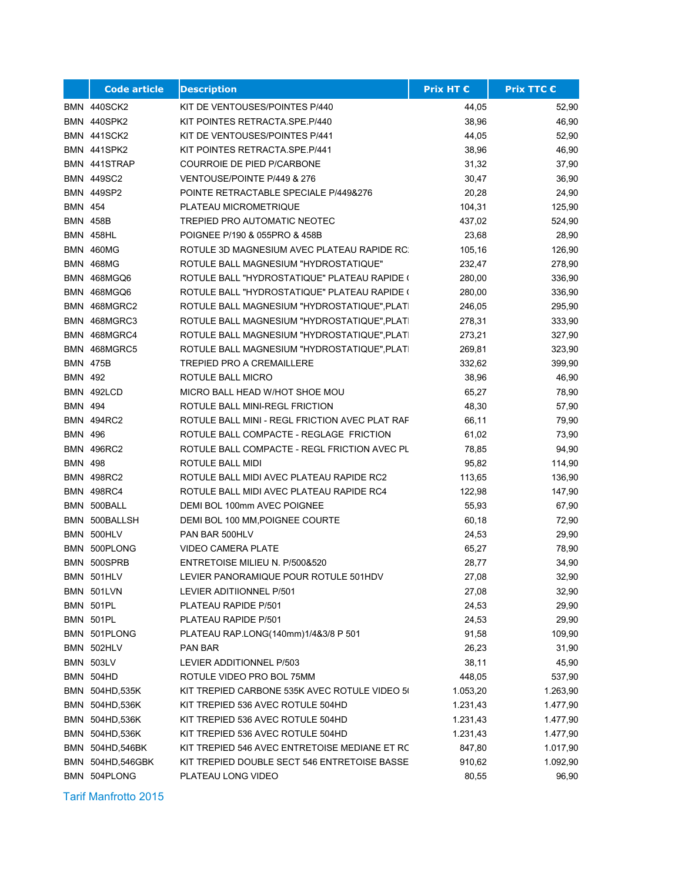|                | <b>Code article</b> | <b>Description</b>                             | <b>Prix HT €</b> | <b>Prix TTC €</b> |
|----------------|---------------------|------------------------------------------------|------------------|-------------------|
|                | BMN 440SCK2         | KIT DE VENTOUSES/POINTES P/440                 | 44,05            | 52,90             |
|                | BMN 440SPK2         | KIT POINTES RETRACTA.SPE.P/440                 | 38,96            | 46,90             |
|                | <b>BMN 441SCK2</b>  | KIT DE VENTOUSES/POINTES P/441                 | 44,05            | 52,90             |
|                | BMN 441SPK2         | KIT POINTES RETRACTA.SPE.P/441                 | 38,96            | 46,90             |
|                | BMN 441STRAP        | COURROIE DE PIED P/CARBONE                     | 31,32            | 37,90             |
|                | <b>BMN 449SC2</b>   | VENTOUSE/POINTE P/449 & 276                    | 30,47            | 36,90             |
|                | <b>BMN 449SP2</b>   | POINTE RETRACTABLE SPECIALE P/449&276          | 20,28            | 24,90             |
| <b>BMN 454</b> |                     | PLATEAU MICROMETRIQUE                          | 104,31           | 125,90            |
|                | <b>BMN 458B</b>     | TREPIED PRO AUTOMATIC NEOTEC                   | 437,02           | 524,90            |
|                | <b>BMN 458HL</b>    | POIGNEE P/190 & 055PRO & 458B                  | 23,68            | 28,90             |
|                | <b>BMN 460MG</b>    | ROTULE 3D MAGNESIUM AVEC PLATEAU RAPIDE RC:    | 105,16           | 126,90            |
|                | <b>BMN 468MG</b>    | ROTULE BALL MAGNESIUM "HYDROSTATIQUE"          | 232,47           | 278,90            |
|                | <b>BMN 468MGQ6</b>  | ROTULE BALL "HYDROSTATIQUE" PLATEAU RAPIDE (   | 280,00           | 336,90            |
|                | <b>BMN 468MGQ6</b>  | ROTULE BALL "HYDROSTATIQUE" PLATEAU RAPIDE (   | 280,00           | 336,90            |
|                | BMN 468MGRC2        | ROTULE BALL MAGNESIUM "HYDROSTATIQUE", PLATI   | 246,05           | 295,90            |
|                | BMN 468MGRC3        | ROTULE BALL MAGNESIUM "HYDROSTATIQUE", PLATI   | 278,31           | 333,90            |
|                | BMN 468MGRC4        | ROTULE BALL MAGNESIUM "HYDROSTATIQUE", PLATI   | 273,21           | 327,90            |
|                | BMN 468MGRC5        | ROTULE BALL MAGNESIUM "HYDROSTATIQUE", PLATI   | 269,81           | 323,90            |
|                | <b>BMN 475B</b>     | <b>TREPIED PRO A CREMAILLERE</b>               | 332,62           | 399,90            |
| <b>BMN 492</b> |                     | ROTULE BALL MICRO                              | 38,96            | 46,90             |
|                | BMN 492LCD          | MICRO BALL HEAD W/HOT SHOE MOU                 | 65,27            | 78,90             |
| <b>BMN 494</b> |                     | ROTULE BALL MINI-REGL FRICTION                 | 48,30            | 57,90             |
|                | <b>BMN 494RC2</b>   | ROTULE BALL MINI - REGL FRICTION AVEC PLAT RAF | 66,11            | 79,90             |
| <b>BMN 496</b> |                     | ROTULE BALL COMPACTE - REGLAGE FRICTION        | 61,02            | 73,90             |
|                | <b>BMN 496RC2</b>   | ROTULE BALL COMPACTE - REGL FRICTION AVEC PL   | 78,85            | 94,90             |
| <b>BMN 498</b> |                     | ROTULE BALL MIDI                               | 95,82            | 114,90            |
|                | <b>BMN 498RC2</b>   | ROTULE BALL MIDI AVEC PLATEAU RAPIDE RC2       | 113,65           | 136,90            |
|                | <b>BMN 498RC4</b>   | ROTULE BALL MIDI AVEC PLATEAU RAPIDE RC4       | 122,98           | 147,90            |
|                | BMN 500BALL         | DEMI BOL 100mm AVEC POIGNEE                    | 55,93            | 67,90             |
|                | BMN 500BALLSH       | DEMI BOL 100 MM, POIGNEE COURTE                | 60,18            | 72,90             |
|                | BMN 500HLV          | PAN BAR 500HLV                                 | 24,53            | 29,90             |
|                | BMN 500PLONG        | <b>VIDEO CAMERA PLATE</b>                      | 65,27            | 78,90             |
|                | BMN 500SPRB         | ENTRETOISE MILIEU N. P/500&520                 | 28,77            | 34,90             |
|                | BMN 501HLV          | LEVIER PANORAMIQUE POUR ROTULE 501HDV          | 27,08            | 32,90             |
|                | BMN 501LVN          | LEVIER ADITIIONNEL P/501                       | 27,08            | 32,90             |
|                | BMN 501PL           | PLATEAU RAPIDE P/501                           | 24,53            | 29,90             |
|                | <b>BMN 501PL</b>    | PLATEAU RAPIDE P/501                           | 24,53            | 29,90             |
|                | BMN 501PLONG        | PLATEAU RAP.LONG(140mm)1/4&3/8 P 501           | 91,58            | 109,90            |
|                | BMN 502HLV          | PAN BAR                                        | 26,23            | 31,90             |
|                | <b>BMN 503LV</b>    | LEVIER ADDITIONNEL P/503                       | 38,11            | 45,90             |
|                | BMN 504HD           | ROTULE VIDEO PRO BOL 75MM                      | 448,05           | 537,90            |
|                | BMN 504HD,535K      | KIT TREPIED CARBONE 535K AVEC ROTULE VIDEO 5(  | 1.053,20         | 1.263,90          |
|                | BMN 504HD,536K      | KIT TREPIED 536 AVEC ROTULE 504HD              | 1.231,43         | 1.477,90          |
|                | BMN 504HD,536K      | KIT TREPIED 536 AVEC ROTULE 504HD              | 1.231,43         | 1.477,90          |
|                | BMN 504HD,536K      | KIT TREPIED 536 AVEC ROTULE 504HD              | 1.231,43         | 1.477,90          |
|                | BMN 504HD,546BK     | KIT TREPIED 546 AVEC ENTRETOISE MEDIANE ET RC  | 847,80           | 1.017,90          |
|                | BMN 504HD,546GBK    | KIT TREPIED DOUBLE SECT 546 ENTRETOISE BASSE   | 910,62           | 1.092,90          |
|                | BMN 504PLONG        | PLATEAU LONG VIDEO                             | 80,55            | 96,90             |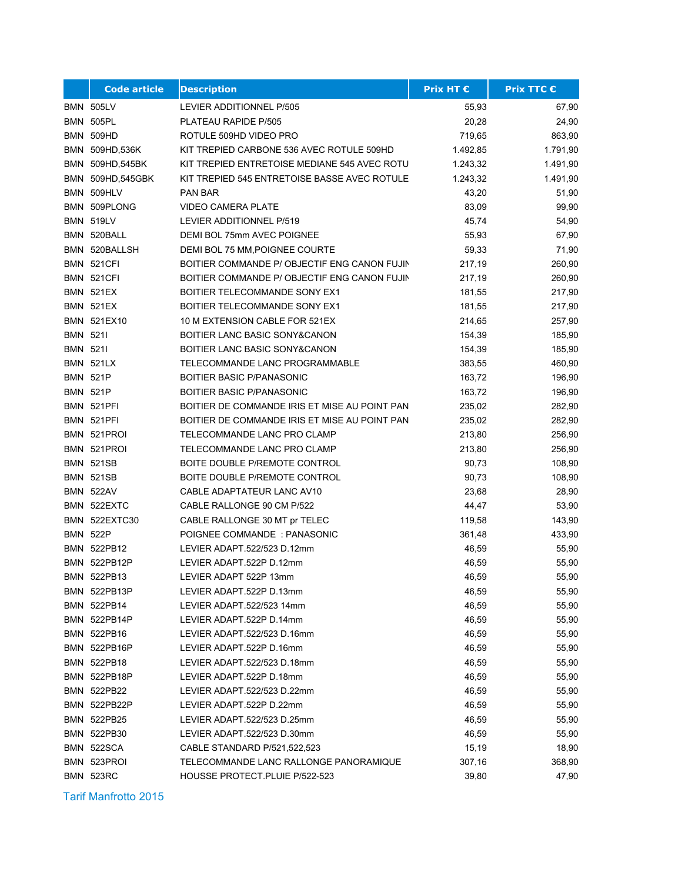|                 | <b>Code article</b> | <b>Description</b>                            | <b>Prix HT €</b> | <b>Prix TTC €</b> |
|-----------------|---------------------|-----------------------------------------------|------------------|-------------------|
|                 | <b>BMN 505LV</b>    | LEVIER ADDITIONNEL P/505                      | 55,93            | 67,90             |
|                 | <b>BMN 505PL</b>    | PLATEAU RAPIDE P/505                          | 20,28            | 24,90             |
|                 | <b>BMN 509HD</b>    | ROTULE 509HD VIDEO PRO                        | 719,65           | 863,90            |
|                 | BMN 509HD,536K      | KIT TREPIED CARBONE 536 AVEC ROTULE 509HD     | 1.492,85         | 1.791,90          |
|                 | BMN 509HD,545BK     | KIT TREPIED ENTRETOISE MEDIANE 545 AVEC ROTU  | 1.243,32         | 1.491,90          |
|                 | BMN 509HD,545GBK    | KIT TREPIED 545 ENTRETOISE BASSE AVEC ROTULE  | 1.243,32         | 1.491,90          |
|                 | BMN 509HLV          | <b>PAN BAR</b>                                | 43,20            | 51,90             |
|                 | BMN 509PLONG        | <b>VIDEO CAMERA PLATE</b>                     | 83,09            | 99,90             |
|                 | <b>BMN 519LV</b>    | LEVIER ADDITIONNEL P/519                      | 45,74            | 54,90             |
|                 | BMN 520BALL         | DEMI BOL 75mm AVEC POIGNEE                    | 55,93            | 67,90             |
|                 | BMN 520BALLSH       | DEMI BOL 75 MM, POIGNEE COURTE                | 59,33            | 71,90             |
|                 | BMN 521CFI          | BOITIER COMMANDE P/ OBJECTIF ENG CANON FUJIN  | 217,19           | 260,90            |
|                 | BMN 521CFI          | BOITIER COMMANDE P/ OBJECTIF ENG CANON FUJIN  | 217,19           | 260,90            |
|                 | <b>BMN 521EX</b>    | BOITIER TELECOMMANDE SONY EX1                 | 181,55           | 217,90            |
|                 | <b>BMN 521EX</b>    | <b>BOITIER TELECOMMANDE SONY EX1</b>          | 181,55           | 217,90            |
|                 | <b>BMN 521EX10</b>  | 10 M EXTENSION CABLE FOR 521EX                | 214,65           | 257,90            |
| <b>BMN 5211</b> |                     | BOITIER LANC BASIC SONY&CANON                 | 154,39           | 185,90            |
| <b>BMN 5211</b> |                     | BOITIER LANC BASIC SONY&CANON                 | 154,39           | 185,90            |
|                 | <b>BMN 521LX</b>    | TELECOMMANDE LANC PROGRAMMABLE                | 383,55           | 460,90            |
|                 | <b>BMN 521P</b>     | <b>BOITIER BASIC P/PANASONIC</b>              | 163,72           | 196,90            |
|                 | <b>BMN 521P</b>     | <b>BOITIER BASIC P/PANASONIC</b>              | 163,72           | 196,90            |
|                 | BMN 521PFI          | BOITIER DE COMMANDE IRIS ET MISE AU POINT PAN | 235,02           | 282,90            |
|                 | BMN 521PFI          | BOITIER DE COMMANDE IRIS ET MISE AU POINT PAN | 235,02           | 282,90            |
|                 | BMN 521PROI         | TELECOMMANDE LANC PRO CLAMP                   | 213,80           | 256,90            |
|                 | BMN 521PROI         | TELECOMMANDE LANC PRO CLAMP                   | 213,80           | 256,90            |
|                 | <b>BMN 521SB</b>    | BOITE DOUBLE P/REMOTE CONTROL                 | 90,73            | 108,90            |
|                 | <b>BMN 521SB</b>    | BOITE DOUBLE P/REMOTE CONTROL                 | 90,73            | 108,90            |
|                 | <b>BMN 522AV</b>    | CABLE ADAPTATEUR LANC AV10                    | 23,68            | 28,90             |
|                 | BMN 522EXTC         | CABLE RALLONGE 90 CM P/522                    | 44,47            | 53,90             |
|                 | BMN 522EXTC30       | CABLE RALLONGE 30 MT pr TELEC                 | 119,58           | 143,90            |
|                 | <b>BMN 522P</b>     | POIGNEE COMMANDE: PANASONIC                   | 361,48           | 433,90            |
|                 | BMN 522PB12         | LEVIER ADAPT.522/523 D.12mm                   | 46,59            | 55,90             |
|                 | <b>BMN 522PB12P</b> | LEVIER ADAPT.522P D.12mm                      | 46,59            | 55,90             |
|                 | BMN 522PB13         | LEVIER ADAPT 522P 13mm                        | 46,59            | 55,90             |
|                 | BMN 522PB13P        | LEVIER ADAPT.522P D.13mm                      | 46,59            | 55,90             |
|                 | BMN 522PB14         | LEVIER ADAPT.522/523 14mm                     | 46,59            | 55,90             |
|                 | BMN 522PB14P        | LEVIER ADAPT.522P D.14mm                      | 46,59            | 55,90             |
|                 | BMN 522PB16         | LEVIER ADAPT.522/523 D.16mm                   | 46,59            | 55,90             |
|                 | BMN 522PB16P        | LEVIER ADAPT.522P D.16mm                      | 46,59            | 55,90             |
|                 | BMN 522PB18         | LEVIER ADAPT.522/523 D.18mm                   | 46,59            | 55,90             |
|                 | <b>BMN 522PB18P</b> | LEVIER ADAPT.522P D.18mm                      | 46,59            | 55,90             |
|                 | <b>BMN 522PB22</b>  | LEVIER ADAPT.522/523 D.22mm                   | 46,59            | 55,90             |
|                 | <b>BMN 522PB22P</b> | LEVIER ADAPT.522P D.22mm                      | 46,59            | 55,90             |
|                 | <b>BMN 522PB25</b>  | LEVIER ADAPT.522/523 D.25mm                   | 46,59            | 55,90             |
|                 | BMN 522PB30         | LEVIER ADAPT.522/523 D.30mm                   | 46,59            | 55,90             |
|                 | BMN 522SCA          | CABLE STANDARD P/521,522,523                  | 15,19            | 18,90             |
|                 | BMN 523PROI         | TELECOMMANDE LANC RALLONGE PANORAMIQUE        | 307,16           | 368,90            |
|                 | <b>BMN 523RC</b>    | HOUSSE PROTECT.PLUIE P/522-523                | 39,80            | 47,90             |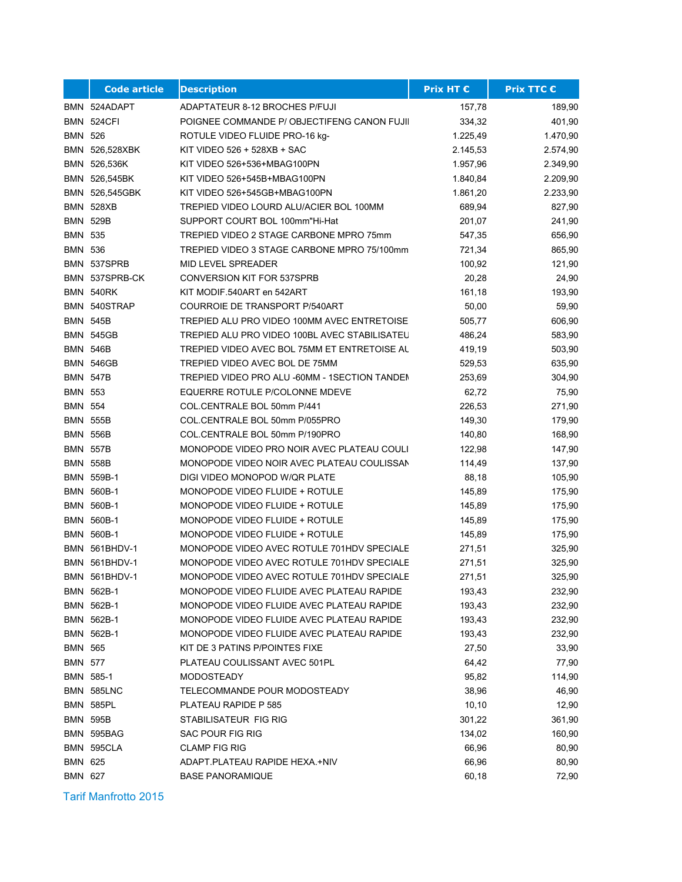|                | <b>Code article</b>  | <b>Description</b>                            | <b>Prix HT €</b> | <b>Prix TTC €</b> |
|----------------|----------------------|-----------------------------------------------|------------------|-------------------|
|                | BMN 524ADAPT         | ADAPTATEUR 8-12 BROCHES P/FUJI                | 157,78           | 189,90            |
|                | <b>BMN 524CFI</b>    | POIGNEE COMMANDE P/ OBJECTIFENG CANON FUJII   | 334,32           | 401,90            |
| <b>BMN 526</b> |                      | ROTULE VIDEO FLUIDE PRO-16 kg-                | 1.225,49         | 1.470,90          |
|                | BMN 526,528XBK       | KIT VIDEO 526 + 528XB + SAC                   | 2.145,53         | 2.574,90          |
|                | BMN 526,536K         | KIT VIDEO 526+536+MBAG100PN                   | 1.957,96         | 2.349,90          |
|                | BMN 526,545BK        | KIT VIDEO 526+545B+MBAG100PN                  | 1.840,84         | 2.209,90          |
|                | BMN 526,545GBK       | KIT VIDEO 526+545GB+MBAG100PN                 | 1.861,20         | 2.233,90          |
|                | <b>BMN 528XB</b>     | TREPIED VIDEO LOURD ALU/ACIER BOL 100MM       | 689,94           | 827,90            |
|                | <b>BMN 529B</b>      | SUPPORT COURT BOL 100mm"Hi-Hat                | 201,07           | 241,90            |
| <b>BMN 535</b> |                      | TREPIED VIDEO 2 STAGE CARBONE MPRO 75mm       | 547,35           | 656,90            |
| <b>BMN 536</b> |                      | TREPIED VIDEO 3 STAGE CARBONE MPRO 75/100mm   | 721,34           | 865,90            |
|                | BMN 537SPRB          | MID LEVEL SPREADER                            | 100,92           | 121,90            |
|                | BMN 537SPRB-CK       | <b>CONVERSION KIT FOR 537SPRB</b>             | 20,28            | 24,90             |
|                | <b>BMN 540RK</b>     | KIT MODIF.540ART en 542ART                    | 161,18           | 193,90            |
|                | BMN 540STRAP         | COURROIE DE TRANSPORT P/540ART                | 50,00            | 59,90             |
|                | <b>BMN 545B</b>      | TREPIED ALU PRO VIDEO 100MM AVEC ENTRETOISE   | 505,77           | 606,90            |
|                | <b>BMN 545GB</b>     | TREPIED ALU PRO VIDEO 100BL AVEC STABILISATEU | 486,24           | 583,90            |
|                | <b>BMN 546B</b>      | TREPIED VIDEO AVEC BOL 75MM ET ENTRETOISE AL  | 419,19           | 503,90            |
|                | <b>BMN 546GB</b>     | TREPIED VIDEO AVEC BOL DE 75MM                | 529,53           | 635,90            |
|                | <b>BMN 547B</b>      | TREPIED VIDEO PRO ALU -60MM - 1SECTION TANDEM | 253,69           | 304,90            |
| <b>BMN 553</b> |                      | EQUERRE ROTULE P/COLONNE MDEVE                | 62,72            | 75,90             |
| <b>BMN 554</b> |                      | COL.CENTRALE BOL 50mm P/441                   | 226,53           | 271,90            |
|                | <b>BMN 555B</b>      | COL.CENTRALE BOL 50mm P/055PRO                | 149,30           | 179,90            |
|                | <b>BMN 556B</b>      | COL.CENTRALE BOL 50mm P/190PRO                | 140,80           | 168,90            |
|                | <b>BMN 557B</b>      | MONOPODE VIDEO PRO NOIR AVEC PLATEAU COULI    | 122,98           | 147,90            |
|                | <b>BMN 558B</b>      | MONOPODE VIDEO NOIR AVEC PLATEAU COULISSAN    | 114,49           | 137,90            |
|                | BMN 559B-1           | DIGI VIDEO MONOPOD W/QR PLATE                 | 88,18            | 105,90            |
|                | BMN 560B-1           | MONOPODE VIDEO FLUIDE + ROTULE                | 145,89           | 175,90            |
|                | BMN 560B-1           | MONOPODE VIDEO FLUIDE + ROTULE                | 145,89           | 175,90            |
|                | BMN 560B-1           | MONOPODE VIDEO FLUIDE + ROTULE                | 145,89           | 175,90            |
|                | BMN 560B-1           | MONOPODE VIDEO FLUIDE + ROTULE                | 145,89           | 175,90            |
|                | BMN 561BHDV-1        | MONOPODE VIDEO AVEC ROTULE 701HDV SPECIALE    | 271,51           | 325,90            |
|                | <b>BMN 561BHDV-1</b> | MONOPODE VIDEO AVEC ROTULE 701HDV SPECIALE    | 271,51           | 325,90            |
|                | BMN 561BHDV-1        | MONOPODE VIDEO AVEC ROTULE 701HDV SPECIALE    | 271,51           | 325,90            |
|                | BMN 562B-1           | MONOPODE VIDEO FLUIDE AVEC PLATEAU RAPIDE     | 193,43           | 232,90            |
|                | BMN 562B-1           | MONOPODE VIDEO FLUIDE AVEC PLATEAU RAPIDE     | 193,43           | 232,90            |
|                | BMN 562B-1           | MONOPODE VIDEO FLUIDE AVEC PLATEAU RAPIDE     | 193,43           | 232,90            |
|                | BMN 562B-1           | MONOPODE VIDEO FLUIDE AVEC PLATEAU RAPIDE     | 193,43           | 232,90            |
| <b>BMN 565</b> |                      | KIT DE 3 PATINS P/POINTES FIXE                | 27,50            | 33,90             |
| <b>BMN 577</b> |                      | PLATEAU COULISSANT AVEC 501PL                 | 64,42            | 77,90             |
|                | BMN 585-1            | MODOSTEADY                                    | 95,82            | 114,90            |
|                | BMN 585LNC           | TELECOMMANDE POUR MODOSTEADY                  | 38,96            | 46,90             |
|                | <b>BMN 585PL</b>     | PLATEAU RAPIDE P 585                          | 10, 10           | 12,90             |
|                | <b>BMN 595B</b>      | STABILISATEUR FIG RIG                         | 301,22           | 361,90            |
|                | BMN 595BAG           | SAC POUR FIG RIG                              | 134,02           | 160,90            |
|                | BMN 595CLA           | <b>CLAMP FIG RIG</b>                          | 66,96            | 80,90             |
| <b>BMN 625</b> |                      | ADAPT.PLATEAU RAPIDE HEXA.+NIV                | 66,96            | 80,90             |
| BMN 627        |                      | <b>BASE PANORAMIQUE</b>                       | 60,18            | 72,90             |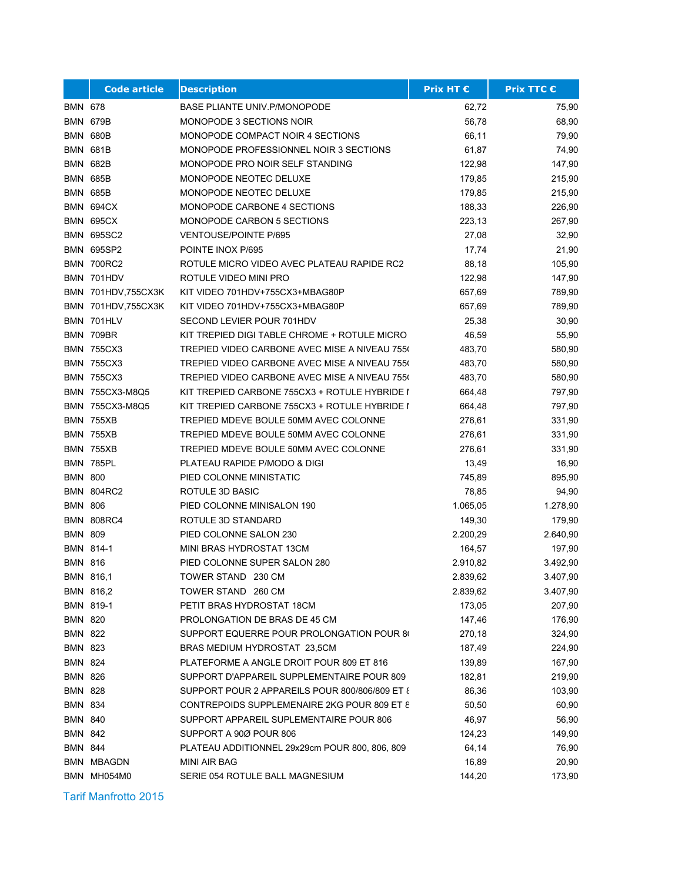|                | <b>Code article</b> | <b>Description</b>                             | <b>Prix HT €</b> | <b>Prix TTC €</b> |
|----------------|---------------------|------------------------------------------------|------------------|-------------------|
| <b>BMN 678</b> |                     | <b>BASE PLIANTE UNIV.P/MONOPODE</b>            | 62,72            | 75,90             |
|                | <b>BMN 679B</b>     | <b>MONOPODE 3 SECTIONS NOIR</b>                | 56,78            | 68,90             |
|                | <b>BMN 680B</b>     | MONOPODE COMPACT NOIR 4 SECTIONS               | 66,11            | 79,90             |
|                | <b>BMN 681B</b>     | MONOPODE PROFESSIONNEL NOIR 3 SECTIONS         | 61,87            | 74,90             |
|                | <b>BMN 682B</b>     | MONOPODE PRO NOIR SELF STANDING                | 122,98           | 147,90            |
|                | <b>BMN 685B</b>     | MONOPODE NEOTEC DELUXE                         | 179,85           | 215,90            |
|                | <b>BMN 685B</b>     | MONOPODE NEOTEC DELUXE                         | 179,85           | 215,90            |
|                | BMN 694CX           | MONOPODE CARBONE 4 SECTIONS                    | 188,33           | 226,90            |
|                | <b>BMN 695CX</b>    | MONOPODE CARBON 5 SECTIONS                     | 223,13           | 267,90            |
|                | <b>BMN 695SC2</b>   | <b>VENTOUSE/POINTE P/695</b>                   | 27,08            | 32,90             |
|                | <b>BMN 695SP2</b>   | POINTE INOX P/695                              | 17,74            | 21,90             |
|                | <b>BMN 700RC2</b>   | ROTULE MICRO VIDEO AVEC PLATEAU RAPIDE RC2     | 88,18            | 105,90            |
|                | BMN 701HDV          | ROTULE VIDEO MINI PRO                          | 122,98           | 147,90            |
|                | BMN 701HDV,755CX3K  | KIT VIDEO 701HDV+755CX3+MBAG80P                | 657,69           | 789,90            |
|                | BMN 701HDV,755CX3K  | KIT VIDEO 701HDV+755CX3+MBAG80P                | 657,69           | 789,90            |
|                | BMN 701HLV          | SECOND LEVIER POUR 701HDV                      | 25,38            | 30,90             |
|                | BMN 709BR           | KIT TREPIED DIGI TABLE CHROME + ROTULE MICRO   | 46,59            | 55,90             |
|                | <b>BMN 755CX3</b>   | TREPIED VIDEO CARBONE AVEC MISE A NIVEAU 7550  | 483,70           | 580,90            |
|                | <b>BMN 755CX3</b>   | TREPIED VIDEO CARBONE AVEC MISE A NIVEAU 7550  | 483,70           | 580,90            |
|                | <b>BMN 755CX3</b>   | TREPIED VIDEO CARBONE AVEC MISE A NIVEAU 7550  | 483,70           | 580,90            |
|                | BMN 755CX3-M8Q5     | KIT TREPIED CARBONE 755CX3 + ROTULE HYBRIDE I  | 664,48           | 797,90            |
|                | BMN 755CX3-M8Q5     | KIT TREPIED CARBONE 755CX3 + ROTULE HYBRIDE I  | 664,48           | 797,90            |
|                | <b>BMN 755XB</b>    | TREPIED MDEVE BOULE 50MM AVEC COLONNE          | 276,61           | 331,90            |
|                | <b>BMN 755XB</b>    | TREPIED MDEVE BOULE 50MM AVEC COLONNE          | 276,61           | 331,90            |
|                | <b>BMN 755XB</b>    | TREPIED MDEVE BOULE 50MM AVEC COLONNE          | 276,61           | 331,90            |
|                | BMN 785PL           | PLATEAU RAPIDE P/MODO & DIGI                   | 13,49            | 16,90             |
| <b>BMN 800</b> |                     | PIED COLONNE MINISTATIC                        | 745,89           | 895,90            |
|                | <b>BMN 804RC2</b>   | ROTULE 3D BASIC                                | 78,85            | 94,90             |
| <b>BMN 806</b> |                     | PIED COLONNE MINISALON 190                     | 1.065,05         | 1.278,90          |
|                | <b>BMN 808RC4</b>   | ROTULE 3D STANDARD                             | 149,30           | 179,90            |
| <b>BMN 809</b> |                     | PIED COLONNE SALON 230                         | 2.200,29         | 2.640,90          |
|                | BMN 814-1           | MINI BRAS HYDROSTAT 13CM                       | 164,57           | 197,90            |
| <b>BMN 816</b> |                     | PIED COLONNE SUPER SALON 280                   | 2.910,82         | 3.492,90          |
|                | BMN 816,1           | TOWER STAND 230 CM                             | 2.839,62         | 3.407,90          |
|                | BMN 816,2           | TOWER STAND 260 CM                             | 2.839,62         | 3.407,90          |
|                | BMN 819-1           | PETIT BRAS HYDROSTAT 18CM                      | 173,05           | 207,90            |
| <b>BMN 820</b> |                     | PROLONGATION DE BRAS DE 45 CM                  | 147,46           | 176,90            |
| BMN 822        |                     | SUPPORT EQUERRE POUR PROLONGATION POUR 80      | 270,18           | 324,90            |
| BMN 823        |                     | BRAS MEDIUM HYDROSTAT 23,5CM                   | 187,49           | 224,90            |
| BMN 824        |                     | PLATEFORME A ANGLE DROIT POUR 809 ET 816       | 139,89           | 167,90            |
| <b>BMN 826</b> |                     | SUPPORT D'APPAREIL SUPPLEMENTAIRE POUR 809     | 182,81           | 219,90            |
| <b>BMN 828</b> |                     | SUPPORT POUR 2 APPAREILS POUR 800/806/809 ET { | 86,36            | 103,90            |
| <b>BMN 834</b> |                     | CONTREPOIDS SUPPLEMENAIRE 2KG POUR 809 ET 8    | 50,50            | 60,90             |
| <b>BMN 840</b> |                     | SUPPORT APPAREIL SUPLEMENTAIRE POUR 806        | 46,97            | 56,90             |
| <b>BMN 842</b> |                     | SUPPORT A 90Ø POUR 806                         | 124,23           | 149,90            |
| <b>BMN 844</b> |                     | PLATEAU ADDITIONNEL 29x29cm POUR 800, 806, 809 | 64,14            | 76,90             |
|                | BMN MBAGDN          | <b>MINI AIR BAG</b>                            | 16,89            | 20,90             |
|                | BMN MH054M0         | SERIE 054 ROTULE BALL MAGNESIUM                | 144,20           | 173,90            |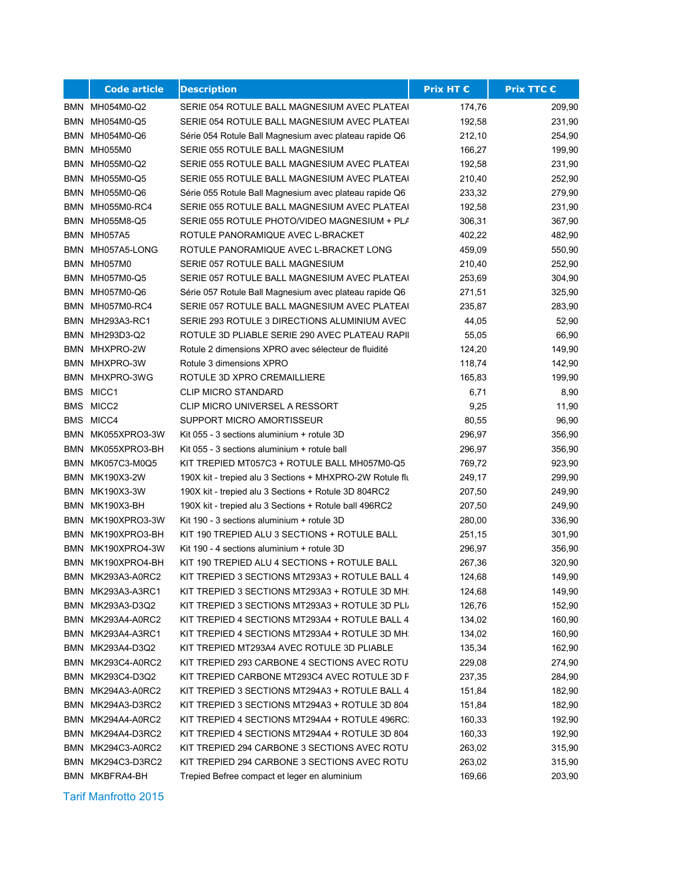|            | <b>Code article</b>    | <b>Description</b>                                       | Prix HT € | <b>Prix TTC €</b> |
|------------|------------------------|----------------------------------------------------------|-----------|-------------------|
|            | BMN MH054M0-Q2         | SERIE 054 ROTULE BALL MAGNESIUM AVEC PLATEAI             | 174,76    | 209,90            |
|            | BMN MH054M0-Q5         | SERIE 054 ROTULE BALL MAGNESIUM AVEC PLATEAI             | 192,58    | 231,90            |
|            | BMN MH054M0-Q6         | Série 054 Rotule Ball Magnesium avec plateau rapide Q6   | 212,10    | 254,90            |
|            | BMN MH055M0            | SERIE 055 ROTULE BALL MAGNESIUM                          | 166,27    | 199,90            |
|            | BMN MH055M0-Q2         | SERIE 055 ROTULE BALL MAGNESIUM AVEC PLATEAI             | 192,58    | 231,90            |
|            | BMN MH055M0-Q5         | SERIE 055 ROTULE BALL MAGNESIUM AVEC PLATEAL             | 210,40    | 252,90            |
|            | BMN MH055M0-Q6         | Série 055 Rotule Ball Magnesium avec plateau rapide Q6   | 233,32    | 279,90            |
|            | BMN MH055M0-RC4        | SERIE 055 ROTULE BALL MAGNESIUM AVEC PLATEAL             | 192,58    | 231,90            |
|            | BMN MH055M8-Q5         | SERIE 055 ROTULE PHOTO/VIDEO MAGNESIUM + PLA             | 306,31    | 367,90            |
|            | BMN MH057A5            | ROTULE PANORAMIQUE AVEC L-BRACKET                        | 402,22    | 482,90            |
| <b>BMN</b> | MH057A5-LONG           | ROTULE PANORAMIQUE AVEC L-BRACKET LONG                   | 459,09    | 550,90            |
| BMN        | MH057M0                | SERIE 057 ROTULE BALL MAGNESIUM                          | 210,40    | 252,90            |
| BMN        | MH057M0-Q5             | SERIE 057 ROTULE BALL MAGNESIUM AVEC PLATEAI             | 253,69    | 304,90            |
|            | BMN MH057M0-Q6         | Série 057 Rotule Ball Magnesium avec plateau rapide Q6   | 271,51    | 325,90            |
| BMN        | MH057M0-RC4            | SERIE 057 ROTULE BALL MAGNESIUM AVEC PLATEAU             | 235,87    | 283,90            |
|            | <b>BMN MH293A3-RC1</b> | SERIE 293 ROTULE 3 DIRECTIONS ALUMINIUM AVEC             | 44,05     | 52,90             |
|            | BMN MH293D3-Q2         | ROTULE 3D PLIABLE SERIE 290 AVEC PLATEAU RAPII           | 55,05     | 66,90             |
|            | BMN MHXPRO-2W          | Rotule 2 dimensions XPRO avec sélecteur de fluidité      | 124,20    | 149,90            |
| BMN        | MHXPRO-3W              | Rotule 3 dimensions XPRO                                 | 118,74    | 142,90            |
|            | BMN MHXPRO-3WG         | ROTULE 3D XPRO CREMAILLIERE                              | 165,83    | 199,90            |
|            | BMS MICC1              | <b>CLIP MICRO STANDARD</b>                               | 6,71      | 8,90              |
|            | BMS MICC2              | <b>CLIP MICRO UNIVERSEL A RESSORT</b>                    | 9,25      | 11,90             |
|            | BMS MICC4              | SUPPORT MICRO AMORTISSEUR                                | 80,55     | 96,90             |
|            | BMN MK055XPRO3-3W      | Kit 055 - 3 sections aluminium + rotule 3D               | 296,97    | 356,90            |
| BMN        | MK055XPRO3-BH          | Kit 055 - 3 sections aluminium + rotule ball             | 296,97    | 356,90            |
| BMN        | MK057C3-M0Q5           | KIT TREPIED MT057C3 + ROTULE BALL MH057M0-Q5             | 769,72    | 923,90            |
|            | <b>BMN MK190X3-2W</b>  | 190X kit - trepied alu 3 Sections + MHXPRO-2W Rotule flu | 249,17    | 299,90            |
| BMN        | MK190X3-3W             | 190X kit - trepied alu 3 Sections + Rotule 3D 804RC2     | 207,50    | 249,90            |
| BMN        | MK190X3-BH             | 190X kit - trepied alu 3 Sections + Rotule ball 496RC2   | 207,50    | 249,90            |
| BMN        | MK190XPRO3-3W          | Kit 190 - 3 sections aluminium + rotule 3D               | 280,00    | 336,90            |
|            | BMN MK190XPRO3-BH      | KIT 190 TREPIED ALU 3 SECTIONS + ROTULE BALL             | 251,15    | 301,90            |
|            | BMN MK190XPRO4-3W      | Kit 190 - 4 sections aluminium + rotule 3D               | 296,97    | 356,90            |
|            | BMN MK190XPRO4-BH      | KIT 190 TREPIED ALU 4 SECTIONS + ROTULE BALL             | 267,36    | 320,90            |
|            | BMN MK293A3-A0RC2      | KIT TREPIED 3 SECTIONS MT293A3 + ROTULE BALL 4           | 124,68    | 149,90            |
|            | BMN MK293A3-A3RC1      | KIT TREPIED 3 SECTIONS MT293A3 + ROTULE 3D MH.           | 124,68    | 149,90            |
| BMN        | MK293A3-D3Q2           | KIT TREPIED 3 SECTIONS MT293A3 + ROTULE 3D PLI,          | 126,76    | 152,90            |
| BMN        | MK293A4-A0RC2          | KIT TREPIED 4 SECTIONS MT293A4 + ROTULE BALL 4           | 134,02    | 160,90            |
| BMN        | MK293A4-A3RC1          | KIT TREPIED 4 SECTIONS MT293A4 + ROTULE 3D MH.           | 134,02    | 160,90            |
| BMN        | MK293A4-D3Q2           | KIT TREPIED MT293A4 AVEC ROTULE 3D PLIABLE               | 135,34    | 162,90            |
| BMN        | MK293C4-A0RC2          | KIT TREPIED 293 CARBONE 4 SECTIONS AVEC ROTU             | 229,08    | 274,90            |
| BMN        | MK293C4-D3Q2           | KIT TREPIED CARBONE MT293C4 AVEC ROTULE 3D F             | 237,35    | 284,90            |
| BMN        | MK294A3-A0RC2          | KIT TREPIED 3 SECTIONS MT294A3 + ROTULE BALL 4           | 151,84    | 182,90            |
|            | BMN MK294A3-D3RC2      | KIT TREPIED 3 SECTIONS MT294A3 + ROTULE 3D 804           | 151,84    | 182,90            |
|            | BMN MK294A4-A0RC2      | KIT TREPIED 4 SECTIONS MT294A4 + ROTULE 496RC.           | 160,33    | 192,90            |
|            | BMN MK294A4-D3RC2      | KIT TREPIED 4 SECTIONS MT294A4 + ROTULE 3D 804           | 160,33    | 192,90            |
|            | BMN MK294C3-A0RC2      | KIT TREPIED 294 CARBONE 3 SECTIONS AVEC ROTU             | 263,02    | 315,90            |
| BMN        | MK294C3-D3RC2          | KIT TREPIED 294 CARBONE 3 SECTIONS AVEC ROTU             | 263,02    | 315,90            |
| BMN        | MKBFRA4-BH             | Trepied Befree compact et leger en aluminium             | 169,66    | 203,90            |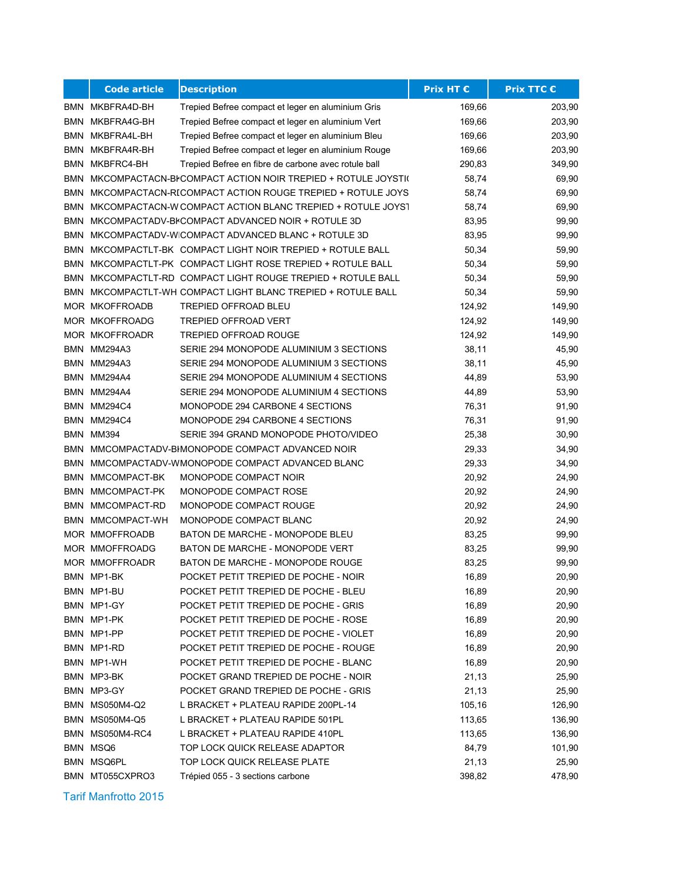|            | <b>Code article</b>   | <b>Description</b>                                           | <b>Prix HT €</b> | <b>Prix TTC €</b> |
|------------|-----------------------|--------------------------------------------------------------|------------------|-------------------|
| BMN        | MKBFRA4D-BH           | Trepied Befree compact et leger en aluminium Gris            | 169,66           | 203,90            |
| <b>BMN</b> | MKBFRA4G-BH           | Trepied Befree compact et leger en aluminium Vert            | 169,66           | 203,90            |
|            | BMN MKBFRA4L-BH       | Trepied Befree compact et leger en aluminium Bleu            | 169,66           | 203,90            |
| BMN        | MKBFRA4R-BH           | Trepied Befree compact et leger en aluminium Rouge           | 169,66           | 203,90            |
| BMN        | MKBFRC4-BH            | Trepied Befree en fibre de carbone avec rotule ball          | 290,83           | 349,90            |
| BMN        |                       | MKCOMPACTACN-BI COMPACT ACTION NOIR TREPIED + ROTULE JOYSTI( | 58,74            | 69,90             |
| BMN        |                       | MKCOMPACTACN-RICOMPACT ACTION ROUGE TREPIED + ROTULE JOYS    | 58,74            | 69,90             |
| BMN        |                       | MKCOMPACTACN-W COMPACT ACTION BLANC TREPIED + ROTULE JOYST   | 58,74            | 69,90             |
| BMN        |                       | MKCOMPACTADV-BICOMPACT ADVANCED NOIR + ROTULE 3D             | 83,95            | 99,90             |
| BMN        |                       | MKCOMPACTADV-WICOMPACT ADVANCED BLANC + ROTULE 3D            | 83,95            | 99,90             |
| BMN        |                       | MKCOMPACTLT-BK COMPACT LIGHT NOIR TREPIED + ROTULE BALL      | 50,34            | 59,90             |
| BMN        |                       | MKCOMPACTLT-PK COMPACT LIGHT ROSE TREPIED + ROTULE BALL      | 50,34            | 59,90             |
| BMN        |                       | MKCOMPACTLT-RD COMPACT LIGHT ROUGE TREPIED + ROTULE BALL     | 50,34            | 59,90             |
| BMN        |                       | MKCOMPACTLT-WH COMPACT LIGHT BLANC TREPIED + ROTULE BALL     | 50,34            | 59,90             |
|            | <b>MOR MKOFFROADB</b> | <b>TREPIED OFFROAD BLEU</b>                                  | 124,92           | 149,90            |
|            | MOR MKOFFROADG        | <b>TREPIED OFFROAD VERT</b>                                  | 124,92           | 149,90            |
|            | <b>MOR MKOFFROADR</b> | TREPIED OFFROAD ROUGE                                        | 124,92           | 149,90            |
|            | BMN MM294A3           | SERIE 294 MONOPODE ALUMINIUM 3 SECTIONS                      | 38,11            | 45,90             |
|            | BMN MM294A3           | SERIE 294 MONOPODE ALUMINIUM 3 SECTIONS                      | 38,11            | 45,90             |
| BMN        | MM294A4               | SERIE 294 MONOPODE ALUMINIUM 4 SECTIONS                      | 44,89            | 53,90             |
| BMN        | MM294A4               | SERIE 294 MONOPODE ALUMINIUM 4 SECTIONS                      | 44,89            | 53,90             |
| <b>BMN</b> | MM294C4               | MONOPODE 294 CARBONE 4 SECTIONS                              | 76,31            | 91,90             |
|            | BMN MM294C4           | MONOPODE 294 CARBONE 4 SECTIONS                              | 76,31            | 91,90             |
|            | BMN MM394             | SERIE 394 GRAND MONOPODE PHOTO/VIDEO                         | 25,38            | 30,90             |
| BMN        |                       | MMCOMPACTADV-BIMONOPODE COMPACT ADVANCED NOIR                | 29,33            | 34,90             |
| BMN        |                       | MMCOMPACTADV-WMONOPODE COMPACT ADVANCED BLANC                | 29,33            | 34,90             |
| BMN        | MMCOMPACT-BK          | MONOPODE COMPACT NOIR                                        | 20,92            | 24,90             |
| BMN        | MMCOMPACT-PK          | MONOPODE COMPACT ROSE                                        | 20,92            | 24,90             |
| BMN        | MMCOMPACT-RD          | MONOPODE COMPACT ROUGE                                       | 20,92            | 24,90             |
| BMN        | MMCOMPACT-WH          | MONOPODE COMPACT BLANC                                       | 20,92            | 24,90             |
|            | MOR MMOFFROADB        | BATON DE MARCHE - MONOPODE BLEU                              | 83,25            | 99,90             |
|            | MOR MMOFFROADG        | BATON DE MARCHE - MONOPODE VERT                              | 83,25            | 99,90             |
|            | MOR MMOFFROADR        | BATON DE MARCHE - MONOPODE ROUGE                             | 83,25            | 99,90             |
|            | BMN MP1-BK            | POCKET PETIT TREPIED DE POCHE - NOIR                         | 16,89            | 20,90             |
|            | BMN MP1-BU            | POCKET PETIT TREPIED DE POCHE - BLEU                         | 16,89            | 20,90             |
|            | BMN MP1-GY            | POCKET PETIT TREPIED DE POCHE - GRIS                         | 16,89            | 20,90             |
|            | BMN MP1-PK            | POCKET PETIT TREPIED DE POCHE - ROSE                         | 16,89            | 20,90             |
|            | BMN MP1-PP            | POCKET PETIT TREPIED DE POCHE - VIOLET                       | 16,89            | 20,90             |
|            | BMN MP1-RD            | POCKET PETIT TREPIED DE POCHE - ROUGE                        | 16,89            | 20,90             |
|            | BMN MP1-WH            | POCKET PETIT TREPIED DE POCHE - BLANC                        | 16,89            | 20,90             |
|            | BMN MP3-BK            | POCKET GRAND TREPIED DE POCHE - NOIR                         | 21,13            | 25,90             |
|            | BMN MP3-GY            | POCKET GRAND TREPIED DE POCHE - GRIS                         | 21,13            | 25,90             |
|            | BMN MS050M4-Q2        | L BRACKET + PLATEAU RAPIDE 200PL-14                          | 105,16           | 126,90            |
|            | BMN MS050M4-Q5        | L BRACKET + PLATEAU RAPIDE 501PL                             | 113,65           | 136,90            |
|            | BMN MS050M4-RC4       | L BRACKET + PLATEAU RAPIDE 410PL                             | 113,65           | 136,90            |
|            | BMN MSQ6              | TOP LOCK QUICK RELEASE ADAPTOR                               | 84,79            | 101,90            |
|            | BMN MSQ6PL            | TOP LOCK QUICK RELEASE PLATE                                 | 21,13            | 25,90             |
|            | BMN MT055CXPRO3       | Trépied 055 - 3 sections carbone                             | 398,82           | 478,90            |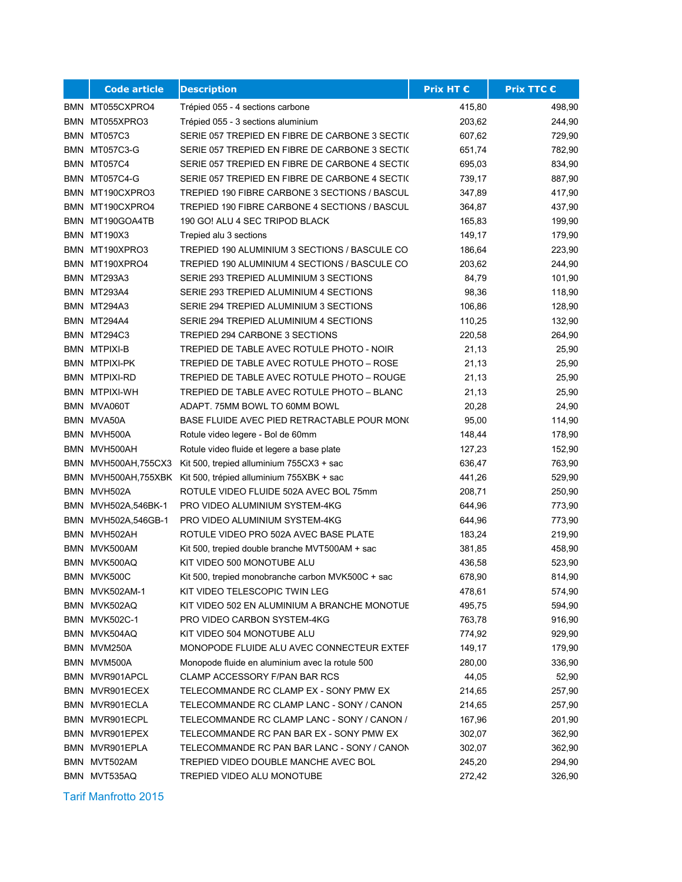|     | <b>Code article</b>  | <b>Description</b>                                            | <b>Prix HT €</b> | Prix TTC € |
|-----|----------------------|---------------------------------------------------------------|------------------|------------|
|     | BMN MT055CXPRO4      | Trépied 055 - 4 sections carbone                              | 415,80           | 498,90     |
| BMN | MT055XPRO3           | Trépied 055 - 3 sections aluminium                            | 203,62           | 244,90     |
| BMN | MT057C3              | SERIE 057 TREPIED EN FIBRE DE CARBONE 3 SECTI(                | 607,62           | 729,90     |
|     | BMN MT057C3-G        | SERIE 057 TREPIED EN FIBRE DE CARBONE 3 SECTIC                | 651,74           | 782,90     |
|     | BMN MT057C4          | SERIE 057 TREPIED EN FIBRE DE CARBONE 4 SECTIC                | 695,03           | 834,90     |
| BMN | MT057C4-G            | SERIE 057 TREPIED EN FIBRE DE CARBONE 4 SECTIC                | 739,17           | 887,90     |
| BMN | MT190CXPRO3          | TREPIED 190 FIBRE CARBONE 3 SECTIONS / BASCUL                 | 347,89           | 417,90     |
|     | BMN MT190CXPRO4      | TREPIED 190 FIBRE CARBONE 4 SECTIONS / BASCUL                 | 364,87           | 437,90     |
|     | BMN MT190GOA4TB      | 190 GO! ALU 4 SEC TRIPOD BLACK                                | 165,83           | 199,90     |
| BMN | MT190X3              | Trepied alu 3 sections                                        | 149,17           | 179,90     |
|     | BMN MT190XPRO3       | TREPIED 190 ALUMINIUM 3 SECTIONS / BASCULE CO                 | 186,64           | 223,90     |
|     | BMN MT190XPRO4       | TREPIED 190 ALUMINIUM 4 SECTIONS / BASCULE CO                 | 203,62           | 244,90     |
|     | BMN MT293A3          | SERIE 293 TREPIED ALUMINIUM 3 SECTIONS                        | 84,79            | 101,90     |
| BMN | MT293A4              | SERIE 293 TREPIED ALUMINIUM 4 SECTIONS                        | 98,36            | 118,90     |
|     | BMN MT294A3          | SERIE 294 TREPIED ALUMINIUM 3 SECTIONS                        | 106,86           | 128,90     |
|     | BMN MT294A4          | SERIE 294 TREPIED ALUMINIUM 4 SECTIONS                        | 110,25           | 132,90     |
|     | <b>BMN MT294C3</b>   | TREPIED 294 CARBONE 3 SECTIONS                                | 220,58           | 264,90     |
|     | BMN MTPIXI-B         | TREPIED DE TABLE AVEC ROTULE PHOTO - NOIR                     | 21,13            | 25,90      |
|     | BMN MTPIXI-PK        | TREPIED DE TABLE AVEC ROTULE PHOTO - ROSE                     | 21,13            | 25,90      |
|     | BMN MTPIXI-RD        | TREPIED DE TABLE AVEC ROTULE PHOTO - ROUGE                    | 21,13            | 25,90      |
|     | BMN MTPIXI-WH        | TREPIED DE TABLE AVEC ROTULE PHOTO - BLANC                    | 21,13            | 25,90      |
|     | BMN MVA060T          | ADAPT. 75MM BOWL TO 60MM BOWL                                 | 20,28            | 24,90      |
|     | BMN MVA50A           | BASE FLUIDE AVEC PIED RETRACTABLE POUR MON(                   | 95,00            | 114,90     |
|     | BMN MVH500A          | Rotule video legere - Bol de 60mm                             | 148,44           | 178,90     |
| BMN | MVH500AH             | Rotule video fluide et legere a base plate                    | 127,23           | 152,90     |
| BMN | MVH500AH,755CX3      | Kit 500, trepied alluminium 755CX3 + sac                      | 636,47           | 763,90     |
|     |                      | BMN MVH500AH, 755XBK Kit 500, trépied alluminium 755XBK + sac | 441,26           | 529,90     |
|     | BMN MVH502A          | ROTULE VIDEO FLUIDE 502A AVEC BOL 75mm                        | 208,71           | 250,90     |
| BMN | MVH502A,546BK-1      | PRO VIDEO ALUMINIUM SYSTEM-4KG                                | 644,96           | 773,90     |
| BMN | MVH502A,546GB-1      | PRO VIDEO ALUMINIUM SYSTEM-4KG                                | 644,96           | 773,90     |
|     | BMN MVH502AH         | ROTULE VIDEO PRO 502A AVEC BASE PLATE                         | 183,24           | 219,90     |
|     | BMN MVK500AM         | Kit 500, trepied double branche MVT500AM + sac                | 381,85           | 458,90     |
| BMN | MVK500AQ             | KIT VIDEO 500 MONOTUBE ALU                                    | 436,58           | 523,90     |
|     | BMN MVK500C          | Kit 500, trepied monobranche carbon MVK500C + sac             | 678,90           | 814,90     |
|     | BMN MVK502AM-1       | KIT VIDEO TELESCOPIC TWIN LEG                                 | 478,61           | 574,90     |
|     | BMN MVK502AQ         | KIT VIDEO 502 EN ALUMINIUM A BRANCHE MONOTUE                  | 495,75           | 594,90     |
|     | <b>BMN MVK502C-1</b> | PRO VIDEO CARBON SYSTEM-4KG                                   | 763,78           | 916,90     |
|     | BMN MVK504AQ         | KIT VIDEO 504 MONOTUBE ALU                                    | 774,92           | 929,90     |
|     | BMN MVM250A          | MONOPODE FLUIDE ALU AVEC CONNECTEUR EXTEF                     | 149,17           | 179,90     |
|     | BMN MVM500A          | Monopode fluide en aluminium avec la rotule 500               | 280,00           | 336,90     |
|     | BMN MVR901APCL       | CLAMP ACCESSORY F/PAN BAR RCS                                 | 44,05            | 52,90      |
|     | BMN MVR901ECEX       | TELECOMMANDE RC CLAMP EX - SONY PMW EX                        | 214,65           | 257,90     |
|     | BMN MVR901ECLA       | TELECOMMANDE RC CLAMP LANC - SONY / CANON                     | 214,65           | 257,90     |
| BMN | MVR901ECPL           | TELECOMMANDE RC CLAMP LANC - SONY / CANON /                   | 167,96           | 201,90     |
|     | BMN MVR901EPEX       | TELECOMMANDE RC PAN BAR EX - SONY PMW EX                      | 302,07           | 362,90     |
|     | BMN MVR901EPLA       | TELECOMMANDE RC PAN BAR LANC - SONY / CANON                   | 302,07           | 362,90     |
|     | BMN MVT502AM         | TREPIED VIDEO DOUBLE MANCHE AVEC BOL                          | 245,20           | 294,90     |
|     | BMN MVT535AQ         | TREPIED VIDEO ALU MONOTUBE                                    | 272,42           | 326,90     |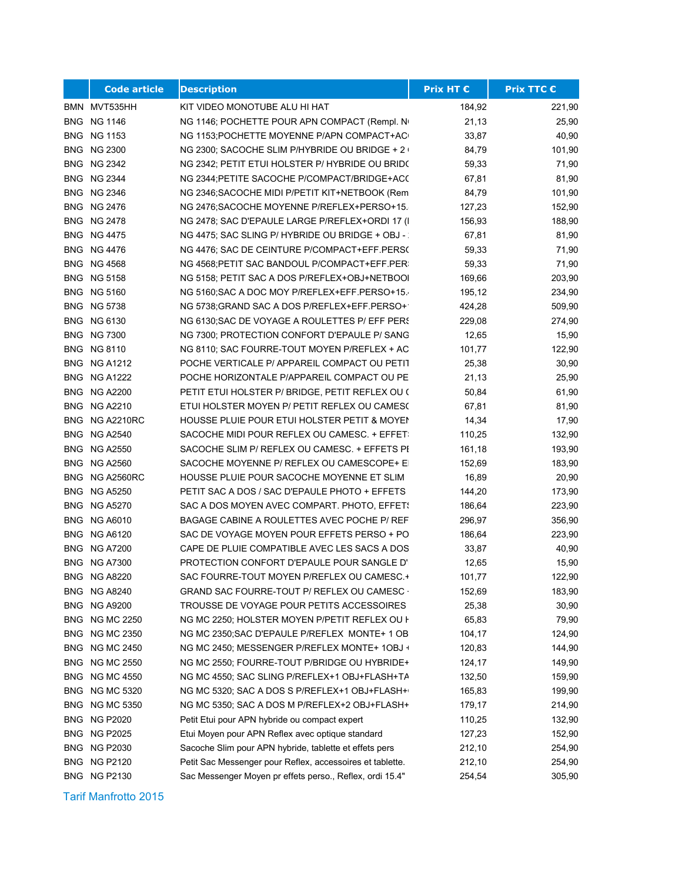|            | <b>Code article</b>                    | <b>Description</b>                                                                          | <b>Prix HT €</b> | <b>Prix TTC €</b> |
|------------|----------------------------------------|---------------------------------------------------------------------------------------------|------------------|-------------------|
|            | BMN MVT535HH                           | KIT VIDEO MONOTUBE ALU HI HAT                                                               | 184,92           | 221,90            |
|            | <b>BNG NG 1146</b>                     | NG 1146; POCHETTE POUR APN COMPACT (Rempl. No                                               | 21,13            | 25,90             |
|            | <b>BNG NG 1153</b>                     | NG 1153; POCHETTE MOYENNE P/APN COMPACT+AC                                                  | 33,87            | 40,90             |
|            | <b>BNG NG 2300</b>                     | NG 2300; SACOCHE SLIM P/HYBRIDE OU BRIDGE + 2 \                                             | 84,79            | 101,90            |
|            | <b>BNG NG 2342</b>                     | NG 2342; PETIT ETUI HOLSTER P/ HYBRIDE OU BRID(                                             | 59,33            | 71,90             |
|            | <b>BNG NG 2344</b>                     | NG 2344; PETITE SACOCHE P/COMPACT/BRIDGE+ACC                                                | 67,81            | 81,90             |
|            | <b>BNG NG 2346</b>                     | NG 2346; SACOCHE MIDI P/PETIT KIT+NETBOOK (Rem                                              | 84,79            | 101,90            |
|            | <b>BNG NG 2476</b>                     | NG 2476; SACOCHE MOYENNE P/REFLEX+PERSO+15.                                                 | 127,23           | 152,90            |
| BNG        | NG 2478                                | NG 2478; SAC D'EPAULE LARGE P/REFLEX+ORDI 17 (I                                             | 156,93           | 188,90            |
|            | <b>BNG NG 4475</b>                     | NG 4475; SAC SLING P/ HYBRIDE OU BRIDGE + OBJ -:                                            | 67,81            | 81,90             |
|            | <b>BNG NG 4476</b>                     | NG 4476; SAC DE CEINTURE P/COMPACT+EFF.PERS(                                                | 59,33            | 71,90             |
|            | <b>BNG NG 4568</b>                     | NG 4568; PETIT SAC BANDOUL P/COMPACT+EFF. PER:                                              | 59,33            | 71,90             |
|            | <b>BNG NG 5158</b>                     | NG 5158; PETIT SAC A DOS P/REFLEX+OBJ+NETBOOI                                               | 169,66           | 203,90            |
|            | <b>BNG NG 5160</b>                     | NG 5160; SAC A DOC MOY P/REFLEX+EFF PERSO+15.                                               | 195,12           | 234,90            |
|            | <b>BNG NG 5738</b>                     | NG 5738; GRAND SAC A DOS P/REFLEX+EFF. PERSO+                                               | 424,28           | 509,90            |
|            | <b>BNG NG 6130</b>                     | NG 6130; SAC DE VOYAGE A ROULETTES P/ EFF PERS                                              | 229,08           | 274,90            |
|            | <b>BNG NG 7300</b>                     | NG 7300; PROTECTION CONFORT D'EPAULE P/ SANG                                                | 12,65            | 15,90             |
|            | <b>BNG NG 8110</b>                     | NG 8110; SAC FOURRE-TOUT MOYEN P/REFLEX + AC                                                | 101,77           | 122,90            |
|            | BNG NG A1212                           | POCHE VERTICALE P/ APPAREIL COMPACT OU PETIT                                                | 25,38            | 30,90             |
| BNG.       | NG A1222                               | POCHE HORIZONTALE P/APPAREIL COMPACT OU PE                                                  | 21,13            | 25,90             |
| <b>BNG</b> | <b>NG A2200</b>                        | PETIT ETUI HOLSTER P/ BRIDGE, PETIT REFLEX OU (                                             | 50,84            | 61,90             |
| <b>BNG</b> | <b>NG A2210</b>                        | ETUI HOLSTER MOYEN P/ PETIT REFLEX OU CAMES(                                                | 67,81            | 81,90             |
| <b>BNG</b> | <b>NG A2210RC</b>                      | HOUSSE PLUIE POUR ETUI HOLSTER PETIT & MOYEN                                                | 14,34            | 17,90             |
| <b>BNG</b> | <b>NG A2540</b>                        | SACOCHE MIDI POUR REFLEX OU CAMESC. + EFFET:                                                | 110,25           | 132,90            |
|            | <b>BNG NG A2550</b>                    | SACOCHE SLIM P/ REFLEX OU CAMESC. + EFFETS PI                                               | 161,18           | 193,90            |
| <b>BNG</b> | <b>NG A2560</b>                        | SACOCHE MOYENNE P/ REFLEX OU CAMESCOPE+ EI                                                  | 152,69           | 183,90            |
| <b>BNG</b> | <b>NG A2560RC</b>                      | HOUSSE PLUIE POUR SACOCHE MOYENNE ET SLIM                                                   | 16,89            | 20,90             |
| <b>BNG</b> | <b>NG A5250</b>                        | PETIT SAC A DOS / SAC D'EPAULE PHOTO + EFFETS                                               | 144,20           | 173,90            |
|            | BNG NG A5270                           | SAC A DOS MOYEN AVEC COMPART. PHOTO, EFFET!                                                 | 186,64           | 223,90            |
| <b>BNG</b> | <b>NG A6010</b>                        | BAGAGE CABINE A ROULETTES AVEC POCHE P/ REF                                                 | 296,97           | 356,90<br>223,90  |
|            | <b>BNG NG A6120</b>                    | SAC DE VOYAGE MOYEN POUR EFFETS PERSO + PO                                                  | 186,64           |                   |
| <b>BNG</b> | NG A7200<br><b>NG A7300</b>            | CAPE DE PLUIE COMPATIBLE AVEC LES SACS A DOS<br>PROTECTION CONFORT D'EPAULE POUR SANGLE D'I | 33,87            | 40,90             |
| <b>BNG</b> | <b>BNG NG A8220</b>                    | SAC FOURRE-TOUT MOYEN P/REFLEX OU CAMESC.+                                                  | 12,65<br>101,77  | 15,90<br>122,90   |
|            |                                        | GRAND SAC FOURRE-TOUT P/ REFLEX OU CAMESC ·                                                 | 152,69           |                   |
| BNG        | <b>BNG NG A8240</b><br><b>NG A9200</b> | TROUSSE DE VOYAGE POUR PETITS ACCESSOIRES                                                   | 25,38            | 183,90<br>30,90   |
| BNG        | <b>NG MC 2250</b>                      | NG MC 2250; HOLSTER MOYEN P/PETIT REFLEX OU H                                               | 65,83            | 79,90             |
| <b>BNG</b> | <b>NG MC 2350</b>                      | NG MC 2350; SAC D'EPAULE P/REFLEX MONTE+ 1 OB                                               | 104,17           | 124,90            |
| BNG        | <b>NG MC 2450</b>                      | NG MC 2450; MESSENGER P/REFLEX MONTE+ 1OBJ +                                                | 120,83           | 144,90            |
| BNG        | <b>NG MC 2550</b>                      | NG MC 2550; FOURRE-TOUT P/BRIDGE OU HYBRIDE+                                                | 124,17           | 149,90            |
| BNG        | <b>NG MC 4550</b>                      | NG MC 4550; SAC SLING P/REFLEX+1 OBJ+FLASH+TA                                               | 132,50           | 159,90            |
|            | <b>BNG NG MC 5320</b>                  | NG MC 5320; SAC A DOS S P/REFLEX+1 OBJ+FLASH+                                               | 165,83           | 199,90            |
| <b>BNG</b> | <b>NG MC 5350</b>                      | NG MC 5350; SAC A DOS M P/REFLEX+2 OBJ+FLASH+                                               | 179,17           | 214,90            |
| <b>BNG</b> | <b>NG P2020</b>                        | Petit Etui pour APN hybride ou compact expert                                               | 110,25           | 132,90            |
| <b>BNG</b> | <b>NG P2025</b>                        | Etui Moyen pour APN Reflex avec optique standard                                            | 127,23           | 152,90            |
| <b>BNG</b> | <b>NG P2030</b>                        | Sacoche Slim pour APN hybride, tablette et effets pers                                      | 212,10           | 254,90            |
| <b>BNG</b> | <b>NG P2120</b>                        | Petit Sac Messenger pour Reflex, accessoires et tablette.                                   | 212,10           | 254,90            |
|            | <b>BNG NG P2130</b>                    | Sac Messenger Moyen pr effets perso., Reflex, ordi 15.4"                                    | 254,54           | 305,90            |
|            |                                        |                                                                                             |                  |                   |